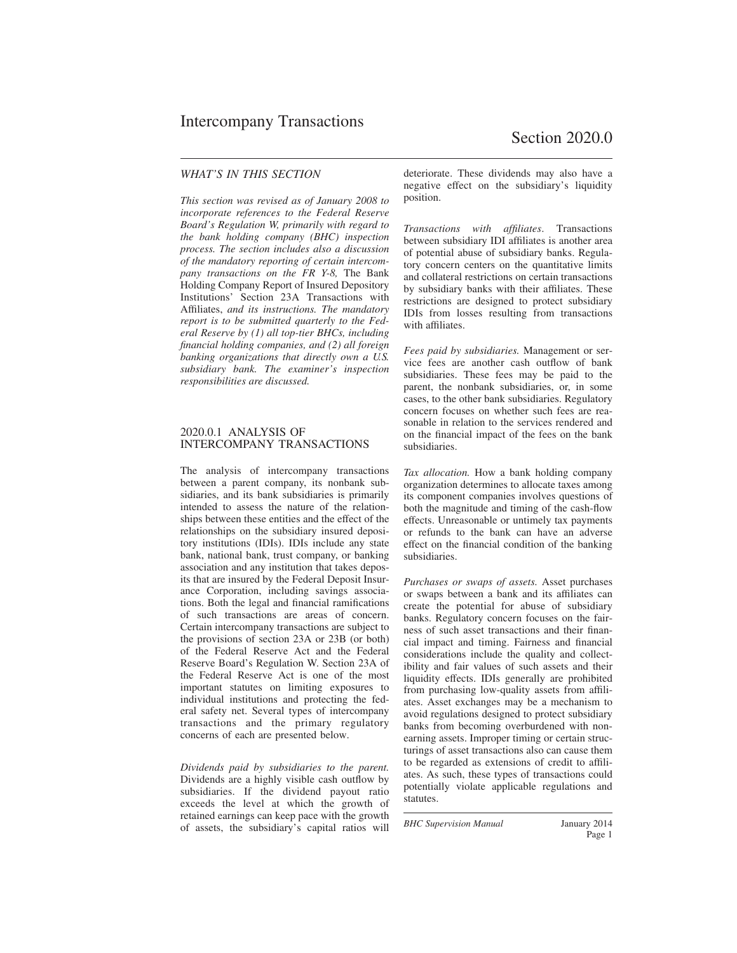# *WHAT'S IN THIS SECTION*

*This section was revised as of January 2008 to incorporate references to the Federal Reserve Board's Regulation W, primarily with regard to the bank holding company (BHC) inspection process. The section includes also a discussion of the mandatory reporting of certain intercompany transactions on the FR Y-8,* The Bank Holding Company Report of Insured Depository Institutions' Section 23A Transactions with Affiliates, *and its instructions. The mandatory report is to be submitted quarterly to the Federal Reserve by (1) all top-tier BHCs, including financial holding companies, and (2) all foreign banking organizations that directly own a U.S. subsidiary bank. The examiner's inspection responsibilities are discussed.*

#### 2020.0.1 ANALYSIS OF INTERCOMPANY TRANSACTIONS

The analysis of intercompany transactions between a parent company, its nonbank subsidiaries, and its bank subsidiaries is primarily intended to assess the nature of the relationships between these entities and the effect of the relationships on the subsidiary insured depository institutions (IDIs). IDIs include any state bank, national bank, trust company, or banking association and any institution that takes deposits that are insured by the Federal Deposit Insurance Corporation, including savings associations. Both the legal and financial ramifications of such transactions are areas of concern. Certain intercompany transactions are subject to the provisions of section 23A or 23B (or both) of the Federal Reserve Act and the Federal Reserve Board's Regulation W. Section 23A of the Federal Reserve Act is one of the most important statutes on limiting exposures to individual institutions and protecting the federal safety net. Several types of intercompany transactions and the primary regulatory concerns of each are presented below.

*Dividends paid by subsidiaries to the parent.* Dividends are a highly visible cash outflow by subsidiaries. If the dividend payout ratio exceeds the level at which the growth of retained earnings can keep pace with the growth of assets, the subsidiary's capital ratios will deteriorate. These dividends may also have a negative effect on the subsidiary's liquidity position.

*Transactions with affiliates*. Transactions between subsidiary IDI affiliates is another area of potential abuse of subsidiary banks. Regulatory concern centers on the quantitative limits and collateral restrictions on certain transactions by subsidiary banks with their affiliates. These restrictions are designed to protect subsidiary IDIs from losses resulting from transactions with affiliates.

*Fees paid by subsidiaries.* Management or service fees are another cash outflow of bank subsidiaries. These fees may be paid to the parent, the nonbank subsidiaries, or, in some cases, to the other bank subsidiaries. Regulatory concern focuses on whether such fees are reasonable in relation to the services rendered and on the financial impact of the fees on the bank subsidiaries.

*Tax allocation.* How a bank holding company organization determines to allocate taxes among its component companies involves questions of both the magnitude and timing of the cash-flow effects. Unreasonable or untimely tax payments or refunds to the bank can have an adverse effect on the financial condition of the banking subsidiaries.

*Purchases or swaps of assets.* Asset purchases or swaps between a bank and its affiliates can create the potential for abuse of subsidiary banks. Regulatory concern focuses on the fairness of such asset transactions and their financial impact and timing. Fairness and financial considerations include the quality and collectibility and fair values of such assets and their liquidity effects. IDIs generally are prohibited from purchasing low-quality assets from affiliates. Asset exchanges may be a mechanism to avoid regulations designed to protect subsidiary banks from becoming overburdened with nonearning assets. Improper timing or certain structurings of asset transactions also can cause them to be regarded as extensions of credit to affiliates. As such, these types of transactions could potentially violate applicable regulations and statutes.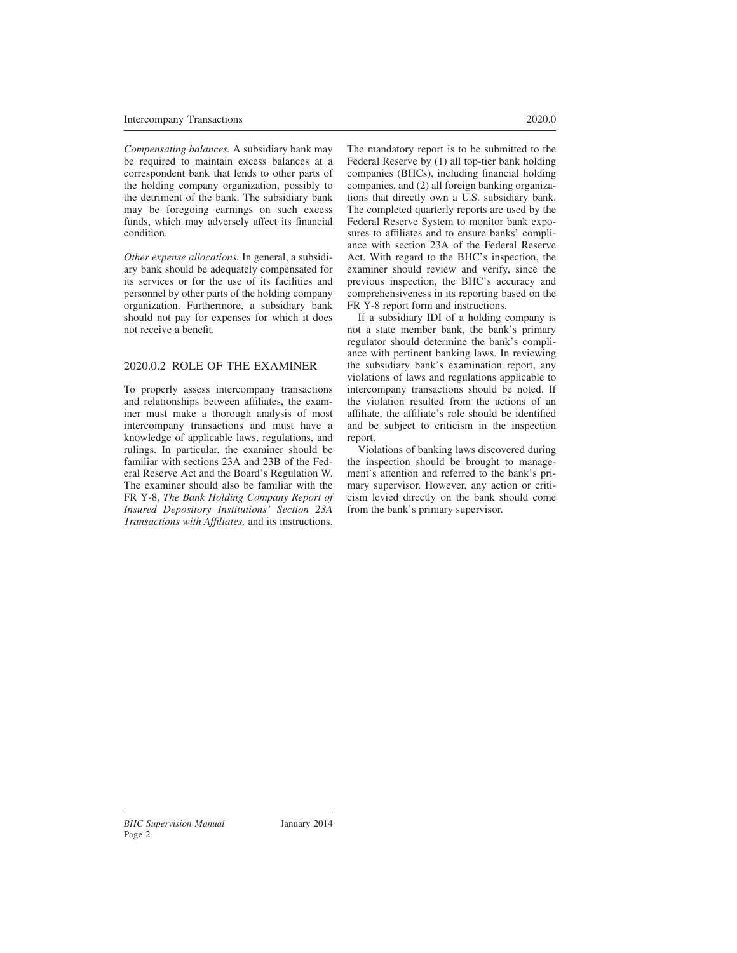*Compensating balances.* A subsidiary bank may be required to maintain excess balances at a correspondent bank that lends to other parts of the holding company organization, possibly to the detriment of the bank. The subsidiary bank may be foregoing earnings on such excess funds, which may adversely affect its financial condition.

*Other expense allocations.* In general, a subsidiary bank should be adequately compensated for its services or for the use of its facilities and personnel by other parts of the holding company organization. Furthermore, a subsidiary bank should not pay for expenses for which it does not receive a benefit.

# 2020.0.2 ROLE OF THE EXAMINER

To properly assess intercompany transactions and relationships between affiliates, the examiner must make a thorough analysis of most intercompany transactions and must have a knowledge of applicable laws, regulations, and rulings. In particular, the examiner should be familiar with sections 23A and 23B of the Federal Reserve Act and the Board's Regulation W. The examiner should also be familiar with the FR Y-8, *The Bank Holding Company Report of Insured Depository Institutions' Section 23A Transactions with Affiliates,* and its instructions.

The mandatory report is to be submitted to the Federal Reserve by (1) all top-tier bank holding companies (BHCs), including financial holding companies, and (2) all foreign banking organizations that directly own a U.S. subsidiary bank. The completed quarterly reports are used by the Federal Reserve System to monitor bank exposures to affiliates and to ensure banks' compliance with section 23A of the Federal Reserve Act. With regard to the BHC's inspection, the examiner should review and verify, since the previous inspection, the BHC's accuracy and comprehensiveness in its reporting based on the FR Y-8 report form and instructions.

If a subsidiary IDI of a holding company is not a state member bank, the bank's primary regulator should determine the bank's compliance with pertinent banking laws. In reviewing the subsidiary bank's examination report, any violations of laws and regulations applicable to intercompany transactions should be noted. If the violation resulted from the actions of an affiliate, the affiliate's role should be identified and be subject to criticism in the inspection report.

Violations of banking laws discovered during the inspection should be brought to management's attention and referred to the bank's primary supervisor. However, any action or criticism levied directly on the bank should come from the bank's primary supervisor.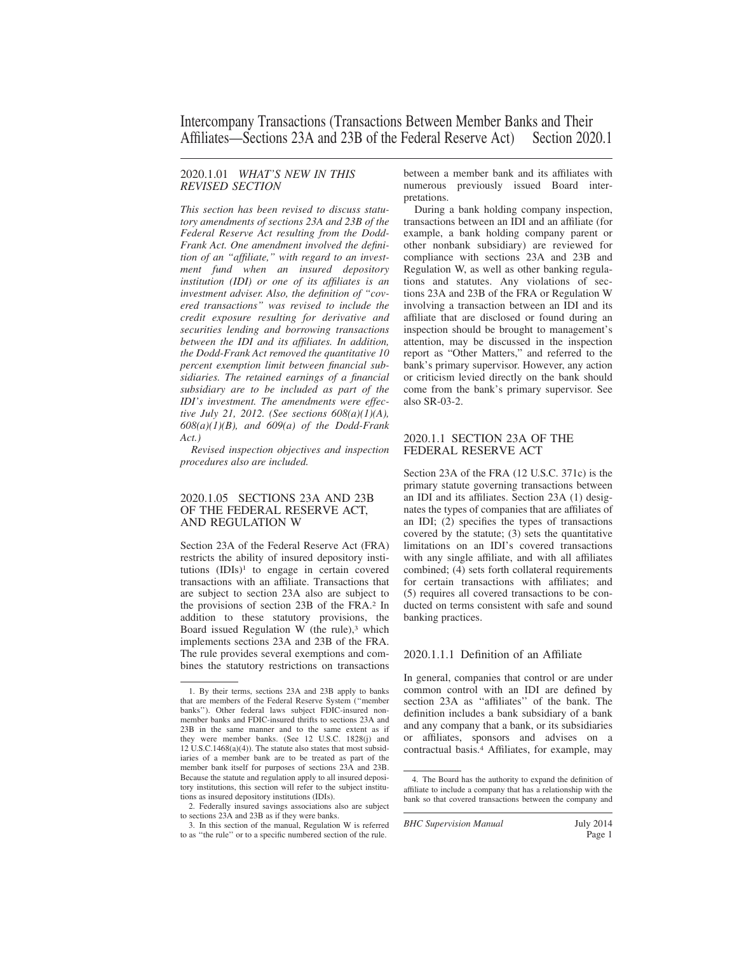### 2020.1.01 *WHAT'S NEW IN THIS REVISED SECTION*

*This section has been revised to discuss statutory amendments of sections 23A and 23B of the Federal Reserve Act resulting from the Dodd-Frank Act. One amendment involved the definition of an "affiliate," with regard to an investment fund when an insured depository institution (IDI) or one of its affiliates is an investment adviser. Also, the definition of "covered transactions" was revised to include the credit exposure resulting for derivative and securities lending and borrowing transactions between the IDI and its affiliates. In addition, the Dodd-Frank Act removed the quantitative 10 percent exemption limit between financial subsidiaries. The retained earnings of a financial subsidiary are to be included as part of the IDI's investment. The amendments were effective July 21, 2012. (See sections 608(a)(1)(A), 608(a)(1)(B), and 609(a) of the Dodd-Frank Act.)*

*Revised inspection objectives and inspection procedures also are included.*

### 2020.1.05 SECTIONS 23A AND 23B OF THE FEDERAL RESERVE ACT, AND REGULATION W

Section 23A of the Federal Reserve Act (FRA) restricts the ability of insured depository institutions (IDIs)<sup>1</sup> to engage in certain covered transactions with an affiliate. Transactions that are subject to section 23A also are subject to the provisions of section 23B of the FRA.<sup>2</sup> In addition to these statutory provisions, the Board issued Regulation W (the rule), $3$  which implements sections 23A and 23B of the FRA. The rule provides several exemptions and combines the statutory restrictions on transactions

2. Federally insured savings associations also are subject to sections 23A and 23B as if they were banks.

3. In this section of the manual, Regulation W is referred to as ''the rule'' or to a specific numbered section of the rule.

between a member bank and its affiliates with numerous previously issued Board interpretations.

During a bank holding company inspection, transactions between an IDI and an affiliate (for example, a bank holding company parent or other nonbank subsidiary) are reviewed for compliance with sections 23A and 23B and Regulation W, as well as other banking regulations and statutes. Any violations of sections 23A and 23B of the FRA or Regulation W involving a transaction between an IDI and its affiliate that are disclosed or found during an inspection should be brought to management's attention, may be discussed in the inspection report as "Other Matters," and referred to the bank's primary supervisor. However, any action or criticism levied directly on the bank should come from the bank's primary supervisor. See also SR-03-2.

## 2020.1.1 SECTION 23A OF THE FEDERAL RESERVE ACT

Section 23A of the FRA (12 U.S.C. 371c) is the primary statute governing transactions between an IDI and its affiliates. Section 23A (1) designates the types of companies that are affiliates of an IDI; (2) specifies the types of transactions covered by the statute; (3) sets the quantitative limitations on an IDI's covered transactions with any single affiliate, and with all affiliates combined; (4) sets forth collateral requirements for certain transactions with affiliates; and (5) requires all covered transactions to be conducted on terms consistent with safe and sound banking practices.

# 2020.1.1.1 Definition of an Affiliate

In general, companies that control or are under common control with an IDI are defined by section 23A as ''affiliates'' of the bank. The definition includes a bank subsidiary of a bank and any company that a bank, or its subsidiaries affiliates, sponsors and advises on a contractual basis.<sup>4</sup> Affiliates, for example, may

<sup>1.</sup> By their terms, sections 23A and 23B apply to banks that are members of the Federal Reserve System (''member banks''). Other federal laws subject FDIC-insured nonmember banks and FDIC-insured thrifts to sections 23A and 23B in the same manner and to the same extent as if they were member banks. (See 12 U.S.C. 1828(j) and 12 U.S.C.1468(a)(4)). The statute also states that most subsidiaries of a member bank are to be treated as part of the member bank itself for purposes of sections 23A and 23B. Because the statute and regulation apply to all insured depository institutions, this section will refer to the subject institutions as insured depository institutions (IDIs).

<sup>4.</sup> The Board has the authority to expand the definition of affiliate to include a company that has a relationship with the bank so that covered transactions between the company and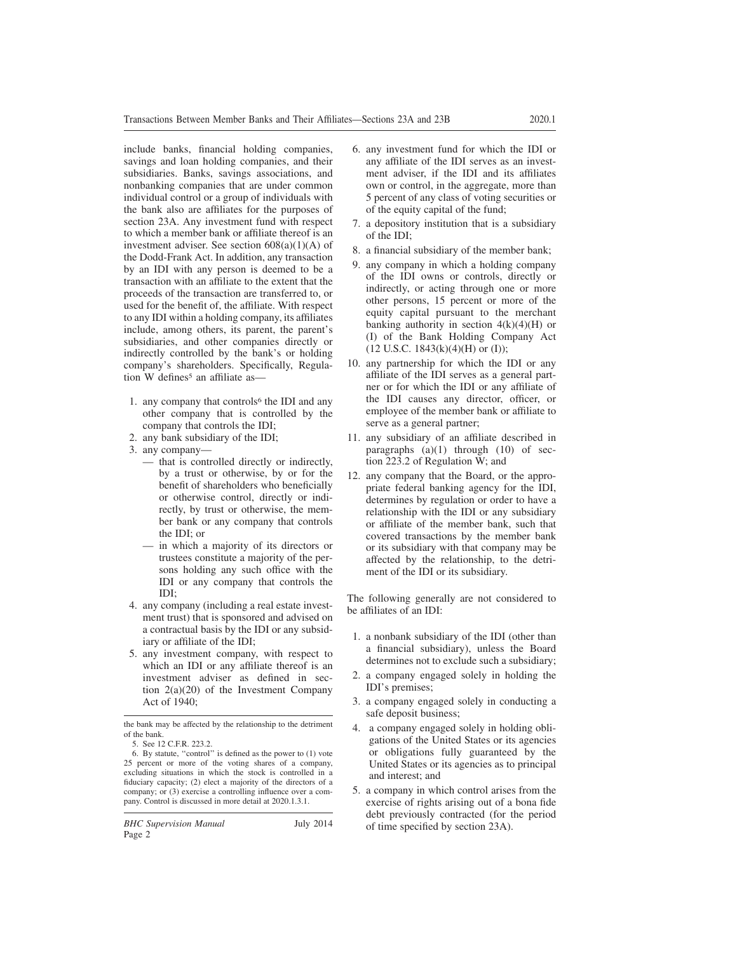include banks, financial holding companies, savings and loan holding companies, and their subsidiaries. Banks, savings associations, and nonbanking companies that are under common individual control or a group of individuals with the bank also are affiliates for the purposes of section 23A. Any investment fund with respect to which a member bank or affiliate thereof is an investment adviser. See section 608(a)(1)(A) of the Dodd-Frank Act. In addition, any transaction by an IDI with any person is deemed to be a transaction with an affiliate to the extent that the proceeds of the transaction are transferred to, or used for the benefit of, the affiliate. With respect to any IDI within a holding company, its affiliates include, among others, its parent, the parent's subsidiaries, and other companies directly or indirectly controlled by the bank's or holding company's shareholders. Specifically, Regulation W defines<sup>5</sup> an affiliate as-

- 1. any company that controls<sup>6</sup> the IDI and any other company that is controlled by the company that controls the IDI;
- 2. any bank subsidiary of the IDI;
- 3. any company—
	- that is controlled directly or indirectly, by a trust or otherwise, by or for the benefit of shareholders who beneficially or otherwise control, directly or indirectly, by trust or otherwise, the member bank or any company that controls the IDI; or
	- in which a majority of its directors or trustees constitute a majority of the persons holding any such office with the IDI or any company that controls the IDI;
- 4. any company (including a real estate investment trust) that is sponsored and advised on a contractual basis by the IDI or any subsidiary or affiliate of the IDI;
- 5. any investment company, with respect to which an IDI or any affiliate thereof is an investment adviser as defined in section 2(a)(20) of the Investment Company Act of 1940;

the bank may be affected by the relationship to the detriment of the bank.

- 6. any investment fund for which the IDI or any affiliate of the IDI serves as an investment adviser, if the IDI and its affiliates own or control, in the aggregate, more than 5 percent of any class of voting securities or of the equity capital of the fund;
- 7. a depository institution that is a subsidiary of the IDI;
- 8. a financial subsidiary of the member bank;
- 9. any company in which a holding company of the IDI owns or controls, directly or indirectly, or acting through one or more other persons, 15 percent or more of the equity capital pursuant to the merchant banking authority in section  $4(k)(4)(H)$  or (I) of the Bank Holding Company Act  $(12 \text{ U.S.C. } 1843(k)(4)(H) \text{ or } (I));$
- 10. any partnership for which the IDI or any affiliate of the IDI serves as a general partner or for which the IDI or any affiliate of the IDI causes any director, officer, or employee of the member bank or affiliate to serve as a general partner;
- 11. any subsidiary of an affiliate described in paragraphs  $(a)(1)$  through  $(10)$  of section 223.2 of Regulation W; and
- 12. any company that the Board, or the appropriate federal banking agency for the IDI, determines by regulation or order to have a relationship with the IDI or any subsidiary or affiliate of the member bank, such that covered transactions by the member bank or its subsidiary with that company may be affected by the relationship, to the detriment of the IDI or its subsidiary.

The following generally are not considered to be affiliates of an IDI:

- 1. a nonbank subsidiary of the IDI (other than a financial subsidiary), unless the Board determines not to exclude such a subsidiary;
- 2. a company engaged solely in holding the IDI's premises;
- 3. a company engaged solely in conducting a safe deposit business;
- 4. a company engaged solely in holding obligations of the United States or its agencies or obligations fully guaranteed by the United States or its agencies as to principal and interest; and
- 5. a company in which control arises from the exercise of rights arising out of a bona fide debt previously contracted (for the period of time specified by section 23A).

<sup>5.</sup> See 12 C.F.R. 223.2.

<sup>6.</sup> By statute, ''control'' is defined as the power to (1) vote 25 percent or more of the voting shares of a company, excluding situations in which the stock is controlled in a fiduciary capacity; (2) elect a majority of the directors of a company; or (3) exercise a controlling influence over a company. Control is discussed in more detail at 2020.1.3.1.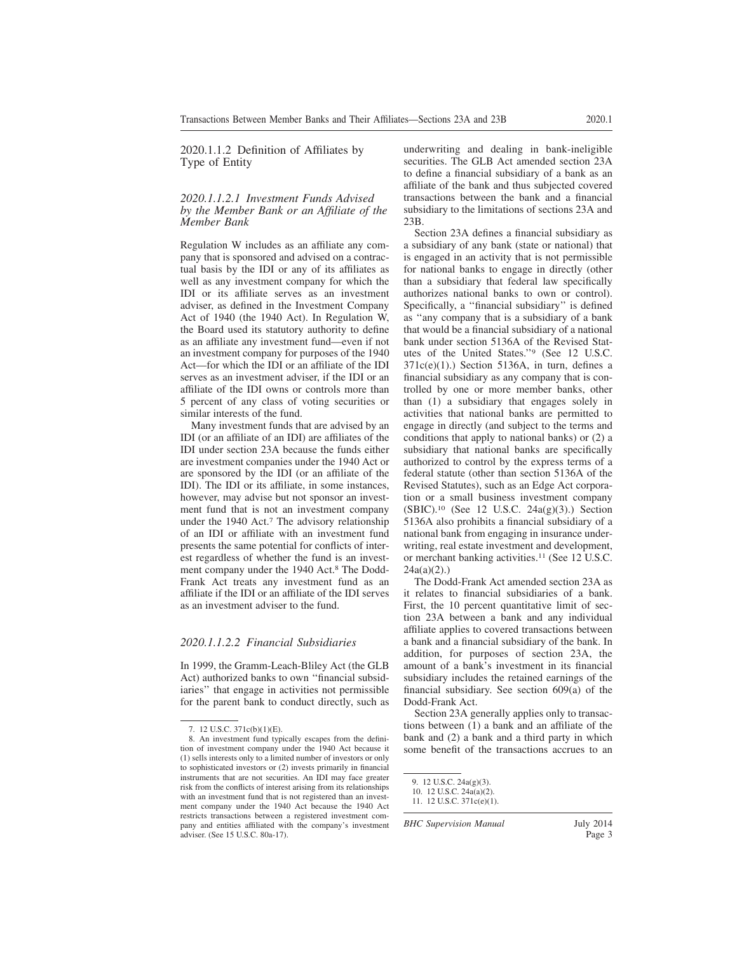2020.1.1.2 Definition of Affiliates by Type of Entity

### *2020.1.1.2.1 Investment Funds Advised by the Member Bank or an Affiliate of the Member Bank*

Regulation W includes as an affiliate any company that is sponsored and advised on a contractual basis by the IDI or any of its affiliates as well as any investment company for which the IDI or its affiliate serves as an investment adviser, as defined in the Investment Company Act of 1940 (the 1940 Act). In Regulation W, the Board used its statutory authority to define as an affiliate any investment fund—even if not an investment company for purposes of the 1940 Act—for which the IDI or an affiliate of the IDI serves as an investment adviser, if the IDI or an affiliate of the IDI owns or controls more than 5 percent of any class of voting securities or similar interests of the fund.

Many investment funds that are advised by an IDI (or an affiliate of an IDI) are affiliates of the IDI under section 23A because the funds either are investment companies under the 1940 Act or are sponsored by the IDI (or an affiliate of the IDI). The IDI or its affiliate, in some instances, however, may advise but not sponsor an investment fund that is not an investment company under the 1940 Act.<sup>7</sup> The advisory relationship of an IDI or affiliate with an investment fund presents the same potential for conflicts of interest regardless of whether the fund is an investment company under the 1940 Act.<sup>8</sup> The Dodd-Frank Act treats any investment fund as an affiliate if the IDI or an affiliate of the IDI serves as an investment adviser to the fund.

#### *2020.1.1.2.2 Financial Subsidiaries*

In 1999, the Gramm-Leach-Bliley Act (the GLB Act) authorized banks to own ''financial subsidiaries'' that engage in activities not permissible for the parent bank to conduct directly, such as underwriting and dealing in bank-ineligible securities. The GLB Act amended section 23A to define a financial subsidiary of a bank as an affiliate of the bank and thus subjected covered transactions between the bank and a financial subsidiary to the limitations of sections 23A and 23B.

Section 23A defines a financial subsidiary as a subsidiary of any bank (state or national) that is engaged in an activity that is not permissible for national banks to engage in directly (other than a subsidiary that federal law specifically authorizes national banks to own or control). Specifically, a ''financial subsidiary'' is defined as ''any company that is a subsidiary of a bank that would be a financial subsidiary of a national bank under section 5136A of the Revised Statutes of the United States.''<sup>9</sup> (See 12 U.S.C.  $371c(e)(1)$ .) Section 5136A, in turn, defines a financial subsidiary as any company that is controlled by one or more member banks, other than (1) a subsidiary that engages solely in activities that national banks are permitted to engage in directly (and subject to the terms and conditions that apply to national banks) or (2) a subsidiary that national banks are specifically authorized to control by the express terms of a federal statute (other than section 5136A of the Revised Statutes), such as an Edge Act corporation or a small business investment company (SBIC).<sup>10</sup> (See 12 U.S.C. 24a(g)(3).) Section 5136A also prohibits a financial subsidiary of a national bank from engaging in insurance underwriting, real estate investment and development, or merchant banking activities.<sup>11</sup> (See 12 U.S.C.  $24a(a)(2)$ .)

The Dodd-Frank Act amended section 23A as it relates to financial subsidiaries of a bank. First, the 10 percent quantitative limit of section 23A between a bank and any individual affiliate applies to covered transactions between a bank and a financial subsidiary of the bank. In addition, for purposes of section 23A, the amount of a bank's investment in its financial subsidiary includes the retained earnings of the financial subsidiary. See section 609(a) of the Dodd-Frank Act.

Section 23A generally applies only to transactions between (1) a bank and an affiliate of the bank and (2) a bank and a third party in which some benefit of the transactions accrues to an

<sup>7. 12</sup> U.S.C. 371c(b)(1)(E).

<sup>8.</sup> An investment fund typically escapes from the definition of investment company under the 1940 Act because it (1) sells interests only to a limited number of investors or only to sophisticated investors or (2) invests primarily in financial instruments that are not securities. An IDI may face greater risk from the conflicts of interest arising from its relationships with an investment fund that is not registered than an investment company under the 1940 Act because the 1940 Act restricts transactions between a registered investment company and entities affiliated with the company's investment adviser. (See 15 U.S.C. 80a-17).

<sup>9. 12</sup> U.S.C. 24a(g)(3).

<sup>10. 12</sup> U.S.C. 24a(a)(2).

<sup>11. 12</sup> U.S.C. 371c(e)(1).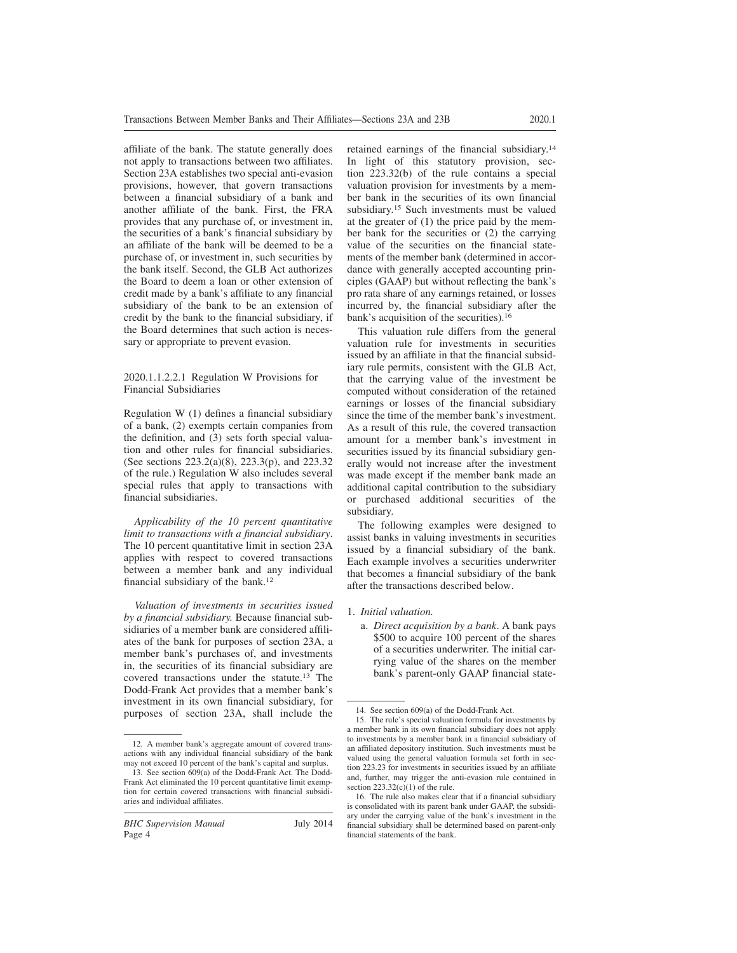affiliate of the bank. The statute generally does not apply to transactions between two affiliates. Section 23A establishes two special anti-evasion provisions, however, that govern transactions between a financial subsidiary of a bank and another affiliate of the bank. First, the FRA provides that any purchase of, or investment in, the securities of a bank's financial subsidiary by an affiliate of the bank will be deemed to be a purchase of, or investment in, such securities by the bank itself. Second, the GLB Act authorizes the Board to deem a loan or other extension of credit made by a bank's affiliate to any financial subsidiary of the bank to be an extension of credit by the bank to the financial subsidiary, if the Board determines that such action is necessary or appropriate to prevent evasion.

2020.1.1.2.2.1 Regulation W Provisions for Financial Subsidiaries

Regulation W (1) defines a financial subsidiary of a bank, (2) exempts certain companies from the definition, and (3) sets forth special valuation and other rules for financial subsidiaries. (See sections 223.2(a)(8), 223.3(p), and 223.32 of the rule.) Regulation W also includes several special rules that apply to transactions with financial subsidiaries.

*Applicability of the 10 percent quantitative limit to transactions with a financial subsidiary*. The 10 percent quantitative limit in section 23A applies with respect to covered transactions between a member bank and any individual financial subsidiary of the bank.<sup>12</sup>

*Valuation of investments in securities issued by a financial subsidiary.* Because financial subsidiaries of a member bank are considered affiliates of the bank for purposes of section 23A, a member bank's purchases of, and investments in, the securities of its financial subsidiary are covered transactions under the statute.<sup>13</sup> The Dodd-Frank Act provides that a member bank's investment in its own financial subsidiary, for purposes of section 23A, shall include the retained earnings of the financial subsidiary.<sup>14</sup> In light of this statutory provision, section 223.32(b) of the rule contains a special valuation provision for investments by a member bank in the securities of its own financial subsidiary.<sup>15</sup> Such investments must be valued at the greater of (1) the price paid by the member bank for the securities or (2) the carrying value of the securities on the financial statements of the member bank (determined in accordance with generally accepted accounting principles (GAAP) but without reflecting the bank's pro rata share of any earnings retained, or losses incurred by, the financial subsidiary after the bank's acquisition of the securities).<sup>16</sup>

This valuation rule differs from the general valuation rule for investments in securities issued by an affiliate in that the financial subsidiary rule permits, consistent with the GLB Act, that the carrying value of the investment be computed without consideration of the retained earnings or losses of the financial subsidiary since the time of the member bank's investment. As a result of this rule, the covered transaction amount for a member bank's investment in securities issued by its financial subsidiary generally would not increase after the investment was made except if the member bank made an additional capital contribution to the subsidiary or purchased additional securities of the subsidiary.

The following examples were designed to assist banks in valuing investments in securities issued by a financial subsidiary of the bank. Each example involves a securities underwriter that becomes a financial subsidiary of the bank after the transactions described below.

- 1. *Initial valuation.*
	- a. *Direct acquisition by a bank*. A bank pays \$500 to acquire 100 percent of the shares of a securities underwriter. The initial carrying value of the shares on the member bank's parent-only GAAP financial state-

<sup>12.</sup> A member bank's aggregate amount of covered transactions with any individual financial subsidiary of the bank may not exceed 10 percent of the bank's capital and surplus.

<sup>13.</sup> See section 609(a) of the Dodd-Frank Act. The Dodd-Frank Act eliminated the 10 percent quantitative limit exemption for certain covered transactions with financial subsidiaries and individual affiliates.

<sup>14.</sup> See section 609(a) of the Dodd-Frank Act.

<sup>15.</sup> The rule's special valuation formula for investments by a member bank in its own financial subsidiary does not apply to investments by a member bank in a financial subsidiary of an affiliated depository institution. Such investments must be valued using the general valuation formula set forth in section 223.23 for investments in securities issued by an affiliate and, further, may trigger the anti-evasion rule contained in section  $223.32(c)(1)$  of the rule.

<sup>16.</sup> The rule also makes clear that if a financial subsidiary is consolidated with its parent bank under GAAP, the subsidiary under the carrying value of the bank's investment in the financial subsidiary shall be determined based on parent-only financial statements of the bank.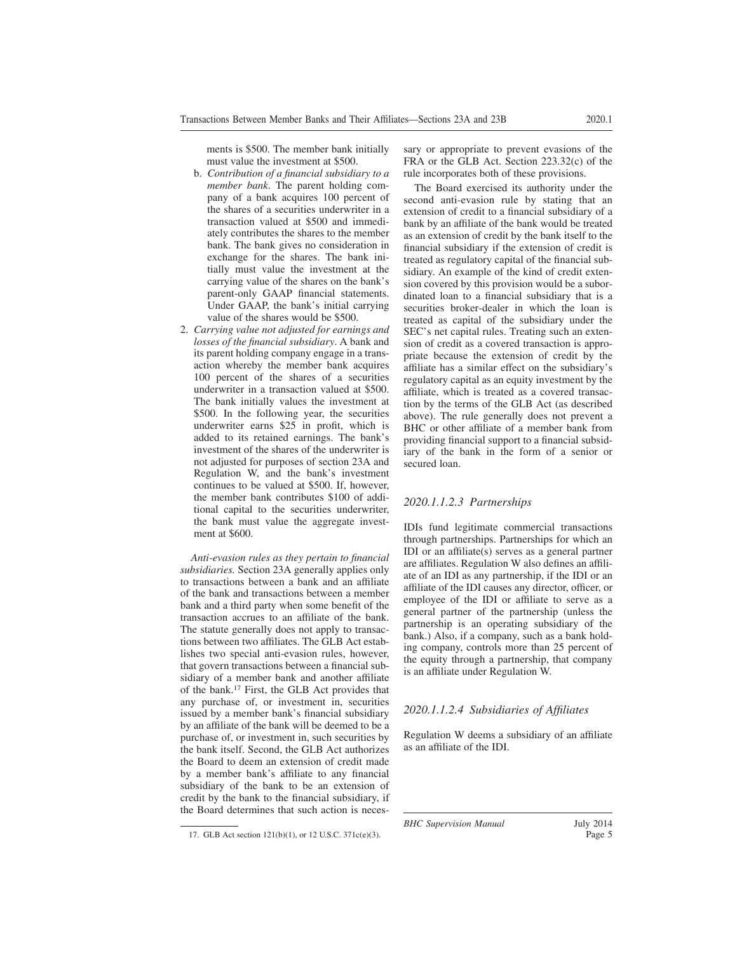ments is \$500. The member bank initially must value the investment at \$500.

- b. *Contribution of a financial subsidiary to a member bank*. The parent holding company of a bank acquires 100 percent of the shares of a securities underwriter in a transaction valued at \$500 and immediately contributes the shares to the member bank. The bank gives no consideration in exchange for the shares. The bank initially must value the investment at the carrying value of the shares on the bank's parent-only GAAP financial statements. Under GAAP, the bank's initial carrying value of the shares would be \$500.
- 2. *Carrying value not adjusted for earnings and losses of the financial subsidiary*. A bank and its parent holding company engage in a transaction whereby the member bank acquires 100 percent of the shares of a securities underwriter in a transaction valued at \$500. The bank initially values the investment at \$500. In the following year, the securities underwriter earns \$25 in profit, which is added to its retained earnings. The bank's investment of the shares of the underwriter is not adjusted for purposes of section 23A and Regulation W, and the bank's investment continues to be valued at \$500. If, however, the member bank contributes \$100 of additional capital to the securities underwriter, the bank must value the aggregate investment at \$600.

*Anti-evasion rules as they pertain to financial subsidiaries.* Section 23A generally applies only to transactions between a bank and an affiliate of the bank and transactions between a member bank and a third party when some benefit of the transaction accrues to an affiliate of the bank. The statute generally does not apply to transactions between two affiliates. The GLB Act establishes two special anti-evasion rules, however, that govern transactions between a financial subsidiary of a member bank and another affiliate of the bank.<sup>17</sup> First, the GLB Act provides that any purchase of, or investment in, securities issued by a member bank's financial subsidiary by an affiliate of the bank will be deemed to be a purchase of, or investment in, such securities by the bank itself. Second, the GLB Act authorizes the Board to deem an extension of credit made by a member bank's affiliate to any financial subsidiary of the bank to be an extension of credit by the bank to the financial subsidiary, if the Board determines that such action is necessary or appropriate to prevent evasions of the FRA or the GLB Act. Section 223.32(c) of the rule incorporates both of these provisions.

The Board exercised its authority under the second anti-evasion rule by stating that an extension of credit to a financial subsidiary of a bank by an affiliate of the bank would be treated as an extension of credit by the bank itself to the financial subsidiary if the extension of credit is treated as regulatory capital of the financial subsidiary. An example of the kind of credit extension covered by this provision would be a subordinated loan to a financial subsidiary that is a securities broker-dealer in which the loan is treated as capital of the subsidiary under the SEC's net capital rules. Treating such an extension of credit as a covered transaction is appropriate because the extension of credit by the affiliate has a similar effect on the subsidiary's regulatory capital as an equity investment by the affiliate, which is treated as a covered transaction by the terms of the GLB Act (as described above). The rule generally does not prevent a BHC or other affiliate of a member bank from providing financial support to a financial subsidiary of the bank in the form of a senior or secured loan.

#### *2020.1.1.2.3 Partnerships*

IDIs fund legitimate commercial transactions through partnerships. Partnerships for which an IDI or an affiliate(s) serves as a general partner are affiliates. Regulation W also defines an affiliate of an IDI as any partnership, if the IDI or an affiliate of the IDI causes any director, officer, or employee of the IDI or affiliate to serve as a general partner of the partnership (unless the partnership is an operating subsidiary of the bank.) Also, if a company, such as a bank holding company, controls more than 25 percent of the equity through a partnership, that company is an affiliate under Regulation W.

# *2020.1.1.2.4 Subsidiaries of Affiliates*

Regulation W deems a subsidiary of an affiliate as an affiliate of the IDI.

*BHC Supervision Manual* July 2014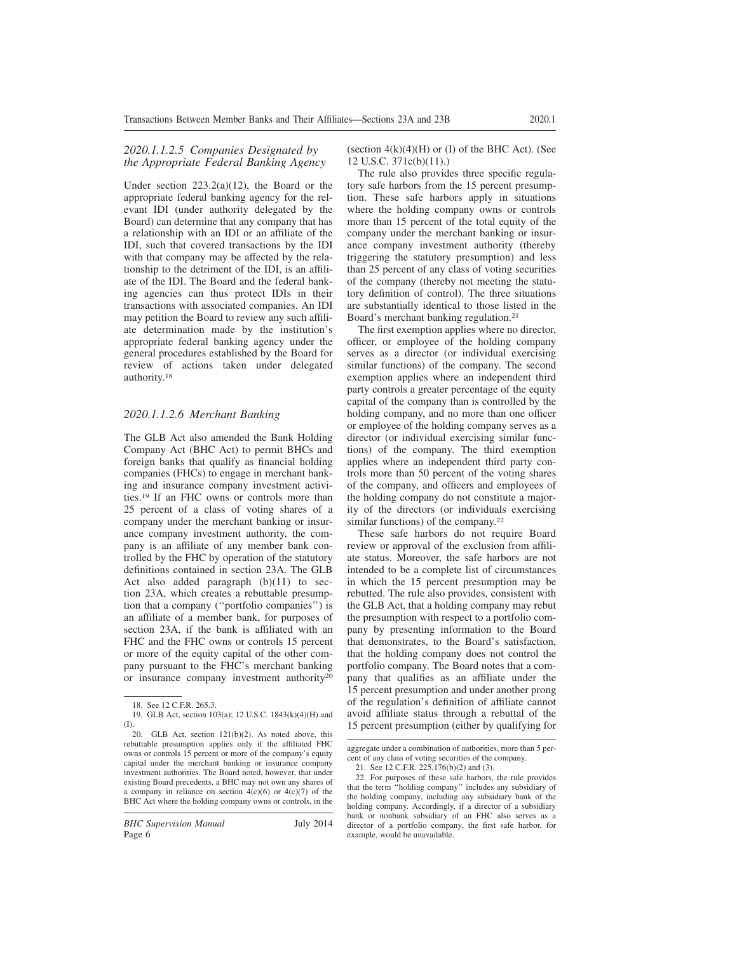## *2020.1.1.2.5 Companies Designated by the Appropriate Federal Banking Agency*

Under section 223.2(a)(12), the Board or the appropriate federal banking agency for the relevant IDI (under authority delegated by the Board) can determine that any company that has a relationship with an IDI or an affiliate of the IDI, such that covered transactions by the IDI with that company may be affected by the relationship to the detriment of the IDI, is an affiliate of the IDI. The Board and the federal banking agencies can thus protect IDIs in their transactions with associated companies. An IDI may petition the Board to review any such affiliate determination made by the institution's appropriate federal banking agency under the general procedures established by the Board for review of actions taken under delegated authority.<sup>18</sup>

# *2020.1.1.2.6 Merchant Banking*

The GLB Act also amended the Bank Holding Company Act (BHC Act) to permit BHCs and foreign banks that qualify as financial holding companies (FHCs) to engage in merchant banking and insurance company investment activities.<sup>19</sup> If an FHC owns or controls more than 25 percent of a class of voting shares of a company under the merchant banking or insurance company investment authority, the company is an affiliate of any member bank controlled by the FHC by operation of the statutory definitions contained in section 23A. The GLB Act also added paragraph (b)(11) to section 23A, which creates a rebuttable presumption that a company (''portfolio companies'') is an affiliate of a member bank, for purposes of section 23A, if the bank is affiliated with an FHC and the FHC owns or controls 15 percent or more of the equity capital of the other company pursuant to the FHC's merchant banking or insurance company investment authority<sup>20</sup> (section  $4(k)(4)(H)$  or (I) of the BHC Act). (See 12 U.S.C. 371c(b)(11).)

The rule also provides three specific regulatory safe harbors from the 15 percent presumption. These safe harbors apply in situations where the holding company owns or controls more than 15 percent of the total equity of the company under the merchant banking or insurance company investment authority (thereby triggering the statutory presumption) and less than 25 percent of any class of voting securities of the company (thereby not meeting the statutory definition of control). The three situations are substantially identical to those listed in the Board's merchant banking regulation.<sup>21</sup>

The first exemption applies where no director, officer, or employee of the holding company serves as a director (or individual exercising similar functions) of the company. The second exemption applies where an independent third party controls a greater percentage of the equity capital of the company than is controlled by the holding company, and no more than one officer or employee of the holding company serves as a director (or individual exercising similar functions) of the company. The third exemption applies where an independent third party controls more than 50 percent of the voting shares of the company, and officers and employees of the holding company do not constitute a majority of the directors (or individuals exercising similar functions) of the company.<sup>22</sup>

These safe harbors do not require Board review or approval of the exclusion from affiliate status. Moreover, the safe harbors are not intended to be a complete list of circumstances in which the 15 percent presumption may be rebutted. The rule also provides, consistent with the GLB Act, that a holding company may rebut the presumption with respect to a portfolio company by presenting information to the Board that demonstrates, to the Board's satisfaction, that the holding company does not control the portfolio company. The Board notes that a company that qualifies as an affiliate under the 15 percent presumption and under another prong of the regulation's definition of affiliate cannot avoid affiliate status through a rebuttal of the 15 percent presumption (either by qualifying for

<sup>18.</sup> See 12 C.F.R. 265.3.

<sup>19.</sup> GLB Act, section 103(a); 12 U.S.C. 1843(k)(4)(H) and (I).

<sup>20.</sup> GLB Act, section 121(b)(2). As noted above, this rebuttable presumption applies only if the affiliated FHC owns or controls 15 percent or more of the company's equity capital under the merchant banking or insurance company investment authorities. The Board noted, however, that under existing Board precedents, a BHC may not own any shares of a company in reliance on section  $4(c)(6)$  or  $4(c)(7)$  of the BHC Act where the holding company owns or controls, in the

aggregate under a combination of authorities, more than 5 percent of any class of voting securities of the company.

<sup>21.</sup> See 12 C.F.R. 225.176(b)(2) and (3).

<sup>22.</sup> For purposes of these safe harbors, the rule provides that the term ''holding company'' includes any subsidiary of the holding company, including any subsidiary bank of the holding company. Accordingly, if a director of a subsidiary bank or nonbank subsidiary of an FHC also serves as a director of a portfolio company, the first safe harbor, for example, would be unavailable.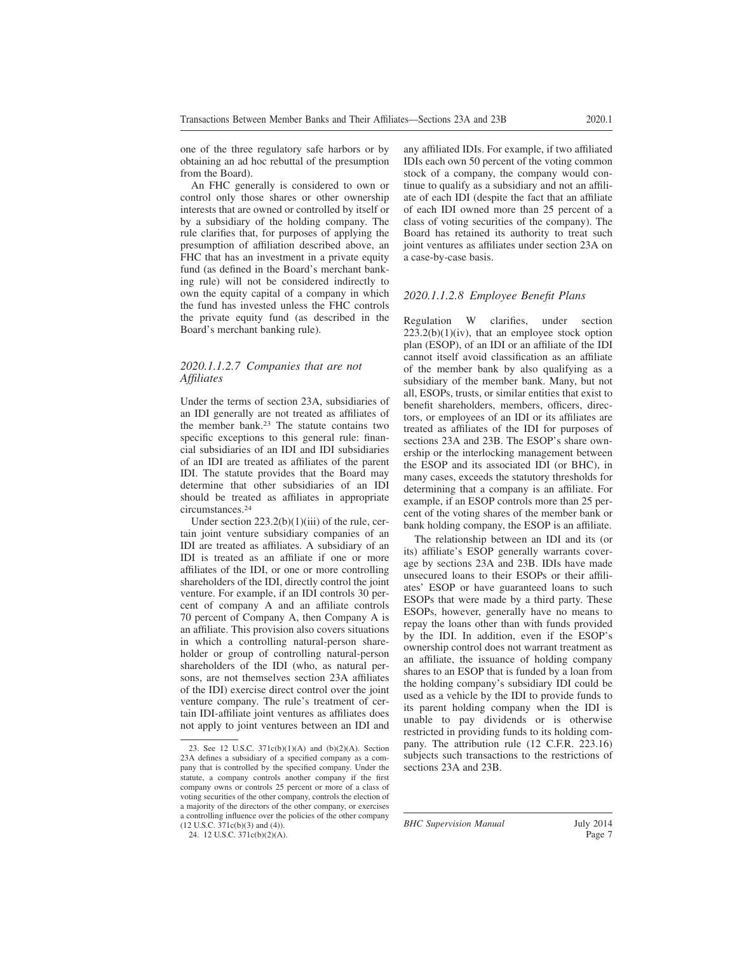one of the three regulatory safe harbors or by obtaining an ad hoc rebuttal of the presumption from the Board).

An FHC generally is considered to own or control only those shares or other ownership interests that are owned or controlled by itself or by a subsidiary of the holding company. The rule clarifies that, for purposes of applying the presumption of affiliation described above, an FHC that has an investment in a private equity fund (as defined in the Board's merchant banking rule) will not be considered indirectly to own the equity capital of a company in which the fund has invested unless the FHC controls the private equity fund (as described in the Board's merchant banking rule).

#### *2020.1.1.2.7 Companies that are not Affiliates*

Under the terms of section 23A, subsidiaries of an IDI generally are not treated as affiliates of the member bank.<sup>23</sup> The statute contains two specific exceptions to this general rule: financial subsidiaries of an IDI and IDI subsidiaries of an IDI are treated as affiliates of the parent IDI. The statute provides that the Board may determine that other subsidiaries of an IDI should be treated as affiliates in appropriate circumstances.<sup>24</sup>

Under section  $223.2(b)(1)(iii)$  of the rule, certain joint venture subsidiary companies of an IDI are treated as affiliates. A subsidiary of an IDI is treated as an affiliate if one or more affiliates of the IDI, or one or more controlling shareholders of the IDI, directly control the joint venture. For example, if an IDI controls 30 percent of company A and an affiliate controls 70 percent of Company A, then Company A is an affiliate. This provision also covers situations in which a controlling natural-person shareholder or group of controlling natural-person shareholders of the IDI (who, as natural persons, are not themselves section 23A affiliates of the IDI) exercise direct control over the joint venture company. The rule's treatment of certain IDI-affiliate joint ventures as affiliates does not apply to joint ventures between an IDI and any affiliated IDIs. For example, if two affiliated IDIs each own 50 percent of the voting common stock of a company, the company would continue to qualify as a subsidiary and not an affiliate of each IDI (despite the fact that an affiliate of each IDI owned more than 25 percent of a class of voting securities of the company). The Board has retained its authority to treat such joint ventures as affiliates under section 23A on a case-by-case basis.

#### *2020.1.1.2.8 Employee Benefit Plans*

Regulation W clarifies, under section  $223.2(b)(1)(iv)$ , that an employee stock option plan (ESOP), of an IDI or an affiliate of the IDI cannot itself avoid classification as an affiliate of the member bank by also qualifying as a subsidiary of the member bank. Many, but not all, ESOPs, trusts, or similar entities that exist to benefit shareholders, members, officers, directors, or employees of an IDI or its affiliates are treated as affiliates of the IDI for purposes of sections 23A and 23B. The ESOP's share ownership or the interlocking management between the ESOP and its associated IDI (or BHC), in many cases, exceeds the statutory thresholds for determining that a company is an affiliate. For example, if an ESOP controls more than 25 percent of the voting shares of the member bank or bank holding company, the ESOP is an affiliate.

The relationship between an IDI and its (or its) affiliate's ESOP generally warrants coverage by sections 23A and 23B. IDIs have made unsecured loans to their ESOPs or their affiliates' ESOP or have guaranteed loans to such ESOPs that were made by a third party. These ESOPs, however, generally have no means to repay the loans other than with funds provided by the IDI. In addition, even if the ESOP's ownership control does not warrant treatment as an affiliate, the issuance of holding company shares to an ESOP that is funded by a loan from the holding company's subsidiary IDI could be used as a vehicle by the IDI to provide funds to its parent holding company when the IDI is unable to pay dividends or is otherwise restricted in providing funds to its holding company. The attribution rule (12 C.F.R. 223.16) subjects such transactions to the restrictions of sections 23A and 23B.

<sup>23.</sup> See 12 U.S.C.  $371c(b)(1)(A)$  and  $(b)(2)(A)$ . Section 23A defines a subsidiary of a specified company as a company that is controlled by the specified company. Under the statute, a company controls another company if the first company owns or controls 25 percent or more of a class of voting securities of the other company, controls the election of a majority of the directors of the other company, or exercises a controlling influence over the policies of the other company (12 U.S.C. 371c(b)(3) and (4)).

<sup>24. 12</sup> U.S.C. 371c(b)(2)(A).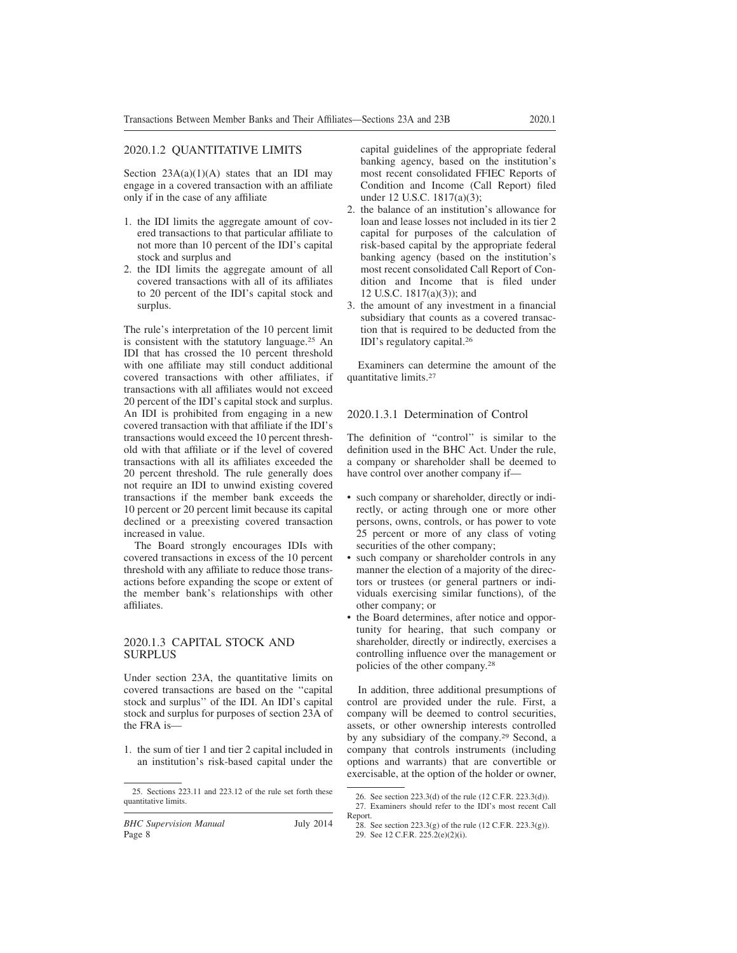# 2020.1.2 QUANTITATIVE LIMITS

Section  $23A(a)(1)(A)$  states that an IDI may engage in a covered transaction with an affiliate only if in the case of any affiliate

- 1. the IDI limits the aggregate amount of covered transactions to that particular affiliate to not more than 10 percent of the IDI's capital stock and surplus and
- 2. the IDI limits the aggregate amount of all covered transactions with all of its affiliates to 20 percent of the IDI's capital stock and surplus.

The rule's interpretation of the 10 percent limit is consistent with the statutory language.<sup>25</sup> An IDI that has crossed the 10 percent threshold with one affiliate may still conduct additional covered transactions with other affiliates, if transactions with all affiliates would not exceed 20 percent of the IDI's capital stock and surplus. An IDI is prohibited from engaging in a new covered transaction with that affiliate if the IDI's transactions would exceed the 10 percent threshold with that affiliate or if the level of covered transactions with all its affiliates exceeded the 20 percent threshold. The rule generally does not require an IDI to unwind existing covered transactions if the member bank exceeds the 10 percent or 20 percent limit because its capital declined or a preexisting covered transaction increased in value.

The Board strongly encourages IDIs with covered transactions in excess of the 10 percent threshold with any affiliate to reduce those transactions before expanding the scope or extent of the member bank's relationships with other affiliates.

### 2020.1.3 CAPITAL STOCK AND SURPLUS

Under section 23A, the quantitative limits on covered transactions are based on the ''capital stock and surplus'' of the IDI. An IDI's capital stock and surplus for purposes of section 23A of the FRA is—

1. the sum of tier 1 and tier 2 capital included in an institution's risk-based capital under the capital guidelines of the appropriate federal banking agency, based on the institution's most recent consolidated FFIEC Reports of Condition and Income (Call Report) filed under 12 U.S.C. 1817(a)(3);

- 2. the balance of an institution's allowance for loan and lease losses not included in its tier 2 capital for purposes of the calculation of risk-based capital by the appropriate federal banking agency (based on the institution's most recent consolidated Call Report of Condition and Income that is filed under 12 U.S.C. 1817(a)(3)); and
- 3. the amount of any investment in a financial subsidiary that counts as a covered transaction that is required to be deducted from the IDI's regulatory capital.<sup>26</sup>

Examiners can determine the amount of the quantitative limits.<sup>27</sup>

# 2020.1.3.1 Determination of Control

The definition of ''control'' is similar to the definition used in the BHC Act. Under the rule, a company or shareholder shall be deemed to have control over another company if—

- such company or shareholder, directly or indirectly, or acting through one or more other persons, owns, controls, or has power to vote 25 percent or more of any class of voting securities of the other company;
- such company or shareholder controls in any manner the election of a majority of the directors or trustees (or general partners or individuals exercising similar functions), of the other company; or
- the Board determines, after notice and opportunity for hearing, that such company or shareholder, directly or indirectly, exercises a controlling influence over the management or policies of the other company.<sup>28</sup>

In addition, three additional presumptions of control are provided under the rule. First, a company will be deemed to control securities, assets, or other ownership interests controlled by any subsidiary of the company.<sup>29</sup> Second, a company that controls instruments (including options and warrants) that are convertible or exercisable, at the option of the holder or owner,

<sup>25.</sup> Sections 223.11 and 223.12 of the rule set forth these 25. Section 223.11 and 225.12 of the rule set form these<br>
26. See section 223.3(d) of the rule (12 C.F.R. 223.3(d)).<br>
27. Exercise a shortly first to the FW's most group Co

<sup>27.</sup> Examiners should refer to the IDI's most recent Call Report.

<sup>28.</sup> See section 223.3(g) of the rule  $(12 \text{ C.F.R. } 223.3(g))$ . 29. See 12 C.F.R. 225.2(e)(2)(i).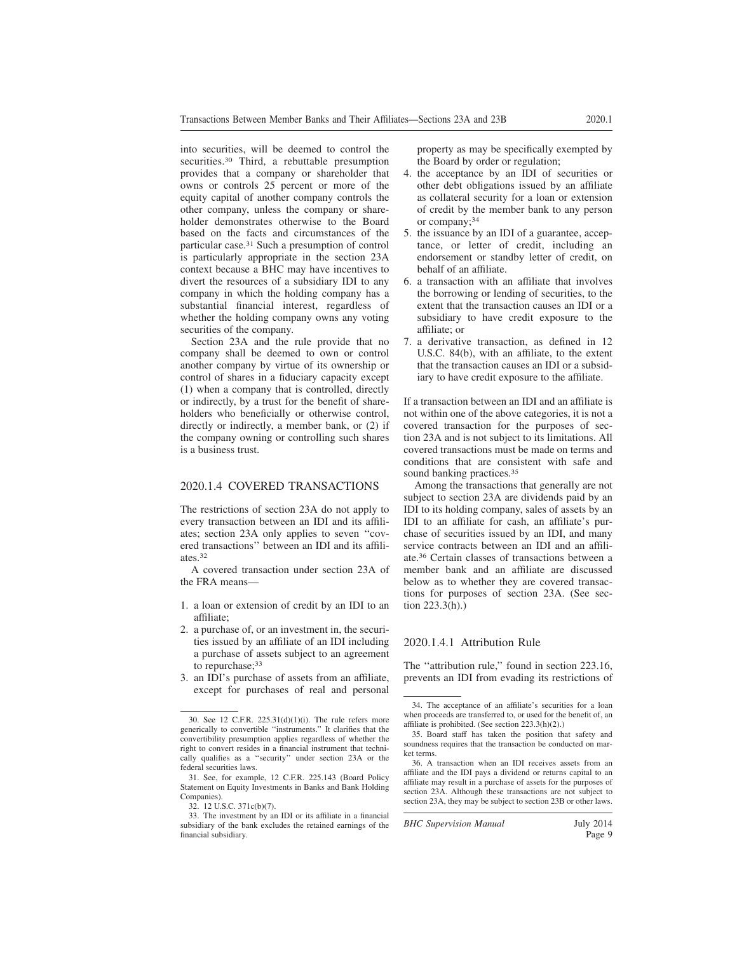into securities, will be deemed to control the securities.<sup>30</sup> Third, a rebuttable presumption provides that a company or shareholder that owns or controls 25 percent or more of the equity capital of another company controls the other company, unless the company or shareholder demonstrates otherwise to the Board based on the facts and circumstances of the particular case.<sup>31</sup> Such a presumption of control is particularly appropriate in the section 23A context because a BHC may have incentives to divert the resources of a subsidiary IDI to any company in which the holding company has a substantial financial interest, regardless of whether the holding company owns any voting securities of the company.

Section 23A and the rule provide that no company shall be deemed to own or control another company by virtue of its ownership or control of shares in a fiduciary capacity except (1) when a company that is controlled, directly or indirectly, by a trust for the benefit of shareholders who beneficially or otherwise control, directly or indirectly, a member bank, or (2) if the company owning or controlling such shares is a business trust.

## 2020.1.4 COVERED TRANSACTIONS

The restrictions of section 23A do not apply to every transaction between an IDI and its affiliates; section 23A only applies to seven ''covered transactions'' between an IDI and its affiliates.<sup>32</sup>

A covered transaction under section 23A of the FRA means—

- 1. a loan or extension of credit by an IDI to an affiliate;
- 2. a purchase of, or an investment in, the securities issued by an affiliate of an IDI including a purchase of assets subject to an agreement to repurchase;<sup>33</sup>
- 3. an IDI's purchase of assets from an affiliate, except for purchases of real and personal

property as may be specifically exempted by the Board by order or regulation;

- 4. the acceptance by an IDI of securities or other debt obligations issued by an affiliate as collateral security for a loan or extension of credit by the member bank to any person or company;<sup>34</sup>
- 5. the issuance by an IDI of a guarantee, acceptance, or letter of credit, including an endorsement or standby letter of credit, on behalf of an affiliate.
- 6. a transaction with an affiliate that involves the borrowing or lending of securities, to the extent that the transaction causes an IDI or a subsidiary to have credit exposure to the affiliate; or
- 7. a derivative transaction, as defined in 12 U.S.C. 84(b), with an affiliate, to the extent that the transaction causes an IDI or a subsidiary to have credit exposure to the affiliate.

If a transaction between an IDI and an affiliate is not within one of the above categories, it is not a covered transaction for the purposes of section 23A and is not subject to its limitations. All covered transactions must be made on terms and conditions that are consistent with safe and sound banking practices.<sup>35</sup>

Among the transactions that generally are not subject to section 23A are dividends paid by an IDI to its holding company, sales of assets by an IDI to an affiliate for cash, an affiliate's purchase of securities issued by an IDI, and many service contracts between an IDI and an affiliate.<sup>36</sup> Certain classes of transactions between a member bank and an affiliate are discussed below as to whether they are covered transactions for purposes of section 23A. (See section 223.3(h).)

#### 2020.1.4.1 Attribution Rule

The "attribution rule," found in section 223.16, prevents an IDI from evading its restrictions of

<sup>30.</sup> See 12 C.F.R. 225.31(d)(1)(i). The rule refers more generically to convertible ''instruments.'' It clarifies that the convertibility presumption applies regardless of whether the right to convert resides in a financial instrument that technically qualifies as a ''security'' under section 23A or the federal securities laws.

<sup>31.</sup> See, for example, 12 C.F.R. 225.143 (Board Policy Statement on Equity Investments in Banks and Bank Holding Companies).

<sup>32. 12</sup> U.S.C. 371c(b)(7).

<sup>33.</sup> The investment by an IDI or its affiliate in a financial subsidiary of the bank excludes the retained earnings of the financial subsidiary.

<sup>34.</sup> The acceptance of an affiliate's securities for a loan when proceeds are transferred to, or used for the benefit of, an affiliate is prohibited. (See section 223.3(h)(2).)

<sup>35.</sup> Board staff has taken the position that safety and soundness requires that the transaction be conducted on market terms.

<sup>36.</sup> A transaction when an IDI receives assets from an affiliate and the IDI pays a dividend or returns capital to an affiliate may result in a purchase of assets for the purposes of section 23A. Although these transactions are not subject to section 23A, they may be subject to section 23B or other laws.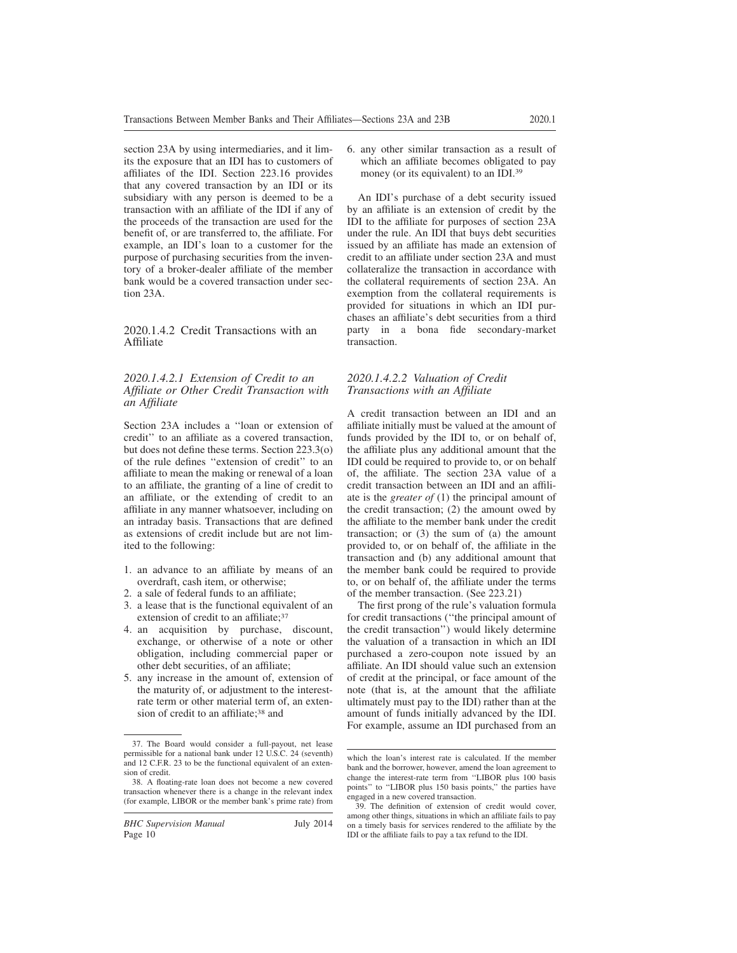section 23A by using intermediaries, and it limits the exposure that an IDI has to customers of affiliates of the IDI. Section 223.16 provides that any covered transaction by an IDI or its subsidiary with any person is deemed to be a transaction with an affiliate of the IDI if any of the proceeds of the transaction are used for the benefit of, or are transferred to, the affiliate. For example, an IDI's loan to a customer for the purpose of purchasing securities from the inventory of a broker-dealer affiliate of the member bank would be a covered transaction under section 23A.

2020.1.4.2 Credit Transactions with an Affiliate

#### *2020.1.4.2.1 Extension of Credit to an Affiliate or Other Credit Transaction with an Affiliate*

Section 23A includes a ''loan or extension of credit'' to an affiliate as a covered transaction, but does not define these terms. Section 223.3(o) of the rule defines ''extension of credit'' to an affiliate to mean the making or renewal of a loan to an affiliate, the granting of a line of credit to an affiliate, or the extending of credit to an affiliate in any manner whatsoever, including on an intraday basis. Transactions that are defined as extensions of credit include but are not limited to the following:

- 1. an advance to an affiliate by means of an overdraft, cash item, or otherwise;
- 2. a sale of federal funds to an affiliate;
- 3. a lease that is the functional equivalent of an extension of credit to an affiliate;<sup>37</sup>
- 4. an acquisition by purchase, discount, exchange, or otherwise of a note or other obligation, including commercial paper or other debt securities, of an affiliate;
- 5. any increase in the amount of, extension of the maturity of, or adjustment to the interestrate term or other material term of, an extension of credit to an affiliate:<sup>38</sup> and

6. any other similar transaction as a result of which an affiliate becomes obligated to pay money (or its equivalent) to an IDI.<sup>39</sup>

An IDI's purchase of a debt security issued by an affiliate is an extension of credit by the IDI to the affiliate for purposes of section 23A under the rule. An IDI that buys debt securities issued by an affiliate has made an extension of credit to an affiliate under section 23A and must collateralize the transaction in accordance with the collateral requirements of section 23A. An exemption from the collateral requirements is provided for situations in which an IDI purchases an affiliate's debt securities from a third party in a bona fide secondary-market transaction.

### *2020.1.4.2.2 Valuation of Credit Transactions with an Affiliate*

A credit transaction between an IDI and an affiliate initially must be valued at the amount of funds provided by the IDI to, or on behalf of, the affiliate plus any additional amount that the IDI could be required to provide to, or on behalf of, the affiliate. The section 23A value of a credit transaction between an IDI and an affiliate is the *greater of* (1) the principal amount of the credit transaction; (2) the amount owed by the affiliate to the member bank under the credit transaction; or (3) the sum of (a) the amount provided to, or on behalf of, the affiliate in the transaction and (b) any additional amount that the member bank could be required to provide to, or on behalf of, the affiliate under the terms of the member transaction. (See 223.21)

The first prong of the rule's valuation formula for credit transactions (''the principal amount of the credit transaction'') would likely determine the valuation of a transaction in which an IDI purchased a zero-coupon note issued by an affiliate. An IDI should value such an extension of credit at the principal, or face amount of the note (that is, at the amount that the affiliate ultimately must pay to the IDI) rather than at the amount of funds initially advanced by the IDI. For example, assume an IDI purchased from an

<sup>37.</sup> The Board would consider a full-payout, net lease permissible for a national bank under 12 U.S.C. 24 (seventh) and 12 C.F.R. 23 to be the functional equivalent of an extension of credit.

<sup>38.</sup> A floating-rate loan does not become a new covered transaction whenever there is a change in the relevant index (for example, LIBOR or the member bank's prime rate) from

which the loan's interest rate is calculated. If the member bank and the borrower, however, amend the loan agreement to change the interest-rate term from ''LIBOR plus 100 basis points'' to ''LIBOR plus 150 basis points,'' the parties have engaged in a new covered transaction.

<sup>39.</sup> The definition of extension of credit would cover, among other things, situations in which an affiliate fails to pay on a timely basis for services rendered to the affiliate by the IDI or the affiliate fails to pay a tax refund to the IDI.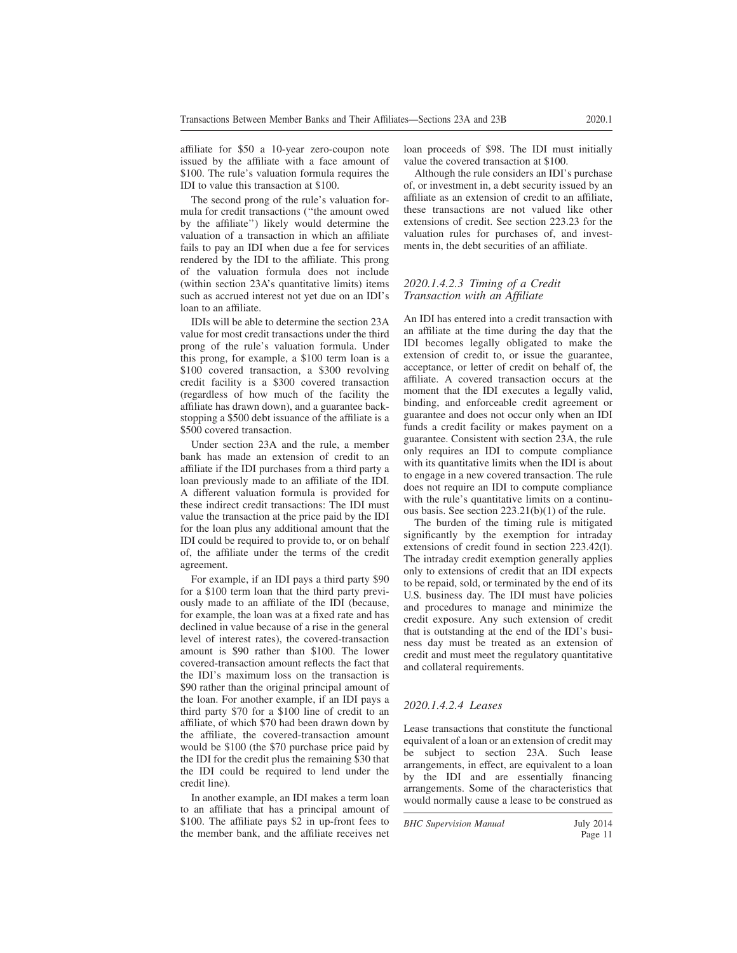affiliate for \$50 a 10-year zero-coupon note issued by the affiliate with a face amount of \$100. The rule's valuation formula requires the IDI to value this transaction at \$100.

The second prong of the rule's valuation formula for credit transactions (''the amount owed by the affiliate'') likely would determine the valuation of a transaction in which an affiliate fails to pay an IDI when due a fee for services rendered by the IDI to the affiliate. This prong of the valuation formula does not include (within section 23A's quantitative limits) items such as accrued interest not yet due on an IDI's loan to an affiliate.

IDIs will be able to determine the section 23A value for most credit transactions under the third prong of the rule's valuation formula. Under this prong, for example, a \$100 term loan is a \$100 covered transaction, a \$300 revolving credit facility is a \$300 covered transaction (regardless of how much of the facility the affiliate has drawn down), and a guarantee backstopping a \$500 debt issuance of the affiliate is a \$500 covered transaction.

Under section 23A and the rule, a member bank has made an extension of credit to an affiliate if the IDI purchases from a third party a loan previously made to an affiliate of the IDI. A different valuation formula is provided for these indirect credit transactions: The IDI must value the transaction at the price paid by the IDI for the loan plus any additional amount that the IDI could be required to provide to, or on behalf of, the affiliate under the terms of the credit agreement.

For example, if an IDI pays a third party \$90 for a \$100 term loan that the third party previously made to an affiliate of the IDI (because, for example, the loan was at a fixed rate and has declined in value because of a rise in the general level of interest rates), the covered-transaction amount is \$90 rather than \$100. The lower covered-transaction amount reflects the fact that the IDI's maximum loss on the transaction is \$90 rather than the original principal amount of the loan. For another example, if an IDI pays a third party \$70 for a \$100 line of credit to an affiliate, of which \$70 had been drawn down by the affiliate, the covered-transaction amount would be \$100 (the \$70 purchase price paid by the IDI for the credit plus the remaining \$30 that the IDI could be required to lend under the credit line).

In another example, an IDI makes a term loan to an affiliate that has a principal amount of \$100. The affiliate pays \$2 in up-front fees to the member bank, and the affiliate receives net loan proceeds of \$98. The IDI must initially value the covered transaction at \$100.

Although the rule considers an IDI's purchase of, or investment in, a debt security issued by an affiliate as an extension of credit to an affiliate, these transactions are not valued like other extensions of credit. See section 223.23 for the valuation rules for purchases of, and investments in, the debt securities of an affiliate.

#### *2020.1.4.2.3 Timing of a Credit Transaction with an Affiliate*

An IDI has entered into a credit transaction with an affiliate at the time during the day that the IDI becomes legally obligated to make the extension of credit to, or issue the guarantee, acceptance, or letter of credit on behalf of, the affiliate. A covered transaction occurs at the moment that the IDI executes a legally valid, binding, and enforceable credit agreement or guarantee and does not occur only when an IDI funds a credit facility or makes payment on a guarantee. Consistent with section 23A, the rule only requires an IDI to compute compliance with its quantitative limits when the IDI is about to engage in a new covered transaction. The rule does not require an IDI to compute compliance with the rule's quantitative limits on a continuous basis. See section 223.21(b)(1) of the rule.

The burden of the timing rule is mitigated significantly by the exemption for intraday extensions of credit found in section 223.42(l). The intraday credit exemption generally applies only to extensions of credit that an IDI expects to be repaid, sold, or terminated by the end of its U.S. business day. The IDI must have policies and procedures to manage and minimize the credit exposure. Any such extension of credit that is outstanding at the end of the IDI's business day must be treated as an extension of credit and must meet the regulatory quantitative and collateral requirements.

# *2020.1.4.2.4 Leases*

Lease transactions that constitute the functional equivalent of a loan or an extension of credit may be subject to section 23A. Such lease arrangements, in effect, are equivalent to a loan by the IDI and are essentially financing arrangements. Some of the characteristics that would normally cause a lease to be construed as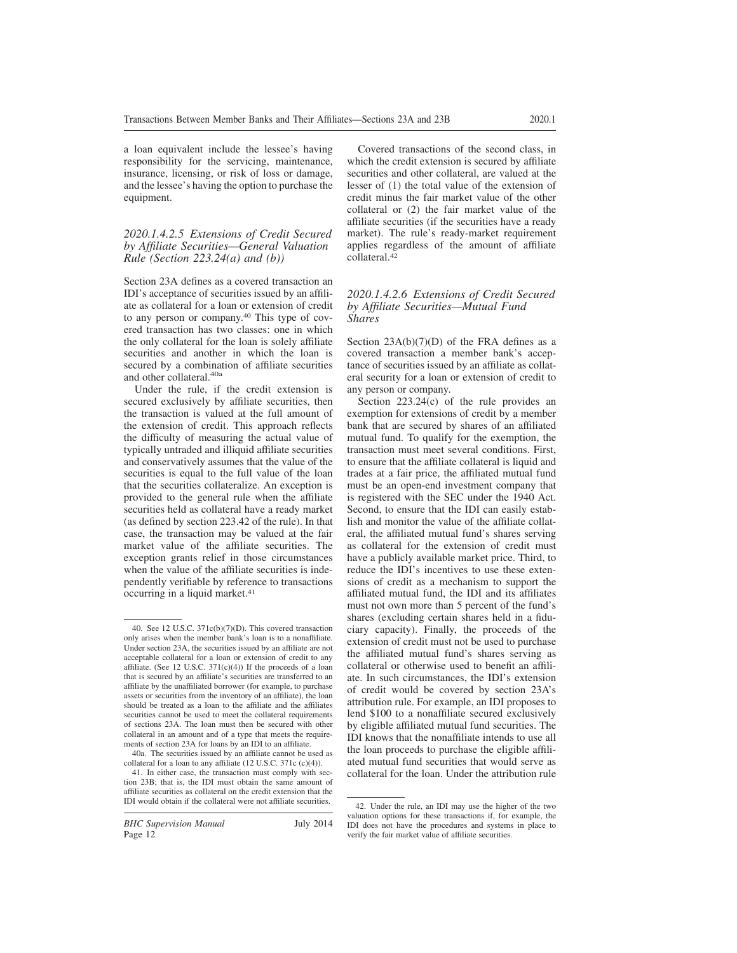a loan equivalent include the lessee's having responsibility for the servicing, maintenance, insurance, licensing, or risk of loss or damage, and the lessee's having the option to purchase the equipment.

#### *2020.1.4.2.5 Extensions of Credit Secured by Affiliate Securities—General Valuation Rule (Section 223.24(a) and (b))*

Section 23A defines as a covered transaction an IDI's acceptance of securities issued by an affiliate as collateral for a loan or extension of credit to any person or company.<sup>40</sup> This type of covered transaction has two classes: one in which the only collateral for the loan is solely affiliate securities and another in which the loan is secured by a combination of affiliate securities and other collateral.<sup>40a</sup>

Under the rule, if the credit extension is secured exclusively by affiliate securities, then the transaction is valued at the full amount of the extension of credit. This approach reflects the difficulty of measuring the actual value of typically untraded and illiquid affiliate securities and conservatively assumes that the value of the securities is equal to the full value of the loan that the securities collateralize. An exception is provided to the general rule when the affiliate securities held as collateral have a ready market (as defined by section 223.42 of the rule). In that case, the transaction may be valued at the fair market value of the affiliate securities. The exception grants relief in those circumstances when the value of the affiliate securities is independently verifiable by reference to transactions occurring in a liquid market.<sup>41</sup>

40a. The securities issued by an affiliate cannot be used as collateral for a loan to any affiliate (12 U.S.C. 371c (c)(4)).

Covered transactions of the second class, in which the credit extension is secured by affiliate securities and other collateral, are valued at the lesser of (1) the total value of the extension of credit minus the fair market value of the other collateral or (2) the fair market value of the affiliate securities (if the securities have a ready market). The rule's ready-market requirement applies regardless of the amount of affiliate collateral.<sup>42</sup>

### *2020.1.4.2.6 Extensions of Credit Secured by Affiliate Securities—Mutual Fund Shares*

Section  $23A(b)(7)(D)$  of the FRA defines as a covered transaction a member bank's acceptance of securities issued by an affiliate as collateral security for a loan or extension of credit to any person or company.

Section 223.24(c) of the rule provides an exemption for extensions of credit by a member bank that are secured by shares of an affiliated mutual fund. To qualify for the exemption, the transaction must meet several conditions. First, to ensure that the affiliate collateral is liquid and trades at a fair price, the affiliated mutual fund must be an open-end investment company that is registered with the SEC under the 1940 Act. Second, to ensure that the IDI can easily establish and monitor the value of the affiliate collateral, the affiliated mutual fund's shares serving as collateral for the extension of credit must have a publicly available market price. Third, to reduce the IDI's incentives to use these extensions of credit as a mechanism to support the affiliated mutual fund, the IDI and its affiliates must not own more than 5 percent of the fund's shares (excluding certain shares held in a fiduciary capacity). Finally, the proceeds of the extension of credit must not be used to purchase the affiliated mutual fund's shares serving as collateral or otherwise used to benefit an affiliate. In such circumstances, the IDI's extension of credit would be covered by section 23A's attribution rule. For example, an IDI proposes to lend \$100 to a nonaffiliate secured exclusively by eligible affiliated mutual fund securities. The IDI knows that the nonaffiliate intends to use all the loan proceeds to purchase the eligible affiliated mutual fund securities that would serve as collateral for the loan. Under the attribution rule

<sup>40.</sup> See 12 U.S.C. 371c(b)(7)(D). This covered transaction only arises when the member bank's loan is to a nonaffiliate. Under section 23A, the securities issued by an affiliate are not acceptable collateral for a loan or extension of credit to any affiliate. (See 12 U.S.C.  $371(c)(4)$ ) If the proceeds of a loan that is secured by an affiliate's securities are transferred to an affiliate by the unaffiliated borrower (for example, to purchase assets or securities from the inventory of an affiliate), the loan should be treated as a loan to the affiliate and the affiliates securities cannot be used to meet the collateral requirements of sections 23A. The loan must then be secured with other collateral in an amount and of a type that meets the requirements of section 23A for loans by an IDI to an affiliate.

<sup>41.</sup> In either case, the transaction must comply with section 23B; that is, the IDI must obtain the same amount of affiliate securities as collateral on the credit extension that the

<sup>42.</sup> Under the rule, an IDI may use the higher of the two valuation options for these transactions if, for example, the IDI does not have the procedures and systems in place to verify the fair market value of affiliate securities.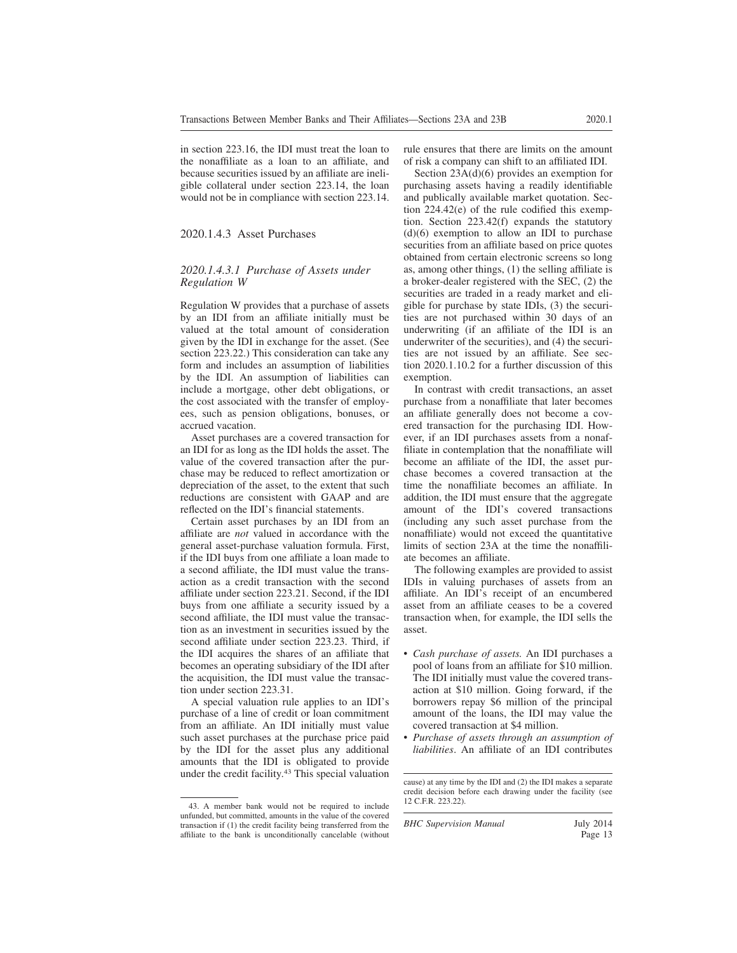in section 223.16, the IDI must treat the loan to the nonaffiliate as a loan to an affiliate, and because securities issued by an affiliate are ineligible collateral under section 223.14, the loan would not be in compliance with section 223.14.

#### 2020.1.4.3 Asset Purchases

#### *2020.1.4.3.1 Purchase of Assets under Regulation W*

Regulation W provides that a purchase of assets by an IDI from an affiliate initially must be valued at the total amount of consideration given by the IDI in exchange for the asset. (See section 223.22.) This consideration can take any form and includes an assumption of liabilities by the IDI. An assumption of liabilities can include a mortgage, other debt obligations, or the cost associated with the transfer of employees, such as pension obligations, bonuses, or accrued vacation.

Asset purchases are a covered transaction for an IDI for as long as the IDI holds the asset. The value of the covered transaction after the purchase may be reduced to reflect amortization or depreciation of the asset, to the extent that such reductions are consistent with GAAP and are reflected on the IDI's financial statements.

Certain asset purchases by an IDI from an affiliate are *not* valued in accordance with the general asset-purchase valuation formula. First, if the IDI buys from one affiliate a loan made to a second affiliate, the IDI must value the transaction as a credit transaction with the second affiliate under section 223.21. Second, if the IDI buys from one affiliate a security issued by a second affiliate, the IDI must value the transaction as an investment in securities issued by the second affiliate under section 223.23. Third, if the IDI acquires the shares of an affiliate that becomes an operating subsidiary of the IDI after the acquisition, the IDI must value the transaction under section 223.31.

A special valuation rule applies to an IDI's purchase of a line of credit or loan commitment from an affiliate. An IDI initially must value such asset purchases at the purchase price paid by the IDI for the asset plus any additional amounts that the IDI is obligated to provide under the credit facility.<sup>43</sup> This special valuation rule ensures that there are limits on the amount of risk a company can shift to an affiliated IDI.

Section 23A(d)(6) provides an exemption for purchasing assets having a readily identifiable and publically available market quotation. Section 224.42(e) of the rule codified this exemption. Section 223.42(f) expands the statutory (d)(6) exemption to allow an IDI to purchase securities from an affiliate based on price quotes obtained from certain electronic screens so long as, among other things, (1) the selling affiliate is a broker-dealer registered with the SEC, (2) the securities are traded in a ready market and eligible for purchase by state IDIs, (3) the securities are not purchased within 30 days of an underwriting (if an affiliate of the IDI is an underwriter of the securities), and (4) the securities are not issued by an affiliate. See section 2020.1.10.2 for a further discussion of this exemption.

In contrast with credit transactions, an asset purchase from a nonaffiliate that later becomes an affiliate generally does not become a covered transaction for the purchasing IDI. However, if an IDI purchases assets from a nonaffiliate in contemplation that the nonaffiliate will become an affiliate of the IDI, the asset purchase becomes a covered transaction at the time the nonaffiliate becomes an affiliate. In addition, the IDI must ensure that the aggregate amount of the IDI's covered transactions (including any such asset purchase from the nonaffiliate) would not exceed the quantitative limits of section 23A at the time the nonaffiliate becomes an affiliate.

The following examples are provided to assist IDIs in valuing purchases of assets from an affiliate. An IDI's receipt of an encumbered asset from an affiliate ceases to be a covered transaction when, for example, the IDI sells the asset.

- *Cash purchase of assets.* An IDI purchases a pool of loans from an affiliate for \$10 million. The IDI initially must value the covered transaction at \$10 million. Going forward, if the borrowers repay \$6 million of the principal amount of the loans, the IDI may value the covered transaction at \$4 million.
- *Purchase of assets through an assumption of liabilities*. An affiliate of an IDI contributes

<sup>43.</sup> A member bank would not be required to include unfunded, but committed, amounts in the value of the covered transaction if (1) the credit facility being transferred from the affiliate to the bank is unconditionally cancelable (without

cause) at any time by the IDI and (2) the IDI makes a separate credit decision before each drawing under the facility (see 12 C.F.R. 223.22).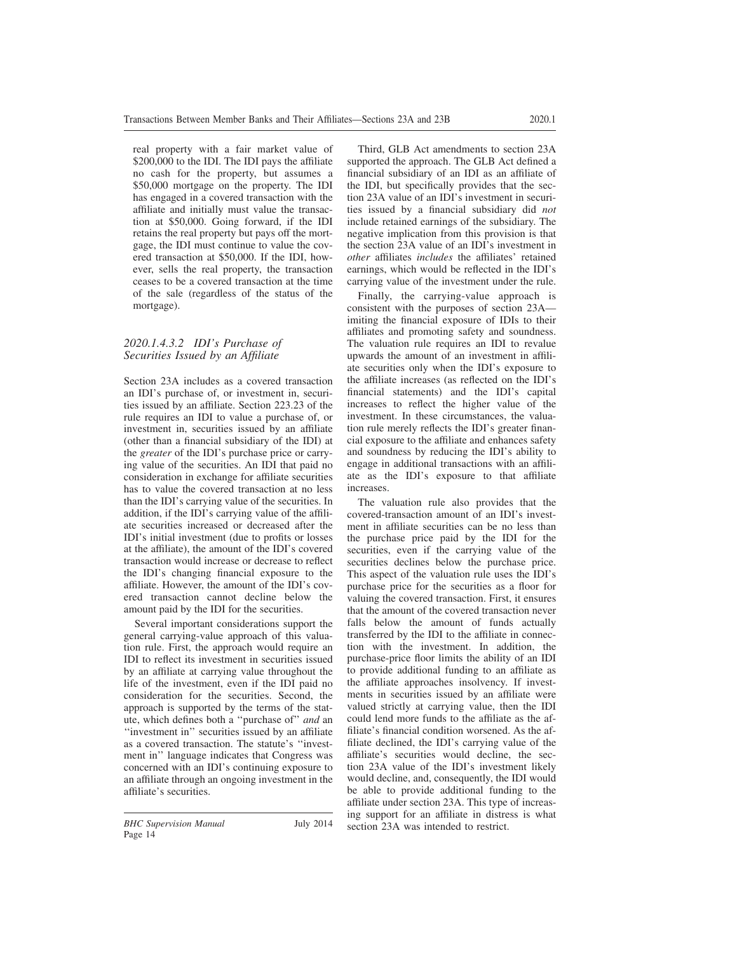real property with a fair market value of \$200,000 to the IDI. The IDI pays the affiliate no cash for the property, but assumes a \$50,000 mortgage on the property. The IDI has engaged in a covered transaction with the affiliate and initially must value the transaction at \$50,000. Going forward, if the IDI retains the real property but pays off the mortgage, the IDI must continue to value the covered transaction at \$50,000. If the IDI, however, sells the real property, the transaction ceases to be a covered transaction at the time of the sale (regardless of the status of the mortgage).

# *2020.1.4.3.2 IDI's Purchase of Securities Issued by an Affiliate*

Section 23A includes as a covered transaction an IDI's purchase of, or investment in, securities issued by an affiliate. Section 223.23 of the rule requires an IDI to value a purchase of, or investment in, securities issued by an affiliate (other than a financial subsidiary of the IDI) at the *greater* of the IDI's purchase price or carrying value of the securities. An IDI that paid no consideration in exchange for affiliate securities has to value the covered transaction at no less than the IDI's carrying value of the securities. In addition, if the IDI's carrying value of the affiliate securities increased or decreased after the IDI's initial investment (due to profits or losses at the affiliate), the amount of the IDI's covered transaction would increase or decrease to reflect the IDI's changing financial exposure to the affiliate. However, the amount of the IDI's covered transaction cannot decline below the amount paid by the IDI for the securities.

Several important considerations support the general carrying-value approach of this valuation rule. First, the approach would require an IDI to reflect its investment in securities issued by an affiliate at carrying value throughout the life of the investment, even if the IDI paid no consideration for the securities. Second, the approach is supported by the terms of the statute, which defines both a ''purchase of'' *and* an ''investment in'' securities issued by an affiliate as a covered transaction. The statute's ''investment in'' language indicates that Congress was concerned with an IDI's continuing exposure to an affiliate through an ongoing investment in the affiliate's securities.

Third, GLB Act amendments to section 23A supported the approach. The GLB Act defined a financial subsidiary of an IDI as an affiliate of the IDI, but specifically provides that the section 23A value of an IDI's investment in securities issued by a financial subsidiary did *not* include retained earnings of the subsidiary. The negative implication from this provision is that the section 23A value of an IDI's investment in *other* affiliates *includes* the affiliates' retained earnings, which would be reflected in the IDI's carrying value of the investment under the rule.

Finally, the carrying-value approach is consistent with the purposes of section 23A imiting the financial exposure of IDIs to their affiliates and promoting safety and soundness. The valuation rule requires an IDI to revalue upwards the amount of an investment in affiliate securities only when the IDI's exposure to the affiliate increases (as reflected on the IDI's financial statements) and the IDI's capital increases to reflect the higher value of the investment. In these circumstances, the valuation rule merely reflects the IDI's greater financial exposure to the affiliate and enhances safety and soundness by reducing the IDI's ability to engage in additional transactions with an affiliate as the IDI's exposure to that affiliate increases.

The valuation rule also provides that the covered-transaction amount of an IDI's investment in affiliate securities can be no less than the purchase price paid by the IDI for the securities, even if the carrying value of the securities declines below the purchase price. This aspect of the valuation rule uses the IDI's purchase price for the securities as a floor for valuing the covered transaction. First, it ensures that the amount of the covered transaction never falls below the amount of funds actually transferred by the IDI to the affiliate in connection with the investment. In addition, the purchase-price floor limits the ability of an IDI to provide additional funding to an affiliate as the affiliate approaches insolvency. If investments in securities issued by an affiliate were valued strictly at carrying value, then the IDI could lend more funds to the affiliate as the affiliate's financial condition worsened. As the affiliate declined, the IDI's carrying value of the affiliate's securities would decline, the section 23A value of the IDI's investment likely would decline, and, consequently, the IDI would be able to provide additional funding to the affiliate under section 23A. This type of increasing support for an affiliate in distress is what section 23A was intended to restrict.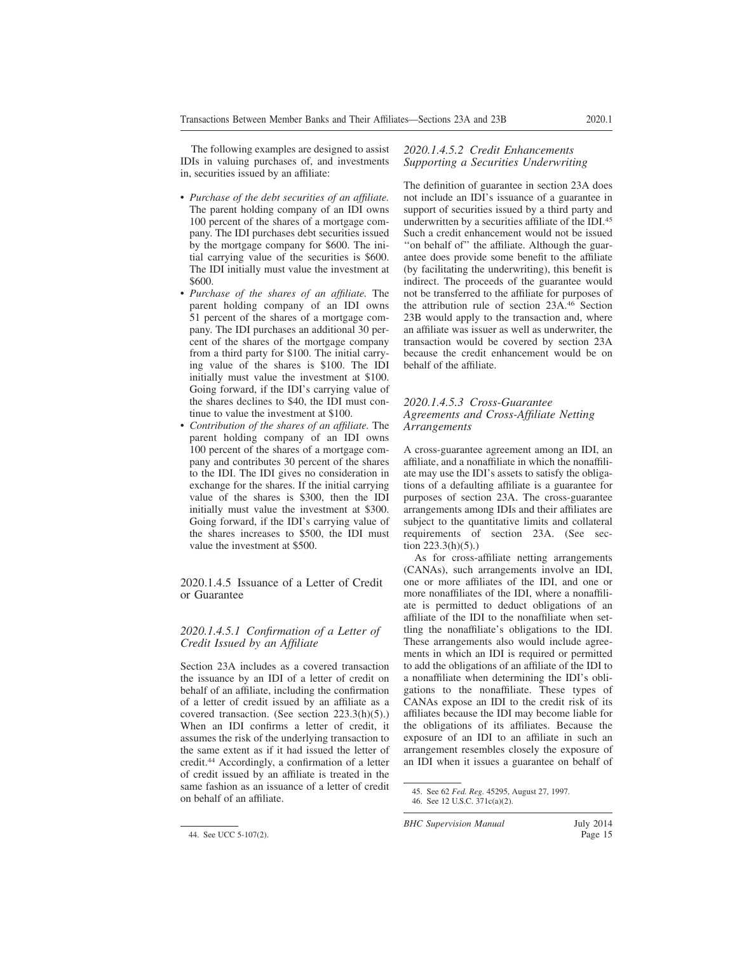The following examples are designed to assist IDIs in valuing purchases of, and investments in, securities issued by an affiliate:

- *Purchase of the debt securities of an affiliate.* The parent holding company of an IDI owns 100 percent of the shares of a mortgage company. The IDI purchases debt securities issued by the mortgage company for \$600. The initial carrying value of the securities is \$600. The IDI initially must value the investment at \$600.
- *Purchase of the shares of an affiliate.* The parent holding company of an IDI owns 51 percent of the shares of a mortgage company. The IDI purchases an additional 30 percent of the shares of the mortgage company from a third party for \$100. The initial carrying value of the shares is \$100. The IDI initially must value the investment at \$100. Going forward, if the IDI's carrying value of the shares declines to \$40, the IDI must continue to value the investment at \$100.
- *Contribution of the shares of an affiliate.* The parent holding company of an IDI owns 100 percent of the shares of a mortgage company and contributes 30 percent of the shares to the IDI. The IDI gives no consideration in exchange for the shares. If the initial carrying value of the shares is \$300, then the IDI initially must value the investment at \$300. Going forward, if the IDI's carrying value of the shares increases to \$500, the IDI must value the investment at \$500.

#### 2020.1.4.5 Issuance of a Letter of Credit or Guarantee

#### *2020.1.4.5.1 Confirmation of a Letter of Credit Issued by an Affiliate*

Section 23A includes as a covered transaction the issuance by an IDI of a letter of credit on behalf of an affiliate, including the confirmation of a letter of credit issued by an affiliate as a covered transaction. (See section 223.3(h)(5).) When an IDI confirms a letter of credit, it assumes the risk of the underlying transaction to the same extent as if it had issued the letter of credit.<sup>44</sup> Accordingly, a confirmation of a letter of credit issued by an affiliate is treated in the same fashion as an issuance of a letter of credit on behalf of an affiliate.

# *2020.1.4.5.2 Credit Enhancements Supporting a Securities Underwriting*

The definition of guarantee in section 23A does not include an IDI's issuance of a guarantee in support of securities issued by a third party and underwritten by a securities affiliate of the IDI.<sup>45</sup> Such a credit enhancement would not be issued ''on behalf of'' the affiliate. Although the guarantee does provide some benefit to the affiliate (by facilitating the underwriting), this benefit is indirect. The proceeds of the guarantee would not be transferred to the affiliate for purposes of the attribution rule of section 23A.<sup>46</sup> Section 23B would apply to the transaction and, where an affiliate was issuer as well as underwriter, the transaction would be covered by section 23A because the credit enhancement would be on behalf of the affiliate.

### *2020.1.4.5.3 Cross-Guarantee Agreements and Cross-Affiliate Netting Arrangements*

A cross-guarantee agreement among an IDI, an affiliate, and a nonaffiliate in which the nonaffiliate may use the IDI's assets to satisfy the obligations of a defaulting affiliate is a guarantee for purposes of section 23A. The cross-guarantee arrangements among IDIs and their affiliates are subject to the quantitative limits and collateral requirements of section 23A. (See section 223.3(h)(5).)

As for cross-affiliate netting arrangements (CANAs), such arrangements involve an IDI, one or more affiliates of the IDI, and one or more nonaffiliates of the IDI, where a nonaffiliate is permitted to deduct obligations of an affiliate of the IDI to the nonaffiliate when settling the nonaffiliate's obligations to the IDI. These arrangements also would include agreements in which an IDI is required or permitted to add the obligations of an affiliate of the IDI to a nonaffiliate when determining the IDI's obligations to the nonaffiliate. These types of CANAs expose an IDI to the credit risk of its affiliates because the IDI may become liable for the obligations of its affiliates. Because the exposure of an IDI to an affiliate in such an arrangement resembles closely the exposure of an IDI when it issues a guarantee on behalf of

<sup>45.</sup> See 62 *Fed. Reg.* 45295, August 27, 1997.

<sup>46.</sup> See 12 U.S.C. 371c(a)(2).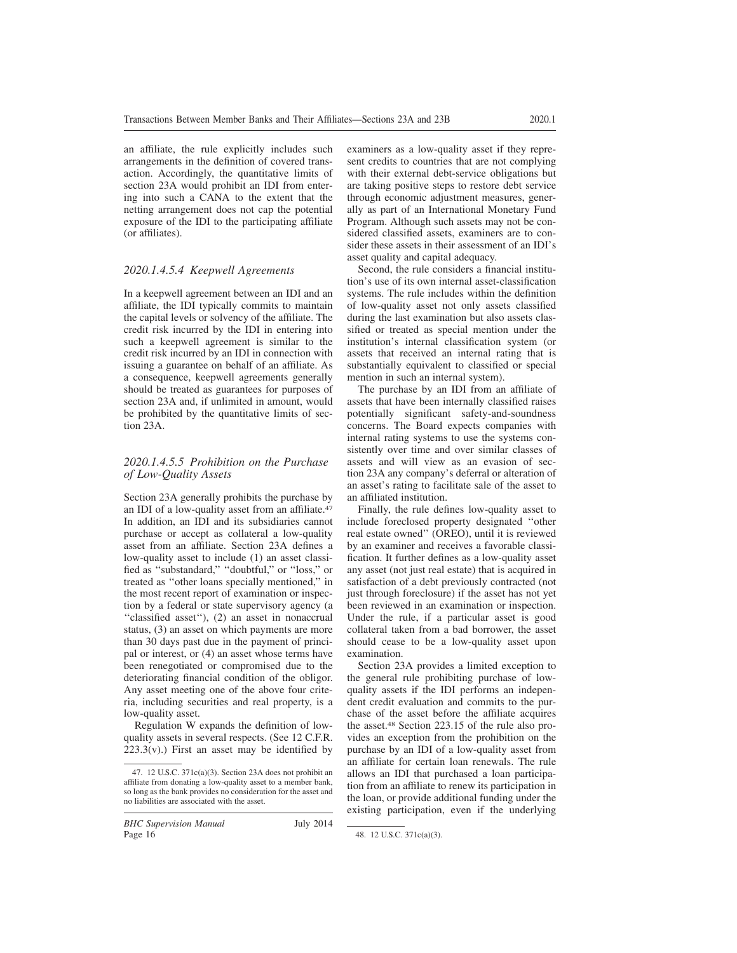an affiliate, the rule explicitly includes such arrangements in the definition of covered transaction. Accordingly, the quantitative limits of section 23A would prohibit an IDI from entering into such a CANA to the extent that the netting arrangement does not cap the potential exposure of the IDI to the participating affiliate (or affiliates).

# *2020.1.4.5.4 Keepwell Agreements*

In a keepwell agreement between an IDI and an affiliate, the IDI typically commits to maintain the capital levels or solvency of the affiliate. The credit risk incurred by the IDI in entering into such a keepwell agreement is similar to the credit risk incurred by an IDI in connection with issuing a guarantee on behalf of an affiliate. As a consequence, keepwell agreements generally should be treated as guarantees for purposes of section 23A and, if unlimited in amount, would be prohibited by the quantitative limits of section 23A.

# *2020.1.4.5.5 Prohibition on the Purchase of Low-Quality Assets*

Section 23A generally prohibits the purchase by an IDI of a low-quality asset from an affiliate.<sup>47</sup> In addition, an IDI and its subsidiaries cannot purchase or accept as collateral a low-quality asset from an affiliate. Section 23A defines a low-quality asset to include (1) an asset classified as ''substandard,'' ''doubtful,'' or ''loss,'' or treated as ''other loans specially mentioned,'' in the most recent report of examination or inspection by a federal or state supervisory agency (a "classified asset"), (2) an asset in nonaccrual status, (3) an asset on which payments are more than 30 days past due in the payment of principal or interest, or (4) an asset whose terms have been renegotiated or compromised due to the deteriorating financial condition of the obligor. Any asset meeting one of the above four criteria, including securities and real property, is a low-quality asset.

Regulation W expands the definition of lowquality assets in several respects. (See 12 C.F.R.  $223.3(v)$ .) First an asset may be identified by examiners as a low-quality asset if they represent credits to countries that are not complying with their external debt-service obligations but are taking positive steps to restore debt service through economic adjustment measures, generally as part of an International Monetary Fund Program. Although such assets may not be considered classified assets, examiners are to consider these assets in their assessment of an IDI's asset quality and capital adequacy.

Second, the rule considers a financial institution's use of its own internal asset-classification systems. The rule includes within the definition of low-quality asset not only assets classified during the last examination but also assets classified or treated as special mention under the institution's internal classification system (or assets that received an internal rating that is substantially equivalent to classified or special mention in such an internal system).

The purchase by an IDI from an affiliate of assets that have been internally classified raises potentially significant safety-and-soundness concerns. The Board expects companies with internal rating systems to use the systems consistently over time and over similar classes of assets and will view as an evasion of section 23A any company's deferral or alteration of an asset's rating to facilitate sale of the asset to an affiliated institution.

Finally, the rule defines low-quality asset to include foreclosed property designated ''other real estate owned'' (OREO), until it is reviewed by an examiner and receives a favorable classification. It further defines as a low-quality asset any asset (not just real estate) that is acquired in satisfaction of a debt previously contracted (not just through foreclosure) if the asset has not yet been reviewed in an examination or inspection. Under the rule, if a particular asset is good collateral taken from a bad borrower, the asset should cease to be a low-quality asset upon examination.

Section 23A provides a limited exception to the general rule prohibiting purchase of lowquality assets if the IDI performs an independent credit evaluation and commits to the purchase of the asset before the affiliate acquires the asset.<sup>48</sup> Section 223.15 of the rule also provides an exception from the prohibition on the purchase by an IDI of a low-quality asset from an affiliate for certain loan renewals. The rule allows an IDI that purchased a loan participation from an affiliate to renew its participation in the loan, or provide additional funding under the existing participation, even if the underlying

<sup>47. 12</sup> U.S.C. 371c(a)(3). Section 23A does not prohibit an affiliate from donating a low-quality asset to a member bank, so long as the bank provides no consideration for the asset and no liabilities are associated with the asset.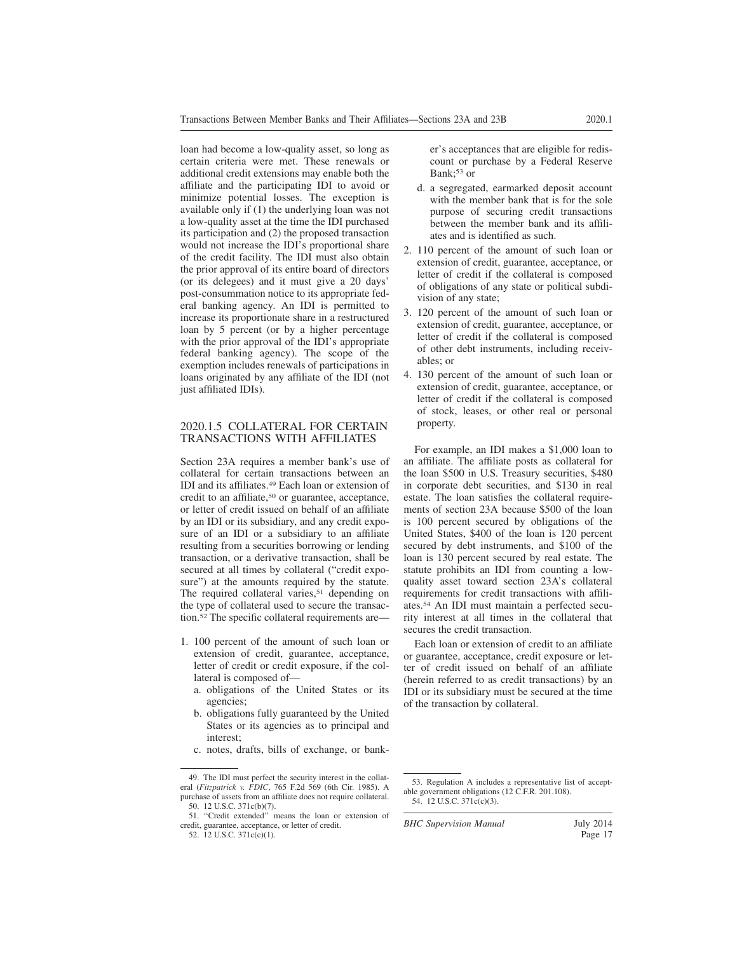loan had become a low-quality asset, so long as certain criteria were met. These renewals or additional credit extensions may enable both the affiliate and the participating IDI to avoid or minimize potential losses. The exception is available only if (1) the underlying loan was not a low-quality asset at the time the IDI purchased its participation and (2) the proposed transaction would not increase the IDI's proportional share of the credit facility. The IDI must also obtain the prior approval of its entire board of directors (or its delegees) and it must give a 20 days' post-consummation notice to its appropriate federal banking agency. An IDI is permitted to increase its proportionate share in a restructured loan by 5 percent (or by a higher percentage with the prior approval of the IDI's appropriate federal banking agency). The scope of the exemption includes renewals of participations in loans originated by any affiliate of the IDI (not just affiliated IDIs).

## 2020.1.5 COLLATERAL FOR CERTAIN TRANSACTIONS WITH AFFILIATES

Section 23A requires a member bank's use of collateral for certain transactions between an IDI and its affiliates.<sup>49</sup> Each loan or extension of credit to an affiliate,<sup>50</sup> or guarantee, acceptance, or letter of credit issued on behalf of an affiliate by an IDI or its subsidiary, and any credit exposure of an IDI or a subsidiary to an affiliate resulting from a securities borrowing or lending transaction, or a derivative transaction, shall be secured at all times by collateral ("credit exposure") at the amounts required by the statute. The required collateral varies,<sup>51</sup> depending on the type of collateral used to secure the transaction.<sup>52</sup> The specific collateral requirements are—

- 1. 100 percent of the amount of such loan or extension of credit, guarantee, acceptance, letter of credit or credit exposure, if the collateral is composed of
	- a. obligations of the United States or its agencies;
	- b. obligations fully guaranteed by the United States or its agencies as to principal and interest;
	- c. notes, drafts, bills of exchange, or bank-

52. 12 U.S.C. 371c(c)(1).

er's acceptances that are eligible for rediscount or purchase by a Federal Reserve Bank;<sup>53</sup> or

- d. a segregated, earmarked deposit account with the member bank that is for the sole purpose of securing credit transactions between the member bank and its affiliates and is identified as such.
- 2. 110 percent of the amount of such loan or extension of credit, guarantee, acceptance, or letter of credit if the collateral is composed of obligations of any state or political subdivision of any state;
- 3. 120 percent of the amount of such loan or extension of credit, guarantee, acceptance, or letter of credit if the collateral is composed of other debt instruments, including receivables; or
- 4. 130 percent of the amount of such loan or extension of credit, guarantee, acceptance, or letter of credit if the collateral is composed of stock, leases, or other real or personal property.

For example, an IDI makes a \$1,000 loan to an affiliate. The affiliate posts as collateral for the loan \$500 in U.S. Treasury securities, \$480 in corporate debt securities, and \$130 in real estate. The loan satisfies the collateral requirements of section 23A because \$500 of the loan is 100 percent secured by obligations of the United States, \$400 of the loan is 120 percent secured by debt instruments, and \$100 of the loan is 130 percent secured by real estate. The statute prohibits an IDI from counting a lowquality asset toward section 23A's collateral requirements for credit transactions with affiliates.<sup>54</sup> An IDI must maintain a perfected security interest at all times in the collateral that secures the credit transaction.

Each loan or extension of credit to an affiliate or guarantee, acceptance, credit exposure or letter of credit issued on behalf of an affiliate (herein referred to as credit transactions) by an IDI or its subsidiary must be secured at the time of the transaction by collateral.

<sup>49.</sup> The IDI must perfect the security interest in the collateral (*Fitzpatrick v. FDIC*, 765 F.2d 569 (6th Cir. 1985). A purchase of assets from an affiliate does not require collateral.

<sup>50. 12</sup> U.S.C. 371c(b)(7).

<sup>51. &#</sup>x27;'Credit extended'' means the loan or extension of credit, guarantee, acceptance, or letter of credit.

<sup>53.</sup> Regulation A includes a representative list of acceptable government obligations (12 C.F.R. 201.108). 54. 12 U.S.C. 371c(c)(3).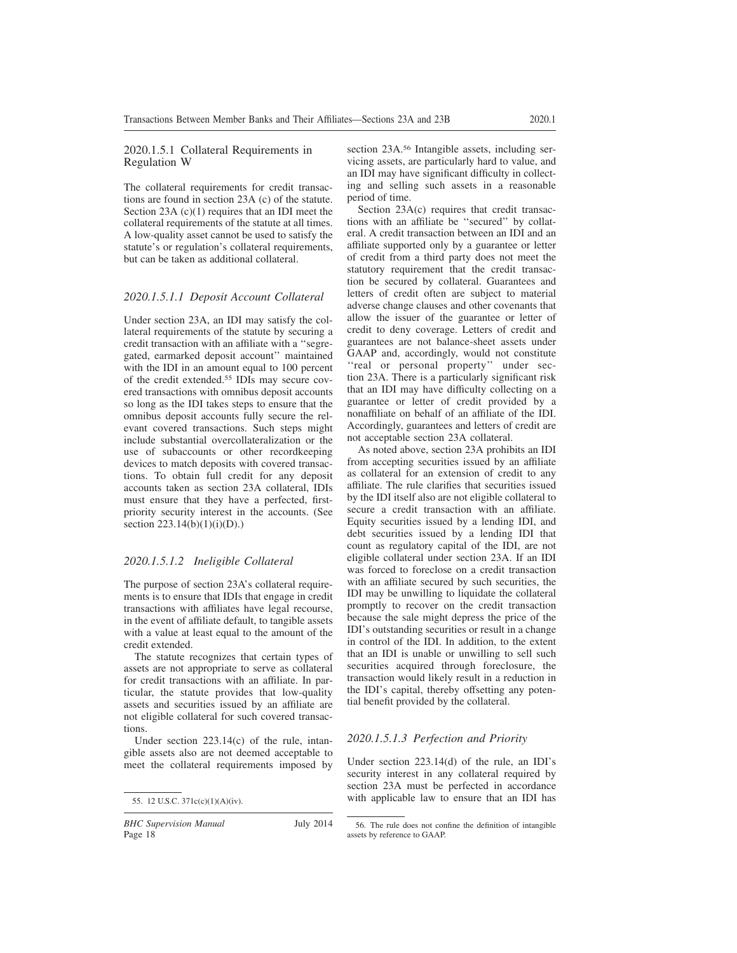# 2020.1.5.1 Collateral Requirements in Regulation W

The collateral requirements for credit transactions are found in section 23A (c) of the statute. Section 23A (c)(1) requires that an IDI meet the collateral requirements of the statute at all times. A low-quality asset cannot be used to satisfy the statute's or regulation's collateral requirements, but can be taken as additional collateral.

# *2020.1.5.1.1 Deposit Account Collateral*

Under section 23A, an IDI may satisfy the collateral requirements of the statute by securing a credit transaction with an affiliate with a ''segregated, earmarked deposit account'' maintained with the IDI in an amount equal to 100 percent of the credit extended.<sup>55</sup> IDIs may secure covered transactions with omnibus deposit accounts so long as the IDI takes steps to ensure that the omnibus deposit accounts fully secure the relevant covered transactions. Such steps might include substantial overcollateralization or the use of subaccounts or other recordkeeping devices to match deposits with covered transactions. To obtain full credit for any deposit accounts taken as section 23A collateral, IDIs must ensure that they have a perfected, firstpriority security interest in the accounts. (See section 223.14(b)(1)(i)(D).)

# *2020.1.5.1.2 Ineligible Collateral*

The purpose of section 23A's collateral requirements is to ensure that IDIs that engage in credit transactions with affiliates have legal recourse, in the event of affiliate default, to tangible assets with a value at least equal to the amount of the credit extended.

The statute recognizes that certain types of assets are not appropriate to serve as collateral for credit transactions with an affiliate. In particular, the statute provides that low-quality assets and securities issued by an affiliate are not eligible collateral for such covered transactions.

Under section 223.14(c) of the rule, intangible assets also are not deemed acceptable to meet the collateral requirements imposed by section 23A.<sup>56</sup> Intangible assets, including servicing assets, are particularly hard to value, and an IDI may have significant difficulty in collecting and selling such assets in a reasonable period of time.

Section 23A(c) requires that credit transactions with an affiliate be ''secured'' by collateral. A credit transaction between an IDI and an affiliate supported only by a guarantee or letter of credit from a third party does not meet the statutory requirement that the credit transaction be secured by collateral. Guarantees and letters of credit often are subject to material adverse change clauses and other covenants that allow the issuer of the guarantee or letter of credit to deny coverage. Letters of credit and guarantees are not balance-sheet assets under GAAP and, accordingly, would not constitute "real or personal property" under section 23A. There is a particularly significant risk that an IDI may have difficulty collecting on a guarantee or letter of credit provided by a nonaffiliate on behalf of an affiliate of the IDI. Accordingly, guarantees and letters of credit are not acceptable section 23A collateral.

As noted above, section 23A prohibits an IDI from accepting securities issued by an affiliate as collateral for an extension of credit to any affiliate. The rule clarifies that securities issued by the IDI itself also are not eligible collateral to secure a credit transaction with an affiliate. Equity securities issued by a lending IDI, and debt securities issued by a lending IDI that count as regulatory capital of the IDI, are not eligible collateral under section 23A. If an IDI was forced to foreclose on a credit transaction with an affiliate secured by such securities, the IDI may be unwilling to liquidate the collateral promptly to recover on the credit transaction because the sale might depress the price of the IDI's outstanding securities or result in a change in control of the IDI. In addition, to the extent that an IDI is unable or unwilling to sell such securities acquired through foreclosure, the transaction would likely result in a reduction in the IDI's capital, thereby offsetting any potential benefit provided by the collateral.

# *2020.1.5.1.3 Perfection and Priority*

Under section 223.14(d) of the rule, an IDI's security interest in any collateral required by section 23A must be perfected in accordance  $\frac{1}{255.12 \text{ U.S.C. } 371c(c)(1)(A)(iv)}$  with applicable law to ensure that an IDI has

<sup>56.</sup> The rule does not confine the definition of intangible assets by reference to GAAP.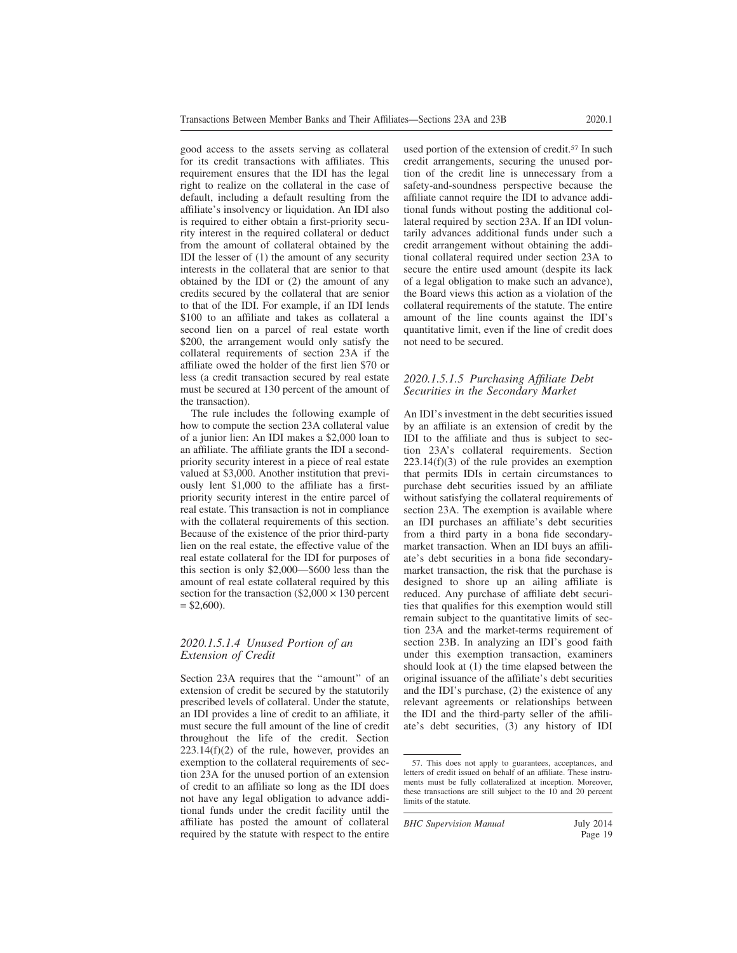good access to the assets serving as collateral for its credit transactions with affiliates. This requirement ensures that the IDI has the legal right to realize on the collateral in the case of default, including a default resulting from the affiliate's insolvency or liquidation. An IDI also is required to either obtain a first-priority security interest in the required collateral or deduct from the amount of collateral obtained by the IDI the lesser of (1) the amount of any security interests in the collateral that are senior to that obtained by the IDI or (2) the amount of any credits secured by the collateral that are senior to that of the IDI. For example, if an IDI lends \$100 to an affiliate and takes as collateral a second lien on a parcel of real estate worth \$200, the arrangement would only satisfy the collateral requirements of section 23A if the affiliate owed the holder of the first lien \$70 or less (a credit transaction secured by real estate must be secured at 130 percent of the amount of the transaction).

The rule includes the following example of how to compute the section 23A collateral value of a junior lien: An IDI makes a \$2,000 loan to an affiliate. The affiliate grants the IDI a secondpriority security interest in a piece of real estate valued at \$3,000. Another institution that previously lent \$1,000 to the affiliate has a firstpriority security interest in the entire parcel of real estate. This transaction is not in compliance with the collateral requirements of this section. Because of the existence of the prior third-party lien on the real estate, the effective value of the real estate collateral for the IDI for purposes of this section is only \$2,000—\$600 less than the amount of real estate collateral required by this section for the transaction  $(\$2,000 \times 130$  percent  $=$  \$2,600).

# *2020.1.5.1.4 Unused Portion of an Extension of Credit*

Section 23A requires that the ''amount'' of an extension of credit be secured by the statutorily prescribed levels of collateral. Under the statute, an IDI provides a line of credit to an affiliate, it must secure the full amount of the line of credit throughout the life of the credit. Section  $223.14(f)(2)$  of the rule, however, provides an exemption to the collateral requirements of section 23A for the unused portion of an extension of credit to an affiliate so long as the IDI does not have any legal obligation to advance additional funds under the credit facility until the affiliate has posted the amount of collateral required by the statute with respect to the entire used portion of the extension of credit.<sup>57</sup> In such credit arrangements, securing the unused portion of the credit line is unnecessary from a safety-and-soundness perspective because the affiliate cannot require the IDI to advance additional funds without posting the additional collateral required by section 23A. If an IDI voluntarily advances additional funds under such a credit arrangement without obtaining the additional collateral required under section 23A to secure the entire used amount (despite its lack of a legal obligation to make such an advance), the Board views this action as a violation of the collateral requirements of the statute. The entire amount of the line counts against the IDI's quantitative limit, even if the line of credit does not need to be secured.

## *2020.1.5.1.5 Purchasing Affiliate Debt Securities in the Secondary Market*

An IDI's investment in the debt securities issued by an affiliate is an extension of credit by the IDI to the affiliate and thus is subject to section 23A's collateral requirements. Section 223.14(f)(3) of the rule provides an exemption that permits IDIs in certain circumstances to purchase debt securities issued by an affiliate without satisfying the collateral requirements of section 23A. The exemption is available where an IDI purchases an affiliate's debt securities from a third party in a bona fide secondarymarket transaction. When an IDI buys an affiliate's debt securities in a bona fide secondarymarket transaction, the risk that the purchase is designed to shore up an ailing affiliate is reduced. Any purchase of affiliate debt securities that qualifies for this exemption would still remain subject to the quantitative limits of section 23A and the market-terms requirement of section 23B. In analyzing an IDI's good faith under this exemption transaction, examiners should look at (1) the time elapsed between the original issuance of the affiliate's debt securities and the IDI's purchase, (2) the existence of any relevant agreements or relationships between the IDI and the third-party seller of the affiliate's debt securities, (3) any history of IDI

<sup>57.</sup> This does not apply to guarantees, acceptances, and letters of credit issued on behalf of an affiliate. These instruments must be fully collateralized at inception. Moreover, these transactions are still subject to the 10 and 20 percent limits of the statute.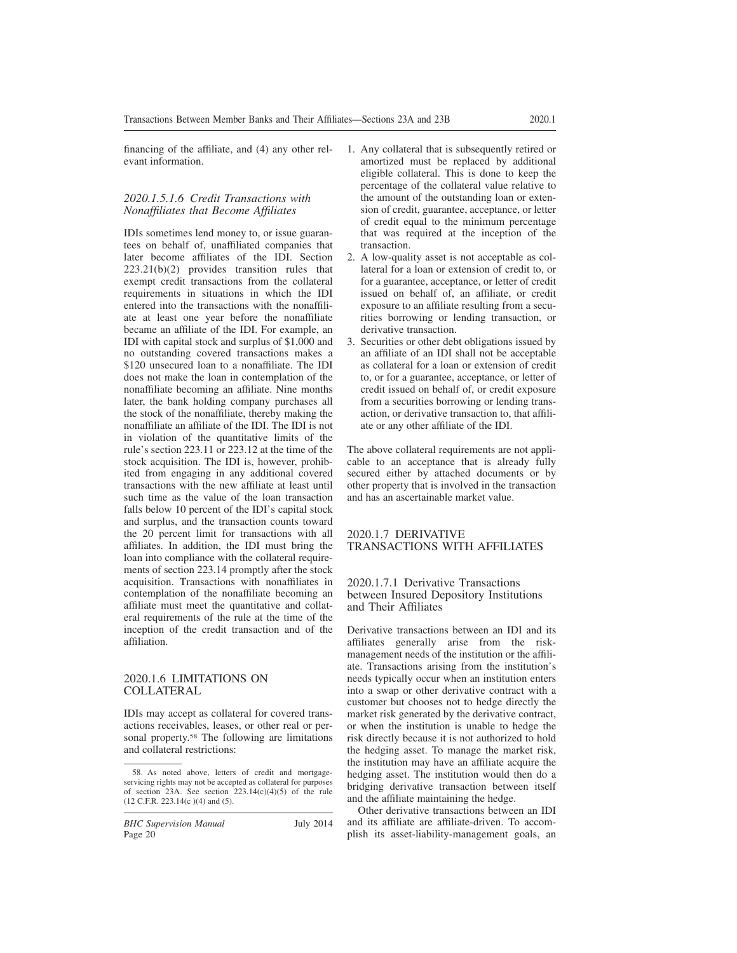financing of the affiliate, and (4) any other relevant information.

# *2020.1.5.1.6 Credit Transactions with Nonaffiliates that Become Affiliates*

IDIs sometimes lend money to, or issue guarantees on behalf of, unaffiliated companies that later become affiliates of the IDI. Section 223.21(b)(2) provides transition rules that exempt credit transactions from the collateral requirements in situations in which the IDI entered into the transactions with the nonaffiliate at least one year before the nonaffiliate became an affiliate of the IDI. For example, an IDI with capital stock and surplus of \$1,000 and no outstanding covered transactions makes a \$120 unsecured loan to a nonaffiliate. The IDI does not make the loan in contemplation of the nonaffiliate becoming an affiliate. Nine months later, the bank holding company purchases all the stock of the nonaffiliate, thereby making the nonaffiliate an affiliate of the IDI. The IDI is not in violation of the quantitative limits of the rule's section 223.11 or 223.12 at the time of the stock acquisition. The IDI is, however, prohibited from engaging in any additional covered transactions with the new affiliate at least until such time as the value of the loan transaction falls below 10 percent of the IDI's capital stock and surplus, and the transaction counts toward the 20 percent limit for transactions with all affiliates. In addition, the IDI must bring the loan into compliance with the collateral requirements of section 223.14 promptly after the stock acquisition. Transactions with nonaffiliates in contemplation of the nonaffiliate becoming an affiliate must meet the quantitative and collateral requirements of the rule at the time of the inception of the credit transaction and of the affiliation.

#### 2020.1.6 LIMITATIONS ON COLLATERAL

IDIs may accept as collateral for covered transactions receivables, leases, or other real or personal property.<sup>58</sup> The following are limitations and collateral restrictions:

*BHC Supervision Manual* July 2014 Page 20

- 1. Any collateral that is subsequently retired or amortized must be replaced by additional eligible collateral. This is done to keep the percentage of the collateral value relative to the amount of the outstanding loan or extension of credit, guarantee, acceptance, or letter of credit equal to the minimum percentage that was required at the inception of the transaction.
- 2. A low-quality asset is not acceptable as collateral for a loan or extension of credit to, or for a guarantee, acceptance, or letter of credit issued on behalf of, an affiliate, or credit exposure to an affiliate resulting from a securities borrowing or lending transaction, or derivative transaction.
- 3. Securities or other debt obligations issued by an affiliate of an IDI shall not be acceptable as collateral for a loan or extension of credit to, or for a guarantee, acceptance, or letter of credit issued on behalf of, or credit exposure from a securities borrowing or lending transaction, or derivative transaction to, that affiliate or any other affiliate of the IDI.

The above collateral requirements are not applicable to an acceptance that is already fully secured either by attached documents or by other property that is involved in the transaction and has an ascertainable market value.

# 2020.1.7 DERIVATIVE TRANSACTIONS WITH AFFILIATES

#### 2020.1.7.1 Derivative Transactions between Insured Depository Institutions and Their Affiliates

Derivative transactions between an IDI and its affiliates generally arise from the riskmanagement needs of the institution or the affiliate. Transactions arising from the institution's needs typically occur when an institution enters into a swap or other derivative contract with a customer but chooses not to hedge directly the market risk generated by the derivative contract, or when the institution is unable to hedge the risk directly because it is not authorized to hold the hedging asset. To manage the market risk, the institution may have an affiliate acquire the hedging asset. The institution would then do a bridging derivative transaction between itself and the affiliate maintaining the hedge.

Other derivative transactions between an IDI and its affiliate are affiliate-driven. To accomplish its asset-liability-management goals, an

<sup>58.</sup> As noted above, letters of credit and mortgageservicing rights may not be accepted as collateral for purposes of section 23A. See section  $223.14(c)(4)(5)$  of the rule (12 C.F.R. 223.14(c )(4) and (5).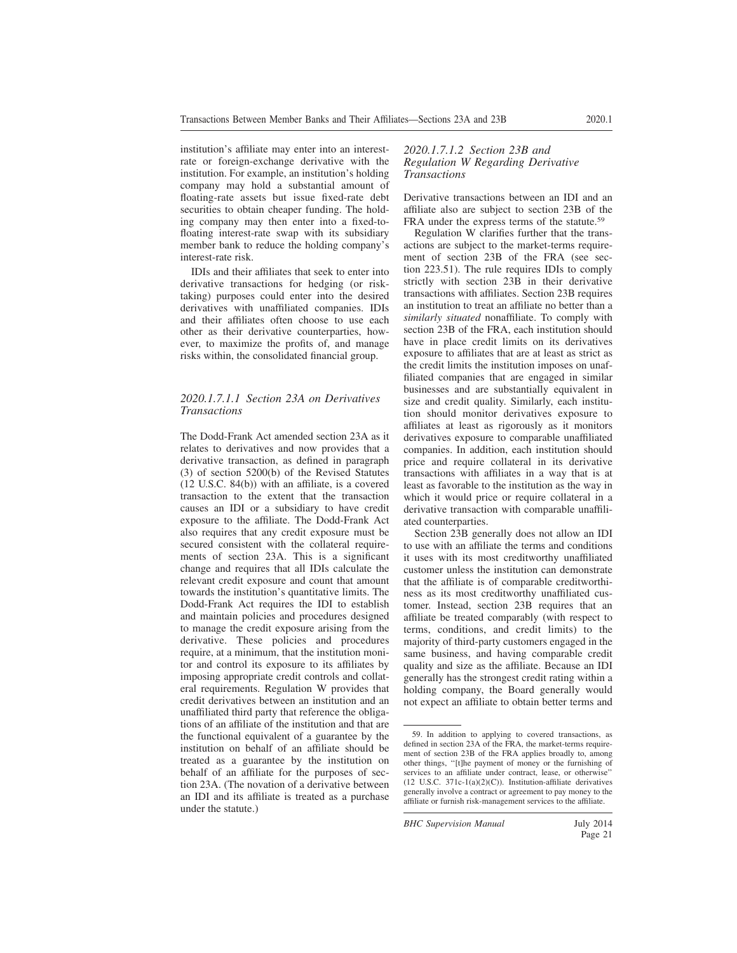institution's affiliate may enter into an interestrate or foreign-exchange derivative with the institution. For example, an institution's holding company may hold a substantial amount of floating-rate assets but issue fixed-rate debt securities to obtain cheaper funding. The holding company may then enter into a fixed-tofloating interest-rate swap with its subsidiary member bank to reduce the holding company's interest-rate risk.

IDIs and their affiliates that seek to enter into derivative transactions for hedging (or risktaking) purposes could enter into the desired derivatives with unaffiliated companies. IDIs and their affiliates often choose to use each other as their derivative counterparties, however, to maximize the profits of, and manage risks within, the consolidated financial group.

### *2020.1.7.1.1 Section 23A on Derivatives Transactions*

The Dodd-Frank Act amended section 23A as it relates to derivatives and now provides that a derivative transaction, as defined in paragraph (3) of section 5200(b) of the Revised Statutes (12 U.S.C. 84(b)) with an affiliate, is a covered transaction to the extent that the transaction causes an IDI or a subsidiary to have credit exposure to the affiliate. The Dodd-Frank Act also requires that any credit exposure must be secured consistent with the collateral requirements of section 23A. This is a significant change and requires that all IDIs calculate the relevant credit exposure and count that amount towards the institution's quantitative limits. The Dodd-Frank Act requires the IDI to establish and maintain policies and procedures designed to manage the credit exposure arising from the derivative. These policies and procedures require, at a minimum, that the institution monitor and control its exposure to its affiliates by imposing appropriate credit controls and collateral requirements. Regulation W provides that credit derivatives between an institution and an unaffiliated third party that reference the obligations of an affiliate of the institution and that are the functional equivalent of a guarantee by the institution on behalf of an affiliate should be treated as a guarantee by the institution on behalf of an affiliate for the purposes of section 23A. (The novation of a derivative between an IDI and its affiliate is treated as a purchase under the statute.)

#### *2020.1.7.1.2 Section 23B and Regulation W Regarding Derivative Transactions*

Derivative transactions between an IDI and an affiliate also are subject to section 23B of the FRA under the express terms of the statute.<sup>59</sup>

Regulation W clarifies further that the transactions are subject to the market-terms requirement of section 23B of the FRA (see section 223.51). The rule requires IDIs to comply strictly with section 23B in their derivative transactions with affiliates. Section 23B requires an institution to treat an affiliate no better than a *similarly situated* nonaffiliate. To comply with section 23B of the FRA, each institution should have in place credit limits on its derivatives exposure to affiliates that are at least as strict as the credit limits the institution imposes on unaffiliated companies that are engaged in similar businesses and are substantially equivalent in size and credit quality. Similarly, each institution should monitor derivatives exposure to affiliates at least as rigorously as it monitors derivatives exposure to comparable unaffiliated companies. In addition, each institution should price and require collateral in its derivative transactions with affiliates in a way that is at least as favorable to the institution as the way in which it would price or require collateral in a derivative transaction with comparable unaffiliated counterparties.

Section 23B generally does not allow an IDI to use with an affiliate the terms and conditions it uses with its most creditworthy unaffiliated customer unless the institution can demonstrate that the affiliate is of comparable creditworthiness as its most creditworthy unaffiliated customer. Instead, section 23B requires that an affiliate be treated comparably (with respect to terms, conditions, and credit limits) to the majority of third-party customers engaged in the same business, and having comparable credit quality and size as the affiliate. Because an IDI generally has the strongest credit rating within a holding company, the Board generally would not expect an affiliate to obtain better terms and

<sup>59.</sup> In addition to applying to covered transactions, as defined in section 23A of the FRA, the market-terms requirement of section 23B of the FRA applies broadly to, among other things, ''[t]he payment of money or the furnishing of services to an affiliate under contract, lease, or otherwise'' (12 U.S.C. 371c-1(a)(2)(C)). Institution-affiliate derivatives generally involve a contract or agreement to pay money to the affiliate or furnish risk-management services to the affiliate.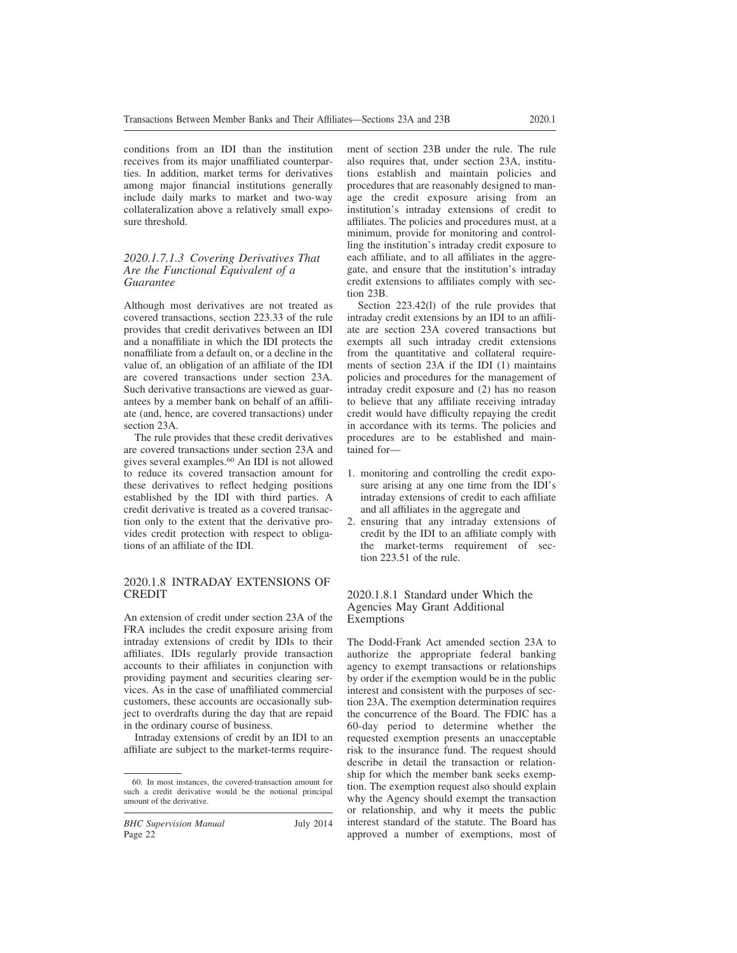conditions from an IDI than the institution receives from its major unaffiliated counterparties. In addition, market terms for derivatives among major financial institutions generally include daily marks to market and two-way collateralization above a relatively small exposure threshold.

### *2020.1.7.1.3 Covering Derivatives That Are the Functional Equivalent of a Guarantee*

Although most derivatives are not treated as covered transactions, section 223.33 of the rule provides that credit derivatives between an IDI and a nonaffiliate in which the IDI protects the nonaffiliate from a default on, or a decline in the value of, an obligation of an affiliate of the IDI are covered transactions under section 23A. Such derivative transactions are viewed as guarantees by a member bank on behalf of an affiliate (and, hence, are covered transactions) under section 23A.

The rule provides that these credit derivatives are covered transactions under section 23A and gives several examples.<sup>60</sup> An IDI is not allowed to reduce its covered transaction amount for these derivatives to reflect hedging positions established by the IDI with third parties. A credit derivative is treated as a covered transaction only to the extent that the derivative provides credit protection with respect to obligations of an affiliate of the IDI.

### 2020.1.8 INTRADAY EXTENSIONS OF CREDIT

An extension of credit under section 23A of the FRA includes the credit exposure arising from intraday extensions of credit by IDIs to their affiliates. IDIs regularly provide transaction accounts to their affiliates in conjunction with providing payment and securities clearing services. As in the case of unaffiliated commercial customers, these accounts are occasionally subject to overdrafts during the day that are repaid in the ordinary course of business.

Intraday extensions of credit by an IDI to an affiliate are subject to the market-terms requirement of section 23B under the rule. The rule also requires that, under section 23A, institutions establish and maintain policies and procedures that are reasonably designed to manage the credit exposure arising from an institution's intraday extensions of credit to affiliates. The policies and procedures must, at a minimum, provide for monitoring and controlling the institution's intraday credit exposure to each affiliate, and to all affiliates in the aggregate, and ensure that the institution's intraday credit extensions to affiliates comply with section 23B.

Section 223.42(l) of the rule provides that intraday credit extensions by an IDI to an affiliate are section 23A covered transactions but exempts all such intraday credit extensions from the quantitative and collateral requirements of section 23A if the IDI (1) maintains policies and procedures for the management of intraday credit exposure and (2) has no reason to believe that any affiliate receiving intraday credit would have difficulty repaying the credit in accordance with its terms. The policies and procedures are to be established and maintained for—

- 1. monitoring and controlling the credit exposure arising at any one time from the IDI's intraday extensions of credit to each affiliate and all affiliates in the aggregate and
- 2. ensuring that any intraday extensions of credit by the IDI to an affiliate comply with the market-terms requirement of section 223.51 of the rule.

## 2020.1.8.1 Standard under Which the Agencies May Grant Additional Exemptions

The Dodd-Frank Act amended section 23A to authorize the appropriate federal banking agency to exempt transactions or relationships by order if the exemption would be in the public interest and consistent with the purposes of section 23A. The exemption determination requires the concurrence of the Board. The FDIC has a 60-day period to determine whether the requested exemption presents an unacceptable risk to the insurance fund. The request should describe in detail the transaction or relationship for which the member bank seeks exemption. The exemption request also should explain why the Agency should exempt the transaction or relationship, and why it meets the public interest standard of the statute. The Board has approved a number of exemptions, most of

<sup>60.</sup> In most instances, the covered-transaction amount for such a credit derivative would be the notional principal amount of the derivative.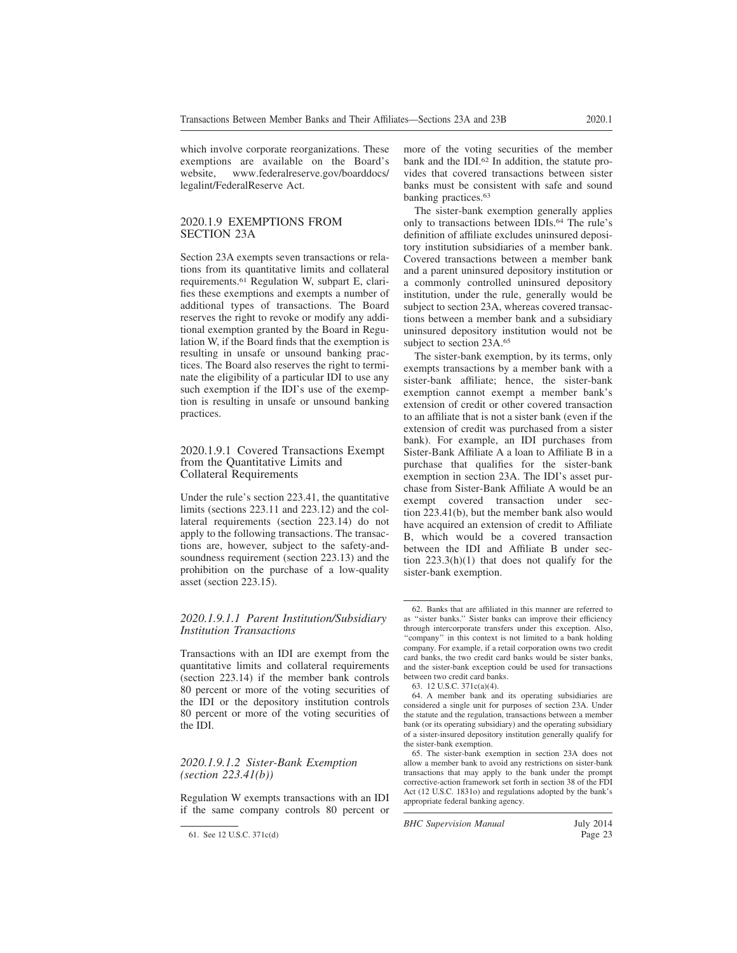which involve corporate reorganizations. These exemptions are available on the Board's website, www.federalreserve.gov/boarddocs/ legalint/FederalReserve Act.

### 2020.1.9 EXEMPTIONS FROM SECTION 23A

Section 23A exempts seven transactions or relations from its quantitative limits and collateral requirements.<sup>61</sup> Regulation W, subpart E, clarifies these exemptions and exempts a number of additional types of transactions. The Board reserves the right to revoke or modify any additional exemption granted by the Board in Regulation W, if the Board finds that the exemption is resulting in unsafe or unsound banking practices. The Board also reserves the right to terminate the eligibility of a particular IDI to use any such exemption if the IDI's use of the exemption is resulting in unsafe or unsound banking practices.

#### 2020.1.9.1 Covered Transactions Exempt from the Quantitative Limits and Collateral Requirements

Under the rule's section 223.41, the quantitative limits (sections 223.11 and 223.12) and the collateral requirements (section 223.14) do not apply to the following transactions. The transactions are, however, subject to the safety-andsoundness requirement (section 223.13) and the prohibition on the purchase of a low-quality asset (section 223.15).

# *2020.1.9.1.1 Parent Institution/Subsidiary Institution Transactions*

Transactions with an IDI are exempt from the quantitative limits and collateral requirements (section 223.14) if the member bank controls 80 percent or more of the voting securities of the IDI or the depository institution controls 80 percent or more of the voting securities of the IDI.

### *2020.1.9.1.2 Sister-Bank Exemption (section 223.41(b))*

Regulation W exempts transactions with an IDI if the same company controls 80 percent or more of the voting securities of the member bank and the IDI.<sup>62</sup> In addition, the statute provides that covered transactions between sister banks must be consistent with safe and sound banking practices.<sup>63</sup>

The sister-bank exemption generally applies only to transactions between IDIs.<sup>64</sup> The rule's definition of affiliate excludes uninsured depository institution subsidiaries of a member bank. Covered transactions between a member bank and a parent uninsured depository institution or a commonly controlled uninsured depository institution, under the rule, generally would be subject to section 23A, whereas covered transactions between a member bank and a subsidiary uninsured depository institution would not be subject to section 23A.<sup>65</sup>

The sister-bank exemption, by its terms, only exempts transactions by a member bank with a sister-bank affiliate; hence, the sister-bank exemption cannot exempt a member bank's extension of credit or other covered transaction to an affiliate that is not a sister bank (even if the extension of credit was purchased from a sister bank). For example, an IDI purchases from Sister-Bank Affiliate A a loan to Affiliate B in a purchase that qualifies for the sister-bank exemption in section 23A. The IDI's asset purchase from Sister-Bank Affiliate A would be an exempt covered transaction under section 223.41(b), but the member bank also would have acquired an extension of credit to Affiliate B, which would be a covered transaction between the IDI and Affiliate B under section 223.3(h)(1) that does not qualify for the sister-bank exemption.

<sup>62.</sup> Banks that are affiliated in this manner are referred to as ''sister banks.'' Sister banks can improve their efficiency through intercorporate transfers under this exception. Also, ''company'' in this context is not limited to a bank holding company. For example, if a retail corporation owns two credit card banks, the two credit card banks would be sister banks, and the sister-bank exception could be used for transactions between two credit card banks.

<sup>63. 12</sup> U.S.C. 371c(a)(4).

<sup>64.</sup> A member bank and its operating subsidiaries are considered a single unit for purposes of section 23A. Under the statute and the regulation, transactions between a member bank (or its operating subsidiary) and the operating subsidiary of a sister-insured depository institution generally qualify for the sister-bank exemption.

<sup>65.</sup> The sister-bank exemption in section 23A does not allow a member bank to avoid any restrictions on sister-bank transactions that may apply to the bank under the prompt corrective-action framework set forth in section 38 of the FDI Act (12 U.S.C. 1831o) and regulations adopted by the bank's appropriate federal banking agency.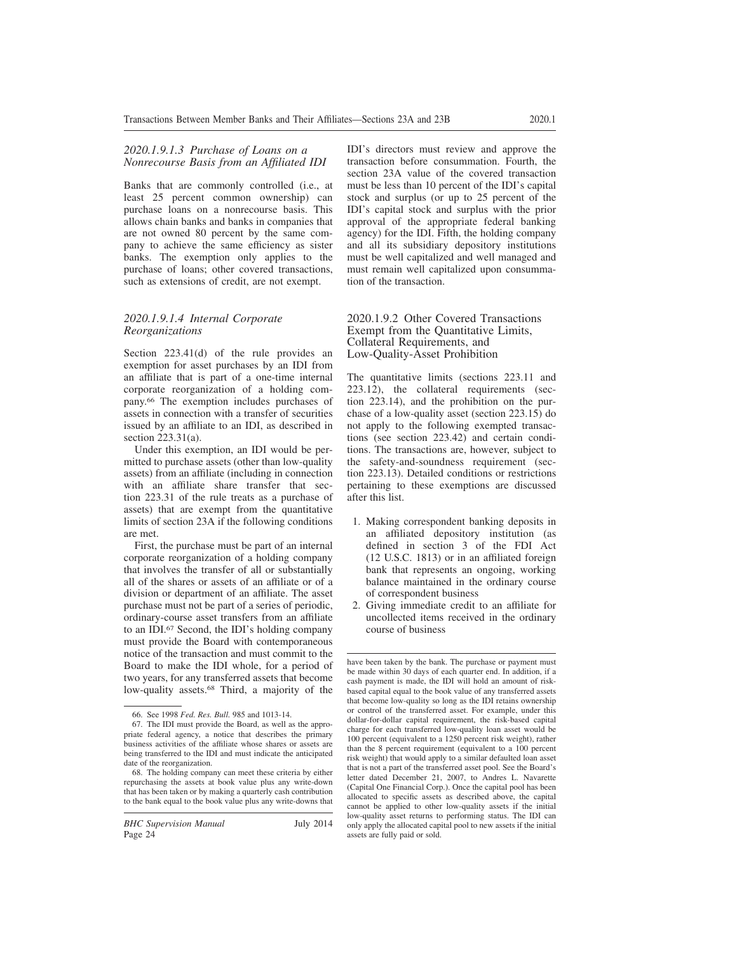### *2020.1.9.1.3 Purchase of Loans on a Nonrecourse Basis from an Affiliated IDI*

Banks that are commonly controlled (i.e., at least 25 percent common ownership) can purchase loans on a nonrecourse basis. This allows chain banks and banks in companies that are not owned 80 percent by the same company to achieve the same efficiency as sister banks. The exemption only applies to the purchase of loans; other covered transactions, such as extensions of credit, are not exempt.

## *2020.1.9.1.4 Internal Corporate Reorganizations*

Section 223.41(d) of the rule provides an exemption for asset purchases by an IDI from an affiliate that is part of a one-time internal corporate reorganization of a holding company.<sup>66</sup> The exemption includes purchases of assets in connection with a transfer of securities issued by an affiliate to an IDI, as described in section 223.31(a).

Under this exemption, an IDI would be permitted to purchase assets (other than low-quality assets) from an affiliate (including in connection with an affiliate share transfer that section 223.31 of the rule treats as a purchase of assets) that are exempt from the quantitative limits of section 23A if the following conditions are met.

First, the purchase must be part of an internal corporate reorganization of a holding company that involves the transfer of all or substantially all of the shares or assets of an affiliate or of a division or department of an affiliate. The asset purchase must not be part of a series of periodic, ordinary-course asset transfers from an affiliate to an IDI.<sup>67</sup> Second, the IDI's holding company must provide the Board with contemporaneous notice of the transaction and must commit to the Board to make the IDI whole, for a period of two years, for any transferred assets that become low-quality assets.<sup>68</sup> Third, a majority of the

IDI's directors must review and approve the transaction before consummation. Fourth, the section 23A value of the covered transaction must be less than 10 percent of the IDI's capital stock and surplus (or up to 25 percent of the IDI's capital stock and surplus with the prior approval of the appropriate federal banking agency) for the IDI. Fifth, the holding company and all its subsidiary depository institutions must be well capitalized and well managed and must remain well capitalized upon consummation of the transaction.

2020.1.9.2. Other Covered Transactions Exempt from the Quantitative Limits, Collateral Requirements, and Low-Quality-Asset Prohibition

The quantitative limits (sections 223.11 and 223.12), the collateral requirements (section 223.14), and the prohibition on the purchase of a low-quality asset (section 223.15) do not apply to the following exempted transactions (see section 223.42) and certain conditions. The transactions are, however, subject to the safety-and-soundness requirement (section 223.13). Detailed conditions or restrictions pertaining to these exemptions are discussed after this list.

- 1. Making correspondent banking deposits in an affiliated depository institution (as defined in section 3 of the FDI Act (12 U.S.C. 1813) or in an affiliated foreign bank that represents an ongoing, working balance maintained in the ordinary course of correspondent business
- 2. Giving immediate credit to an affiliate for uncollected items received in the ordinary course of business

<sup>66.</sup> See 1998 *Fed. Res. Bull.* 985 and 1013-14.

<sup>67.</sup> The IDI must provide the Board, as well as the appropriate federal agency, a notice that describes the primary business activities of the affiliate whose shares or assets are being transferred to the IDI and must indicate the anticipated date of the reorganization.

<sup>68.</sup> The holding company can meet these criteria by either repurchasing the assets at book value plus any write-down that has been taken or by making a quarterly cash contribution to the bank equal to the book value plus any write-downs that

have been taken by the bank. The purchase or payment must be made within 30 days of each quarter end. In addition, if a cash payment is made, the IDI will hold an amount of riskbased capital equal to the book value of any transferred assets that become low-quality so long as the IDI retains ownership or control of the transferred asset. For example, under this dollar-for-dollar capital requirement, the risk-based capital charge for each transferred low-quality loan asset would be 100 percent (equivalent to a 1250 percent risk weight), rather than the 8 percent requirement (equivalent to a 100 percent risk weight) that would apply to a similar defaulted loan asset that is not a part of the transferred asset pool. See the Board's letter dated December 21, 2007, to Andres L. Navarette (Capital One Financial Corp.). Once the capital pool has been allocated to specific assets as described above, the capital cannot be applied to other low-quality assets if the initial low-quality asset returns to performing status. The IDI can only apply the allocated capital pool to new assets if the initial assets are fully paid or sold.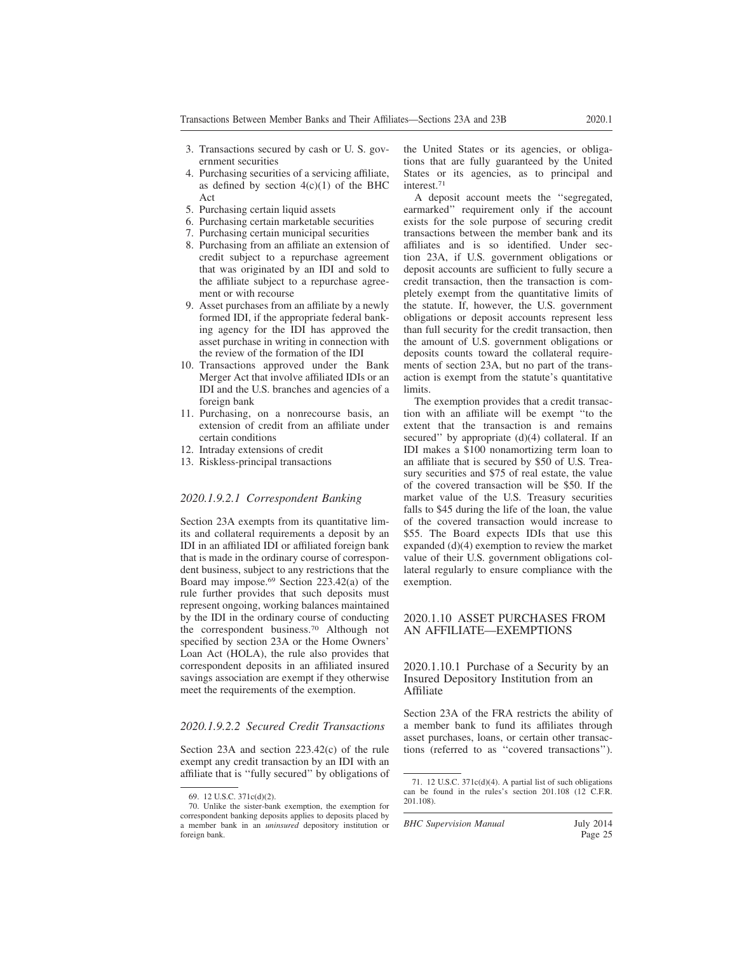- 3. Transactions secured by cash or U. S. government securities
- 4. Purchasing securities of a servicing affiliate, as defined by section  $4(c)(1)$  of the BHC Act
- 5. Purchasing certain liquid assets
- 6. Purchasing certain marketable securities
- 7. Purchasing certain municipal securities
- 8. Purchasing from an affiliate an extension of credit subject to a repurchase agreement that was originated by an IDI and sold to the affiliate subject to a repurchase agreement or with recourse
- 9. Asset purchases from an affiliate by a newly formed IDI, if the appropriate federal banking agency for the IDI has approved the asset purchase in writing in connection with the review of the formation of the IDI
- 10. Transactions approved under the Bank Merger Act that involve affiliated IDIs or an IDI and the U.S. branches and agencies of a foreign bank
- 11. Purchasing, on a nonrecourse basis, an extension of credit from an affiliate under certain conditions
- 12. Intraday extensions of credit
- 13. Riskless-principal transactions

#### *2020.1.9.2.1 Correspondent Banking*

Section 23A exempts from its quantitative limits and collateral requirements a deposit by an IDI in an affiliated IDI or affiliated foreign bank that is made in the ordinary course of correspondent business, subject to any restrictions that the Board may impose.<sup>69</sup> Section 223.42(a) of the rule further provides that such deposits must represent ongoing, working balances maintained by the IDI in the ordinary course of conducting the correspondent business.<sup>70</sup> Although not specified by section 23A or the Home Owners' Loan Act (HOLA), the rule also provides that correspondent deposits in an affiliated insured savings association are exempt if they otherwise meet the requirements of the exemption.

# *2020.1.9.2.2 Secured Credit Transactions*

Section 23A and section 223.42(c) of the rule exempt any credit transaction by an IDI with an affiliate that is ''fully secured'' by obligations of the United States or its agencies, or obligations that are fully guaranteed by the United States or its agencies, as to principal and interest.<sup>71</sup>

A deposit account meets the ''segregated, earmarked'' requirement only if the account exists for the sole purpose of securing credit transactions between the member bank and its affiliates and is so identified. Under section 23A, if U.S. government obligations or deposit accounts are sufficient to fully secure a credit transaction, then the transaction is completely exempt from the quantitative limits of the statute. If, however, the U.S. government obligations or deposit accounts represent less than full security for the credit transaction, then the amount of U.S. government obligations or deposits counts toward the collateral requirements of section 23A, but no part of the transaction is exempt from the statute's quantitative limits.

The exemption provides that a credit transaction with an affiliate will be exempt ''to the extent that the transaction is and remains secured'' by appropriate (d)(4) collateral. If an IDI makes a \$100 nonamortizing term loan to an affiliate that is secured by \$50 of U.S. Treasury securities and \$75 of real estate, the value of the covered transaction will be \$50. If the market value of the U.S. Treasury securities falls to \$45 during the life of the loan, the value of the covered transaction would increase to \$55. The Board expects IDIs that use this expanded (d)(4) exemption to review the market value of their U.S. government obligations collateral regularly to ensure compliance with the exemption.

# 2020.1.10 ASSET PURCHASES FROM AN AFFILIATE—EXEMPTIONS

### 2020.1.10.1 Purchase of a Security by an Insured Depository Institution from an Affiliate

Section 23A of the FRA restricts the ability of a member bank to fund its affiliates through asset purchases, loans, or certain other transactions (referred to as ''covered transactions'').

<sup>69. 12</sup> U.S.C. 371c(d)(2).

<sup>70.</sup> Unlike the sister-bank exemption, the exemption for correspondent banking deposits applies to deposits placed by a member bank in an *uninsured* depository institution or foreign bank.

<sup>71. 12</sup> U.S.C. 371c(d)(4). A partial list of such obligations can be found in the rules's section 201.108 (12 C.F.R. 201.108).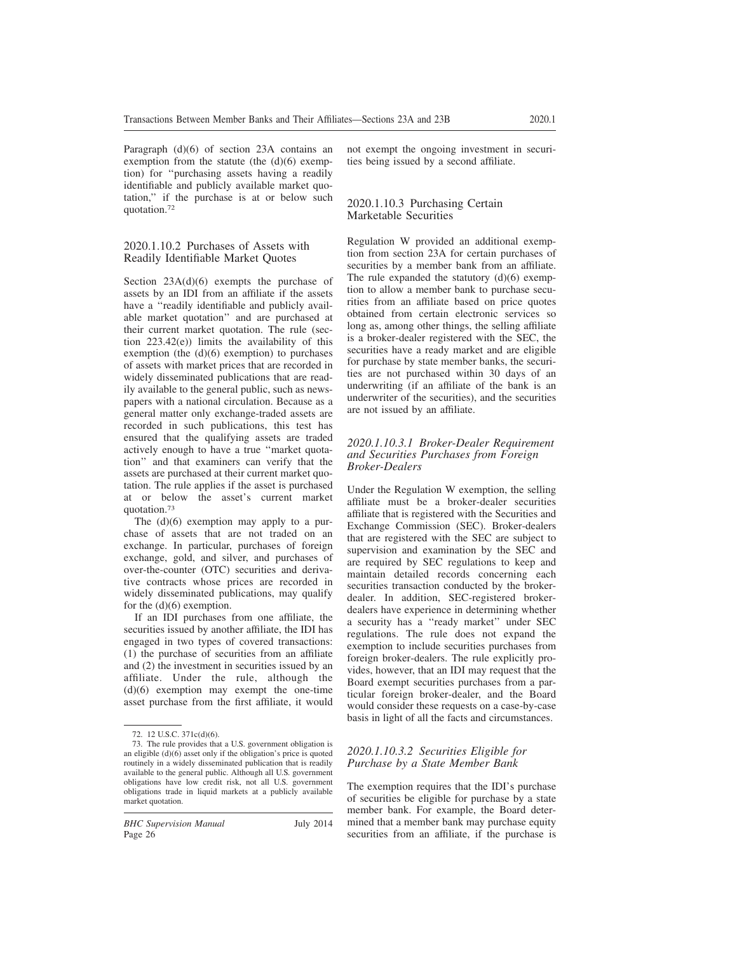Paragraph (d)(6) of section 23A contains an exemption from the statute (the (d)(6) exemption) for ''purchasing assets having a readily identifiable and publicly available market quotation,'' if the purchase is at or below such quotation.<sup>72</sup>

#### 2020.1.10.2 Purchases of Assets with Readily Identifiable Market Quotes

Section 23A(d)(6) exempts the purchase of assets by an IDI from an affiliate if the assets have a ''readily identifiable and publicly available market quotation'' and are purchased at their current market quotation. The rule (section 223.42(e)) limits the availability of this exemption (the  $(d)(6)$  exemption) to purchases of assets with market prices that are recorded in widely disseminated publications that are readily available to the general public, such as newspapers with a national circulation. Because as a general matter only exchange-traded assets are recorded in such publications, this test has ensured that the qualifying assets are traded actively enough to have a true ''market quotation'' and that examiners can verify that the assets are purchased at their current market quotation. The rule applies if the asset is purchased at or below the asset's current market quotation.<sup>73</sup>

The  $(d)(6)$  exemption may apply to a purchase of assets that are not traded on an exchange. In particular, purchases of foreign exchange, gold, and silver, and purchases of over-the-counter (OTC) securities and derivative contracts whose prices are recorded in widely disseminated publications, may qualify for the (d)(6) exemption.

If an IDI purchases from one affiliate, the securities issued by another affiliate, the IDI has engaged in two types of covered transactions: (1) the purchase of securities from an affiliate and (2) the investment in securities issued by an affiliate. Under the rule, although the (d)(6) exemption may exempt the one-time asset purchase from the first affiliate, it would not exempt the ongoing investment in securities being issued by a second affiliate.

## 2020.1.10.3 Purchasing Certain Marketable Securities

Regulation W provided an additional exemption from section 23A for certain purchases of securities by a member bank from an affiliate. The rule expanded the statutory (d)(6) exemption to allow a member bank to purchase securities from an affiliate based on price quotes obtained from certain electronic services so long as, among other things, the selling affiliate is a broker-dealer registered with the SEC, the securities have a ready market and are eligible for purchase by state member banks, the securities are not purchased within 30 days of an underwriting (if an affiliate of the bank is an underwriter of the securities), and the securities are not issued by an affiliate.

# *2020.1.10.3.1 Broker-Dealer Requirement and Securities Purchases from Foreign Broker-Dealers*

Under the Regulation W exemption, the selling affiliate must be a broker-dealer securities affiliate that is registered with the Securities and Exchange Commission (SEC). Broker-dealers that are registered with the SEC are subject to supervision and examination by the SEC and are required by SEC regulations to keep and maintain detailed records concerning each securities transaction conducted by the brokerdealer. In addition, SEC-registered brokerdealers have experience in determining whether a security has a ''ready market'' under SEC regulations. The rule does not expand the exemption to include securities purchases from foreign broker-dealers. The rule explicitly provides, however, that an IDI may request that the Board exempt securities purchases from a particular foreign broker-dealer, and the Board would consider these requests on a case-by-case basis in light of all the facts and circumstances.

### *2020.1.10.3.2 Securities Eligible for Purchase by a State Member Bank*

The exemption requires that the IDI's purchase of securities be eligible for purchase by a state member bank. For example, the Board determined that a member bank may purchase equity securities from an affiliate, if the purchase is

<sup>72. 12</sup> U.S.C. 371c(d)(6).

<sup>73.</sup> The rule provides that a U.S. government obligation is an eligible (d)(6) asset only if the obligation's price is quoted routinely in a widely disseminated publication that is readily available to the general public. Although all U.S. government obligations have low credit risk, not all U.S. government obligations trade in liquid markets at a publicly available market quotation.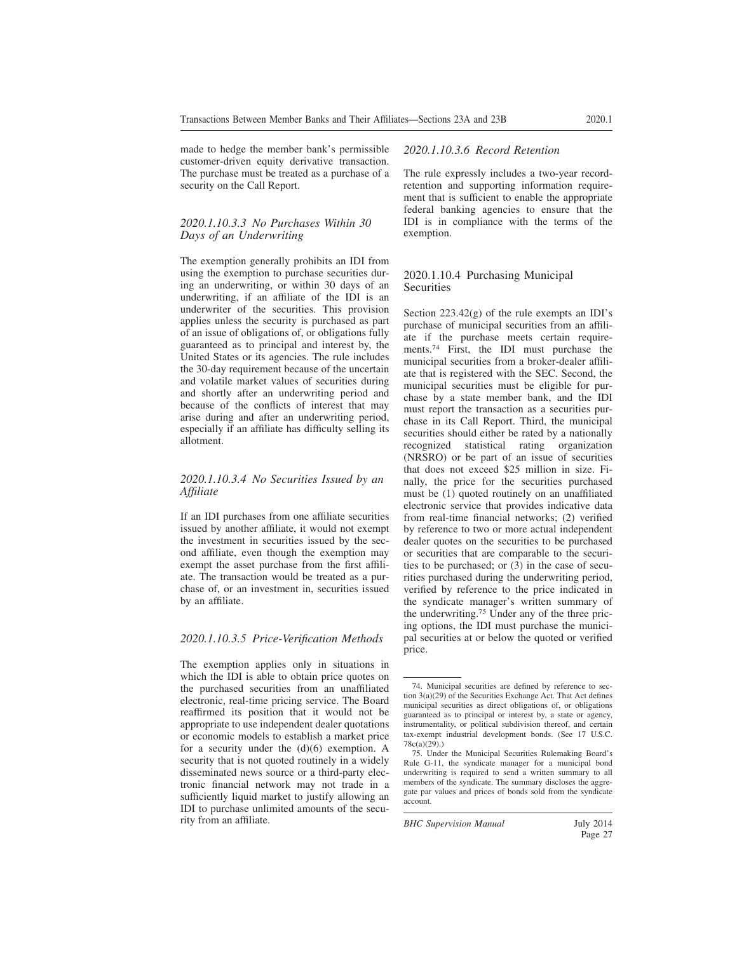made to hedge the member bank's permissible customer-driven equity derivative transaction. The purchase must be treated as a purchase of a security on the Call Report.

# *2020.1.10.3.3 No Purchases Within 30 Days of an Underwriting*

The exemption generally prohibits an IDI from using the exemption to purchase securities during an underwriting, or within 30 days of an underwriting, if an affiliate of the IDI is an underwriter of the securities. This provision applies unless the security is purchased as part of an issue of obligations of, or obligations fully guaranteed as to principal and interest by, the United States or its agencies. The rule includes the 30-day requirement because of the uncertain and volatile market values of securities during and shortly after an underwriting period and because of the conflicts of interest that may arise during and after an underwriting period, especially if an affiliate has difficulty selling its allotment.

# *2020.1.10.3.4 No Securities Issued by an Affiliate*

If an IDI purchases from one affiliate securities issued by another affiliate, it would not exempt the investment in securities issued by the second affiliate, even though the exemption may exempt the asset purchase from the first affiliate. The transaction would be treated as a purchase of, or an investment in, securities issued by an affiliate.

# *2020.1.10.3.5 Price-Verification Methods*

The exemption applies only in situations in which the IDI is able to obtain price quotes on the purchased securities from an unaffiliated electronic, real-time pricing service. The Board reaffirmed its position that it would not be appropriate to use independent dealer quotations or economic models to establish a market price for a security under the (d)(6) exemption. A security that is not quoted routinely in a widely disseminated news source or a third-party electronic financial network may not trade in a sufficiently liquid market to justify allowing an IDI to purchase unlimited amounts of the security from an affiliate.

# *2020.1.10.3.6 Record Retention*

The rule expressly includes a two-year recordretention and supporting information requirement that is sufficient to enable the appropriate federal banking agencies to ensure that the IDI is in compliance with the terms of the exemption.

## 2020.1.10.4 Purchasing Municipal **Securities**

Section 223.42(g) of the rule exempts an IDI's purchase of municipal securities from an affiliate if the purchase meets certain requirements.<sup>74</sup> First, the IDI must purchase the municipal securities from a broker-dealer affiliate that is registered with the SEC. Second, the municipal securities must be eligible for purchase by a state member bank, and the IDI must report the transaction as a securities purchase in its Call Report. Third, the municipal securities should either be rated by a nationally recognized statistical rating organization (NRSRO) or be part of an issue of securities that does not exceed \$25 million in size. Finally, the price for the securities purchased must be (1) quoted routinely on an unaffiliated electronic service that provides indicative data from real-time financial networks; (2) verified by reference to two or more actual independent dealer quotes on the securities to be purchased or securities that are comparable to the securities to be purchased; or (3) in the case of securities purchased during the underwriting period, verified by reference to the price indicated in the syndicate manager's written summary of the underwriting.<sup>75</sup> Under any of the three pricing options, the IDI must purchase the municipal securities at or below the quoted or verified price.

<sup>74.</sup> Municipal securities are defined by reference to section 3(a)(29) of the Securities Exchange Act. That Act defines municipal securities as direct obligations of, or obligations guaranteed as to principal or interest by, a state or agency, instrumentality, or political subdivision thereof, and certain tax-exempt industrial development bonds. (See 17 U.S.C. 78c(a)(29).)

<sup>75.</sup> Under the Municipal Securities Rulemaking Board's Rule G-11, the syndicate manager for a municipal bond underwriting is required to send a written summary to all members of the syndicate. The summary discloses the aggregate par values and prices of bonds sold from the syndicate account.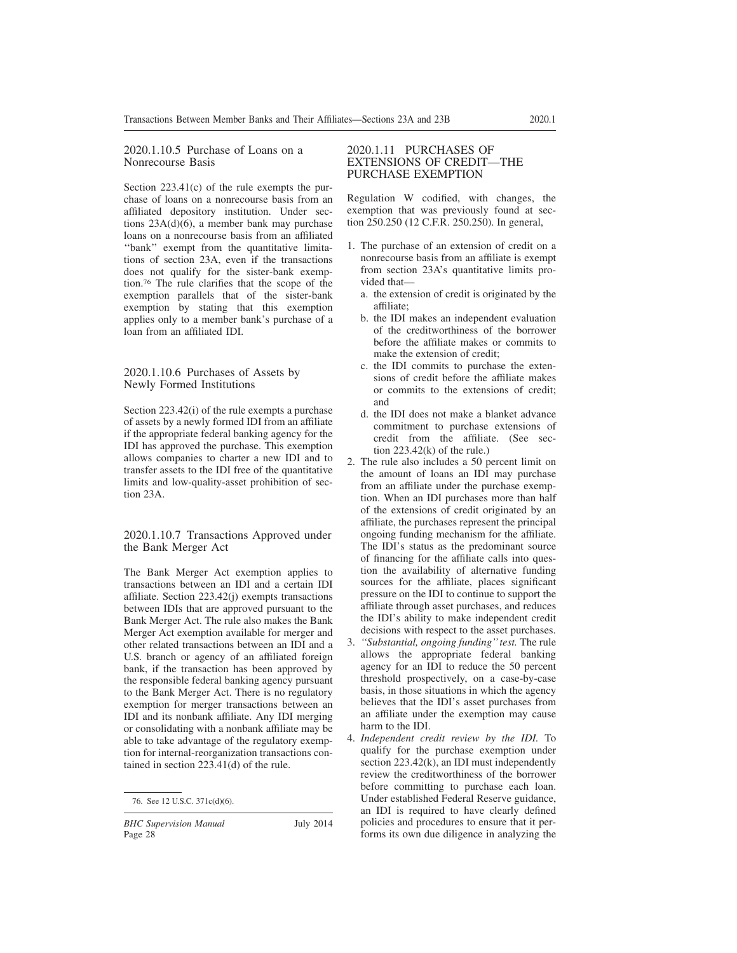## 2020.1.10.5 Purchase of Loans on a Nonrecourse Basis

Section 223.41(c) of the rule exempts the purchase of loans on a nonrecourse basis from an affiliated depository institution. Under sections 23A(d)(6), a member bank may purchase loans on a nonrecourse basis from an affiliated ''bank'' exempt from the quantitative limitations of section 23A, even if the transactions does not qualify for the sister-bank exemption.<sup>76</sup> The rule clarifies that the scope of the exemption parallels that of the sister-bank exemption by stating that this exemption applies only to a member bank's purchase of a loan from an affiliated IDI.

2020.1.10.6 Purchases of Assets by Newly Formed Institutions

Section 223.42(i) of the rule exempts a purchase of assets by a newly formed IDI from an affiliate if the appropriate federal banking agency for the IDI has approved the purchase. This exemption allows companies to charter a new IDI and to transfer assets to the IDI free of the quantitative limits and low-quality-asset prohibition of section 23A.

2020.1.10.7 Transactions Approved under the Bank Merger Act

The Bank Merger Act exemption applies to transactions between an IDI and a certain IDI affiliate. Section 223.42(j) exempts transactions between IDIs that are approved pursuant to the Bank Merger Act. The rule also makes the Bank Merger Act exemption available for merger and other related transactions between an IDI and a U.S. branch or agency of an affiliated foreign bank, if the transaction has been approved by the responsible federal banking agency pursuant to the Bank Merger Act. There is no regulatory exemption for merger transactions between an IDI and its nonbank affiliate. Any IDI merging or consolidating with a nonbank affiliate may be able to take advantage of the regulatory exemption for internal-reorganization transactions contained in section 223.41(d) of the rule.

### 2020.1.11 PURCHASES OF EXTENSIONS OF CREDIT—THE PURCHASE EXEMPTION

Regulation W codified, with changes, the exemption that was previously found at section 250.250 (12 C.F.R. 250.250). In general,

- 1. The purchase of an extension of credit on a nonrecourse basis from an affiliate is exempt from section 23A's quantitative limits provided that
	- a. the extension of credit is originated by the affiliate;
	- b. the IDI makes an independent evaluation of the creditworthiness of the borrower before the affiliate makes or commits to make the extension of credit;
	- c. the IDI commits to purchase the extensions of credit before the affiliate makes or commits to the extensions of credit; and
	- d. the IDI does not make a blanket advance commitment to purchase extensions of credit from the affiliate. (See section  $223.42(k)$  of the rule.)
- 2. The rule also includes a 50 percent limit on the amount of loans an IDI may purchase from an affiliate under the purchase exemption. When an IDI purchases more than half of the extensions of credit originated by an affiliate, the purchases represent the principal ongoing funding mechanism for the affiliate. The IDI's status as the predominant source of financing for the affiliate calls into question the availability of alternative funding sources for the affiliate, places significant pressure on the IDI to continue to support the affiliate through asset purchases, and reduces the IDI's ability to make independent credit decisions with respect to the asset purchases.
- 3. *''Substantial, ongoing funding'' test.* The rule allows the appropriate federal banking agency for an IDI to reduce the 50 percent threshold prospectively, on a case-by-case basis, in those situations in which the agency believes that the IDI's asset purchases from an affiliate under the exemption may cause harm to the IDI.
- 4. *Independent credit review by the IDI.* To qualify for the purchase exemption under section 223.42(k), an IDI must independently review the creditworthiness of the borrower before committing to purchase each loan. Under established Federal Reserve guidance, an IDI is required to have clearly defined policies and procedures to ensure that it performs its own due diligence in analyzing the

<sup>76.</sup> See 12 U.S.C. 371c(d)(6).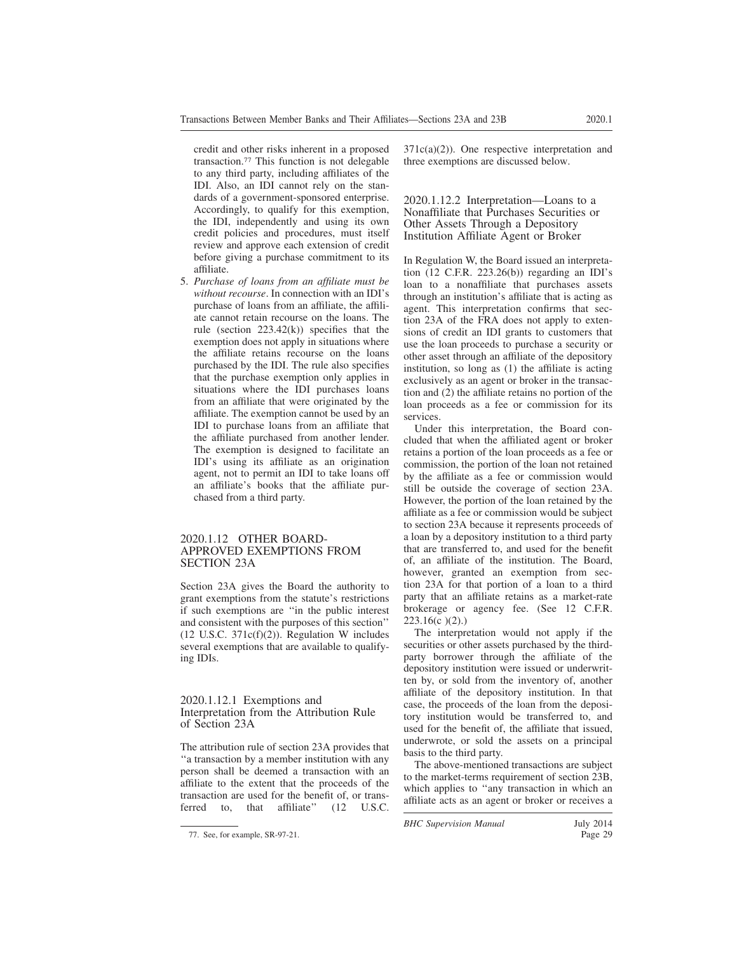credit and other risks inherent in a proposed transaction.<sup>77</sup> This function is not delegable to any third party, including affiliates of the IDI. Also, an IDI cannot rely on the standards of a government-sponsored enterprise. Accordingly, to qualify for this exemption, the IDI, independently and using its own credit policies and procedures, must itself review and approve each extension of credit before giving a purchase commitment to its affiliate.

5. *Purchase of loans from an affiliate must be without recourse*. In connection with an IDI's purchase of loans from an affiliate, the affiliate cannot retain recourse on the loans. The rule (section 223.42(k)) specifies that the exemption does not apply in situations where the affiliate retains recourse on the loans purchased by the IDI. The rule also specifies that the purchase exemption only applies in situations where the IDI purchases loans from an affiliate that were originated by the affiliate. The exemption cannot be used by an IDI to purchase loans from an affiliate that the affiliate purchased from another lender. The exemption is designed to facilitate an IDI's using its affiliate as an origination agent, not to permit an IDI to take loans off an affiliate's books that the affiliate purchased from a third party.

### 2020.1.12 OTHER BOARD-APPROVED EXEMPTIONS FROM SECTION 23A

Section 23A gives the Board the authority to grant exemptions from the statute's restrictions if such exemptions are ''in the public interest and consistent with the purposes of this section''  $(12 \text{ U.S.C. } 371c(f)(2))$ . Regulation W includes several exemptions that are available to qualifying IDIs.

#### 2020.1.12.1 Exemptions and Interpretation from the Attribution Rule of Section 23A

The attribution rule of section 23A provides that ''a transaction by a member institution with any person shall be deemed a transaction with an affiliate to the extent that the proceeds of the transaction are used for the benefit of, or transferred to, that affiliate'' (12 U.S.C.  $371c(a)(2)$ ). One respective interpretation and three exemptions are discussed below.

2020.1.12.2 Interpretation—Loans to a Nonaffiliate that Purchases Securities or Other Assets Through a Depository Institution Affiliate Agent or Broker

In Regulation W, the Board issued an interpretation (12 C.F.R. 223.26(b)) regarding an IDI's loan to a nonaffiliate that purchases assets through an institution's affiliate that is acting as agent. This interpretation confirms that section 23A of the FRA does not apply to extensions of credit an IDI grants to customers that use the loan proceeds to purchase a security or other asset through an affiliate of the depository institution, so long as (1) the affiliate is acting exclusively as an agent or broker in the transaction and (2) the affiliate retains no portion of the loan proceeds as a fee or commission for its services.

Under this interpretation, the Board concluded that when the affiliated agent or broker retains a portion of the loan proceeds as a fee or commission, the portion of the loan not retained by the affiliate as a fee or commission would still be outside the coverage of section 23A. However, the portion of the loan retained by the affiliate as a fee or commission would be subject to section 23A because it represents proceeds of a loan by a depository institution to a third party that are transferred to, and used for the benefit of, an affiliate of the institution. The Board, however, granted an exemption from section 23A for that portion of a loan to a third party that an affiliate retains as a market-rate brokerage or agency fee. (See 12 C.F.R. 223.16(c )(2).)

The interpretation would not apply if the securities or other assets purchased by the thirdparty borrower through the affiliate of the depository institution were issued or underwritten by, or sold from the inventory of, another affiliate of the depository institution. In that case, the proceeds of the loan from the depository institution would be transferred to, and used for the benefit of, the affiliate that issued, underwrote, or sold the assets on a principal basis to the third party.

The above-mentioned transactions are subject to the market-terms requirement of section 23B, which applies to "any transaction in which an affiliate acts as an agent or broker or receives a

<sup>77.</sup> See, for example, SR-97-21.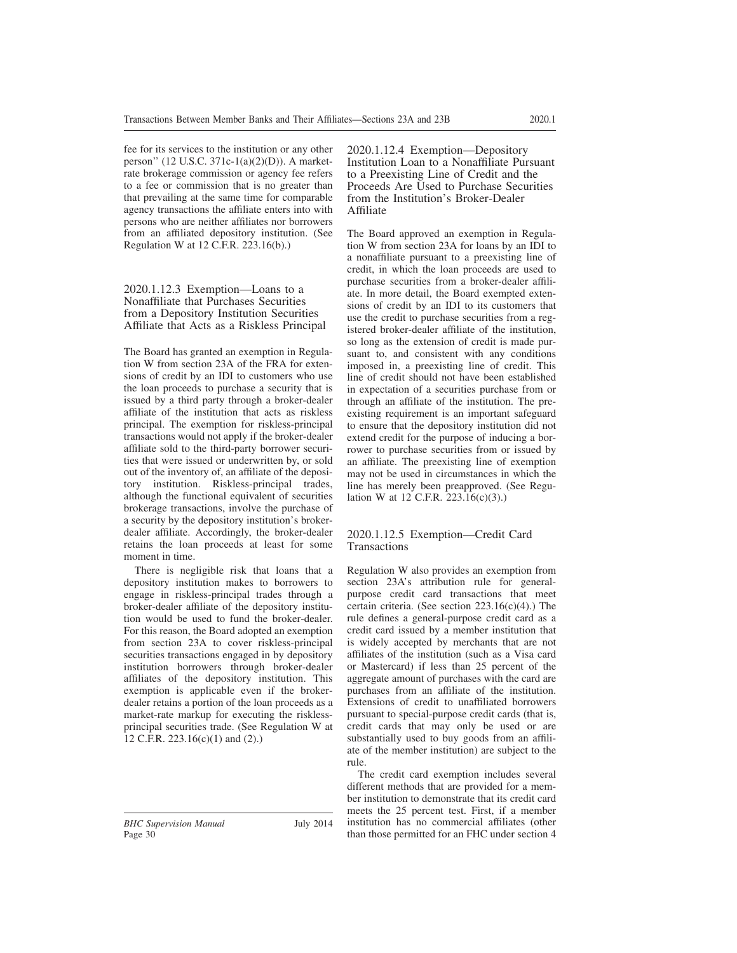fee for its services to the institution or any other person'' (12 U.S.C. 371c-1(a)(2)(D)). A marketrate brokerage commission or agency fee refers to a fee or commission that is no greater than that prevailing at the same time for comparable agency transactions the affiliate enters into with persons who are neither affiliates nor borrowers from an affiliated depository institution. (See Regulation W at 12 C.F.R. 223.16(b).)

2020.1.12.3 Exemption—Loans to a Nonaffiliate that Purchases Securities from a Depository Institution Securities Affiliate that Acts as a Riskless Principal

The Board has granted an exemption in Regulation W from section 23A of the FRA for extensions of credit by an IDI to customers who use the loan proceeds to purchase a security that is issued by a third party through a broker-dealer affiliate of the institution that acts as riskless principal. The exemption for riskless-principal transactions would not apply if the broker-dealer affiliate sold to the third-party borrower securities that were issued or underwritten by, or sold out of the inventory of, an affiliate of the depository institution. Riskless-principal trades, although the functional equivalent of securities brokerage transactions, involve the purchase of a security by the depository institution's brokerdealer affiliate. Accordingly, the broker-dealer retains the loan proceeds at least for some moment in time.

There is negligible risk that loans that a depository institution makes to borrowers to engage in riskless-principal trades through a broker-dealer affiliate of the depository institution would be used to fund the broker-dealer. For this reason, the Board adopted an exemption from section 23A to cover riskless-principal securities transactions engaged in by depository institution borrowers through broker-dealer affiliates of the depository institution. This exemption is applicable even if the brokerdealer retains a portion of the loan proceeds as a market-rate markup for executing the risklessprincipal securities trade. (See Regulation W at 12 C.F.R. 223.16(c)(1) and (2).)

*BHC Supervision Manual* July 2014 Page 30

2020.1.12.4 Exemption—Depository Institution Loan to a Nonaffiliate Pursuant to a Preexisting Line of Credit and the Proceeds Are Used to Purchase Securities from the Institution's Broker-Dealer Affiliate

The Board approved an exemption in Regulation W from section 23A for loans by an IDI to a nonaffiliate pursuant to a preexisting line of credit, in which the loan proceeds are used to purchase securities from a broker-dealer affiliate. In more detail, the Board exempted extensions of credit by an IDI to its customers that use the credit to purchase securities from a registered broker-dealer affiliate of the institution, so long as the extension of credit is made pursuant to, and consistent with any conditions imposed in, a preexisting line of credit. This line of credit should not have been established in expectation of a securities purchase from or through an affiliate of the institution. The preexisting requirement is an important safeguard to ensure that the depository institution did not extend credit for the purpose of inducing a borrower to purchase securities from or issued by an affiliate. The preexisting line of exemption may not be used in circumstances in which the line has merely been preapproved. (See Regulation W at 12 C.F.R. 223.16(c)(3).)

# 2020.1.12.5 Exemption—Credit Card Transactions

Regulation W also provides an exemption from section 23A's attribution rule for generalpurpose credit card transactions that meet certain criteria. (See section 223.16(c)(4).) The rule defines a general-purpose credit card as a credit card issued by a member institution that is widely accepted by merchants that are not affiliates of the institution (such as a Visa card or Mastercard) if less than 25 percent of the aggregate amount of purchases with the card are purchases from an affiliate of the institution. Extensions of credit to unaffiliated borrowers pursuant to special-purpose credit cards (that is, credit cards that may only be used or are substantially used to buy goods from an affiliate of the member institution) are subject to the rule.

The credit card exemption includes several different methods that are provided for a member institution to demonstrate that its credit card meets the 25 percent test. First, if a member institution has no commercial affiliates (other than those permitted for an FHC under section 4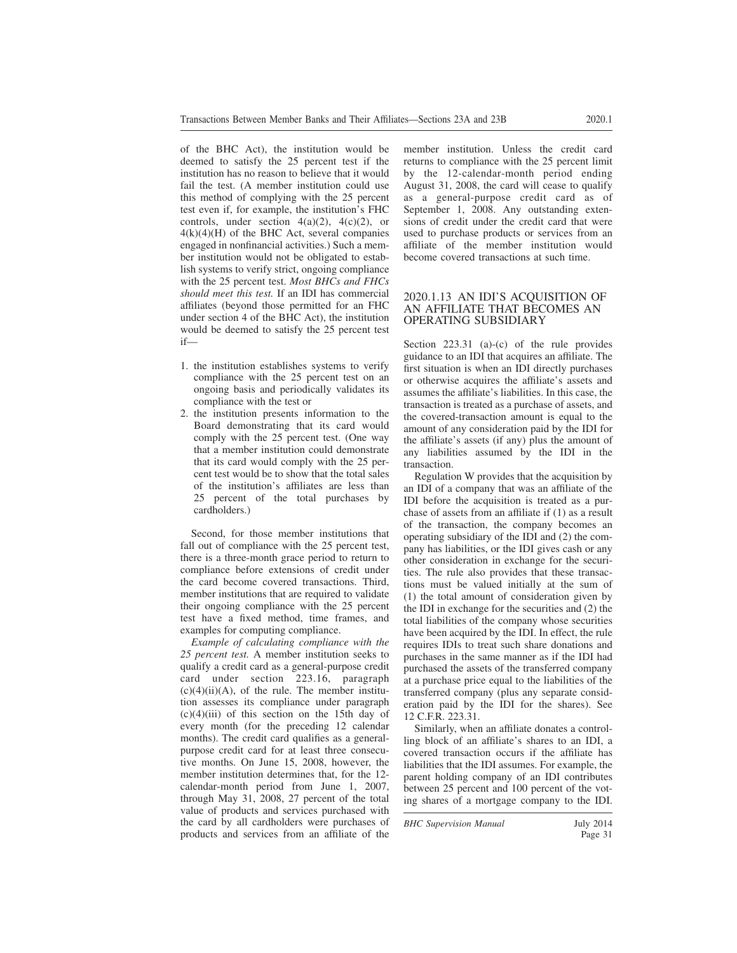of the BHC Act), the institution would be deemed to satisfy the 25 percent test if the institution has no reason to believe that it would fail the test. (A member institution could use this method of complying with the 25 percent test even if, for example, the institution's FHC controls, under section  $4(a)(2)$ ,  $4(c)(2)$ , or  $4(k)(4)(H)$  of the BHC Act, several companies engaged in nonfinancial activities.) Such a member institution would not be obligated to establish systems to verify strict, ongoing compliance with the 25 percent test. *Most BHCs and FHCs should meet this test.* If an IDI has commercial affiliates (beyond those permitted for an FHC under section 4 of the BHC Act), the institution would be deemed to satisfy the 25 percent test if—

- 1. the institution establishes systems to verify compliance with the 25 percent test on an ongoing basis and periodically validates its compliance with the test or
- 2. the institution presents information to the Board demonstrating that its card would comply with the 25 percent test. (One way that a member institution could demonstrate that its card would comply with the 25 percent test would be to show that the total sales of the institution's affiliates are less than 25 percent of the total purchases by cardholders.)

Second, for those member institutions that fall out of compliance with the 25 percent test, there is a three-month grace period to return to compliance before extensions of credit under the card become covered transactions. Third, member institutions that are required to validate their ongoing compliance with the 25 percent test have a fixed method, time frames, and examples for computing compliance.

*Example of calculating compliance with the 25 percent test.* A member institution seeks to qualify a credit card as a general-purpose credit card under section 223.16, paragraph  $(c)(4)(ii)(A)$ , of the rule. The member institution assesses its compliance under paragraph  $(c)(4)(iii)$  of this section on the 15th day of every month (for the preceding 12 calendar months). The credit card qualifies as a generalpurpose credit card for at least three consecutive months. On June 15, 2008, however, the member institution determines that, for the 12 calendar-month period from June 1, 2007, through May 31, 2008, 27 percent of the total value of products and services purchased with the card by all cardholders were purchases of products and services from an affiliate of the member institution. Unless the credit card returns to compliance with the 25 percent limit by the 12-calendar-month period ending August 31, 2008, the card will cease to qualify as a general-purpose credit card as of September 1, 2008. Any outstanding extensions of credit under the credit card that were used to purchase products or services from an affiliate of the member institution would become covered transactions at such time.

### 2020.1.13 AN IDI'S ACQUISITION OF AN AFFILIATE THAT BECOMES AN OPERATING SUBSIDIARY

Section 223.31 (a)-(c) of the rule provides guidance to an IDI that acquires an affiliate. The first situation is when an IDI directly purchases or otherwise acquires the affiliate's assets and assumes the affiliate's liabilities. In this case, the transaction is treated as a purchase of assets, and the covered-transaction amount is equal to the amount of any consideration paid by the IDI for the affiliate's assets (if any) plus the amount of any liabilities assumed by the IDI in the transaction.

Regulation W provides that the acquisition by an IDI of a company that was an affiliate of the IDI before the acquisition is treated as a purchase of assets from an affiliate if (1) as a result of the transaction, the company becomes an operating subsidiary of the IDI and (2) the company has liabilities, or the IDI gives cash or any other consideration in exchange for the securities. The rule also provides that these transactions must be valued initially at the sum of (1) the total amount of consideration given by the IDI in exchange for the securities and (2) the total liabilities of the company whose securities have been acquired by the IDI. In effect, the rule requires IDIs to treat such share donations and purchases in the same manner as if the IDI had purchased the assets of the transferred company at a purchase price equal to the liabilities of the transferred company (plus any separate consideration paid by the IDI for the shares). See 12 C.F.R. 223.31.

Similarly, when an affiliate donates a controlling block of an affiliate's shares to an IDI, a covered transaction occurs if the affiliate has liabilities that the IDI assumes. For example, the parent holding company of an IDI contributes between 25 percent and 100 percent of the voting shares of a mortgage company to the IDI.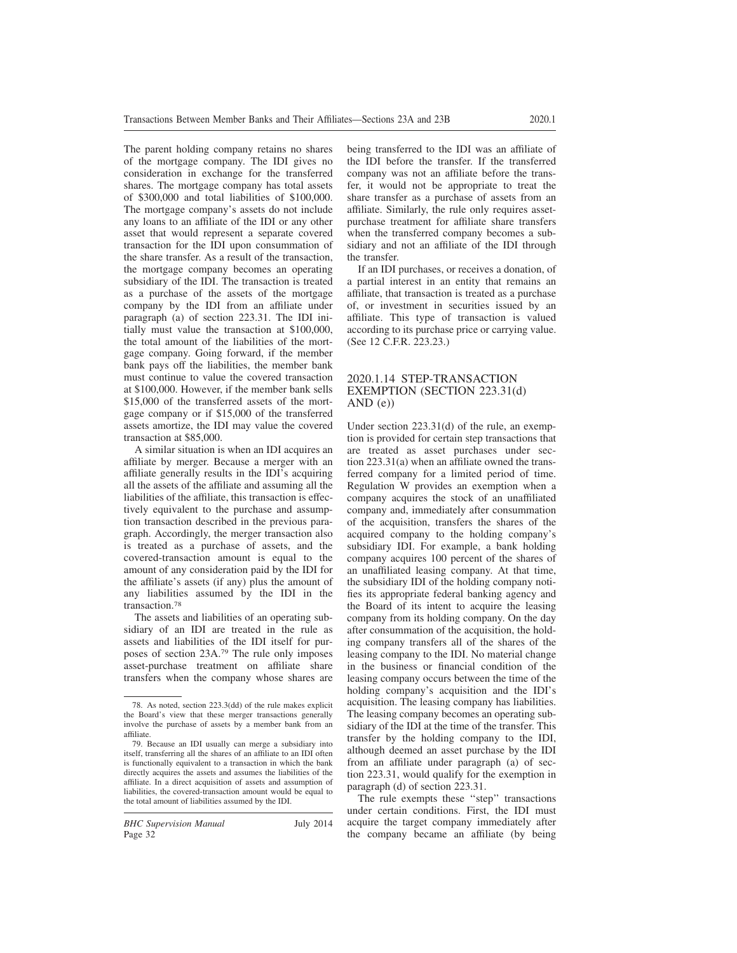The parent holding company retains no shares of the mortgage company. The IDI gives no consideration in exchange for the transferred shares. The mortgage company has total assets of \$300,000 and total liabilities of \$100,000. The mortgage company's assets do not include any loans to an affiliate of the IDI or any other asset that would represent a separate covered transaction for the IDI upon consummation of the share transfer. As a result of the transaction, the mortgage company becomes an operating subsidiary of the IDI. The transaction is treated as a purchase of the assets of the mortgage company by the IDI from an affiliate under paragraph (a) of section 223.31. The IDI initially must value the transaction at \$100,000, the total amount of the liabilities of the mortgage company. Going forward, if the member bank pays off the liabilities, the member bank must continue to value the covered transaction at \$100,000. However, if the member bank sells \$15,000 of the transferred assets of the mortgage company or if \$15,000 of the transferred assets amortize, the IDI may value the covered transaction at \$85,000.

A similar situation is when an IDI acquires an affiliate by merger. Because a merger with an affiliate generally results in the IDI's acquiring all the assets of the affiliate and assuming all the liabilities of the affiliate, this transaction is effectively equivalent to the purchase and assumption transaction described in the previous paragraph. Accordingly, the merger transaction also is treated as a purchase of assets, and the covered-transaction amount is equal to the amount of any consideration paid by the IDI for the affiliate's assets (if any) plus the amount of any liabilities assumed by the IDI in the transaction.<sup>78</sup>

The assets and liabilities of an operating subsidiary of an IDI are treated in the rule as assets and liabilities of the IDI itself for purposes of section 23A.<sup>79</sup> The rule only imposes asset-purchase treatment on affiliate share transfers when the company whose shares are being transferred to the IDI was an affiliate of the IDI before the transfer. If the transferred company was not an affiliate before the transfer, it would not be appropriate to treat the share transfer as a purchase of assets from an affiliate. Similarly, the rule only requires assetpurchase treatment for affiliate share transfers when the transferred company becomes a subsidiary and not an affiliate of the IDI through the transfer.

If an IDI purchases, or receives a donation, of a partial interest in an entity that remains an affiliate, that transaction is treated as a purchase of, or investment in securities issued by an affiliate. This type of transaction is valued according to its purchase price or carrying value. (See 12 C.F.R. 223.23.)

### 2020.1.14 STEP-TRANSACTION EXEMPTION (SECTION 223.31(d) AND (e))

Under section 223.31(d) of the rule, an exemption is provided for certain step transactions that are treated as asset purchases under section 223.31(a) when an affiliate owned the transferred company for a limited period of time. Regulation W provides an exemption when a company acquires the stock of an unaffiliated company and, immediately after consummation of the acquisition, transfers the shares of the acquired company to the holding company's subsidiary IDI. For example, a bank holding company acquires 100 percent of the shares of an unaffiliated leasing company. At that time, the subsidiary IDI of the holding company notifies its appropriate federal banking agency and the Board of its intent to acquire the leasing company from its holding company. On the day after consummation of the acquisition, the holding company transfers all of the shares of the leasing company to the IDI. No material change in the business or financial condition of the leasing company occurs between the time of the holding company's acquisition and the IDI's acquisition. The leasing company has liabilities. The leasing company becomes an operating subsidiary of the IDI at the time of the transfer. This transfer by the holding company to the IDI, although deemed an asset purchase by the IDI from an affiliate under paragraph (a) of section 223.31, would qualify for the exemption in paragraph (d) of section 223.31.

The rule exempts these ''step'' transactions under certain conditions. First, the IDI must acquire the target company immediately after the company became an affiliate (by being

<sup>78.</sup> As noted, section 223.3(dd) of the rule makes explicit the Board's view that these merger transactions generally involve the purchase of assets by a member bank from an affiliate.

<sup>79.</sup> Because an IDI usually can merge a subsidiary into itself, transferring all the shares of an affiliate to an IDI often is functionally equivalent to a transaction in which the bank directly acquires the assets and assumes the liabilities of the affiliate. In a direct acquisition of assets and assumption of liabilities, the covered-transaction amount would be equal to the total amount of liabilities assumed by the IDI.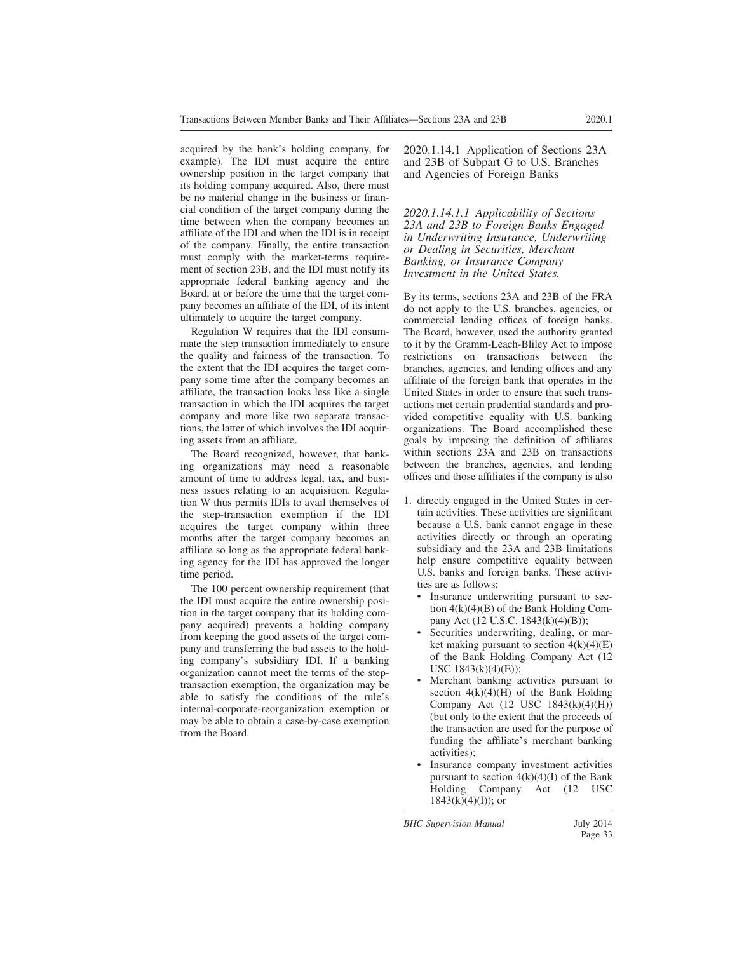acquired by the bank's holding company, for example). The IDI must acquire the entire ownership position in the target company that its holding company acquired. Also, there must be no material change in the business or financial condition of the target company during the time between when the company becomes an affiliate of the IDI and when the IDI is in receipt of the company. Finally, the entire transaction must comply with the market-terms requirement of section 23B, and the IDI must notify its appropriate federal banking agency and the Board, at or before the time that the target company becomes an affiliate of the IDI, of its intent ultimately to acquire the target company.

Regulation W requires that the IDI consummate the step transaction immediately to ensure the quality and fairness of the transaction. To the extent that the IDI acquires the target company some time after the company becomes an affiliate, the transaction looks less like a single transaction in which the IDI acquires the target company and more like two separate transactions, the latter of which involves the IDI acquiring assets from an affiliate.

The Board recognized, however, that banking organizations may need a reasonable amount of time to address legal, tax, and business issues relating to an acquisition. Regulation W thus permits IDIs to avail themselves of the step-transaction exemption if the IDI acquires the target company within three months after the target company becomes an affiliate so long as the appropriate federal banking agency for the IDI has approved the longer time period.

The 100 percent ownership requirement (that the IDI must acquire the entire ownership position in the target company that its holding company acquired) prevents a holding company from keeping the good assets of the target company and transferring the bad assets to the holding company's subsidiary IDI. If a banking organization cannot meet the terms of the steptransaction exemption, the organization may be able to satisfy the conditions of the rule's internal-corporate-reorganization exemption or may be able to obtain a case-by-case exemption from the Board.

2020.1.14.1 Application of Sections 23A and 23B of Subpart G to U.S. Branches and Agencies of Foreign Banks

*2020.1.14.1.1 Applicability of Sections 23A and 23B to Foreign Banks Engaged in Underwriting Insurance, Underwriting or Dealing in Securities, Merchant Banking, or Insurance Company Investment in the United States.*

By its terms, sections 23A and 23B of the FRA do not apply to the U.S. branches, agencies, or commercial lending offices of foreign banks. The Board, however, used the authority granted to it by the Gramm-Leach-Bliley Act to impose restrictions on transactions between the branches, agencies, and lending offices and any affiliate of the foreign bank that operates in the United States in order to ensure that such transactions met certain prudential standards and provided competitive equality with U.S. banking organizations. The Board accomplished these goals by imposing the definition of affiliates within sections 23A and 23B on transactions between the branches, agencies, and lending offices and those affiliates if the company is also

- 1. directly engaged in the United States in certain activities. These activities are significant because a U.S. bank cannot engage in these activities directly or through an operating subsidiary and the 23A and 23B limitations help ensure competitive equality between U.S. banks and foreign banks. These activities are as follows:
	- Insurance underwriting pursuant to section 4(k)(4)(B) of the Bank Holding Company Act (12 U.S.C. 1843(k)(4)(B));
	- Securities underwriting, dealing, or market making pursuant to section  $4(k)(4)(E)$ of the Bank Holding Company Act (12 USC 1843(k)(4)(E));
	- Merchant banking activities pursuant to section  $4(k)(4)(H)$  of the Bank Holding Company Act (12 USC 1843(k)(4)(H)) (but only to the extent that the proceeds of the transaction are used for the purpose of funding the affiliate's merchant banking activities);
	- Insurance company investment activities pursuant to section  $4(k)(4)(I)$  of the Bank Holding Company Act (12 USC  $1843(k)(4)(I)$ ; or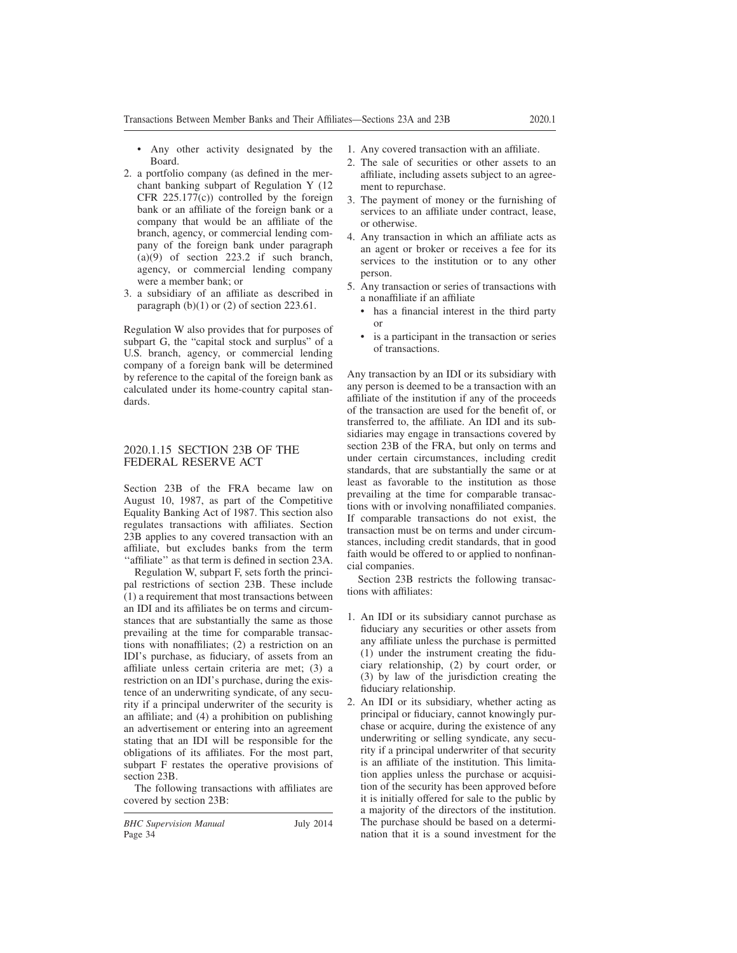- Any other activity designated by the Board.
- 2. a portfolio company (as defined in the merchant banking subpart of Regulation Y (12 CFR 225.177(c)) controlled by the foreign bank or an affiliate of the foreign bank or a company that would be an affiliate of the branch, agency, or commercial lending company of the foreign bank under paragraph  $(a)(9)$  of section 223.2 if such branch, agency, or commercial lending company were a member bank; or
- 3. a subsidiary of an affiliate as described in paragraph  $(b)(1)$  or  $(2)$  of section 223.61.

Regulation W also provides that for purposes of subpart G, the "capital stock and surplus" of a U.S. branch, agency, or commercial lending company of a foreign bank will be determined by reference to the capital of the foreign bank as calculated under its home-country capital standards.

# 2020.1.15 SECTION 23B OF THE FEDERAL RESERVE ACT

Section 23B of the FRA became law on August 10, 1987, as part of the Competitive Equality Banking Act of 1987. This section also regulates transactions with affiliates. Section 23B applies to any covered transaction with an affiliate, but excludes banks from the term ''affiliate'' as that term is defined in section 23A.

Regulation W, subpart F, sets forth the principal restrictions of section 23B. These include (1) a requirement that most transactions between an IDI and its affiliates be on terms and circumstances that are substantially the same as those prevailing at the time for comparable transactions with nonaffiliates; (2) a restriction on an IDI's purchase, as fiduciary, of assets from an affiliate unless certain criteria are met; (3) a restriction on an IDI's purchase, during the existence of an underwriting syndicate, of any security if a principal underwriter of the security is an affiliate; and (4) a prohibition on publishing an advertisement or entering into an agreement stating that an IDI will be responsible for the obligations of its affiliates. For the most part, subpart F restates the operative provisions of section 23B.

The following transactions with affiliates are covered by section 23B:

- 1. Any covered transaction with an affiliate.
- 2. The sale of securities or other assets to an affiliate, including assets subject to an agreement to repurchase.
- 3. The payment of money or the furnishing of services to an affiliate under contract, lease, or otherwise.
- 4. Any transaction in which an affiliate acts as an agent or broker or receives a fee for its services to the institution or to any other person.
- 5. Any transaction or series of transactions with a nonaffiliate if an affiliate
	- has a financial interest in the third party or
	- is a participant in the transaction or series of transactions.

Any transaction by an IDI or its subsidiary with any person is deemed to be a transaction with an affiliate of the institution if any of the proceeds of the transaction are used for the benefit of, or transferred to, the affiliate. An IDI and its subsidiaries may engage in transactions covered by section 23B of the FRA, but only on terms and under certain circumstances, including credit standards, that are substantially the same or at least as favorable to the institution as those prevailing at the time for comparable transactions with or involving nonaffiliated companies. If comparable transactions do not exist, the transaction must be on terms and under circumstances, including credit standards, that in good faith would be offered to or applied to nonfinancial companies.

Section 23B restricts the following transactions with affiliates:

- 1. An IDI or its subsidiary cannot purchase as fiduciary any securities or other assets from any affiliate unless the purchase is permitted (1) under the instrument creating the fiduciary relationship, (2) by court order, or (3) by law of the jurisdiction creating the fiduciary relationship.
- 2. An IDI or its subsidiary, whether acting as principal or fiduciary, cannot knowingly purchase or acquire, during the existence of any underwriting or selling syndicate, any security if a principal underwriter of that security is an affiliate of the institution. This limitation applies unless the purchase or acquisition of the security has been approved before it is initially offered for sale to the public by a majority of the directors of the institution. The purchase should be based on a determination that it is a sound investment for the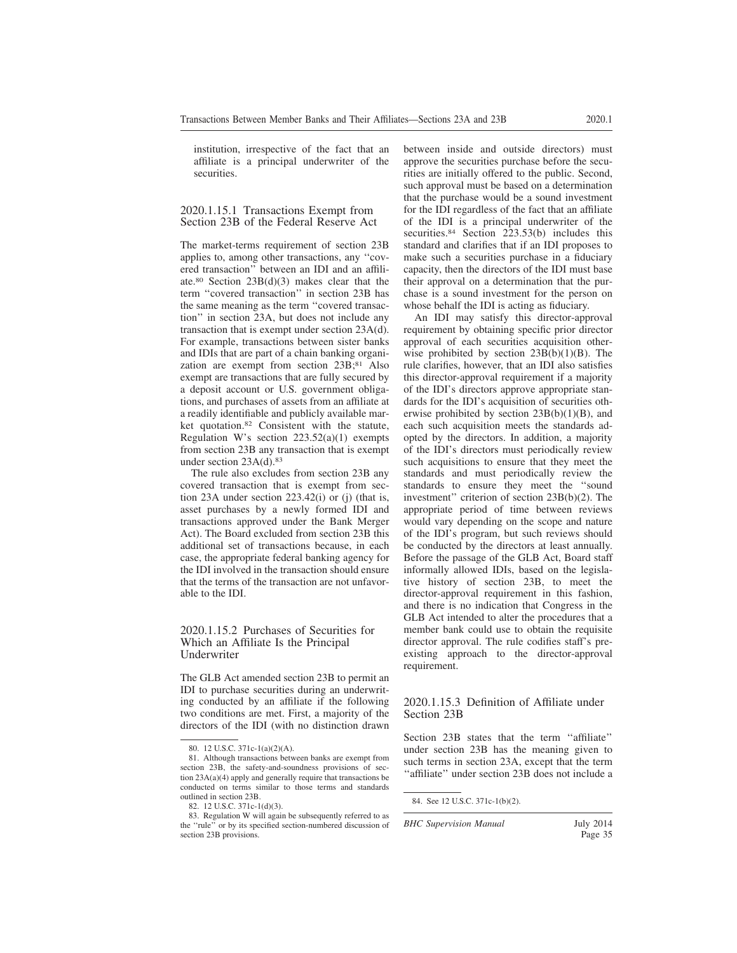institution, irrespective of the fact that an affiliate is a principal underwriter of the securities.

#### 2020.1.15.1 Transactions Exempt from Section 23B of the Federal Reserve Act

The market-terms requirement of section 23B applies to, among other transactions, any ''covered transaction'' between an IDI and an affiliate.<sup>80</sup> Section 23B(d)(3) makes clear that the term ''covered transaction'' in section 23B has the same meaning as the term ''covered transaction'' in section 23A, but does not include any transaction that is exempt under section 23A(d). For example, transactions between sister banks and IDIs that are part of a chain banking organization are exempt from section 23B;81 Also exempt are transactions that are fully secured by a deposit account or U.S. government obligations, and purchases of assets from an affiliate at a readily identifiable and publicly available market quotation.<sup>82</sup> Consistent with the statute, Regulation W's section 223.52(a)(1) exempts from section 23B any transaction that is exempt under section 23A(d).<sup>83</sup>

The rule also excludes from section 23B any covered transaction that is exempt from section 23A under section 223.42(i) or (j) (that is, asset purchases by a newly formed IDI and transactions approved under the Bank Merger Act). The Board excluded from section 23B this additional set of transactions because, in each case, the appropriate federal banking agency for the IDI involved in the transaction should ensure that the terms of the transaction are not unfavorable to the IDI.

2020.1.15.2 Purchases of Securities for Which an Affiliate Is the Principal Underwriter

The GLB Act amended section 23B to permit an IDI to purchase securities during an underwriting conducted by an affiliate if the following two conditions are met. First, a majority of the directors of the IDI (with no distinction drawn between inside and outside directors) must approve the securities purchase before the securities are initially offered to the public. Second, such approval must be based on a determination that the purchase would be a sound investment for the IDI regardless of the fact that an affiliate of the IDI is a principal underwriter of the securities.<sup>84</sup> Section 223.53(b) includes this standard and clarifies that if an IDI proposes to make such a securities purchase in a fiduciary capacity, then the directors of the IDI must base their approval on a determination that the purchase is a sound investment for the person on whose behalf the IDI is acting as fiduciary.

An IDI may satisfy this director-approval requirement by obtaining specific prior director approval of each securities acquisition otherwise prohibited by section  $23B(b)(1)(B)$ . The rule clarifies, however, that an IDI also satisfies this director-approval requirement if a majority of the IDI's directors approve appropriate standards for the IDI's acquisition of securities otherwise prohibited by section 23B(b)(1)(B), and each such acquisition meets the standards adopted by the directors. In addition, a majority of the IDI's directors must periodically review such acquisitions to ensure that they meet the standards and must periodically review the standards to ensure they meet the ''sound investment'' criterion of section 23B(b)(2). The appropriate period of time between reviews would vary depending on the scope and nature of the IDI's program, but such reviews should be conducted by the directors at least annually. Before the passage of the GLB Act, Board staff informally allowed IDIs, based on the legislative history of section 23B, to meet the director-approval requirement in this fashion, and there is no indication that Congress in the GLB Act intended to alter the procedures that a member bank could use to obtain the requisite director approval. The rule codifies staff's preexisting approach to the director-approval requirement.

#### 2020.1.15.3 Definition of Affiliate under Section 23B

Section 23B states that the term ''affiliate'' under section 23B has the meaning given to such terms in section 23A, except that the term ''affiliate'' under section 23B does not include a

<sup>80. 12</sup> U.S.C. 371c-1(a)(2)(A).

<sup>81.</sup> Although transactions between banks are exempt from section 23B, the safety-and-soundness provisions of section 23A(a)(4) apply and generally require that transactions be conducted on terms similar to those terms and standards outlined in section 23B.

<sup>82. 12</sup> U.S.C. 371c-1(d)(3).

<sup>83.</sup> Regulation W will again be subsequently referred to as the ''rule'' or by its specified section-numbered discussion of section 23B provisions.

<sup>84.</sup> See 12 U.S.C. 371c-1(b)(2).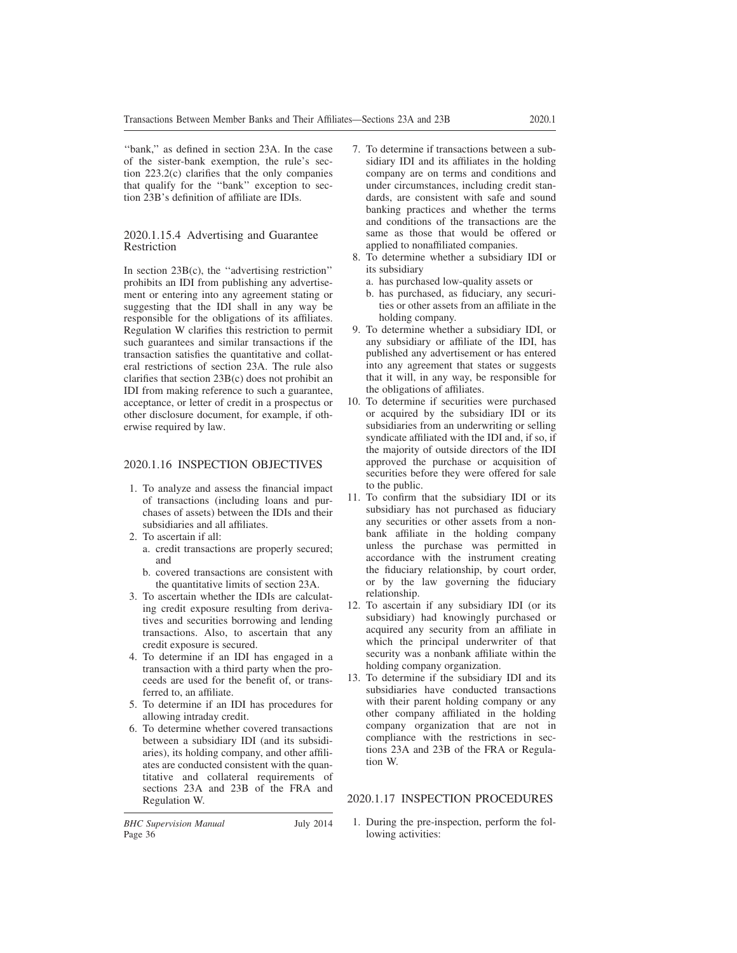''bank,'' as defined in section 23A. In the case of the sister-bank exemption, the rule's section 223.2(c) clarifies that the only companies that qualify for the ''bank'' exception to section 23B's definition of affiliate are IDIs.

#### 2020.1.15.4 Advertising and Guarantee Restriction

In section 23B(c), the ''advertising restriction'' prohibits an IDI from publishing any advertisement or entering into any agreement stating or suggesting that the IDI shall in any way be responsible for the obligations of its affiliates. Regulation W clarifies this restriction to permit such guarantees and similar transactions if the transaction satisfies the quantitative and collateral restrictions of section 23A. The rule also clarifies that section 23B(c) does not prohibit an IDI from making reference to such a guarantee, acceptance, or letter of credit in a prospectus or other disclosure document, for example, if otherwise required by law.

# 2020.1.16 INSPECTION OBJECTIVES

- 1. To analyze and assess the financial impact of transactions (including loans and purchases of assets) between the IDIs and their subsidiaries and all affiliates.
- 2. To ascertain if all:
	- a. credit transactions are properly secured; and
	- b. covered transactions are consistent with the quantitative limits of section 23A.
- 3. To ascertain whether the IDIs are calculating credit exposure resulting from derivatives and securities borrowing and lending transactions. Also, to ascertain that any credit exposure is secured.
- 4. To determine if an IDI has engaged in a transaction with a third party when the proceeds are used for the benefit of, or transferred to, an affiliate.
- 5. To determine if an IDI has procedures for allowing intraday credit.
- 6. To determine whether covered transactions between a subsidiary IDI (and its subsidiaries), its holding company, and other affiliates are conducted consistent with the quantitative and collateral requirements of sections 23A and 23B of the FRA and Regulation W.
- *BHC Supervision Manual* July 2014 Page 36

- 7. To determine if transactions between a subsidiary IDI and its affiliates in the holding company are on terms and conditions and under circumstances, including credit standards, are consistent with safe and sound banking practices and whether the terms and conditions of the transactions are the same as those that would be offered or applied to nonaffiliated companies.
- 8. To determine whether a subsidiary IDI or its subsidiary
	- a. has purchased low-quality assets or
	- b. has purchased, as fiduciary, any securities or other assets from an affiliate in the holding company.
- 9. To determine whether a subsidiary IDI, or any subsidiary or affiliate of the IDI, has published any advertisement or has entered into any agreement that states or suggests that it will, in any way, be responsible for the obligations of affiliates.
- 10. To determine if securities were purchased or acquired by the subsidiary IDI or its subsidiaries from an underwriting or selling syndicate affiliated with the IDI and, if so, if the majority of outside directors of the IDI approved the purchase or acquisition of securities before they were offered for sale to the public.
- 11. To confirm that the subsidiary IDI or its subsidiary has not purchased as fiduciary any securities or other assets from a nonbank affiliate in the holding company unless the purchase was permitted in accordance with the instrument creating the fiduciary relationship, by court order, or by the law governing the fiduciary relationship.
- 12. To ascertain if any subsidiary IDI (or its subsidiary) had knowingly purchased or acquired any security from an affiliate in which the principal underwriter of that security was a nonbank affiliate within the holding company organization.
- 13. To determine if the subsidiary IDI and its subsidiaries have conducted transactions with their parent holding company or any other company affiliated in the holding company organization that are not in compliance with the restrictions in sections 23A and 23B of the FRA or Regulation W.

# 2020.1.17 INSPECTION PROCEDURES

1. During the pre-inspection, perform the following activities: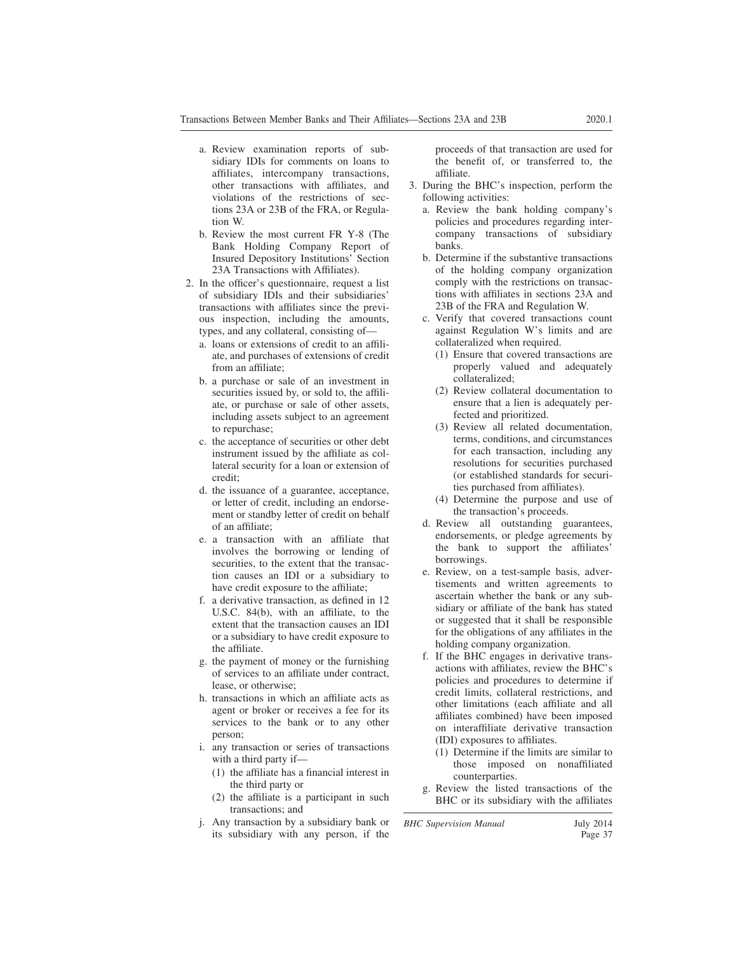- a. Review examination reports of subsidiary IDIs for comments on loans to affiliates, intercompany transactions, other transactions with affiliates, and violations of the restrictions of sections 23A or 23B of the FRA, or Regulation W.
- b. Review the most current FR Y-8 (The Bank Holding Company Report of Insured Depository Institutions' Section 23A Transactions with Affiliates).
- 2. In the officer's questionnaire, request a list of subsidiary IDIs and their subsidiaries' transactions with affiliates since the previous inspection, including the amounts, types, and any collateral, consisting of
	- a. loans or extensions of credit to an affiliate, and purchases of extensions of credit from an affiliate;
	- b. a purchase or sale of an investment in securities issued by, or sold to, the affiliate, or purchase or sale of other assets, including assets subject to an agreement to repurchase;
	- c. the acceptance of securities or other debt instrument issued by the affiliate as collateral security for a loan or extension of credit;
	- d. the issuance of a guarantee, acceptance, or letter of credit, including an endorsement or standby letter of credit on behalf of an affiliate;
	- e. a transaction with an affiliate that involves the borrowing or lending of securities, to the extent that the transaction causes an IDI or a subsidiary to have credit exposure to the affiliate;
	- f. a derivative transaction, as defined in 12 U.S.C. 84(b), with an affiliate, to the extent that the transaction causes an IDI or a subsidiary to have credit exposure to the affiliate.
	- g. the payment of money or the furnishing of services to an affiliate under contract, lease, or otherwise;
	- h. transactions in which an affiliate acts as agent or broker or receives a fee for its services to the bank or to any other person;
	- i. any transaction or series of transactions with a third party if—
		- (1) the affiliate has a financial interest in the third party or
		- (2) the affiliate is a participant in such transactions; and
	- j. Any transaction by a subsidiary bank or its subsidiary with any person, if the

proceeds of that transaction are used for the benefit of, or transferred to, the affiliate.

- 3. During the BHC's inspection, perform the following activities:
	- a. Review the bank holding company's policies and procedures regarding intercompany transactions of subsidiary banks.
	- b. Determine if the substantive transactions of the holding company organization comply with the restrictions on transactions with affiliates in sections 23A and 23B of the FRA and Regulation W.
	- c. Verify that covered transactions count against Regulation W's limits and are collateralized when required.
		- (1) Ensure that covered transactions are properly valued and adequately collateralized;
		- (2) Review collateral documentation to ensure that a lien is adequately perfected and prioritized.
		- (3) Review all related documentation, terms, conditions, and circumstances for each transaction, including any resolutions for securities purchased (or established standards for securities purchased from affiliates).
		- (4) Determine the purpose and use of the transaction's proceeds.
	- d. Review all outstanding guarantees, endorsements, or pledge agreements by the bank to support the affiliates' borrowings.
	- e. Review, on a test-sample basis, advertisements and written agreements to ascertain whether the bank or any subsidiary or affiliate of the bank has stated or suggested that it shall be responsible for the obligations of any affiliates in the holding company organization.
	- f. If the BHC engages in derivative transactions with affiliates, review the BHC's policies and procedures to determine if credit limits, collateral restrictions, and other limitations (each affiliate and all affiliates combined) have been imposed on interaffiliate derivative transaction (IDI) exposures to affiliates.
		- (1) Determine if the limits are similar to those imposed on nonaffiliated counterparties.
	- g. Review the listed transactions of the BHC or its subsidiary with the affiliates

*BHC Supervision Manual* July 2014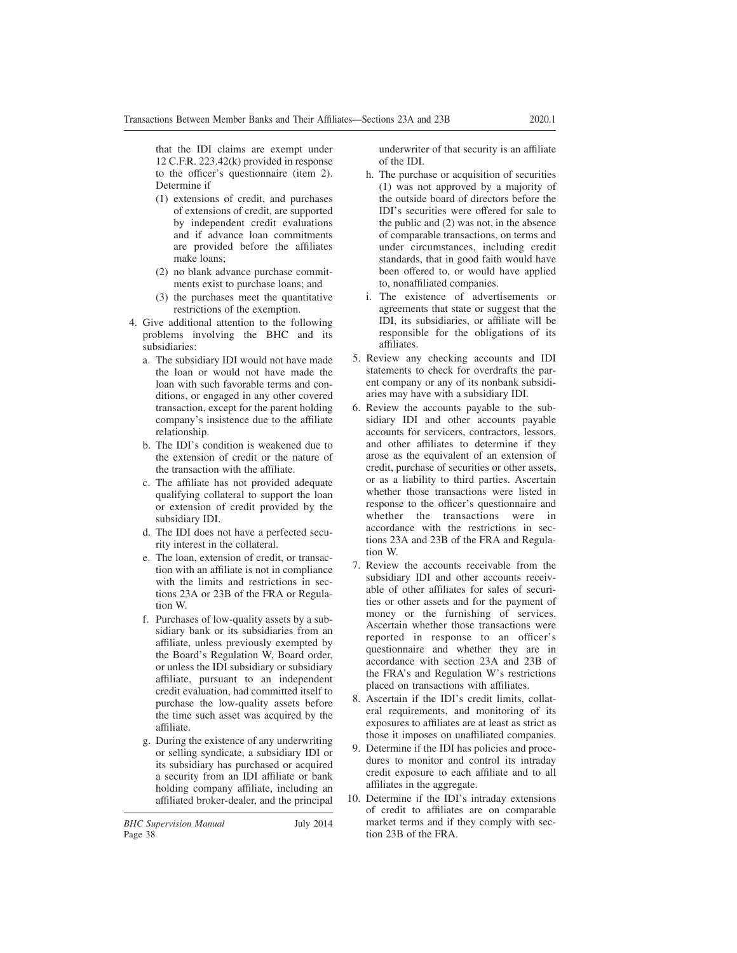that the IDI claims are exempt under 12 C.F.R. 223.42(k) provided in response to the officer's questionnaire (item 2). Determine if

- (1) extensions of credit, and purchases of extensions of credit, are supported by independent credit evaluations and if advance loan commitments are provided before the affiliates make loans;
- (2) no blank advance purchase commitments exist to purchase loans; and
- (3) the purchases meet the quantitative restrictions of the exemption.
- 4. Give additional attention to the following problems involving the BHC and its subsidiaries:
	- a. The subsidiary IDI would not have made the loan or would not have made the loan with such favorable terms and conditions, or engaged in any other covered transaction, except for the parent holding company's insistence due to the affiliate relationship.
	- b. The IDI's condition is weakened due to the extension of credit or the nature of the transaction with the affiliate.
	- c. The affiliate has not provided adequate qualifying collateral to support the loan or extension of credit provided by the subsidiary IDI.
	- d. The IDI does not have a perfected security interest in the collateral.
	- e. The loan, extension of credit, or transaction with an affiliate is not in compliance with the limits and restrictions in sections 23A or 23B of the FRA or Regulation W.
	- f. Purchases of low-quality assets by a subsidiary bank or its subsidiaries from an affiliate, unless previously exempted by the Board's Regulation W, Board order, or unless the IDI subsidiary or subsidiary affiliate, pursuant to an independent credit evaluation, had committed itself to purchase the low-quality assets before the time such asset was acquired by the affiliate.
	- g. During the existence of any underwriting or selling syndicate, a subsidiary IDI or its subsidiary has purchased or acquired a security from an IDI affiliate or bank holding company affiliate, including an affiliated broker-dealer, and the principal

underwriter of that security is an affiliate of the IDI.

- h. The purchase or acquisition of securities (1) was not approved by a majority of the outside board of directors before the IDI's securities were offered for sale to the public and (2) was not, in the absence of comparable transactions, on terms and under circumstances, including credit standards, that in good faith would have been offered to, or would have applied to, nonaffiliated companies.
- i. The existence of advertisements or agreements that state or suggest that the IDI, its subsidiaries, or affiliate will be responsible for the obligations of its affiliates.
- 5. Review any checking accounts and IDI statements to check for overdrafts the parent company or any of its nonbank subsidiaries may have with a subsidiary IDI.
- 6. Review the accounts payable to the subsidiary IDI and other accounts payable accounts for servicers, contractors, lessors, and other affiliates to determine if they arose as the equivalent of an extension of credit, purchase of securities or other assets, or as a liability to third parties. Ascertain whether those transactions were listed in response to the officer's questionnaire and whether the transactions were in accordance with the restrictions in sections 23A and 23B of the FRA and Regulation W.
- 7. Review the accounts receivable from the subsidiary IDI and other accounts receivable of other affiliates for sales of securities or other assets and for the payment of money or the furnishing of services. Ascertain whether those transactions were reported in response to an officer's questionnaire and whether they are in accordance with section 23A and 23B of the FRA's and Regulation W's restrictions placed on transactions with affiliates.
- 8. Ascertain if the IDI's credit limits, collateral requirements, and monitoring of its exposures to affiliates are at least as strict as those it imposes on unaffiliated companies.
- 9. Determine if the IDI has policies and procedures to monitor and control its intraday credit exposure to each affiliate and to all affiliates in the aggregate.
- 10. Determine if the IDI's intraday extensions of credit to affiliates are on comparable market terms and if they comply with section 23B of the FRA.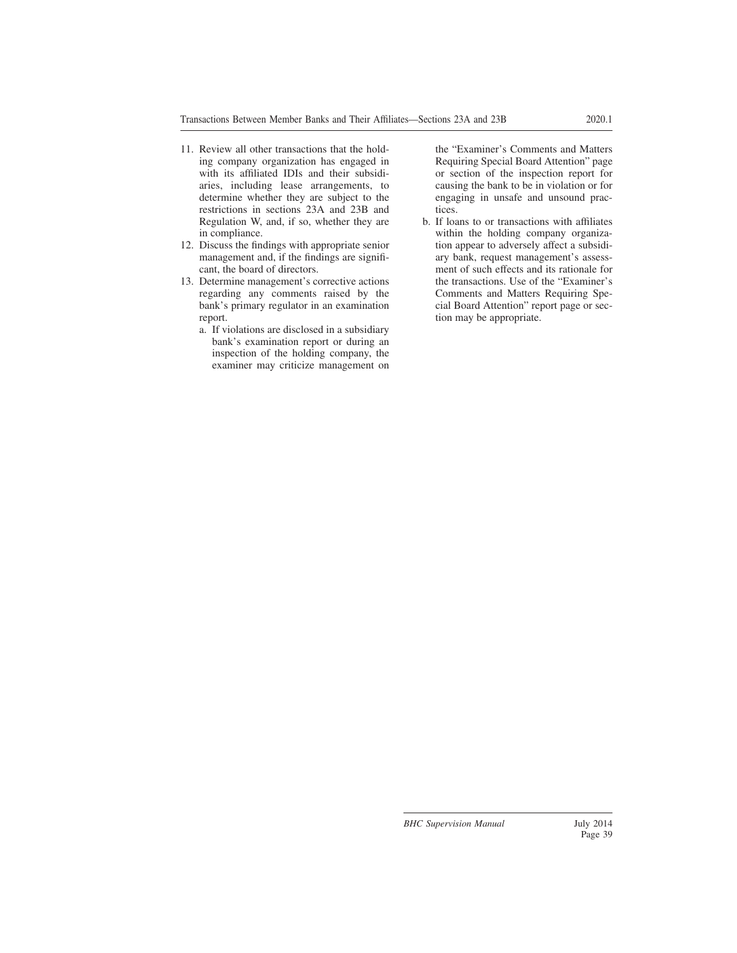- 11. Review all other transactions that the holding company organization has engaged in with its affiliated IDIs and their subsidiaries, including lease arrangements, to determine whether they are subject to the restrictions in sections 23A and 23B and Regulation W, and, if so, whether they are in compliance.
- 12. Discuss the findings with appropriate senior management and, if the findings are significant, the board of directors.
- 13. Determine management's corrective actions regarding any comments raised by the bank's primary regulator in an examination report.
	- a. If violations are disclosed in a subsidiary bank's examination report or during an inspection of the holding company, the examiner may criticize management on

the "Examiner's Comments and Matters Requiring Special Board Attention" page or section of the inspection report for causing the bank to be in violation or for engaging in unsafe and unsound practices.

b. If loans to or transactions with affiliates within the holding company organization appear to adversely affect a subsidiary bank, request management's assessment of such effects and its rationale for the transactions. Use of the "Examiner's Comments and Matters Requiring Special Board Attention" report page or section may be appropriate.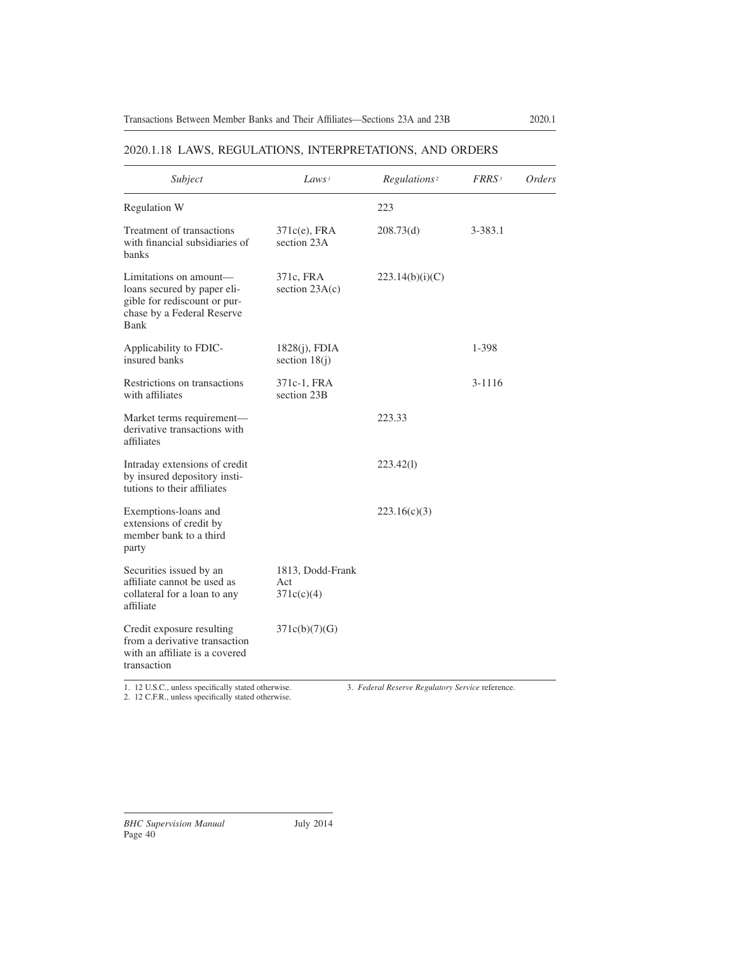| .<br>۰.<br>× |
|--------------|
|--------------|

| Subject                                                                                                                     | Laws <sup>1</sup>                     | Regulations <sup>2</sup> | <b>FRRS</b> <sup>3</sup> | <b>Orders</b> |
|-----------------------------------------------------------------------------------------------------------------------------|---------------------------------------|--------------------------|--------------------------|---------------|
| Regulation W                                                                                                                |                                       | 223                      |                          |               |
| Treatment of transactions<br>with financial subsidiaries of<br>banks                                                        | $371c(e)$ , FRA<br>section 23A        | 208.73(d)                | 3-383.1                  |               |
| Limitations on amount—<br>loans secured by paper eli-<br>gible for rediscount or pur-<br>chase by a Federal Reserve<br>Bank | 371c, FRA<br>section $23A(c)$         | 223.14(b)(i)(C)          |                          |               |
| Applicability to FDIC-<br>insured banks                                                                                     | $1828(i)$ , FDIA<br>section $18(i)$   |                          | 1-398                    |               |
| Restrictions on transactions<br>with affiliates                                                                             | 371c-1, FRA<br>section 23B            |                          | $3 - 1116$               |               |
| Market terms requirement—<br>derivative transactions with<br>affiliates                                                     |                                       | 223.33                   |                          |               |
| Intraday extensions of credit<br>by insured depository insti-<br>tutions to their affiliates                                |                                       | 223.42(l)                |                          |               |
| Exemptions-loans and<br>extensions of credit by<br>member bank to a third<br>party                                          |                                       | 223.16(c)(3)             |                          |               |
| Securities issued by an<br>affiliate cannot be used as<br>collateral for a loan to any<br>affiliate                         | 1813, Dodd-Frank<br>Act<br>371c(c)(4) |                          |                          |               |
| Credit exposure resulting<br>from a derivative transaction<br>with an affiliate is a covered<br>transaction                 | 371c(b)(7)(G)                         |                          |                          |               |

# 2020.1.18 LAWS, REGULATIONS, INTERPRETATIONS, AND ORDERS

1. 12 U.S.C., unless specifically stated otherwise.

2. 12 C.F.R., unless specifically stated otherwise.

3. *Federal Reserve Regulatory Service* reference.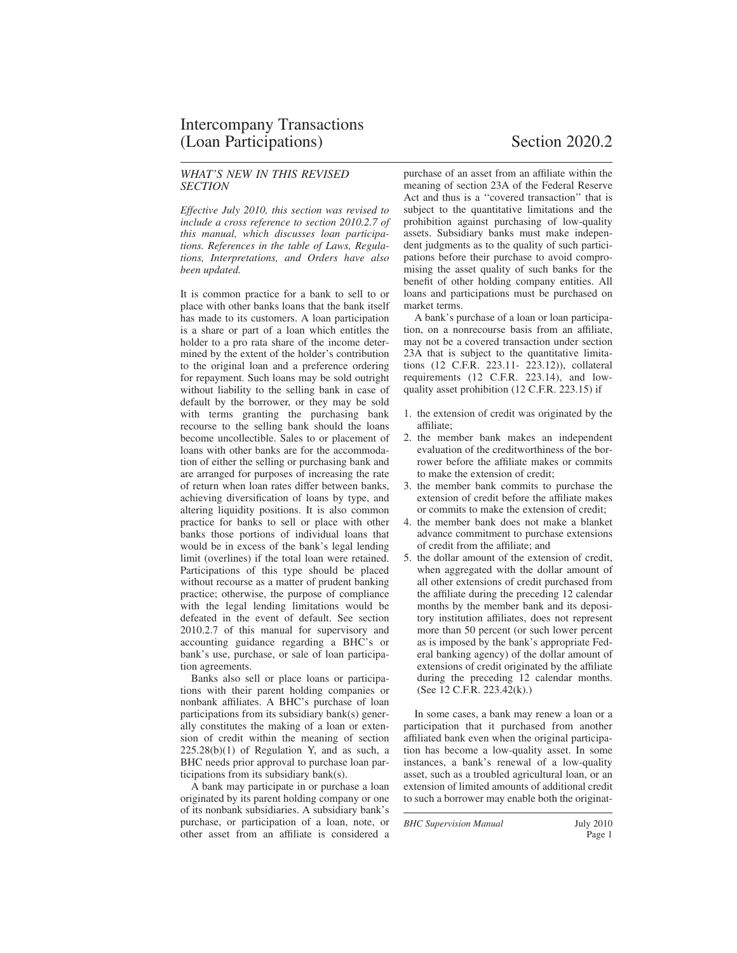#### *WHAT'S NEW IN THIS REVISED SECTION*

*Effective July 2010, this section was revised to include a cross reference to section 2010.2.7 of this manual, which discusses loan participations. References in the table of Laws, Regulations, Interpretations, and Orders have also been updated.*

It is common practice for a bank to sell to or place with other banks loans that the bank itself has made to its customers. A loan participation is a share or part of a loan which entitles the holder to a pro rata share of the income determined by the extent of the holder's contribution to the original loan and a preference ordering for repayment. Such loans may be sold outright without liability to the selling bank in case of default by the borrower, or they may be sold with terms granting the purchasing bank recourse to the selling bank should the loans become uncollectible. Sales to or placement of loans with other banks are for the accommodation of either the selling or purchasing bank and are arranged for purposes of increasing the rate of return when loan rates differ between banks, achieving diversification of loans by type, and altering liquidity positions. It is also common practice for banks to sell or place with other banks those portions of individual loans that would be in excess of the bank's legal lending limit (overlines) if the total loan were retained. Participations of this type should be placed without recourse as a matter of prudent banking practice; otherwise, the purpose of compliance with the legal lending limitations would be defeated in the event of default. See section 2010.2.7 of this manual for supervisory and accounting guidance regarding a BHC's or bank's use, purchase, or sale of loan participation agreements.

Banks also sell or place loans or participations with their parent holding companies or nonbank affiliates. A BHC's purchase of loan participations from its subsidiary bank(s) generally constitutes the making of a loan or extension of credit within the meaning of section  $225.28(b)(1)$  of Regulation Y, and as such, a BHC needs prior approval to purchase loan participations from its subsidiary bank(s).

A bank may participate in or purchase a loan originated by its parent holding company or one of its nonbank subsidiaries. A subsidiary bank's purchase, or participation of a loan, note, or other asset from an affiliate is considered a purchase of an asset from an affiliate within the meaning of section 23A of the Federal Reserve Act and thus is a ''covered transaction'' that is subject to the quantitative limitations and the prohibition against purchasing of low-quality assets. Subsidiary banks must make independent judgments as to the quality of such participations before their purchase to avoid compromising the asset quality of such banks for the benefit of other holding company entities. All loans and participations must be purchased on market terms.

A bank's purchase of a loan or loan participation, on a nonrecourse basis from an affiliate, may not be a covered transaction under section 23A that is subject to the quantitative limitations (12 C.F.R. 223.11- 223.12)), collateral requirements (12 C.F.R. 223.14), and lowquality asset prohibition (12 C.F.R. 223.15) if

- 1. the extension of credit was originated by the affiliate;
- 2. the member bank makes an independent evaluation of the creditworthiness of the borrower before the affiliate makes or commits to make the extension of credit;
- 3. the member bank commits to purchase the extension of credit before the affiliate makes or commits to make the extension of credit;
- 4. the member bank does not make a blanket advance commitment to purchase extensions of credit from the affiliate; and
- 5. the dollar amount of the extension of credit, when aggregated with the dollar amount of all other extensions of credit purchased from the affiliate during the preceding 12 calendar months by the member bank and its depository institution affiliates, does not represent more than 50 percent (or such lower percent as is imposed by the bank's appropriate Federal banking agency) of the dollar amount of extensions of credit originated by the affiliate during the preceding 12 calendar months. (See 12 C.F.R. 223.42(k).)

In some cases, a bank may renew a loan or a participation that it purchased from another affiliated bank even when the original participation has become a low-quality asset. In some instances, a bank's renewal of a low-quality asset, such as a troubled agricultural loan, or an extension of limited amounts of additional credit to such a borrower may enable both the originat-

*BHC Supervision Manual* July 2010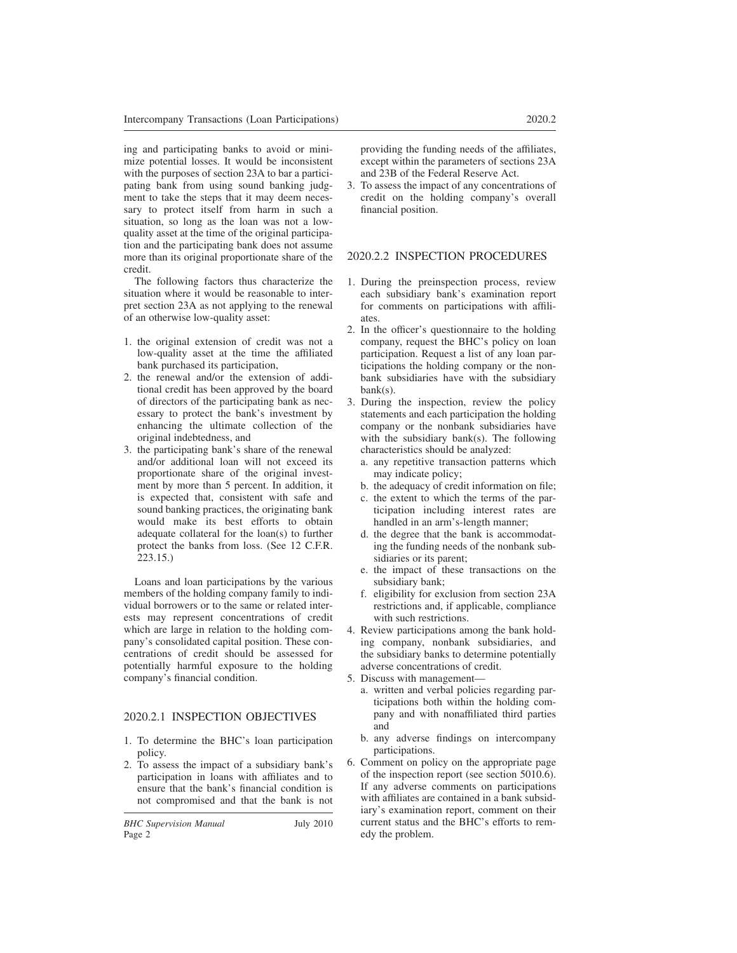ing and participating banks to avoid or minimize potential losses. It would be inconsistent with the purposes of section 23A to bar a participating bank from using sound banking judgment to take the steps that it may deem necessary to protect itself from harm in such a situation, so long as the loan was not a lowquality asset at the time of the original participation and the participating bank does not assume more than its original proportionate share of the credit.

The following factors thus characterize the situation where it would be reasonable to interpret section 23A as not applying to the renewal of an otherwise low-quality asset:

- 1. the original extension of credit was not a low-quality asset at the time the affiliated bank purchased its participation,
- 2. the renewal and/or the extension of additional credit has been approved by the board of directors of the participating bank as necessary to protect the bank's investment by enhancing the ultimate collection of the original indebtedness, and
- 3. the participating bank's share of the renewal and/or additional loan will not exceed its proportionate share of the original investment by more than 5 percent. In addition, it is expected that, consistent with safe and sound banking practices, the originating bank would make its best efforts to obtain adequate collateral for the loan(s) to further protect the banks from loss. (See 12 C.F.R. 223.15.)

Loans and loan participations by the various members of the holding company family to individual borrowers or to the same or related interests may represent concentrations of credit which are large in relation to the holding company's consolidated capital position. These concentrations of credit should be assessed for potentially harmful exposure to the holding company's financial condition.

# 2020.2.1 INSPECTION OBJECTIVES

- 1. To determine the BHC's loan participation policy.
- 2. To assess the impact of a subsidiary bank's participation in loans with affiliates and to ensure that the bank's financial condition is not compromised and that the bank is not

providing the funding needs of the affiliates, except within the parameters of sections 23A and 23B of the Federal Reserve Act.

3. To assess the impact of any concentrations of credit on the holding company's overall financial position.

## 2020.2.2 INSPECTION PROCEDURES

- 1. During the preinspection process, review each subsidiary bank's examination report for comments on participations with affiliates.
- 2. In the officer's questionnaire to the holding company, request the BHC's policy on loan participation. Request a list of any loan participations the holding company or the nonbank subsidiaries have with the subsidiary bank(s).
- 3. During the inspection, review the policy statements and each participation the holding company or the nonbank subsidiaries have with the subsidiary bank(s). The following characteristics should be analyzed:
	- a. any repetitive transaction patterns which may indicate policy;
	- b. the adequacy of credit information on file;
	- c. the extent to which the terms of the participation including interest rates are handled in an arm's-length manner;
	- d. the degree that the bank is accommodating the funding needs of the nonbank subsidiaries or its parent;
	- e. the impact of these transactions on the subsidiary bank;
	- f. eligibility for exclusion from section 23A restrictions and, if applicable, compliance with such restrictions.
- 4. Review participations among the bank holding company, nonbank subsidiaries, and the subsidiary banks to determine potentially adverse concentrations of credit.
- 5. Discuss with management
	- a. written and verbal policies regarding participations both within the holding company and with nonaffiliated third parties and
	- b. any adverse findings on intercompany participations.
- 6. Comment on policy on the appropriate page of the inspection report (see section 5010.6). If any adverse comments on participations with affiliates are contained in a bank subsidiary's examination report, comment on their current status and the BHC's efforts to remedy the problem.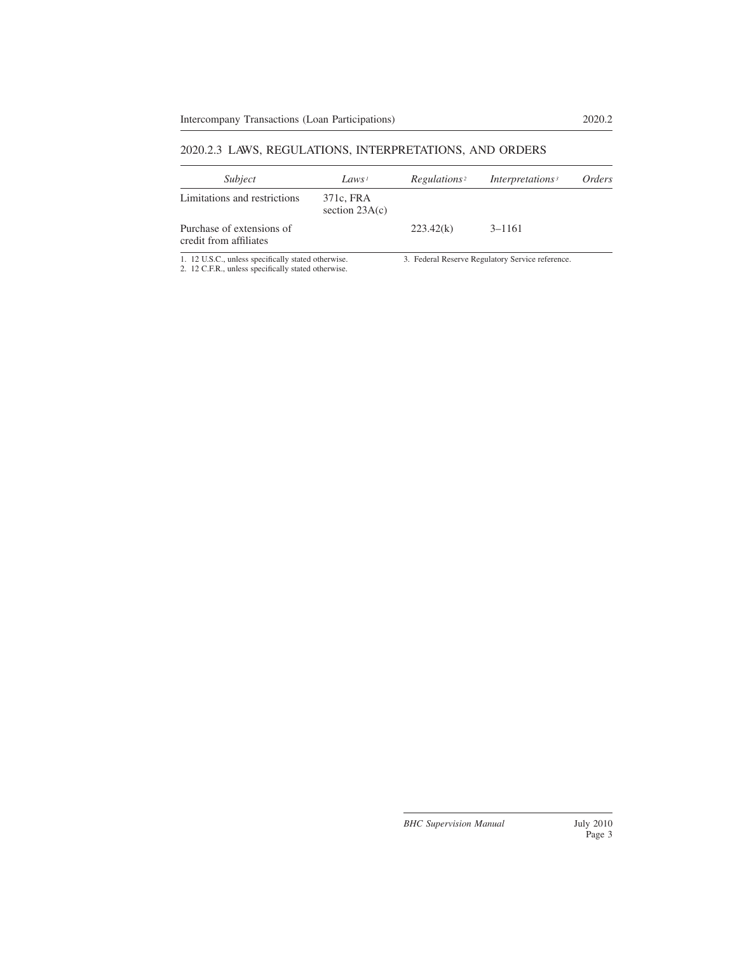# 2020.2.3 LAWS, REGULATIONS, INTERPRETATIONS, AND ORDERS

| Subject                                             | Laws <sup>1</sup>             | Regulations <sup>2</sup> | Interpretations <sup>3</sup> | <i>Orders</i> |
|-----------------------------------------------------|-------------------------------|--------------------------|------------------------------|---------------|
| Limitations and restrictions                        | 371c, FRA<br>section $23A(c)$ |                          |                              |               |
| Purchase of extensions of<br>credit from affiliates |                               | 223.42(k)                | $3 - 1161$                   |               |

1. 12 U.S.C., unless specifically stated otherwise.

3. Federal Reserve Regulatory Service reference.

2. 12 C.F.R., unless specifically stated otherwise.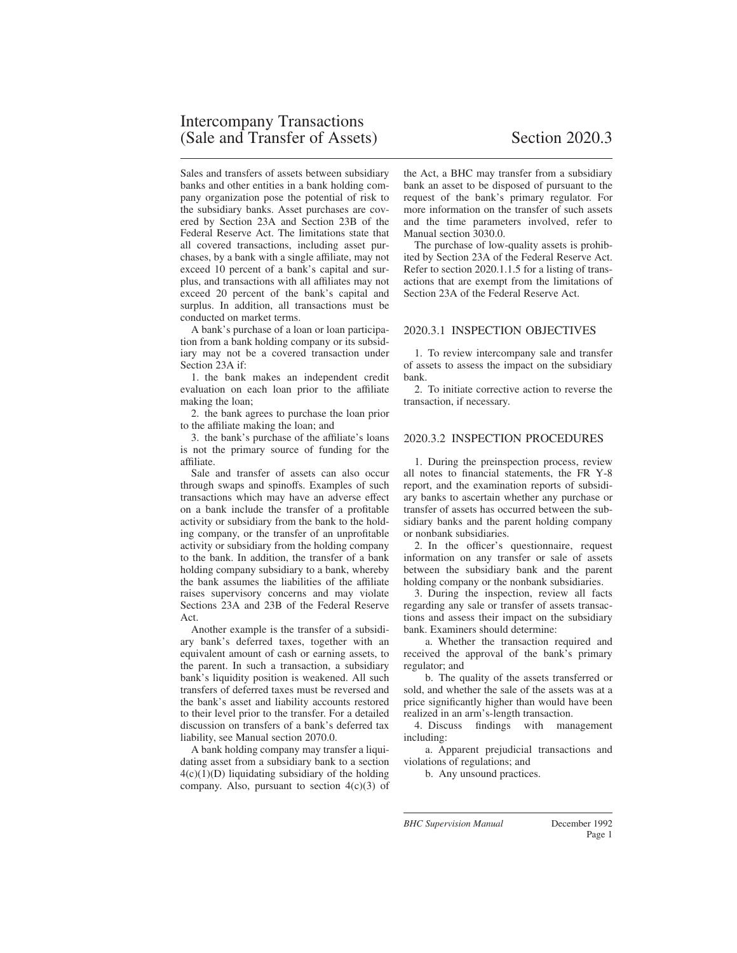Sales and transfers of assets between subsidiary banks and other entities in a bank holding company organization pose the potential of risk to the subsidiary banks. Asset purchases are covered by Section 23A and Section 23B of the Federal Reserve Act. The limitations state that all covered transactions, including asset purchases, by a bank with a single affiliate, may not exceed 10 percent of a bank's capital and surplus, and transactions with all affiliates may not exceed 20 percent of the bank's capital and surplus. In addition, all transactions must be conducted on market terms.

A bank's purchase of a loan or loan participation from a bank holding company or its subsidiary may not be a covered transaction under Section 23A if:

1. the bank makes an independent credit evaluation on each loan prior to the affiliate making the loan;

2. the bank agrees to purchase the loan prior to the affiliate making the loan; and

3. the bank's purchase of the affiliate's loans is not the primary source of funding for the affiliate.

Sale and transfer of assets can also occur through swaps and spinoffs. Examples of such transactions which may have an adverse effect on a bank include the transfer of a profitable activity or subsidiary from the bank to the holding company, or the transfer of an unprofitable activity or subsidiary from the holding company to the bank. In addition, the transfer of a bank holding company subsidiary to a bank, whereby the bank assumes the liabilities of the affiliate raises supervisory concerns and may violate Sections 23A and 23B of the Federal Reserve Act.

Another example is the transfer of a subsidiary bank's deferred taxes, together with an equivalent amount of cash or earning assets, to the parent. In such a transaction, a subsidiary bank's liquidity position is weakened. All such transfers of deferred taxes must be reversed and the bank's asset and liability accounts restored to their level prior to the transfer. For a detailed discussion on transfers of a bank's deferred tax liability, see Manual section 2070.0.

A bank holding company may transfer a liquidating asset from a subsidiary bank to a section  $4(c)(1)(D)$  liquidating subsidiary of the holding company. Also, pursuant to section  $4(c)(3)$  of the Act, a BHC may transfer from a subsidiary bank an asset to be disposed of pursuant to the request of the bank's primary regulator. For more information on the transfer of such assets and the time parameters involved, refer to Manual section 3030.0.

The purchase of low-quality assets is prohibited by Section 23A of the Federal Reserve Act. Refer to section 2020.1.1.5 for a listing of transactions that are exempt from the limitations of Section 23A of the Federal Reserve Act.

## 2020.3.1 INSPECTION OBJECTIVES

1. To review intercompany sale and transfer of assets to assess the impact on the subsidiary bank.

2. To initiate corrective action to reverse the transaction, if necessary.

## 2020.3.2 INSPECTION PROCEDURES

1. During the preinspection process, review all notes to financial statements, the FR Y-8 report, and the examination reports of subsidiary banks to ascertain whether any purchase or transfer of assets has occurred between the subsidiary banks and the parent holding company or nonbank subsidiaries.

2. In the officer's questionnaire, request information on any transfer or sale of assets between the subsidiary bank and the parent holding company or the nonbank subsidiaries.

3. During the inspection, review all facts regarding any sale or transfer of assets transactions and assess their impact on the subsidiary bank. Examiners should determine:

a. Whether the transaction required and received the approval of the bank's primary regulator; and

b. The quality of the assets transferred or sold, and whether the sale of the assets was at a price significantly higher than would have been realized in an arm's-length transaction.

4. Discuss findings with management including:

a. Apparent prejudicial transactions and violations of regulations; and

b. Any unsound practices.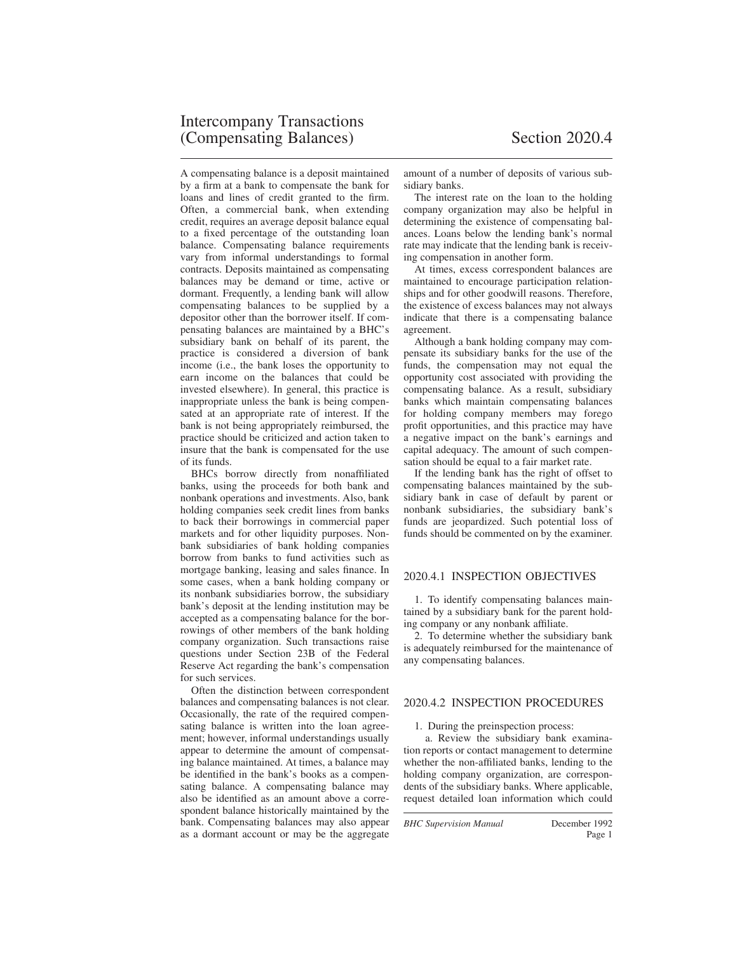A compensating balance is a deposit maintained by a firm at a bank to compensate the bank for loans and lines of credit granted to the firm. Often, a commercial bank, when extending credit, requires an average deposit balance equal to a fixed percentage of the outstanding loan balance. Compensating balance requirements vary from informal understandings to formal contracts. Deposits maintained as compensating balances may be demand or time, active or dormant. Frequently, a lending bank will allow compensating balances to be supplied by a depositor other than the borrower itself. If compensating balances are maintained by a BHC's subsidiary bank on behalf of its parent, the practice is considered a diversion of bank income (i.e., the bank loses the opportunity to earn income on the balances that could be invested elsewhere). In general, this practice is inappropriate unless the bank is being compensated at an appropriate rate of interest. If the bank is not being appropriately reimbursed, the practice should be criticized and action taken to insure that the bank is compensated for the use of its funds.

BHCs borrow directly from nonaffiliated banks, using the proceeds for both bank and nonbank operations and investments. Also, bank holding companies seek credit lines from banks to back their borrowings in commercial paper markets and for other liquidity purposes. Nonbank subsidiaries of bank holding companies borrow from banks to fund activities such as mortgage banking, leasing and sales finance. In some cases, when a bank holding company or its nonbank subsidiaries borrow, the subsidiary bank's deposit at the lending institution may be accepted as a compensating balance for the borrowings of other members of the bank holding company organization. Such transactions raise questions under Section 23B of the Federal Reserve Act regarding the bank's compensation for such services.

Often the distinction between correspondent balances and compensating balances is not clear. Occasionally, the rate of the required compensating balance is written into the loan agreement; however, informal understandings usually appear to determine the amount of compensating balance maintained. At times, a balance may be identified in the bank's books as a compensating balance. A compensating balance may also be identified as an amount above a correspondent balance historically maintained by the bank. Compensating balances may also appear as a dormant account or may be the aggregate amount of a number of deposits of various subsidiary banks.

The interest rate on the loan to the holding company organization may also be helpful in determining the existence of compensating balances. Loans below the lending bank's normal rate may indicate that the lending bank is receiving compensation in another form.

At times, excess correspondent balances are maintained to encourage participation relationships and for other goodwill reasons. Therefore, the existence of excess balances may not always indicate that there is a compensating balance agreement.

Although a bank holding company may compensate its subsidiary banks for the use of the funds, the compensation may not equal the opportunity cost associated with providing the compensating balance. As a result, subsidiary banks which maintain compensating balances for holding company members may forego profit opportunities, and this practice may have a negative impact on the bank's earnings and capital adequacy. The amount of such compensation should be equal to a fair market rate.

If the lending bank has the right of offset to compensating balances maintained by the subsidiary bank in case of default by parent or nonbank subsidiaries, the subsidiary bank's funds are jeopardized. Such potential loss of funds should be commented on by the examiner.

#### 2020.4.1 INSPECTION OBJECTIVES

1. To identify compensating balances maintained by a subsidiary bank for the parent holding company or any nonbank affiliate.

2. To determine whether the subsidiary bank is adequately reimbursed for the maintenance of any compensating balances.

#### 2020.4.2 INSPECTION PROCEDURES

1. During the preinspection process:

a. Review the subsidiary bank examination reports or contact management to determine whether the non-affiliated banks, lending to the holding company organization, are correspondents of the subsidiary banks. Where applicable, request detailed loan information which could

*BHC Supervision Manual* December 1992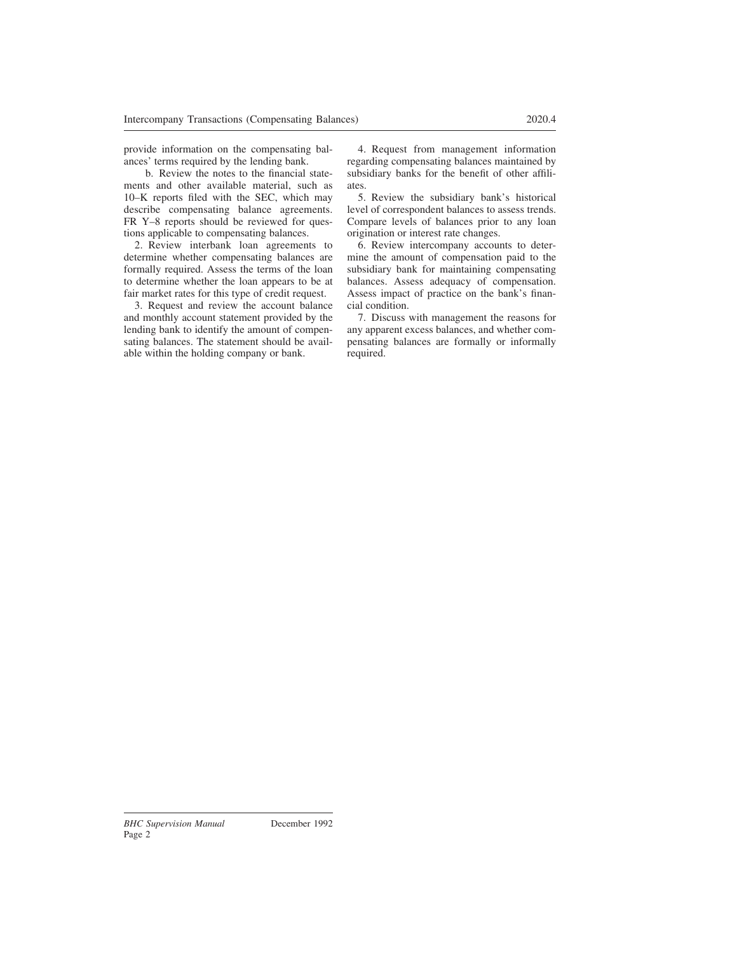provide information on the compensating balances' terms required by the lending bank.

b. Review the notes to the financial statements and other available material, such as 10–K reports filed with the SEC, which may describe compensating balance agreements. FR Y–8 reports should be reviewed for questions applicable to compensating balances.

2. Review interbank loan agreements to determine whether compensating balances are formally required. Assess the terms of the loan to determine whether the loan appears to be at fair market rates for this type of credit request.

3. Request and review the account balance and monthly account statement provided by the lending bank to identify the amount of compensating balances. The statement should be available within the holding company or bank.

4. Request from management information regarding compensating balances maintained by subsidiary banks for the benefit of other affiliates.

5. Review the subsidiary bank's historical level of correspondent balances to assess trends. Compare levels of balances prior to any loan origination or interest rate changes.

6. Review intercompany accounts to determine the amount of compensation paid to the subsidiary bank for maintaining compensating balances. Assess adequacy of compensation. Assess impact of practice on the bank's financial condition.

7. Discuss with management the reasons for any apparent excess balances, and whether compensating balances are formally or informally required.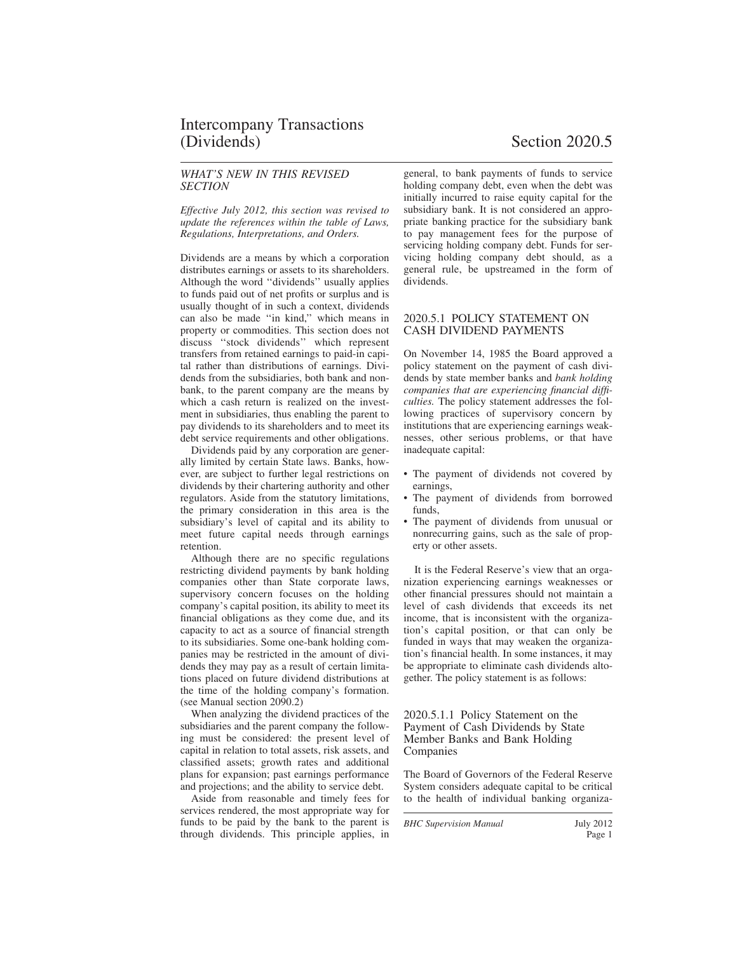## *WHAT'S NEW IN THIS REVISED SECTION*

*Effective July 2012, this section was revised to update the references within the table of Laws, Regulations, Interpretations, and Orders.*

Dividends are a means by which a corporation distributes earnings or assets to its shareholders. Although the word ''dividends'' usually applies to funds paid out of net profits or surplus and is usually thought of in such a context, dividends can also be made ''in kind,'' which means in property or commodities. This section does not discuss ''stock dividends'' which represent transfers from retained earnings to paid-in capital rather than distributions of earnings. Dividends from the subsidiaries, both bank and nonbank, to the parent company are the means by which a cash return is realized on the investment in subsidiaries, thus enabling the parent to pay dividends to its shareholders and to meet its debt service requirements and other obligations.

Dividends paid by any corporation are generally limited by certain State laws. Banks, however, are subject to further legal restrictions on dividends by their chartering authority and other regulators. Aside from the statutory limitations, the primary consideration in this area is the subsidiary's level of capital and its ability to meet future capital needs through earnings retention.

Although there are no specific regulations restricting dividend payments by bank holding companies other than State corporate laws, supervisory concern focuses on the holding company's capital position, its ability to meet its financial obligations as they come due, and its capacity to act as a source of financial strength to its subsidiaries. Some one-bank holding companies may be restricted in the amount of dividends they may pay as a result of certain limitations placed on future dividend distributions at the time of the holding company's formation. (see Manual section 2090.2)

When analyzing the dividend practices of the subsidiaries and the parent company the following must be considered: the present level of capital in relation to total assets, risk assets, and classified assets; growth rates and additional plans for expansion; past earnings performance and projections; and the ability to service debt.

Aside from reasonable and timely fees for services rendered, the most appropriate way for funds to be paid by the bank to the parent is through dividends. This principle applies, in general, to bank payments of funds to service holding company debt, even when the debt was initially incurred to raise equity capital for the subsidiary bank. It is not considered an appropriate banking practice for the subsidiary bank to pay management fees for the purpose of servicing holding company debt. Funds for servicing holding company debt should, as a general rule, be upstreamed in the form of dividends.

## 2020.5.1 POLICY STATEMENT ON CASH DIVIDEND PAYMENTS

On November 14, 1985 the Board approved a policy statement on the payment of cash dividends by state member banks and *bank holding companies that are experiencing financial difficulties.* The policy statement addresses the following practices of supervisory concern by institutions that are experiencing earnings weaknesses, other serious problems, or that have inadequate capital:

- The payment of dividends not covered by earnings,
- The payment of dividends from borrowed funds,
- The payment of dividends from unusual or nonrecurring gains, such as the sale of property or other assets.

It is the Federal Reserve's view that an organization experiencing earnings weaknesses or other financial pressures should not maintain a level of cash dividends that exceeds its net income, that is inconsistent with the organization's capital position, or that can only be funded in ways that may weaken the organization's financial health. In some instances, it may be appropriate to eliminate cash dividends altogether. The policy statement is as follows:

2020.5.1.1 Policy Statement on the Payment of Cash Dividends by State Member Banks and Bank Holding Companies

The Board of Governors of the Federal Reserve System considers adequate capital to be critical to the health of individual banking organiza-

*BHC Supervision Manual* July 2012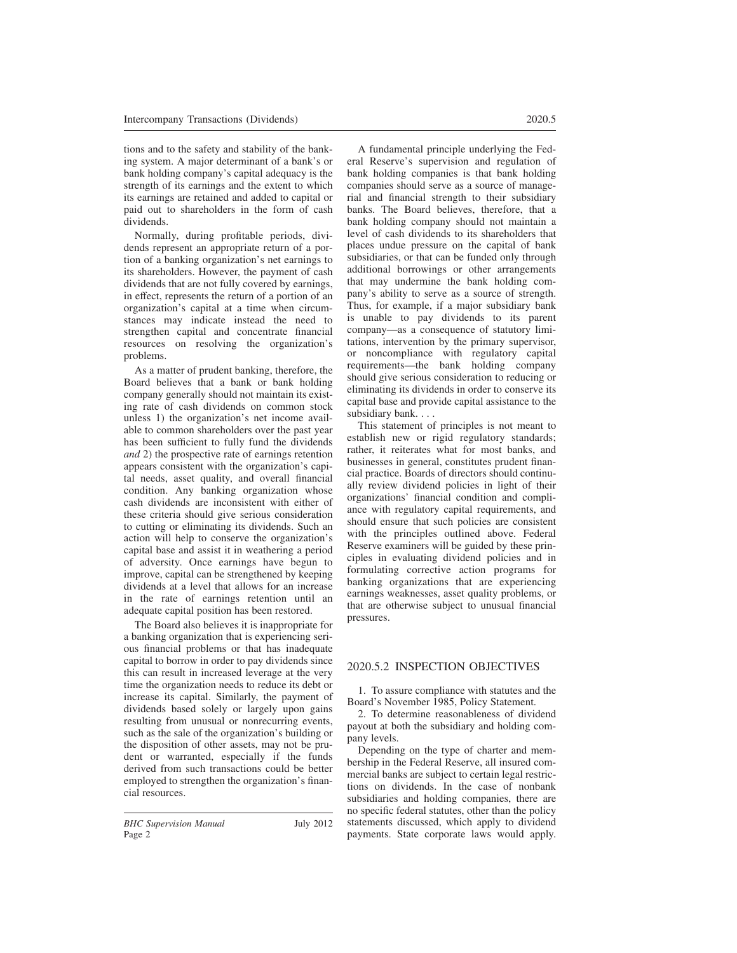tions and to the safety and stability of the banking system. A major determinant of a bank's or bank holding company's capital adequacy is the strength of its earnings and the extent to which its earnings are retained and added to capital or paid out to shareholders in the form of cash dividends.

Normally, during profitable periods, dividends represent an appropriate return of a portion of a banking organization's net earnings to its shareholders. However, the payment of cash dividends that are not fully covered by earnings, in effect, represents the return of a portion of an organization's capital at a time when circumstances may indicate instead the need to strengthen capital and concentrate financial resources on resolving the organization's problems.

As a matter of prudent banking, therefore, the Board believes that a bank or bank holding company generally should not maintain its existing rate of cash dividends on common stock unless 1) the organization's net income available to common shareholders over the past year has been sufficient to fully fund the dividends *and* 2) the prospective rate of earnings retention appears consistent with the organization's capital needs, asset quality, and overall financial condition. Any banking organization whose cash dividends are inconsistent with either of these criteria should give serious consideration to cutting or eliminating its dividends. Such an action will help to conserve the organization's capital base and assist it in weathering a period of adversity. Once earnings have begun to improve, capital can be strengthened by keeping dividends at a level that allows for an increase in the rate of earnings retention until an adequate capital position has been restored.

The Board also believes it is inappropriate for a banking organization that is experiencing serious financial problems or that has inadequate capital to borrow in order to pay dividends since this can result in increased leverage at the very time the organization needs to reduce its debt or increase its capital. Similarly, the payment of dividends based solely or largely upon gains resulting from unusual or nonrecurring events, such as the sale of the organization's building or the disposition of other assets, may not be prudent or warranted, especially if the funds derived from such transactions could be better employed to strengthen the organization's financial resources.

A fundamental principle underlying the Federal Reserve's supervision and regulation of bank holding companies is that bank holding companies should serve as a source of managerial and financial strength to their subsidiary banks. The Board believes, therefore, that a bank holding company should not maintain a level of cash dividends to its shareholders that places undue pressure on the capital of bank subsidiaries, or that can be funded only through additional borrowings or other arrangements that may undermine the bank holding company's ability to serve as a source of strength. Thus, for example, if a major subsidiary bank is unable to pay dividends to its parent company—as a consequence of statutory limitations, intervention by the primary supervisor, or noncompliance with regulatory capital requirements—the bank holding company should give serious consideration to reducing or eliminating its dividends in order to conserve its capital base and provide capital assistance to the

subsidiary bank. . . . This statement of principles is not meant to establish new or rigid regulatory standards; rather, it reiterates what for most banks, and businesses in general, constitutes prudent financial practice. Boards of directors should continually review dividend policies in light of their organizations' financial condition and compliance with regulatory capital requirements, and should ensure that such policies are consistent with the principles outlined above. Federal Reserve examiners will be guided by these principles in evaluating dividend policies and in formulating corrective action programs for banking organizations that are experiencing earnings weaknesses, asset quality problems, or that are otherwise subject to unusual financial pressures.

# 2020.5.2 INSPECTION OBJECTIVES

1. To assure compliance with statutes and the Board's November 1985, Policy Statement.

2. To determine reasonableness of dividend payout at both the subsidiary and holding company levels.

Depending on the type of charter and membership in the Federal Reserve, all insured commercial banks are subject to certain legal restrictions on dividends. In the case of nonbank subsidiaries and holding companies, there are no specific federal statutes, other than the policy statements discussed, which apply to dividend payments. State corporate laws would apply.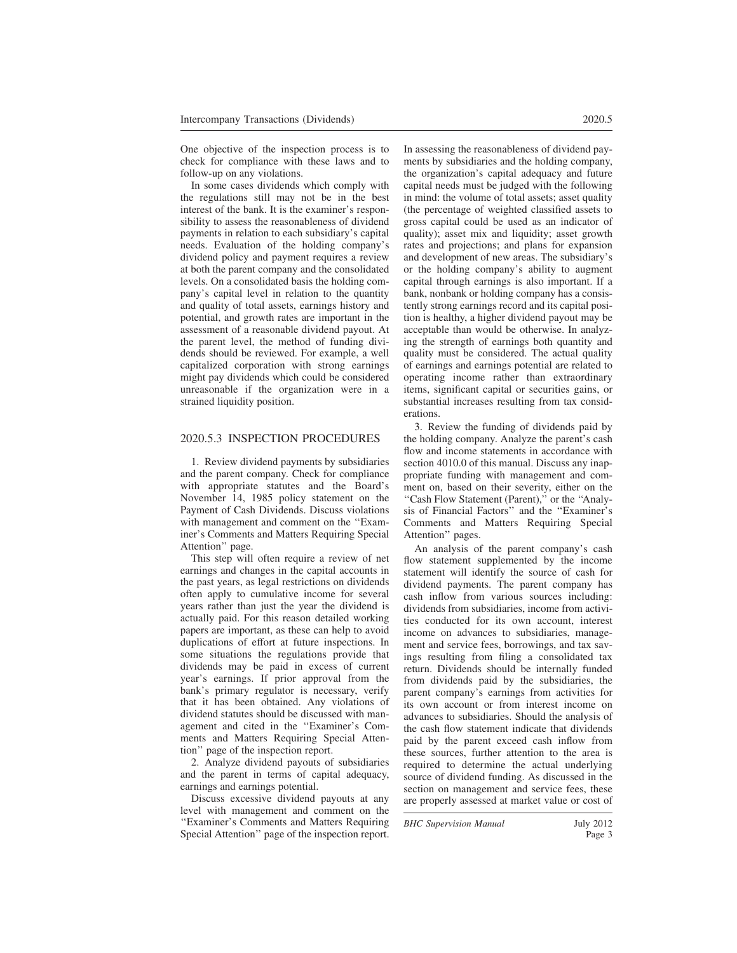One objective of the inspection process is to check for compliance with these laws and to follow-up on any violations.

In some cases dividends which comply with the regulations still may not be in the best interest of the bank. It is the examiner's responsibility to assess the reasonableness of dividend payments in relation to each subsidiary's capital needs. Evaluation of the holding company's dividend policy and payment requires a review at both the parent company and the consolidated levels. On a consolidated basis the holding company's capital level in relation to the quantity and quality of total assets, earnings history and potential, and growth rates are important in the assessment of a reasonable dividend payout. At the parent level, the method of funding dividends should be reviewed. For example, a well capitalized corporation with strong earnings might pay dividends which could be considered unreasonable if the organization were in a strained liquidity position.

# 2020.5.3 INSPECTION PROCEDURES

1. Review dividend payments by subsidiaries and the parent company. Check for compliance with appropriate statutes and the Board's November 14, 1985 policy statement on the Payment of Cash Dividends. Discuss violations with management and comment on the "Examiner's Comments and Matters Requiring Special Attention'' page.

This step will often require a review of net earnings and changes in the capital accounts in the past years, as legal restrictions on dividends often apply to cumulative income for several years rather than just the year the dividend is actually paid. For this reason detailed working papers are important, as these can help to avoid duplications of effort at future inspections. In some situations the regulations provide that dividends may be paid in excess of current year's earnings. If prior approval from the bank's primary regulator is necessary, verify that it has been obtained. Any violations of dividend statutes should be discussed with management and cited in the ''Examiner's Comments and Matters Requiring Special Attention'' page of the inspection report.

2. Analyze dividend payouts of subsidiaries and the parent in terms of capital adequacy, earnings and earnings potential.

Discuss excessive dividend payouts at any level with management and comment on the ''Examiner's Comments and Matters Requiring Special Attention'' page of the inspection report. In assessing the reasonableness of dividend payments by subsidiaries and the holding company, the organization's capital adequacy and future capital needs must be judged with the following in mind: the volume of total assets; asset quality (the percentage of weighted classified assets to gross capital could be used as an indicator of quality); asset mix and liquidity; asset growth rates and projections; and plans for expansion and development of new areas. The subsidiary's or the holding company's ability to augment capital through earnings is also important. If a bank, nonbank or holding company has a consistently strong earnings record and its capital position is healthy, a higher dividend payout may be acceptable than would be otherwise. In analyzing the strength of earnings both quantity and quality must be considered. The actual quality of earnings and earnings potential are related to operating income rather than extraordinary items, significant capital or securities gains, or substantial increases resulting from tax considerations.

3. Review the funding of dividends paid by the holding company. Analyze the parent's cash flow and income statements in accordance with section 4010.0 of this manual. Discuss any inappropriate funding with management and comment on, based on their severity, either on the ''Cash Flow Statement (Parent),'' or the ''Analysis of Financial Factors'' and the ''Examiner's Comments and Matters Requiring Special Attention'' pages.

An analysis of the parent company's cash flow statement supplemented by the income statement will identify the source of cash for dividend payments. The parent company has cash inflow from various sources including: dividends from subsidiaries, income from activities conducted for its own account, interest income on advances to subsidiaries, management and service fees, borrowings, and tax savings resulting from filing a consolidated tax return. Dividends should be internally funded from dividends paid by the subsidiaries, the parent company's earnings from activities for its own account or from interest income on advances to subsidiaries. Should the analysis of the cash flow statement indicate that dividends paid by the parent exceed cash inflow from these sources, further attention to the area is required to determine the actual underlying source of dividend funding. As discussed in the section on management and service fees, these are properly assessed at market value or cost of

*BHC Supervision Manual* July 2012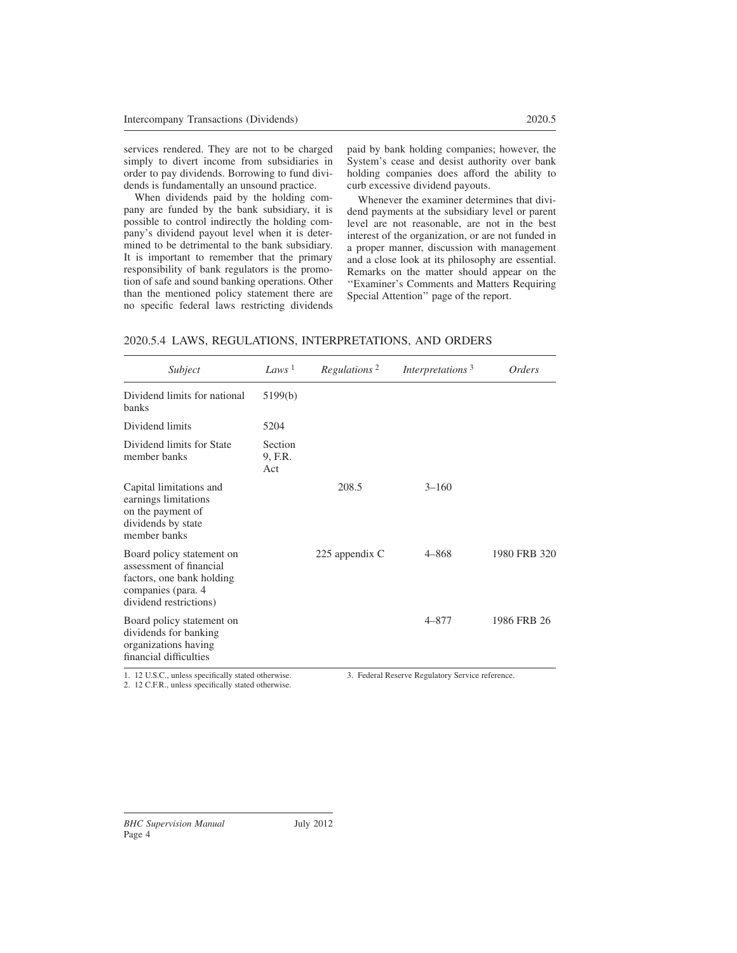services rendered. They are not to be charged simply to divert income from subsidiaries in order to pay dividends. Borrowing to fund dividends is fundamentally an unsound practice.

When dividends paid by the holding company are funded by the bank subsidiary, it is possible to control indirectly the holding company's dividend payout level when it is determined to be detrimental to the bank subsidiary. It is important to remember that the primary responsibility of bank regulators is the promotion of safe and sound banking operations. Other than the mentioned policy statement there are no specific federal laws restricting dividends paid by bank holding companies; however, the System's cease and desist authority over bank holding companies does afford the ability to curb excessive dividend payouts.

Whenever the examiner determines that dividend payments at the subsidiary level or parent level are not reasonable, are not in the best interest of the organization, or are not funded in a proper manner, discussion with management and a close look at its philosophy are essential. Remarks on the matter should appear on the ''Examiner's Comments and Matters Requiring Special Attention'' page of the report.

| Subject                                                                                                                           | Laws <sup>1</sup>         | Regulations <sup>2</sup> | Interpretations <sup>3</sup> | Orders       |
|-----------------------------------------------------------------------------------------------------------------------------------|---------------------------|--------------------------|------------------------------|--------------|
| Dividend limits for national<br>banks                                                                                             | 5199(b)                   |                          |                              |              |
| Dividend limits                                                                                                                   | 5204                      |                          |                              |              |
| Dividend limits for State<br>member banks                                                                                         | Section<br>9, F.R.<br>Act |                          |                              |              |
| Capital limitations and<br>earnings limitations<br>on the payment of<br>dividends by state<br>member banks                        |                           | 208.5                    | $3 - 160$                    |              |
| Board policy statement on<br>assessment of financial<br>factors, one bank holding<br>companies (para. 4<br>dividend restrictions) |                           | 225 appendix C           | $4 - 868$                    | 1980 FRB 320 |
| Board policy statement on<br>dividends for banking<br>organizations having<br>financial difficulties                              |                           |                          | $4 - 877$                    | 1986 FRB 26  |
|                                                                                                                                   |                           |                          |                              |              |

2020.5.4 LAWS, REGULATIONS, INTERPRETATIONS, AND ORDERS

1. 12 U.S.C., unless specifically stated otherwise.

3. Federal Reserve Regulatory Service reference.

2. 12 C.F.R., unless specifically stated otherwise.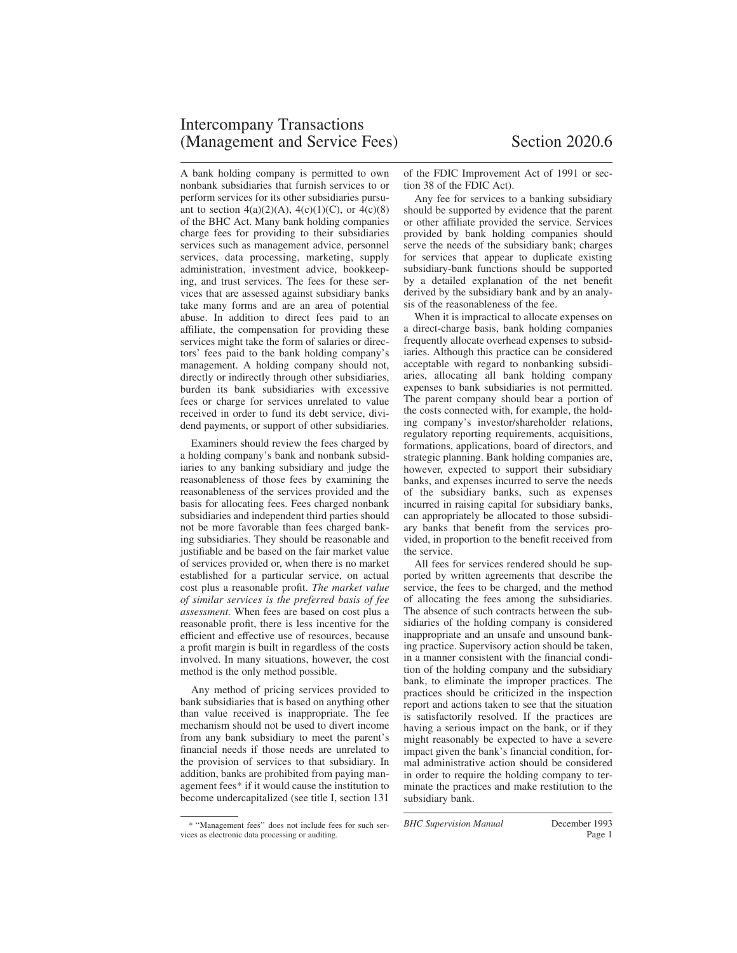A bank holding company is permitted to own nonbank subsidiaries that furnish services to or perform services for its other subsidiaries pursuant to section  $4(a)(2)(A)$ ,  $4(c)(1)(C)$ , or  $4(c)(8)$ of the BHC Act. Many bank holding companies charge fees for providing to their subsidiaries services such as management advice, personnel services, data processing, marketing, supply administration, investment advice, bookkeeping, and trust services. The fees for these services that are assessed against subsidiary banks take many forms and are an area of potential abuse. In addition to direct fees paid to an affiliate, the compensation for providing these services might take the form of salaries or directors' fees paid to the bank holding company's management. A holding company should not, directly or indirectly through other subsidiaries, burden its bank subsidiaries with excessive fees or charge for services unrelated to value received in order to fund its debt service, dividend payments, or support of other subsidiaries.

Examiners should review the fees charged by a holding company's bank and nonbank subsidiaries to any banking subsidiary and judge the reasonableness of those fees by examining the reasonableness of the services provided and the basis for allocating fees. Fees charged nonbank subsidiaries and independent third parties should not be more favorable than fees charged banking subsidiaries. They should be reasonable and justifiable and be based on the fair market value of services provided or, when there is no market established for a particular service, on actual cost plus a reasonable profit. *The market value of similar services is the preferred basis of fee assessment.* When fees are based on cost plus a reasonable profit, there is less incentive for the efficient and effective use of resources, because a profit margin is built in regardless of the costs involved. In many situations, however, the cost method is the only method possible.

Any method of pricing services provided to bank subsidiaries that is based on anything other than value received is inappropriate. The fee mechanism should not be used to divert income from any bank subsidiary to meet the parent's financial needs if those needs are unrelated to the provision of services to that subsidiary. In addition, banks are prohibited from paying management fees\* if it would cause the institution to become undercapitalized (see title I, section 131 of the FDIC Improvement Act of 1991 or section 38 of the FDIC Act).

Any fee for services to a banking subsidiary should be supported by evidence that the parent or other affiliate provided the service. Services provided by bank holding companies should serve the needs of the subsidiary bank; charges for services that appear to duplicate existing subsidiary-bank functions should be supported by a detailed explanation of the net benefit derived by the subsidiary bank and by an analysis of the reasonableness of the fee.

When it is impractical to allocate expenses on a direct-charge basis, bank holding companies frequently allocate overhead expenses to subsidiaries. Although this practice can be considered acceptable with regard to nonbanking subsidiaries, allocating all bank holding company expenses to bank subsidiaries is not permitted. The parent company should bear a portion of the costs connected with, for example, the holding company's investor/shareholder relations, regulatory reporting requirements, acquisitions, formations, applications, board of directors, and strategic planning. Bank holding companies are, however, expected to support their subsidiary banks, and expenses incurred to serve the needs of the subsidiary banks, such as expenses incurred in raising capital for subsidiary banks, can appropriately be allocated to those subsidiary banks that benefit from the services provided, in proportion to the benefit received from the service.

All fees for services rendered should be supported by written agreements that describe the service, the fees to be charged, and the method of allocating the fees among the subsidiaries. The absence of such contracts between the subsidiaries of the holding company is considered inappropriate and an unsafe and unsound banking practice. Supervisory action should be taken, in a manner consistent with the financial condition of the holding company and the subsidiary bank, to eliminate the improper practices. The practices should be criticized in the inspection report and actions taken to see that the situation is satisfactorily resolved. If the practices are having a serious impact on the bank, or if they might reasonably be expected to have a severe impact given the bank's financial condition, formal administrative action should be considered in order to require the holding company to terminate the practices and make restitution to the subsidiary bank.

<sup>\* &#</sup>x27;'Management fees'' does not include fees for such services as electronic data processing or auditing.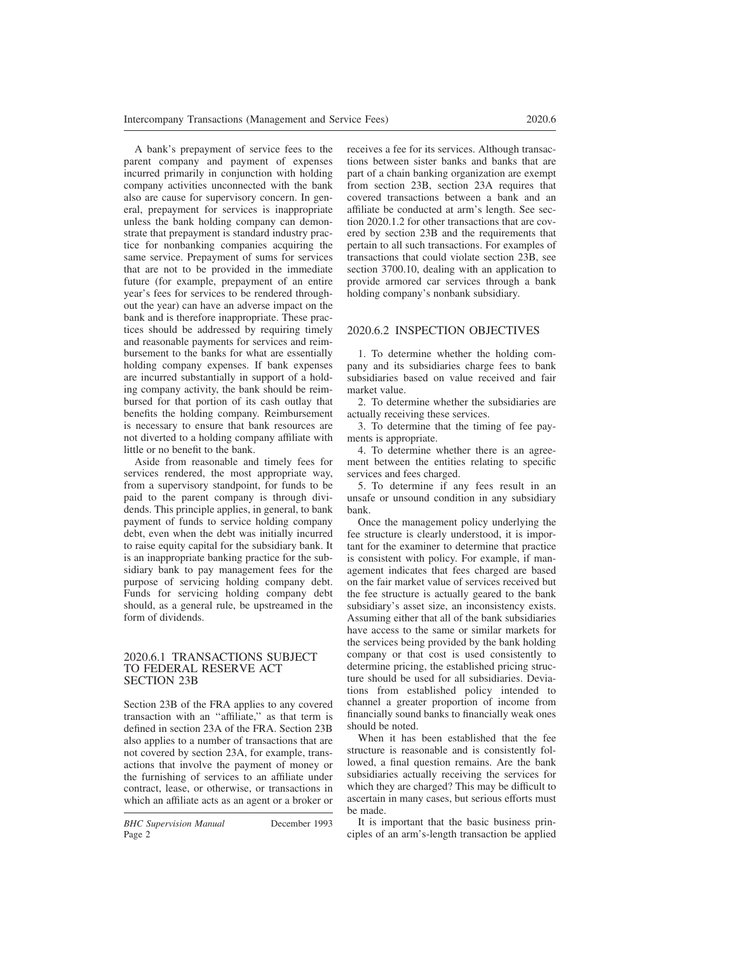A bank's prepayment of service fees to the parent company and payment of expenses incurred primarily in conjunction with holding company activities unconnected with the bank also are cause for supervisory concern. In general, prepayment for services is inappropriate unless the bank holding company can demonstrate that prepayment is standard industry practice for nonbanking companies acquiring the same service. Prepayment of sums for services that are not to be provided in the immediate future (for example, prepayment of an entire year's fees for services to be rendered throughout the year) can have an adverse impact on the bank and is therefore inappropriate. These practices should be addressed by requiring timely and reasonable payments for services and reimbursement to the banks for what are essentially holding company expenses. If bank expenses are incurred substantially in support of a holding company activity, the bank should be reimbursed for that portion of its cash outlay that benefits the holding company. Reimbursement is necessary to ensure that bank resources are not diverted to a holding company affiliate with little or no benefit to the bank.

Aside from reasonable and timely fees for services rendered, the most appropriate way, from a supervisory standpoint, for funds to be paid to the parent company is through dividends. This principle applies, in general, to bank payment of funds to service holding company debt, even when the debt was initially incurred to raise equity capital for the subsidiary bank. It is an inappropriate banking practice for the subsidiary bank to pay management fees for the purpose of servicing holding company debt. Funds for servicing holding company debt should, as a general rule, be upstreamed in the form of dividends.

#### 2020.6.1 TRANSACTIONS SUBJECT TO FEDERAL RESERVE ACT SECTION 23B

Section 23B of the FRA applies to any covered transaction with an ''affiliate,'' as that term is defined in section 23A of the FRA. Section 23B also applies to a number of transactions that are not covered by section 23A, for example, transactions that involve the payment of money or the furnishing of services to an affiliate under contract, lease, or otherwise, or transactions in which an affiliate acts as an agent or a broker or receives a fee for its services. Although transactions between sister banks and banks that are part of a chain banking organization are exempt from section 23B, section 23A requires that covered transactions between a bank and an affiliate be conducted at arm's length. See section 2020.1.2 for other transactions that are covered by section 23B and the requirements that pertain to all such transactions. For examples of transactions that could violate section 23B, see section 3700.10, dealing with an application to provide armored car services through a bank holding company's nonbank subsidiary.

# 2020.6.2 INSPECTION OBJECTIVES

1. To determine whether the holding company and its subsidiaries charge fees to bank subsidiaries based on value received and fair market value.

2. To determine whether the subsidiaries are actually receiving these services.

3. To determine that the timing of fee payments is appropriate.

4. To determine whether there is an agreement between the entities relating to specific services and fees charged.

5. To determine if any fees result in an unsafe or unsound condition in any subsidiary bank.

Once the management policy underlying the fee structure is clearly understood, it is important for the examiner to determine that practice is consistent with policy. For example, if management indicates that fees charged are based on the fair market value of services received but the fee structure is actually geared to the bank subsidiary's asset size, an inconsistency exists. Assuming either that all of the bank subsidiaries have access to the same or similar markets for the services being provided by the bank holding company or that cost is used consistently to determine pricing, the established pricing structure should be used for all subsidiaries. Deviations from established policy intended to channel a greater proportion of income from financially sound banks to financially weak ones should be noted.

When it has been established that the fee structure is reasonable and is consistently followed, a final question remains. Are the bank subsidiaries actually receiving the services for which they are charged? This may be difficult to ascertain in many cases, but serious efforts must be made.

It is important that the basic business principles of an arm's-length transaction be applied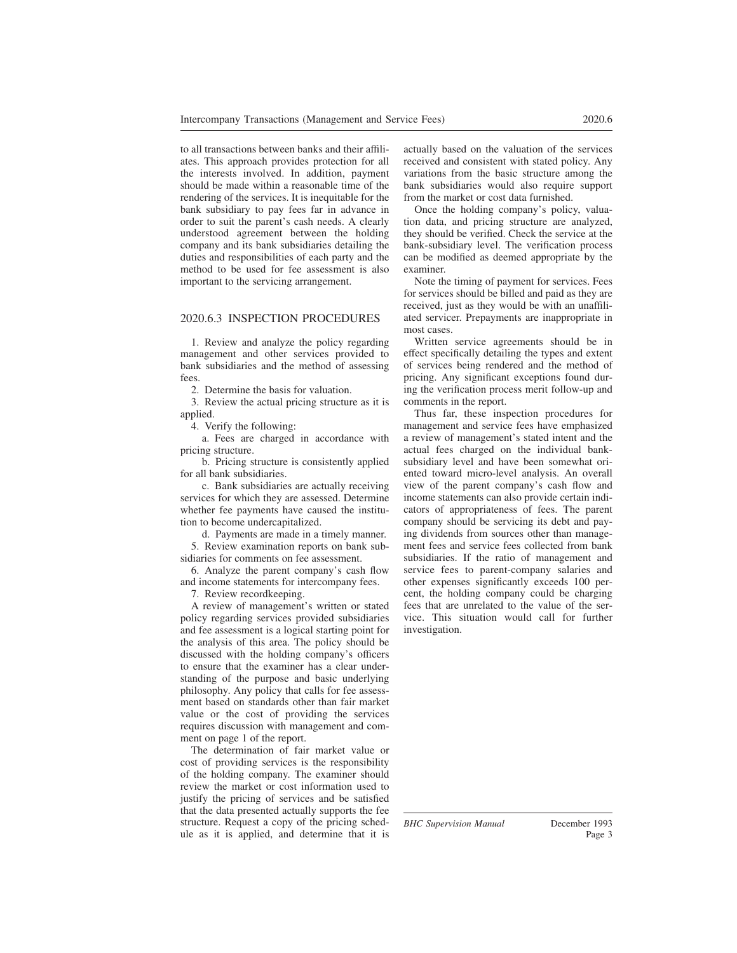to all transactions between banks and their affiliates. This approach provides protection for all the interests involved. In addition, payment should be made within a reasonable time of the rendering of the services. It is inequitable for the bank subsidiary to pay fees far in advance in order to suit the parent's cash needs. A clearly understood agreement between the holding company and its bank subsidiaries detailing the duties and responsibilities of each party and the method to be used for fee assessment is also important to the servicing arrangement.

## 2020.6.3 INSPECTION PROCEDURES

1. Review and analyze the policy regarding management and other services provided to bank subsidiaries and the method of assessing  $f_{\rho\rho\alpha}$ 

2. Determine the basis for valuation.

3. Review the actual pricing structure as it is applied.

4. Verify the following:

a. Fees are charged in accordance with pricing structure.

b. Pricing structure is consistently applied for all bank subsidiaries.

c. Bank subsidiaries are actually receiving services for which they are assessed. Determine whether fee payments have caused the institution to become undercapitalized.

d. Payments are made in a timely manner.

5. Review examination reports on bank subsidiaries for comments on fee assessment.

6. Analyze the parent company's cash flow and income statements for intercompany fees.

7. Review recordkeeping.

A review of management's written or stated policy regarding services provided subsidiaries and fee assessment is a logical starting point for the analysis of this area. The policy should be discussed with the holding company's officers to ensure that the examiner has a clear understanding of the purpose and basic underlying philosophy. Any policy that calls for fee assessment based on standards other than fair market value or the cost of providing the services requires discussion with management and comment on page 1 of the report.

The determination of fair market value or cost of providing services is the responsibility of the holding company. The examiner should review the market or cost information used to justify the pricing of services and be satisfied that the data presented actually supports the fee structure. Request a copy of the pricing schedule as it is applied, and determine that it is actually based on the valuation of the services received and consistent with stated policy. Any variations from the basic structure among the bank subsidiaries would also require support from the market or cost data furnished.

Once the holding company's policy, valuation data, and pricing structure are analyzed, they should be verified. Check the service at the bank-subsidiary level. The verification process can be modified as deemed appropriate by the examiner.

Note the timing of payment for services. Fees for services should be billed and paid as they are received, just as they would be with an unaffiliated servicer. Prepayments are inappropriate in most cases.

Written service agreements should be in effect specifically detailing the types and extent of services being rendered and the method of pricing. Any significant exceptions found during the verification process merit follow-up and comments in the report.

Thus far, these inspection procedures for management and service fees have emphasized a review of management's stated intent and the actual fees charged on the individual banksubsidiary level and have been somewhat oriented toward micro-level analysis. An overall view of the parent company's cash flow and income statements can also provide certain indicators of appropriateness of fees. The parent company should be servicing its debt and paying dividends from sources other than management fees and service fees collected from bank subsidiaries. If the ratio of management and service fees to parent-company salaries and other expenses significantly exceeds 100 percent, the holding company could be charging fees that are unrelated to the value of the service. This situation would call for further investigation.

*BHC Supervision Manual* December 1993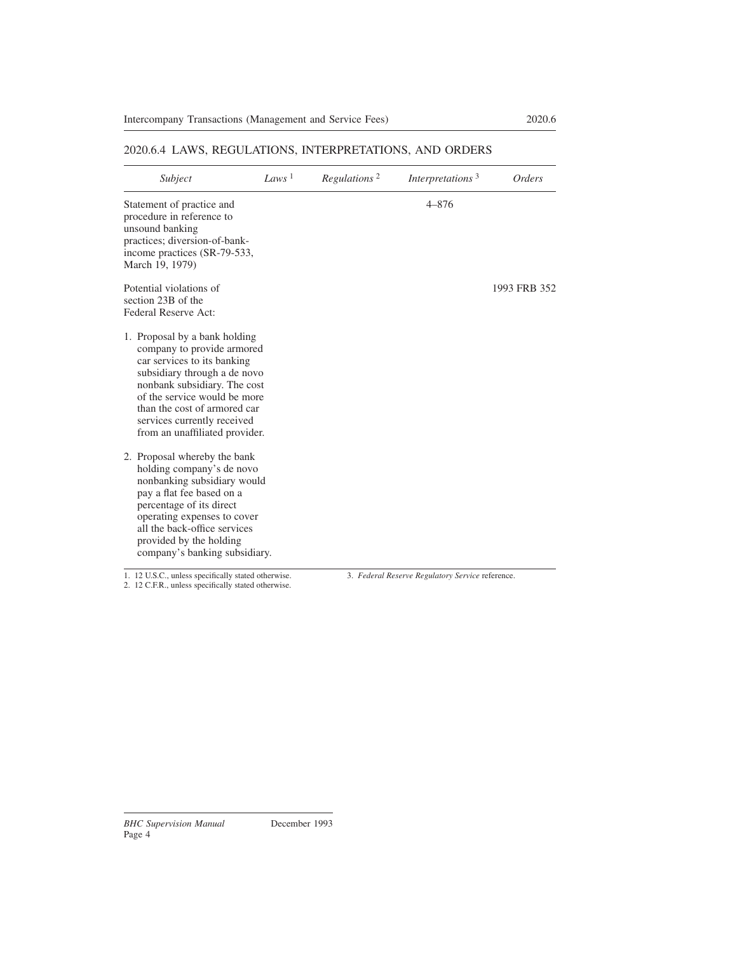# 2020.6.4 LAWS, REGULATIONS, INTERPRETATIONS, AND ORDERS

| Subject                                                                                                                                                                                                                                                                                     | Laws $1$ | Regulations <sup>2</sup> | Interpretations <sup>3</sup>                                                      | <b>Orders</b> |
|---------------------------------------------------------------------------------------------------------------------------------------------------------------------------------------------------------------------------------------------------------------------------------------------|----------|--------------------------|-----------------------------------------------------------------------------------|---------------|
| Statement of practice and<br>procedure in reference to<br>unsound banking<br>practices; diversion-of-bank-<br>income practices (SR-79-533,<br>March 19, 1979)                                                                                                                               |          |                          | $4 - 876$                                                                         |               |
| Potential violations of<br>section 23B of the<br>Federal Reserve Act:                                                                                                                                                                                                                       |          |                          |                                                                                   | 1993 FRB 352  |
| 1. Proposal by a bank holding<br>company to provide armored<br>car services to its banking<br>subsidiary through a de novo<br>nonbank subsidiary. The cost<br>of the service would be more<br>than the cost of armored car<br>services currently received<br>from an unaffiliated provider. |          |                          |                                                                                   |               |
| 2. Proposal whereby the bank<br>holding company's de novo<br>nonbanking subsidiary would<br>pay a flat fee based on a<br>percentage of its direct<br>operating expenses to cover<br>all the back-office services<br>provided by the holding<br>company's banking subsidiary.                |          |                          |                                                                                   |               |
| $12 \text{ H.S.}$ $\alpha$ unless specifically stated athouvies                                                                                                                                                                                                                             |          |                          | $2.$ $E_2$ does $D_2$ and $D_3$ and $D_4$ and $D_5$ and $D_5$ and $D_6$ and $D_7$ |               |

1. 12 U.S.C., unless specifically stated otherwise. 2. 12 C.F.R., unless specifically stated otherwise.

3. *Federal Reserve Regulatory Service* reference.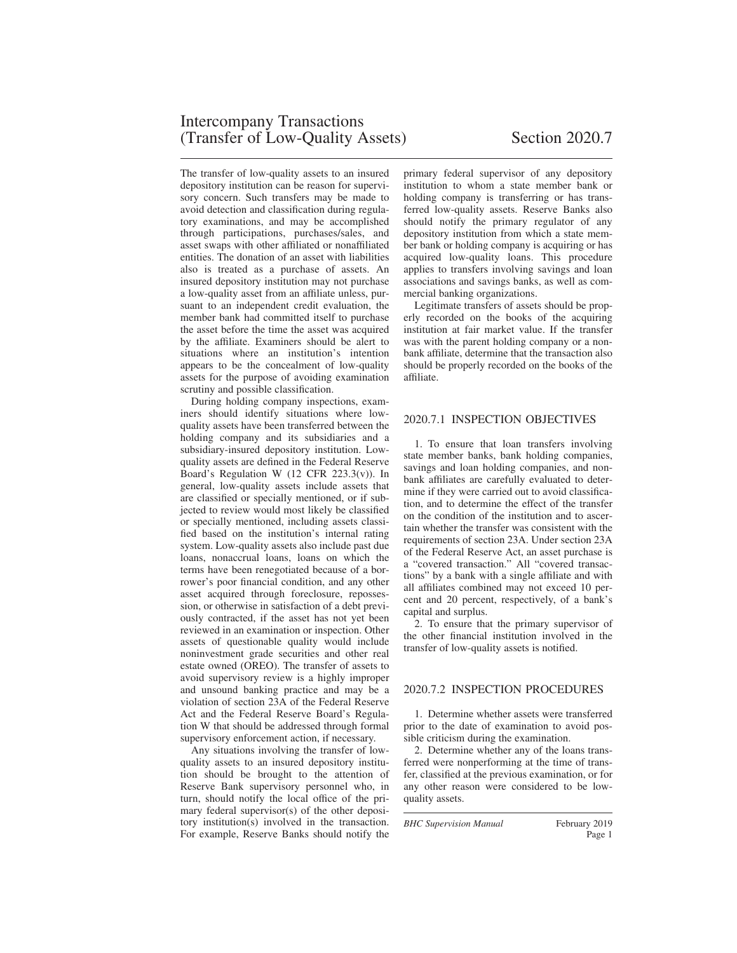# Intercompany Transactions (Transfer of Low-Quality Assets) Section 2020.7

The transfer of low-quality assets to an insured depository institution can be reason for supervisory concern. Such transfers may be made to avoid detection and classification during regulatory examinations, and may be accomplished through participations, purchases/sales, and asset swaps with other affiliated or nonaffiliated entities. The donation of an asset with liabilities also is treated as a purchase of assets. An insured depository institution may not purchase a low-quality asset from an affiliate unless, pursuant to an independent credit evaluation, the member bank had committed itself to purchase the asset before the time the asset was acquired by the affiliate. Examiners should be alert to situations where an institution's intention appears to be the concealment of low-quality assets for the purpose of avoiding examination scrutiny and possible classification.

During holding company inspections, examiners should identify situations where lowquality assets have been transferred between the holding company and its subsidiaries and a subsidiary-insured depository institution. Lowquality assets are defined in the Federal Reserve Board's Regulation W (12 CFR 223.3(v)). In general, low-quality assets include assets that are classified or specially mentioned, or if subjected to review would most likely be classified or specially mentioned, including assets classified based on the institution's internal rating system. Low-quality assets also include past due loans, nonaccrual loans, loans on which the terms have been renegotiated because of a borrower's poor financial condition, and any other asset acquired through foreclosure, repossession, or otherwise in satisfaction of a debt previously contracted, if the asset has not yet been reviewed in an examination or inspection. Other assets of questionable quality would include noninvestment grade securities and other real estate owned (OREO). The transfer of assets to avoid supervisory review is a highly improper and unsound banking practice and may be a violation of section 23A of the Federal Reserve Act and the Federal Reserve Board's Regulation W that should be addressed through formal supervisory enforcement action, if necessary.

Any situations involving the transfer of lowquality assets to an insured depository institution should be brought to the attention of Reserve Bank supervisory personnel who, in turn, should notify the local office of the primary federal supervisor(s) of the other depository institution(s) involved in the transaction. For example, Reserve Banks should notify the primary federal supervisor of any depository institution to whom a state member bank or holding company is transferring or has transferred low-quality assets. Reserve Banks also should notify the primary regulator of any depository institution from which a state member bank or holding company is acquiring or has acquired low-quality loans. This procedure applies to transfers involving savings and loan associations and savings banks, as well as commercial banking organizations.

Legitimate transfers of assets should be properly recorded on the books of the acquiring institution at fair market value. If the transfer was with the parent holding company or a nonbank affiliate, determine that the transaction also should be properly recorded on the books of the affiliate.

#### 2020.7.1 INSPECTION OBJECTIVES

1. To ensure that loan transfers involving state member banks, bank holding companies, savings and loan holding companies, and nonbank affiliates are carefully evaluated to determine if they were carried out to avoid classification, and to determine the effect of the transfer on the condition of the institution and to ascertain whether the transfer was consistent with the requirements of section 23A. Under section 23A of the Federal Reserve Act, an asset purchase is a "covered transaction." All "covered transactions" by a bank with a single affiliate and with all affiliates combined may not exceed 10 percent and 20 percent, respectively, of a bank's capital and surplus.

2. To ensure that the primary supervisor of the other financial institution involved in the transfer of low-quality assets is notified.

#### 2020.7.2 INSPECTION PROCEDURES

1. Determine whether assets were transferred prior to the date of examination to avoid possible criticism during the examination.

2. Determine whether any of the loans transferred were nonperforming at the time of transfer, classified at the previous examination, or for any other reason were considered to be lowquality assets.

*BHC Supervision Manual* February 2019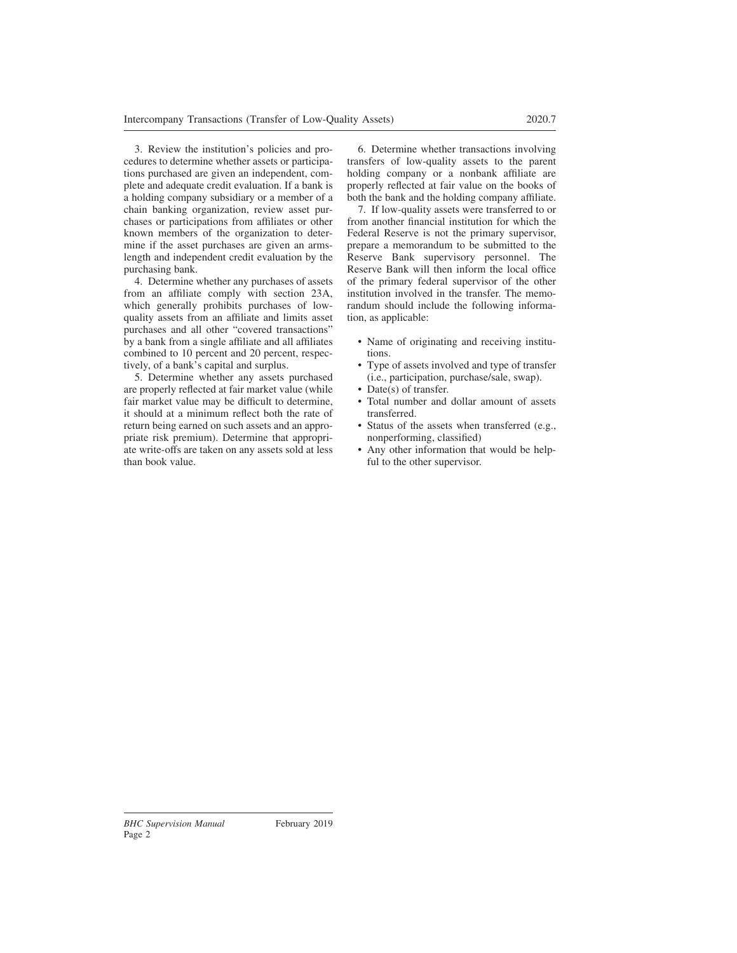3. Review the institution's policies and procedures to determine whether assets or participations purchased are given an independent, complete and adequate credit evaluation. If a bank is a holding company subsidiary or a member of a chain banking organization, review asset purchases or participations from affiliates or other known members of the organization to determine if the asset purchases are given an armslength and independent credit evaluation by the purchasing bank.

4. Determine whether any purchases of assets from an affiliate comply with section 23A, which generally prohibits purchases of lowquality assets from an affiliate and limits asset purchases and all other "covered transactions" by a bank from a single affiliate and all affiliates combined to 10 percent and 20 percent, respectively, of a bank's capital and surplus.

5. Determine whether any assets purchased are properly reflected at fair market value (while fair market value may be difficult to determine, it should at a minimum reflect both the rate of return being earned on such assets and an appropriate risk premium). Determine that appropriate write-offs are taken on any assets sold at less than book value.

6. Determine whether transactions involving transfers of low-quality assets to the parent holding company or a nonbank affiliate are properly reflected at fair value on the books of both the bank and the holding company affiliate.

7. If low-quality assets were transferred to or from another financial institution for which the Federal Reserve is not the primary supervisor, prepare a memorandum to be submitted to the Reserve Bank supervisory personnel. The Reserve Bank will then inform the local office of the primary federal supervisor of the other institution involved in the transfer. The memorandum should include the following information, as applicable:

- Name of originating and receiving institutions.
- Type of assets involved and type of transfer (i.e., participation, purchase/sale, swap).
- Date(s) of transfer.
- Total number and dollar amount of assets transferred.
- Status of the assets when transferred (e.g., nonperforming, classified)
- Any other information that would be helpful to the other supervisor.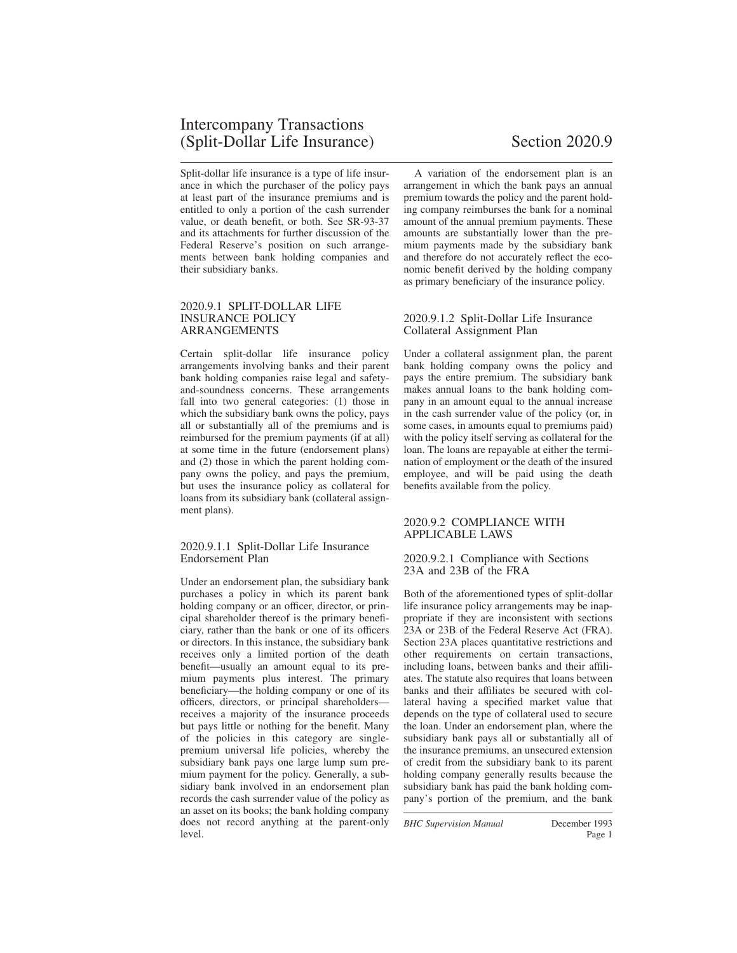# Intercompany Transactions (Split-Dollar Life Insurance) Section 2020.9

Split-dollar life insurance is a type of life insurance in which the purchaser of the policy pays at least part of the insurance premiums and is entitled to only a portion of the cash surrender value, or death benefit, or both. See SR-93-37 and its attachments for further discussion of the Federal Reserve's position on such arrangements between bank holding companies and their subsidiary banks.

# 2020.9.1 SPLIT-DOLLAR LIFE INSURANCE POLICY ARRANGEMENTS

Certain split-dollar life insurance policy arrangements involving banks and their parent bank holding companies raise legal and safetyand-soundness concerns. These arrangements fall into two general categories: (1) those in which the subsidiary bank owns the policy, pays all or substantially all of the premiums and is reimbursed for the premium payments (if at all) at some time in the future (endorsement plans) and (2) those in which the parent holding company owns the policy, and pays the premium, but uses the insurance policy as collateral for loans from its subsidiary bank (collateral assignment plans).

## 2020.9.1.1 Split-Dollar Life Insurance Endorsement Plan

Under an endorsement plan, the subsidiary bank purchases a policy in which its parent bank holding company or an officer, director, or principal shareholder thereof is the primary beneficiary, rather than the bank or one of its officers or directors. In this instance, the subsidiary bank receives only a limited portion of the death benefit—usually an amount equal to its premium payments plus interest. The primary beneficiary—the holding company or one of its officers, directors, or principal shareholders receives a majority of the insurance proceeds but pays little or nothing for the benefit. Many of the policies in this category are singlepremium universal life policies, whereby the subsidiary bank pays one large lump sum premium payment for the policy. Generally, a subsidiary bank involved in an endorsement plan records the cash surrender value of the policy as an asset on its books; the bank holding company does not record anything at the parent-only level.

A variation of the endorsement plan is an arrangement in which the bank pays an annual premium towards the policy and the parent holding company reimburses the bank for a nominal amount of the annual premium payments. These amounts are substantially lower than the premium payments made by the subsidiary bank and therefore do not accurately reflect the economic benefit derived by the holding company as primary beneficiary of the insurance policy.

# 2020.9.1.2 Split-Dollar Life Insurance Collateral Assignment Plan

Under a collateral assignment plan, the parent bank holding company owns the policy and pays the entire premium. The subsidiary bank makes annual loans to the bank holding company in an amount equal to the annual increase in the cash surrender value of the policy (or, in some cases, in amounts equal to premiums paid) with the policy itself serving as collateral for the loan. The loans are repayable at either the termination of employment or the death of the insured employee, and will be paid using the death benefits available from the policy.

## 2020.9.2 COMPLIANCE WITH APPLICABLE LAWS

#### 2020.9.2.1 Compliance with Sections 23A and 23B of the FRA

Both of the aforementioned types of split-dollar life insurance policy arrangements may be inappropriate if they are inconsistent with sections 23A or 23B of the Federal Reserve Act (FRA). Section 23A places quantitative restrictions and other requirements on certain transactions, including loans, between banks and their affiliates. The statute also requires that loans between banks and their affiliates be secured with collateral having a specified market value that depends on the type of collateral used to secure the loan. Under an endorsement plan, where the subsidiary bank pays all or substantially all of the insurance premiums, an unsecured extension of credit from the subsidiary bank to its parent holding company generally results because the subsidiary bank has paid the bank holding company's portion of the premium, and the bank

*BHC Supervision Manual* December 1993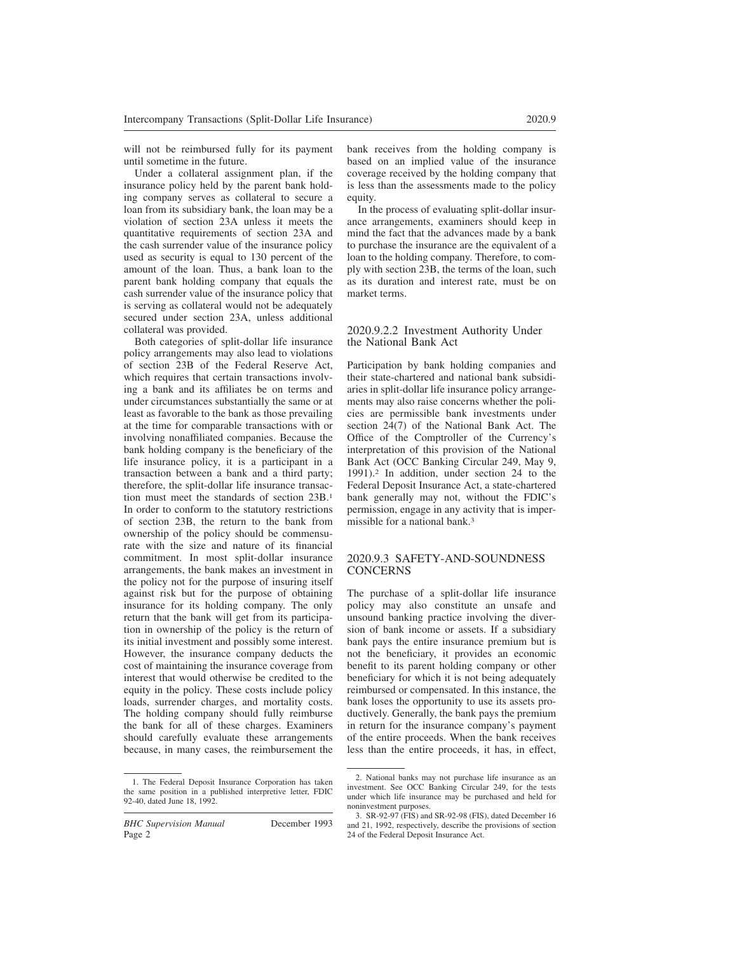will not be reimbursed fully for its payment until sometime in the future.

Under a collateral assignment plan, if the insurance policy held by the parent bank holding company serves as collateral to secure a loan from its subsidiary bank, the loan may be a violation of section 23A unless it meets the quantitative requirements of section 23A and the cash surrender value of the insurance policy used as security is equal to 130 percent of the amount of the loan. Thus, a bank loan to the parent bank holding company that equals the cash surrender value of the insurance policy that is serving as collateral would not be adequately secured under section 23A, unless additional collateral was provided.

Both categories of split-dollar life insurance policy arrangements may also lead to violations of section 23B of the Federal Reserve Act, which requires that certain transactions involving a bank and its affiliates be on terms and under circumstances substantially the same or at least as favorable to the bank as those prevailing at the time for comparable transactions with or involving nonaffiliated companies. Because the bank holding company is the beneficiary of the life insurance policy, it is a participant in a transaction between a bank and a third party; therefore, the split-dollar life insurance transaction must meet the standards of section 23B.<sup>1</sup> In order to conform to the statutory restrictions of section 23B, the return to the bank from ownership of the policy should be commensurate with the size and nature of its financial commitment. In most split-dollar insurance arrangements, the bank makes an investment in the policy not for the purpose of insuring itself against risk but for the purpose of obtaining insurance for its holding company. The only return that the bank will get from its participation in ownership of the policy is the return of its initial investment and possibly some interest. However, the insurance company deducts the cost of maintaining the insurance coverage from interest that would otherwise be credited to the equity in the policy. These costs include policy loads, surrender charges, and mortality costs. The holding company should fully reimburse the bank for all of these charges. Examiners should carefully evaluate these arrangements because, in many cases, the reimbursement the

bank receives from the holding company is based on an implied value of the insurance coverage received by the holding company that is less than the assessments made to the policy equity.

In the process of evaluating split-dollar insurance arrangements, examiners should keep in mind the fact that the advances made by a bank to purchase the insurance are the equivalent of a loan to the holding company. Therefore, to comply with section 23B, the terms of the loan, such as its duration and interest rate, must be on market terms.

#### 2020.9.2.2 Investment Authority Under the National Bank Act

Participation by bank holding companies and their state-chartered and national bank subsidiaries in split-dollar life insurance policy arrangements may also raise concerns whether the policies are permissible bank investments under section 24(7) of the National Bank Act. The Office of the Comptroller of the Currency's interpretation of this provision of the National Bank Act (OCC Banking Circular 249, May 9, 1991).<sup>2</sup> In addition, under section 24 to the Federal Deposit Insurance Act, a state-chartered bank generally may not, without the FDIC's permission, engage in any activity that is impermissible for a national bank<sup>3</sup>

#### 2020.9.3 SAFETY-AND-SOUNDNESS **CONCERNS**

The purchase of a split-dollar life insurance policy may also constitute an unsafe and unsound banking practice involving the diversion of bank income or assets. If a subsidiary bank pays the entire insurance premium but is not the beneficiary, it provides an economic benefit to its parent holding company or other beneficiary for which it is not being adequately reimbursed or compensated. In this instance, the bank loses the opportunity to use its assets productively. Generally, the bank pays the premium in return for the insurance company's payment of the entire proceeds. When the bank receives less than the entire proceeds, it has, in effect,

<sup>1.</sup> The Federal Deposit Insurance Corporation has taken the same position in a published interpretive letter, FDIC 92-40, dated June 18, 1992.

<sup>2.</sup> National banks may not purchase life insurance as an investment. See OCC Banking Circular 249, for the tests under which life insurance may be purchased and held for noninvestment purposes.

<sup>3.</sup> SR-92-97 (FIS) and SR-92-98 (FIS), dated December 16 and 21, 1992, respectively, describe the provisions of section 24 of the Federal Deposit Insurance Act.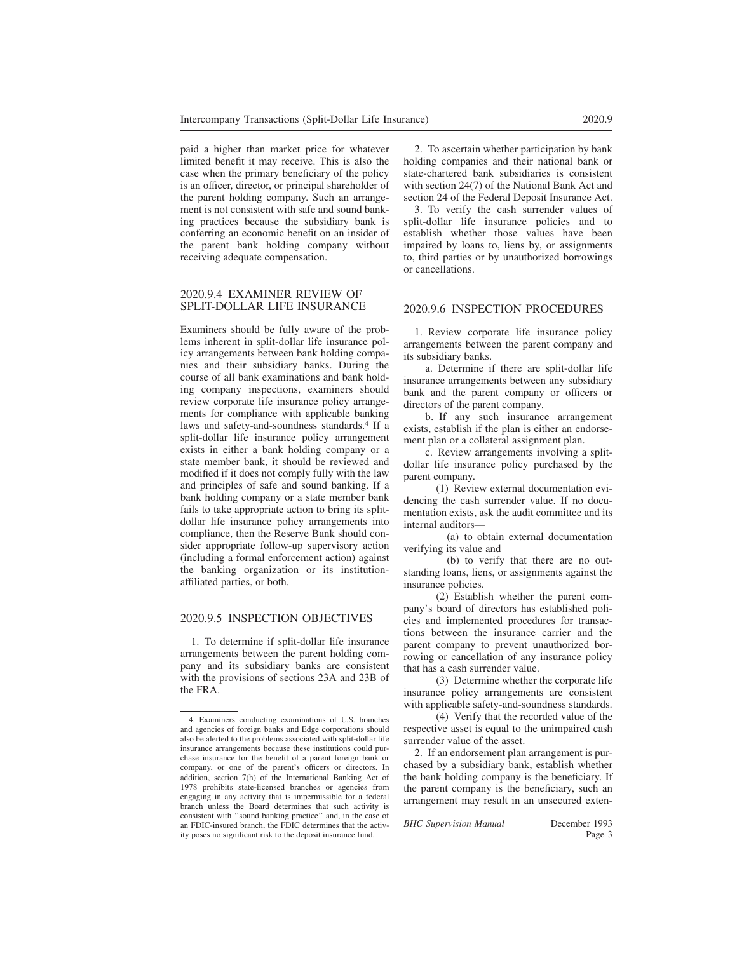paid a higher than market price for whatever limited benefit it may receive. This is also the case when the primary beneficiary of the policy is an officer, director, or principal shareholder of the parent holding company. Such an arrangement is not consistent with safe and sound banking practices because the subsidiary bank is conferring an economic benefit on an insider of the parent bank holding company without receiving adequate compensation.

#### 2020.9.4 EXAMINER REVIEW OF SPLIT-DOLLAR LIFE INSURANCE

Examiners should be fully aware of the problems inherent in split-dollar life insurance policy arrangements between bank holding companies and their subsidiary banks. During the course of all bank examinations and bank holding company inspections, examiners should review corporate life insurance policy arrangements for compliance with applicable banking laws and safety-and-soundness standards.<sup>4</sup> If a split-dollar life insurance policy arrangement exists in either a bank holding company or a state member bank, it should be reviewed and modified if it does not comply fully with the law and principles of safe and sound banking. If a bank holding company or a state member bank fails to take appropriate action to bring its splitdollar life insurance policy arrangements into compliance, then the Reserve Bank should consider appropriate follow-up supervisory action (including a formal enforcement action) against the banking organization or its institutionaffiliated parties, or both.

#### 2020.9.5 INSPECTION OBJECTIVES

1. To determine if split-dollar life insurance arrangements between the parent holding company and its subsidiary banks are consistent with the provisions of sections 23A and 23B of the FRA.

2. To ascertain whether participation by bank holding companies and their national bank or state-chartered bank subsidiaries is consistent with section 24(7) of the National Bank Act and section 24 of the Federal Deposit Insurance Act.

3. To verify the cash surrender values of split-dollar life insurance policies and to establish whether those values have been impaired by loans to, liens by, or assignments to, third parties or by unauthorized borrowings or cancellations.

#### 2020.9.6 INSPECTION PROCEDURES

1. Review corporate life insurance policy arrangements between the parent company and its subsidiary banks.

a. Determine if there are split-dollar life insurance arrangements between any subsidiary bank and the parent company or officers or directors of the parent company.

b. If any such insurance arrangement exists, establish if the plan is either an endorsement plan or a collateral assignment plan.

c. Review arrangements involving a splitdollar life insurance policy purchased by the parent company.

(1) Review external documentation evidencing the cash surrender value. If no documentation exists, ask the audit committee and its internal auditors—

(a) to obtain external documentation verifying its value and

(b) to verify that there are no outstanding loans, liens, or assignments against the insurance policies.

(2) Establish whether the parent company's board of directors has established policies and implemented procedures for transactions between the insurance carrier and the parent company to prevent unauthorized borrowing or cancellation of any insurance policy that has a cash surrender value.

(3) Determine whether the corporate life insurance policy arrangements are consistent with applicable safety-and-soundness standards.

(4) Verify that the recorded value of the respective asset is equal to the unimpaired cash surrender value of the asset.

2. If an endorsement plan arrangement is purchased by a subsidiary bank, establish whether the bank holding company is the beneficiary. If the parent company is the beneficiary, such an arrangement may result in an unsecured exten-

*BHC Supervision Manual* December 1993

<sup>4.</sup> Examiners conducting examinations of U.S. branches and agencies of foreign banks and Edge corporations should also be alerted to the problems associated with split-dollar life insurance arrangements because these institutions could purchase insurance for the benefit of a parent foreign bank or company, or one of the parent's officers or directors. In addition, section 7(h) of the International Banking Act of 1978 prohibits state-licensed branches or agencies from engaging in any activity that is impermissible for a federal branch unless the Board determines that such activity is consistent with ''sound banking practice'' and, in the case of an FDIC-insured branch, the FDIC determines that the activity poses no significant risk to the deposit insurance fund.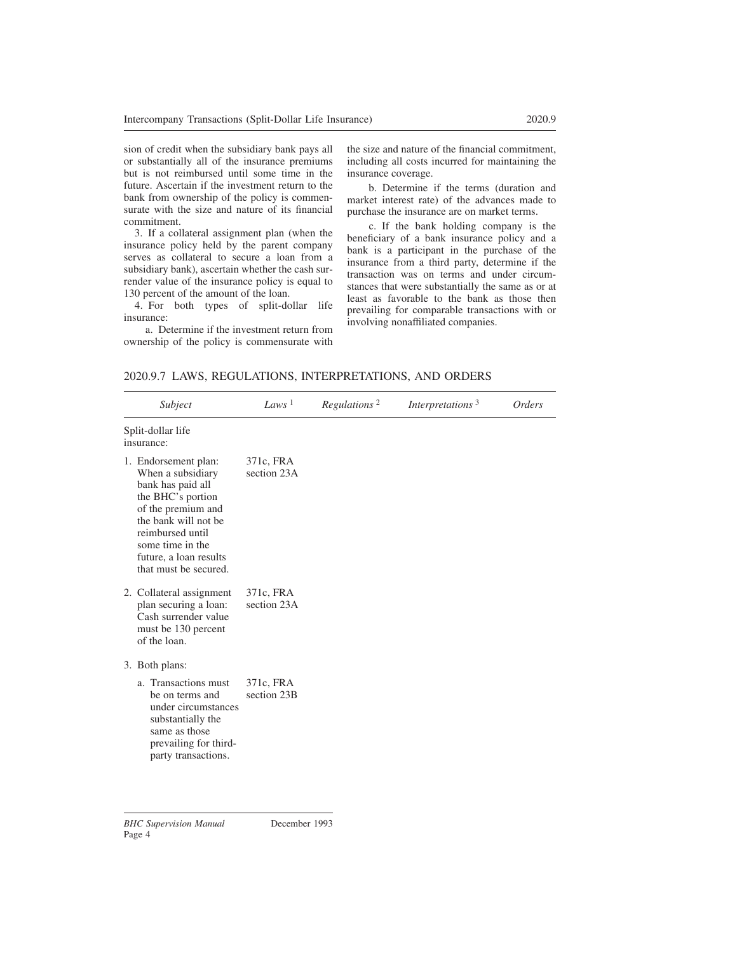sion of credit when the subsidiary bank pays all or substantially all of the insurance premiums but is not reimbursed until some time in the future. Ascertain if the investment return to the bank from ownership of the policy is commensurate with the size and nature of its financial commitment.

3. If a collateral assignment plan (when the insurance policy held by the parent company serves as collateral to secure a loan from a subsidiary bank), ascertain whether the cash surrender value of the insurance policy is equal to 130 percent of the amount of the loan.

4. For both types of split-dollar life insurance:

a. Determine if the investment return from ownership of the policy is commensurate with the size and nature of the financial commitment, including all costs incurred for maintaining the insurance coverage.

b. Determine if the terms (duration and market interest rate) of the advances made to purchase the insurance are on market terms.

c. If the bank holding company is the beneficiary of a bank insurance policy and a bank is a participant in the purchase of the insurance from a third party, determine if the transaction was on terms and under circumstances that were substantially the same as or at least as favorable to the bank as those then prevailing for comparable transactions with or involving nonaffiliated companies.

| Subject                                                                                                                                                                                                                      | Laws <sup>1</sup>        | Regulations <sup>2</sup> | Interpretations <sup>3</sup> | <b>Orders</b> |
|------------------------------------------------------------------------------------------------------------------------------------------------------------------------------------------------------------------------------|--------------------------|--------------------------|------------------------------|---------------|
| Split-dollar life<br>insurance:                                                                                                                                                                                              |                          |                          |                              |               |
| 1. Endorsement plan:<br>When a subsidiary<br>bank has paid all<br>the BHC's portion<br>of the premium and<br>the bank will not be<br>reimbursed until<br>some time in the<br>future, a loan results<br>that must be secured. | 371c, FRA<br>section 23A |                          |                              |               |
| 2. Collateral assignment<br>plan securing a loan:<br>Cash surrender value<br>must be 130 percent<br>of the loan.                                                                                                             | 371c, FRA<br>section 23A |                          |                              |               |
| 3. Both plans:                                                                                                                                                                                                               |                          |                          |                              |               |
| a. Transactions must<br>be on terms and<br>under circumstances<br>substantially the<br>same as those<br>prevailing for third-<br>party transactions.                                                                         | 371c, FRA<br>section 23B |                          |                              |               |

# 2020.9.7 LAWS, REGULATIONS, INTERPRETATIONS, AND ORDERS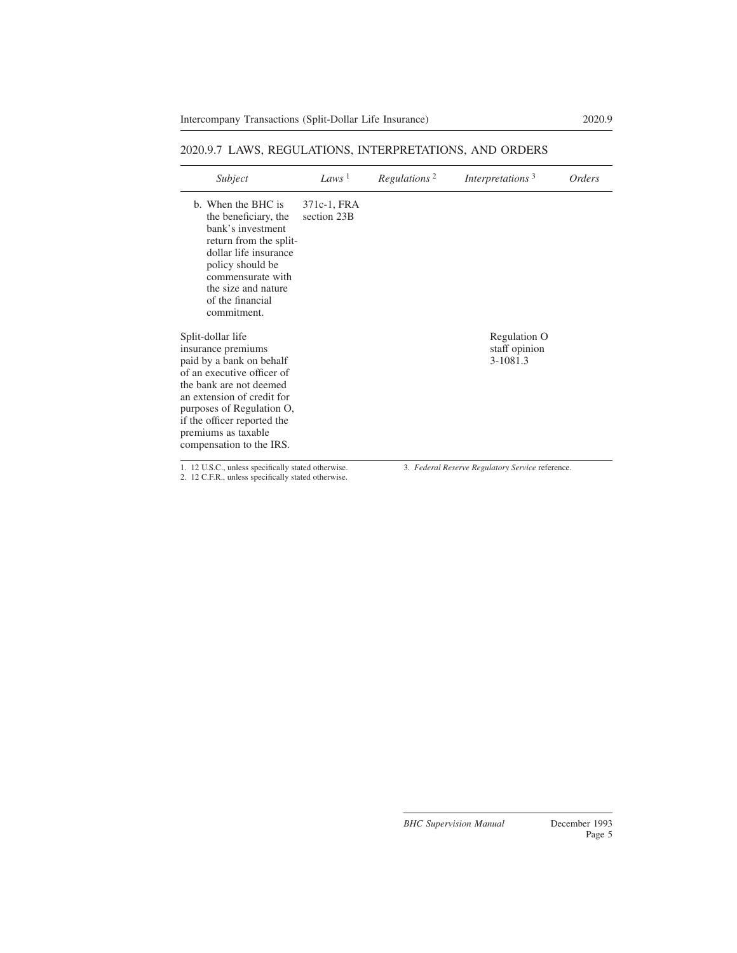# 2020.9.7 LAWS, REGULATIONS, INTERPRETATIONS, AND ORDERS

| Subject                                                                                                                                                                                                                                                                   | Laws <sup>1</sup>          | Regulations <sup>2</sup> | Interpretations <sup>3</sup>              | Orders |
|---------------------------------------------------------------------------------------------------------------------------------------------------------------------------------------------------------------------------------------------------------------------------|----------------------------|--------------------------|-------------------------------------------|--------|
| b. When the BHC is<br>the beneficiary, the<br>bank's investment<br>return from the split-<br>dollar life insurance<br>policy should be<br>commensurate with<br>the size and nature<br>of the financial<br>commitment.                                                     | 371c-1, FRA<br>section 23B |                          |                                           |        |
| Split-dollar life<br>insurance premiums<br>paid by a bank on behalf<br>of an executive officer of<br>the bank are not deemed<br>an extension of credit for<br>purposes of Regulation O,<br>if the officer reported the<br>premiums as taxable<br>compensation to the IRS. |                            |                          | Regulation O<br>staff opinion<br>3-1081.3 |        |

1. 12 U.S.C., unless specifically stated otherwise. 2. 12 C.F.R., unless specifically stated otherwise.

3. *Federal Reserve Regulatory Service* reference.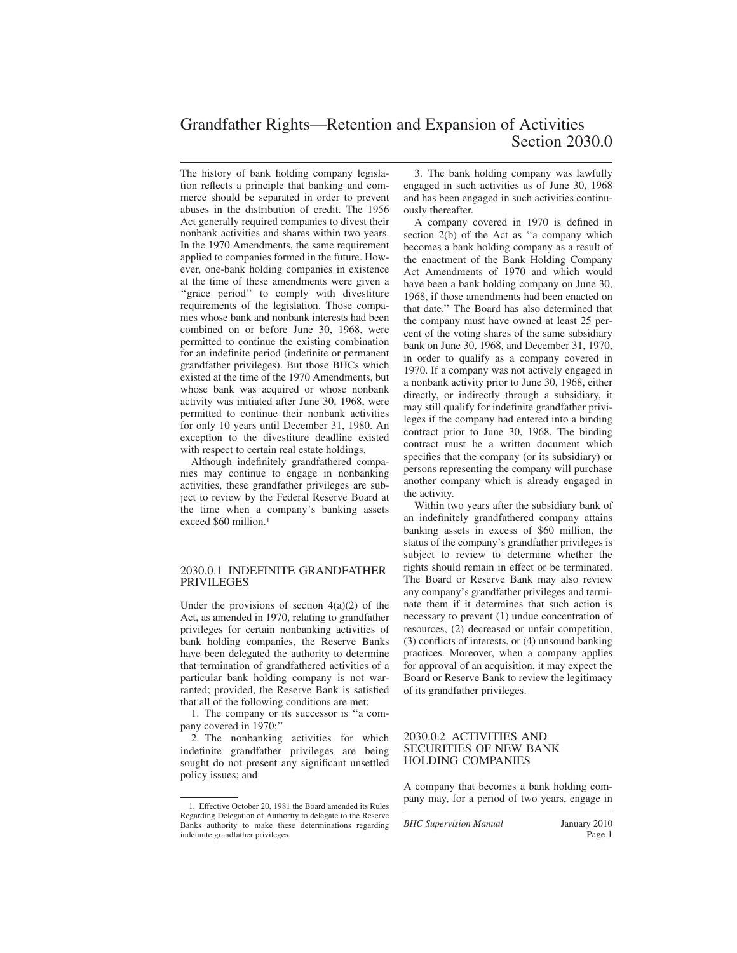The history of bank holding company legislation reflects a principle that banking and commerce should be separated in order to prevent abuses in the distribution of credit. The 1956 Act generally required companies to divest their nonbank activities and shares within two years. In the 1970 Amendments, the same requirement applied to companies formed in the future. However, one-bank holding companies in existence at the time of these amendments were given a "grace period" to comply with divestiture requirements of the legislation. Those companies whose bank and nonbank interests had been combined on or before June 30, 1968, were permitted to continue the existing combination for an indefinite period (indefinite or permanent grandfather privileges). But those BHCs which existed at the time of the 1970 Amendments, but whose bank was acquired or whose nonbank activity was initiated after June 30, 1968, were permitted to continue their nonbank activities for only 10 years until December 31, 1980. An exception to the divestiture deadline existed with respect to certain real estate holdings.

Although indefinitely grandfathered companies may continue to engage in nonbanking activities, these grandfather privileges are subject to review by the Federal Reserve Board at the time when a company's banking assets exceed \$60 million.<sup>1</sup>

## 2030.0.1 INDEFINITE GRANDFATHER PRIVILEGES

Under the provisions of section  $4(a)(2)$  of the Act, as amended in 1970, relating to grandfather privileges for certain nonbanking activities of bank holding companies, the Reserve Banks have been delegated the authority to determine that termination of grandfathered activities of a particular bank holding company is not warranted; provided, the Reserve Bank is satisfied that all of the following conditions are met:

1. The company or its successor is ''a company covered in 1970;''

2. The nonbanking activities for which indefinite grandfather privileges are being sought do not present any significant unsettled policy issues; and

3. The bank holding company was lawfully engaged in such activities as of June 30, 1968 and has been engaged in such activities continuously thereafter.

A company covered in 1970 is defined in section 2(b) of the Act as ''a company which becomes a bank holding company as a result of the enactment of the Bank Holding Company Act Amendments of 1970 and which would have been a bank holding company on June 30, 1968, if those amendments had been enacted on that date.'' The Board has also determined that the company must have owned at least 25 percent of the voting shares of the same subsidiary bank on June 30, 1968, and December 31, 1970, in order to qualify as a company covered in 1970. If a company was not actively engaged in a nonbank activity prior to June 30, 1968, either directly, or indirectly through a subsidiary, it may still qualify for indefinite grandfather privileges if the company had entered into a binding contract prior to June 30, 1968. The binding contract must be a written document which specifies that the company (or its subsidiary) or persons representing the company will purchase another company which is already engaged in the activity.

Within two years after the subsidiary bank of an indefinitely grandfathered company attains banking assets in excess of \$60 million, the status of the company's grandfather privileges is subject to review to determine whether the rights should remain in effect or be terminated. The Board or Reserve Bank may also review any company's grandfather privileges and terminate them if it determines that such action is necessary to prevent (1) undue concentration of resources, (2) decreased or unfair competition, (3) conflicts of interests, or (4) unsound banking practices. Moreover, when a company applies for approval of an acquisition, it may expect the Board or Reserve Bank to review the legitimacy of its grandfather privileges.

## 2030.0.2 ACTIVITIES AND SECURITIES OF NEW BANK HOLDING COMPANIES

A company that becomes a bank holding company may, for a period of two years, engage in

<sup>1.</sup> Effective October 20, 1981 the Board amended its Rules Regarding Delegation of Authority to delegate to the Reserve Banks authority to make these determinations regarding indefinite grandfather privileges.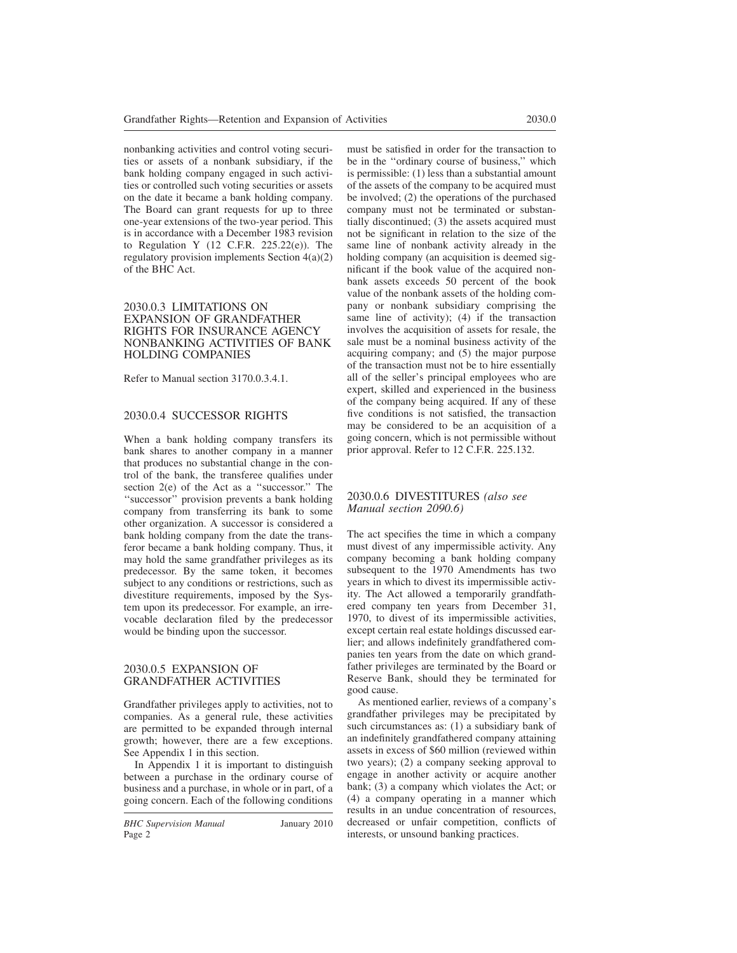nonbanking activities and control voting securities or assets of a nonbank subsidiary, if the bank holding company engaged in such activities or controlled such voting securities or assets on the date it became a bank holding company. The Board can grant requests for up to three one-year extensions of the two-year period. This is in accordance with a December 1983 revision to Regulation Y  $(12 \text{ C.F.R. } 225.22(e))$ . The regulatory provision implements Section 4(a)(2) of the BHC Act.

#### 2030.0.3 LIMITATIONS ON EXPANSION OF GRANDFATHER RIGHTS FOR INSURANCE AGENCY NONBANKING ACTIVITIES OF BANK HOLDING COMPANIES

Refer to Manual section 3170.0.3.4.1.

## 2030.0.4 SUCCESSOR RIGHTS

When a bank holding company transfers its bank shares to another company in a manner that produces no substantial change in the control of the bank, the transferee qualifies under section 2(e) of the Act as a ''successor.'' The ''successor'' provision prevents a bank holding company from transferring its bank to some other organization. A successor is considered a bank holding company from the date the transferor became a bank holding company. Thus, it may hold the same grandfather privileges as its predecessor. By the same token, it becomes subject to any conditions or restrictions, such as divestiture requirements, imposed by the System upon its predecessor. For example, an irrevocable declaration filed by the predecessor would be binding upon the successor.

## 2030.0.5 EXPANSION OF GRANDFATHER ACTIVITIES

Grandfather privileges apply to activities, not to companies. As a general rule, these activities are permitted to be expanded through internal growth; however, there are a few exceptions. See Appendix 1 in this section.

In Appendix 1 it is important to distinguish between a purchase in the ordinary course of business and a purchase, in whole or in part, of a going concern. Each of the following conditions must be satisfied in order for the transaction to be in the ''ordinary course of business,'' which is permissible: (1) less than a substantial amount of the assets of the company to be acquired must be involved; (2) the operations of the purchased company must not be terminated or substantially discontinued; (3) the assets acquired must not be significant in relation to the size of the same line of nonbank activity already in the holding company (an acquisition is deemed significant if the book value of the acquired nonbank assets exceeds 50 percent of the book value of the nonbank assets of the holding company or nonbank subsidiary comprising the same line of activity); (4) if the transaction involves the acquisition of assets for resale, the sale must be a nominal business activity of the acquiring company; and (5) the major purpose of the transaction must not be to hire essentially all of the seller's principal employees who are expert, skilled and experienced in the business of the company being acquired. If any of these five conditions is not satisfied, the transaction may be considered to be an acquisition of a going concern, which is not permissible without prior approval. Refer to 12 C.F.R. 225.132.

## 2030.0.6 DIVESTITURES *(also see Manual section 2090.6)*

The act specifies the time in which a company must divest of any impermissible activity. Any company becoming a bank holding company subsequent to the 1970 Amendments has two years in which to divest its impermissible activity. The Act allowed a temporarily grandfathered company ten years from December 31, 1970, to divest of its impermissible activities, except certain real estate holdings discussed earlier; and allows indefinitely grandfathered companies ten years from the date on which grandfather privileges are terminated by the Board or Reserve Bank, should they be terminated for good cause.

As mentioned earlier, reviews of a company's grandfather privileges may be precipitated by such circumstances as: (1) a subsidiary bank of an indefinitely grandfathered company attaining assets in excess of \$60 million (reviewed within two years); (2) a company seeking approval to engage in another activity or acquire another bank; (3) a company which violates the Act; or (4) a company operating in a manner which results in an undue concentration of resources, decreased or unfair competition, conflicts of interests, or unsound banking practices.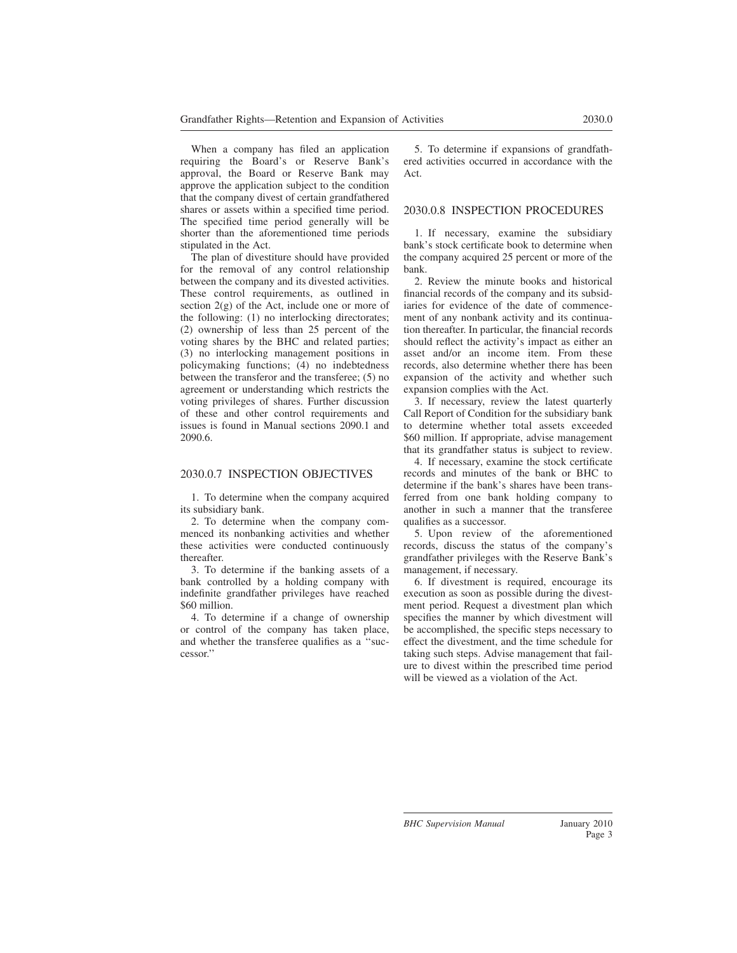When a company has filed an application requiring the Board's or Reserve Bank's approval, the Board or Reserve Bank may approve the application subject to the condition that the company divest of certain grandfathered shares or assets within a specified time period. The specified time period generally will be shorter than the aforementioned time periods stipulated in the Act.

The plan of divestiture should have provided for the removal of any control relationship between the company and its divested activities. These control requirements, as outlined in section  $2(g)$  of the Act, include one or more of the following: (1) no interlocking directorates; (2) ownership of less than 25 percent of the voting shares by the BHC and related parties; (3) no interlocking management positions in policymaking functions; (4) no indebtedness between the transferor and the transferee; (5) no agreement or understanding which restricts the voting privileges of shares. Further discussion of these and other control requirements and issues is found in Manual sections 2090.1 and 2090.6.

## 2030.0.7 INSPECTION OBJECTIVES

1. To determine when the company acquired its subsidiary bank.

2. To determine when the company commenced its nonbanking activities and whether these activities were conducted continuously thereafter.

3. To determine if the banking assets of a bank controlled by a holding company with indefinite grandfather privileges have reached \$60 million.

4. To determine if a change of ownership or control of the company has taken place, and whether the transferee qualifies as a ''successor.''

5. To determine if expansions of grandfathered activities occurred in accordance with the  $\Delta$  et

## 2030.0.8 INSPECTION PROCEDURES

1. If necessary, examine the subsidiary bank's stock certificate book to determine when the company acquired 25 percent or more of the bank.

2. Review the minute books and historical financial records of the company and its subsidiaries for evidence of the date of commencement of any nonbank activity and its continuation thereafter. In particular, the financial records should reflect the activity's impact as either an asset and/or an income item. From these records, also determine whether there has been expansion of the activity and whether such expansion complies with the Act.

3. If necessary, review the latest quarterly Call Report of Condition for the subsidiary bank to determine whether total assets exceeded \$60 million. If appropriate, advise management that its grandfather status is subject to review.

4. If necessary, examine the stock certificate records and minutes of the bank or BHC to determine if the bank's shares have been transferred from one bank holding company to another in such a manner that the transferee qualifies as a successor.

5. Upon review of the aforementioned records, discuss the status of the company's grandfather privileges with the Reserve Bank's management, if necessary.

6. If divestment is required, encourage its execution as soon as possible during the divestment period. Request a divestment plan which specifies the manner by which divestment will be accomplished, the specific steps necessary to effect the divestment, and the time schedule for taking such steps. Advise management that failure to divest within the prescribed time period will be viewed as a violation of the Act.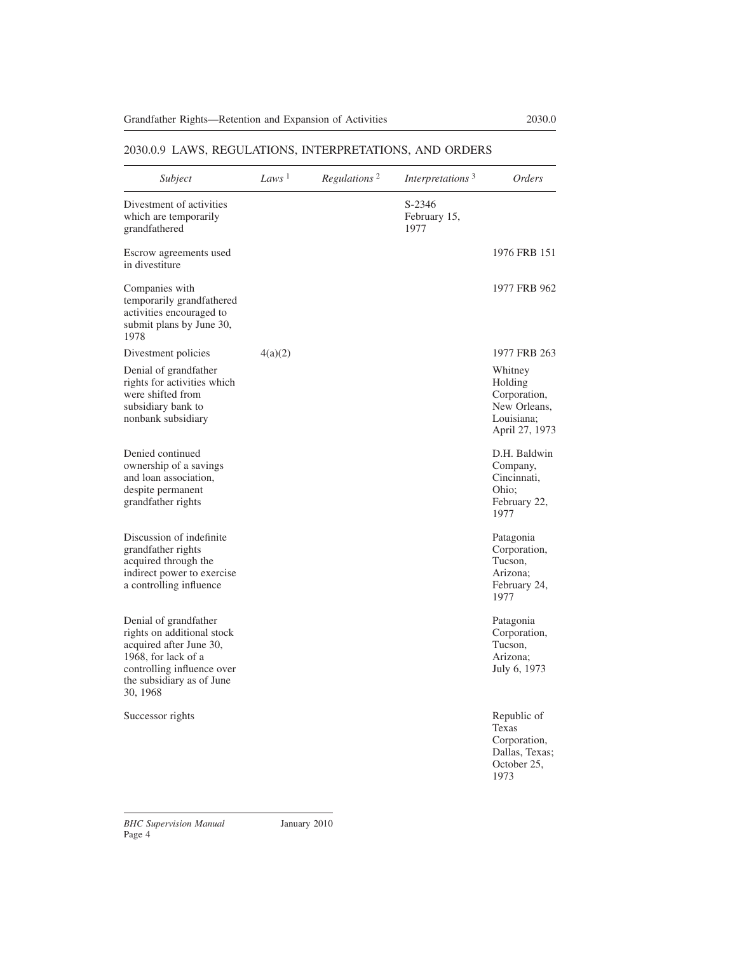# 2030.0.9 LAWS, REGULATIONS, INTERPRETATIONS, AND ORDERS

| Subject                                                                                                                                                                      | Laws $1$ | Regulations <sup>2</sup> | Interpretations <sup>3</sup>   | <i>Orders</i>                                                                      |
|------------------------------------------------------------------------------------------------------------------------------------------------------------------------------|----------|--------------------------|--------------------------------|------------------------------------------------------------------------------------|
| Divestment of activities<br>which are temporarily<br>grandfathered                                                                                                           |          |                          | S-2346<br>February 15,<br>1977 |                                                                                    |
| Escrow agreements used<br>in divestiture                                                                                                                                     |          |                          |                                | 1976 FRB 151                                                                       |
| Companies with<br>temporarily grandfathered<br>activities encouraged to<br>submit plans by June 30,<br>1978                                                                  |          |                          |                                | 1977 FRB 962                                                                       |
| Divestment policies                                                                                                                                                          | 4(a)(2)  |                          |                                | 1977 FRB 263                                                                       |
| Denial of grandfather<br>rights for activities which<br>were shifted from<br>subsidiary bank to<br>nonbank subsidiary                                                        |          |                          |                                | Whitney<br>Holding<br>Corporation,<br>New Orleans,<br>Louisiana;<br>April 27, 1973 |
| Denied continued<br>ownership of a savings<br>and loan association,<br>despite permanent<br>grandfather rights                                                               |          |                          |                                | D.H. Baldwin<br>Company,<br>Cincinnati,<br>Ohio;<br>February 22,<br>1977           |
| Discussion of indefinite<br>grandfather rights<br>acquired through the<br>indirect power to exercise<br>a controlling influence                                              |          |                          |                                | Patagonia<br>Corporation,<br>Tucson,<br>Arizona;<br>February 24,<br>1977           |
| Denial of grandfather<br>rights on additional stock<br>acquired after June 30,<br>1968, for lack of a<br>controlling influence over<br>the subsidiary as of June<br>30, 1968 |          |                          |                                | Patagonia<br>Corporation,<br>Tucson,<br>Arizona;<br>July 6, 1973                   |
| Successor rights                                                                                                                                                             |          |                          |                                | Republic of<br>Texas<br>Corporation,<br>Dallas, Texas;<br>October 25,<br>1973      |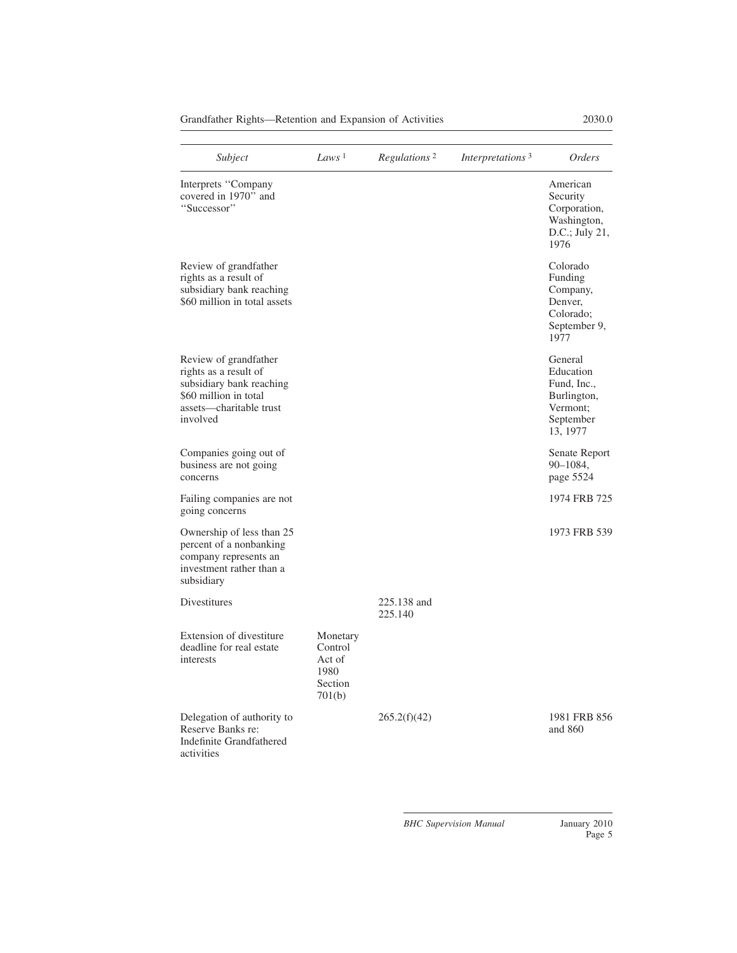| Subject                                                                                                                                    | Laws <sup>1</sup>                                          | Regulations <sup>2</sup> | Interpretations <sup>3</sup> | <b>Orders</b>                                                                           |
|--------------------------------------------------------------------------------------------------------------------------------------------|------------------------------------------------------------|--------------------------|------------------------------|-----------------------------------------------------------------------------------------|
| Interprets "Company<br>covered in 1970" and<br>"Successor"                                                                                 |                                                            |                          |                              | American<br>Security<br>Corporation,<br>Washington,<br>D.C.; July 21,<br>1976           |
| Review of grandfather<br>rights as a result of<br>subsidiary bank reaching<br>\$60 million in total assets                                 |                                                            |                          |                              | Colorado<br>Funding<br>Company,<br>Denver,<br>Colorado;<br>September 9,<br>1977         |
| Review of grandfather<br>rights as a result of<br>subsidiary bank reaching<br>\$60 million in total<br>assets—charitable trust<br>involved |                                                            |                          |                              | General<br>Education<br>Fund, Inc.,<br>Burlington,<br>Vermont;<br>September<br>13, 1977 |
| Companies going out of<br>business are not going<br>concerns                                                                               |                                                            |                          |                              | Senate Report<br>90-1084,<br>page 5524                                                  |
| Failing companies are not<br>going concerns                                                                                                |                                                            |                          |                              | 1974 FRB 725                                                                            |
| Ownership of less than 25<br>percent of a nonbanking<br>company represents an<br>investment rather than a<br>subsidiary                    |                                                            |                          |                              | 1973 FRB 539                                                                            |
| <b>Divestitures</b>                                                                                                                        |                                                            | 225.138 and<br>225.140   |                              |                                                                                         |
| Extension of divestiture<br>deadline for real estate<br>interests                                                                          | Monetary<br>Control<br>Act of<br>1980<br>Section<br>701(b) |                          |                              |                                                                                         |
| Delegation of authority to<br>Reserve Banks re:<br>Indefinite Grandfathered<br>activities                                                  |                                                            | 265.2(f)(42)             |                              | 1981 FRB 856<br>and 860                                                                 |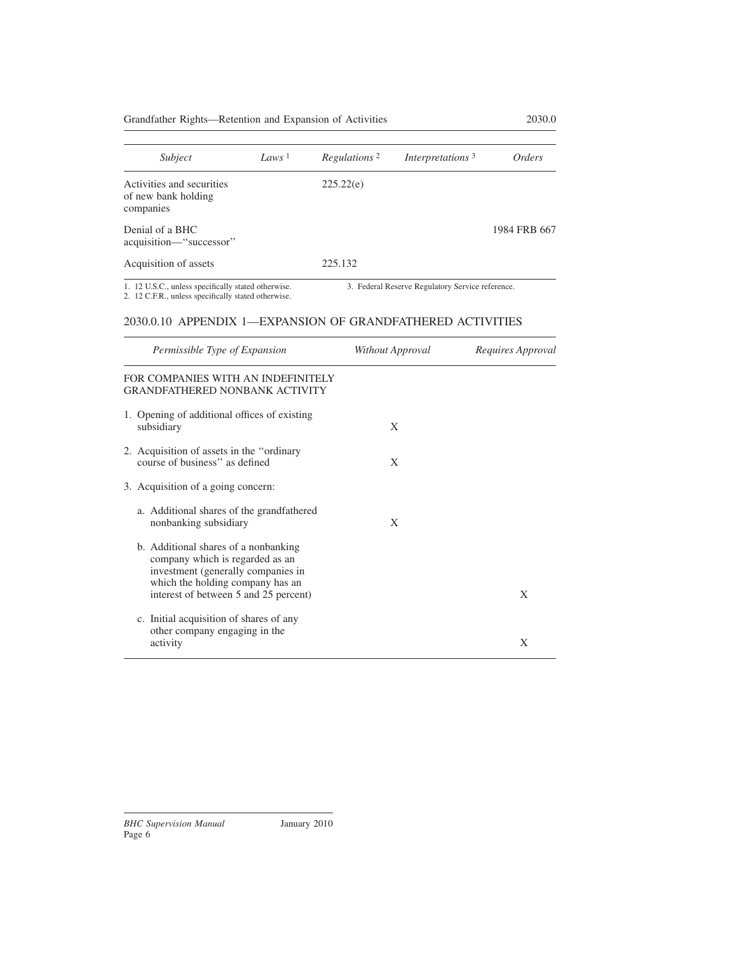| Subject                                                                                                    | Laws $1$ | Regulations <sup>2</sup>                         | Interpretations <sup>3</sup> | Orders       |
|------------------------------------------------------------------------------------------------------------|----------|--------------------------------------------------|------------------------------|--------------|
| Activities and securities<br>of new bank holding<br>companies                                              |          | 225.22(e)                                        |                              |              |
| Denial of a BHC<br>acquisition—"successor"                                                                 |          |                                                  |                              | 1984 FRB 667 |
| Acquisition of assets                                                                                      |          | 225.132                                          |                              |              |
| 1. 12 U.S.C., unless specifically stated otherwise.<br>2. 12 C.F.R., unless specifically stated otherwise. |          | 3. Federal Reserve Regulatory Service reference. |                              |              |

# 2030.0.10 APPENDIX 1—EXPANSION OF GRANDFATHERED ACTIVITIES

| Permissible Type of Expansion                                                                                                                                                              | Without Approval | Requires Approval |
|--------------------------------------------------------------------------------------------------------------------------------------------------------------------------------------------|------------------|-------------------|
| FOR COMPANIES WITH AN INDEFINITELY<br>GRANDFATHERED NONBANK ACTIVITY                                                                                                                       |                  |                   |
| 1. Opening of additional offices of existing<br>subsidiary                                                                                                                                 | X                |                   |
| 2. Acquisition of assets in the "ordinary"<br>course of business" as defined                                                                                                               | X                |                   |
| 3. Acquisition of a going concern:                                                                                                                                                         |                  |                   |
| a. Additional shares of the grandfathered<br>nonbanking subsidiary                                                                                                                         | X                |                   |
| b. Additional shares of a nonbanking<br>company which is regarded as an<br>investment (generally companies in<br>which the holding company has an<br>interest of between 5 and 25 percent) |                  | X                 |
| c. Initial acquisition of shares of any<br>other company engaging in the<br>activity                                                                                                       |                  | X                 |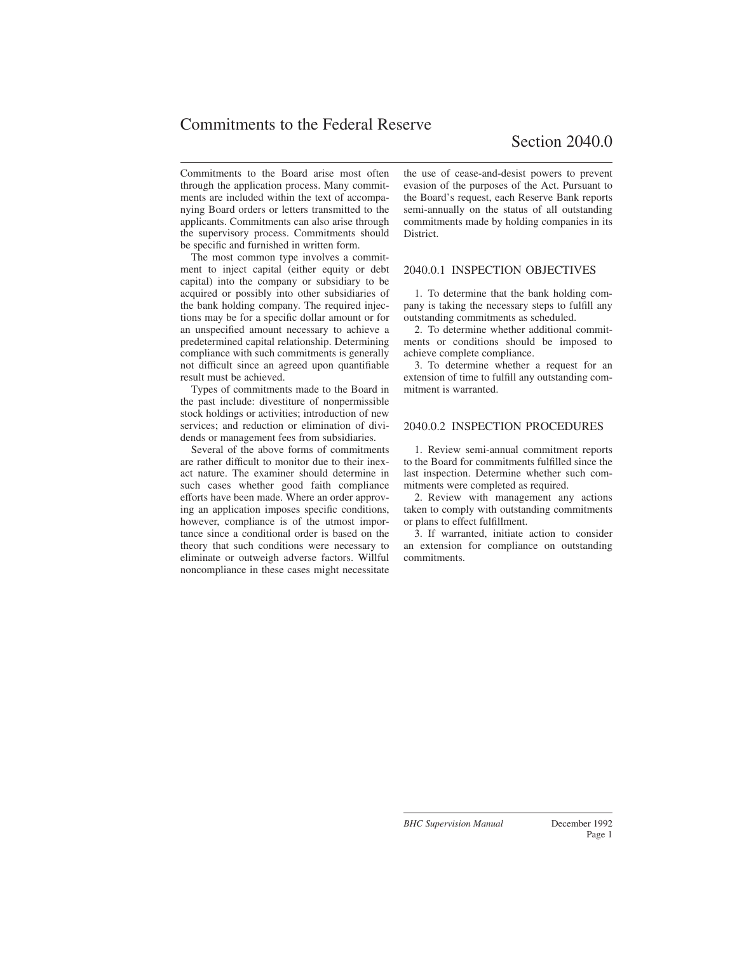Commitments to the Board arise most often through the application process. Many commitments are included within the text of accompanying Board orders or letters transmitted to the applicants. Commitments can also arise through the supervisory process. Commitments should be specific and furnished in written form.

The most common type involves a commitment to inject capital (either equity or debt capital) into the company or subsidiary to be acquired or possibly into other subsidiaries of the bank holding company. The required injections may be for a specific dollar amount or for an unspecified amount necessary to achieve a predetermined capital relationship. Determining compliance with such commitments is generally not difficult since an agreed upon quantifiable result must be achieved.

Types of commitments made to the Board in the past include: divestiture of nonpermissible stock holdings or activities; introduction of new services; and reduction or elimination of dividends or management fees from subsidiaries.

Several of the above forms of commitments are rather difficult to monitor due to their inexact nature. The examiner should determine in such cases whether good faith compliance efforts have been made. Where an order approving an application imposes specific conditions, however, compliance is of the utmost importance since a conditional order is based on the theory that such conditions were necessary to eliminate or outweigh adverse factors. Willful noncompliance in these cases might necessitate the use of cease-and-desist powers to prevent evasion of the purposes of the Act. Pursuant to the Board's request, each Reserve Bank reports semi-annually on the status of all outstanding commitments made by holding companies in its District.

# 2040.0.1 INSPECTION OBJECTIVES

1. To determine that the bank holding company is taking the necessary steps to fulfill any outstanding commitments as scheduled.

2. To determine whether additional commitments or conditions should be imposed to achieve complete compliance.

3. To determine whether a request for an extension of time to fulfill any outstanding commitment is warranted.

# 2040.0.2 INSPECTION PROCEDURES

1. Review semi-annual commitment reports to the Board for commitments fulfilled since the last inspection. Determine whether such commitments were completed as required.

2. Review with management any actions taken to comply with outstanding commitments or plans to effect fulfillment.

3. If warranted, initiate action to consider an extension for compliance on outstanding commitments.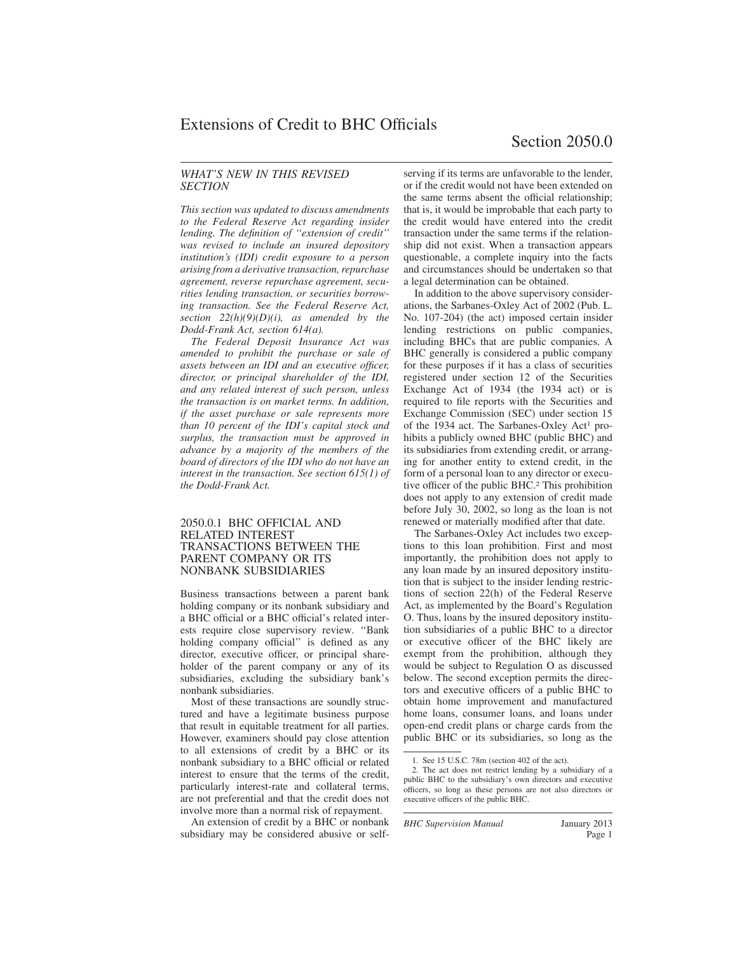#### *WHAT'S NEW IN THIS REVISED SECTION*

*This section was updated to discuss amendments to the Federal Reserve Act regarding insider lending. The definition of ''extension of credit'' was revised to include an insured depository institution's (IDI) credit exposure to a person arising from a derivative transaction, repurchase agreement, reverse repurchase agreement, securities lending transaction, or securities borrowing transaction. See the Federal Reserve Act, section 22(h)(9)(D)(i), as amended by the Dodd-Frank Act, section 614(a).*

*The Federal Deposit Insurance Act was amended to prohibit the purchase or sale of assets between an IDI and an executive officer, director, or principal shareholder of the IDI, and any related interest of such person, unless the transaction is on market terms. In addition, if the asset purchase or sale represents more than 10 percent of the IDI's capital stock and surplus, the transaction must be approved in advance by a majority of the members of the board of directors of the IDI who do not have an interest in the transaction. See section 615(1) of the Dodd-Frank Act.*

#### 2050.0.1 BHC OFFICIAL AND RELATED INTEREST TRANSACTIONS BETWEEN THE PARENT COMPANY OR ITS NONBANK SUBSIDIARIES

Business transactions between a parent bank holding company or its nonbank subsidiary and a BHC official or a BHC official's related interests require close supervisory review. ''Bank holding company official'' is defined as any director, executive officer, or principal shareholder of the parent company or any of its subsidiaries, excluding the subsidiary bank's nonbank subsidiaries.

Most of these transactions are soundly structured and have a legitimate business purpose that result in equitable treatment for all parties. However, examiners should pay close attention to all extensions of credit by a BHC or its nonbank subsidiary to a BHC official or related interest to ensure that the terms of the credit, particularly interest-rate and collateral terms, are not preferential and that the credit does not involve more than a normal risk of repayment.

An extension of credit by a BHC or nonbank subsidiary may be considered abusive or selfserving if its terms are unfavorable to the lender, or if the credit would not have been extended on the same terms absent the official relationship; that is, it would be improbable that each party to the credit would have entered into the credit transaction under the same terms if the relationship did not exist. When a transaction appears questionable, a complete inquiry into the facts and circumstances should be undertaken so that a legal determination can be obtained.

In addition to the above supervisory considerations, the Sarbanes-Oxley Act of 2002 (Pub. L. No. 107-204) (the act) imposed certain insider lending restrictions on public companies, including BHCs that are public companies. A BHC generally is considered a public company for these purposes if it has a class of securities registered under section 12 of the Securities Exchange Act of 1934 (the 1934 act) or is required to file reports with the Securities and Exchange Commission (SEC) under section 15 of the 1934 act. The Sarbanes-Oxley Act<sup>1</sup> prohibits a publicly owned BHC (public BHC) and its subsidiaries from extending credit, or arranging for another entity to extend credit, in the form of a personal loan to any director or executive officer of the public BHC.<sup>2</sup> This prohibition does not apply to any extension of credit made before July 30, 2002, so long as the loan is not renewed or materially modified after that date.

The Sarbanes-Oxley Act includes two exceptions to this loan prohibition. First and most importantly, the prohibition does not apply to any loan made by an insured depository institution that is subject to the insider lending restrictions of section 22(h) of the Federal Reserve Act, as implemented by the Board's Regulation O. Thus, loans by the insured depository institution subsidiaries of a public BHC to a director or executive officer of the BHC likely are exempt from the prohibition, although they would be subject to Regulation O as discussed below. The second exception permits the directors and executive officers of a public BHC to obtain home improvement and manufactured home loans, consumer loans, and loans under open-end credit plans or charge cards from the public BHC or its subsidiaries, so long as the

*BHC Supervision Manual* January 2013

<sup>1.</sup> See 15 U.S.C. 78m (section 402 of the act).

<sup>2.</sup> The act does not restrict lending by a subsidiary of a public BHC to the subsidiary's own directors and executive officers, so long as these persons are not also directors or executive officers of the public BHC.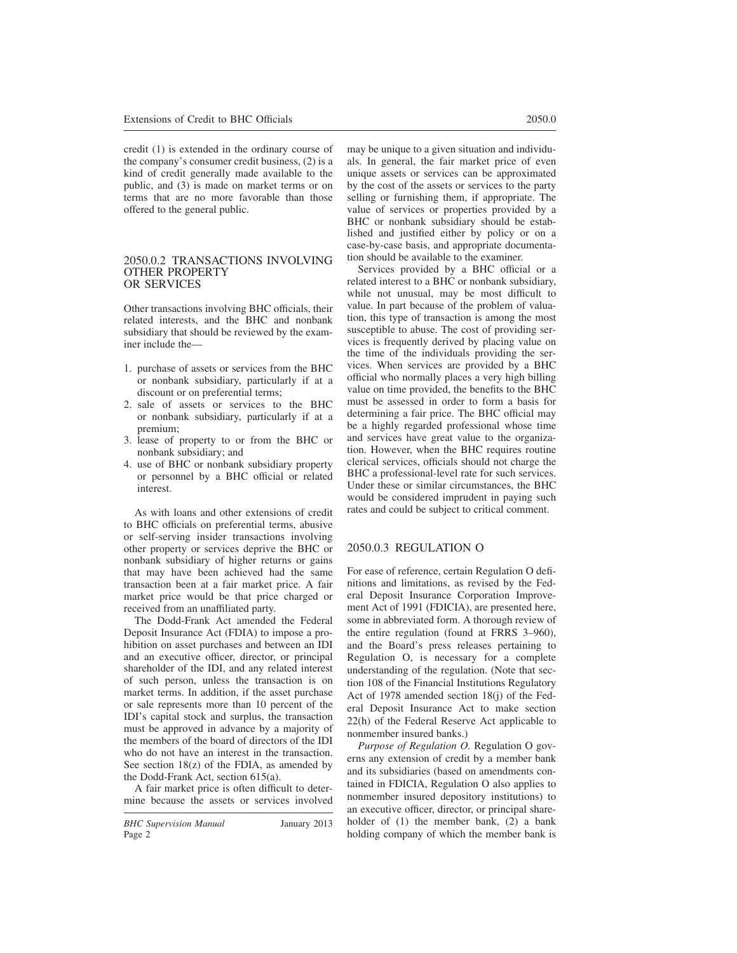credit (1) is extended in the ordinary course of the company's consumer credit business, (2) is a kind of credit generally made available to the public, and (3) is made on market terms or on terms that are no more favorable than those offered to the general public.

#### 2050.0.2 TRANSACTIONS INVOLVING OTHER PROPERTY OR SERVICES

Other transactions involving BHC officials, their related interests, and the BHC and nonbank subsidiary that should be reviewed by the examiner include the—

- 1. purchase of assets or services from the BHC or nonbank subsidiary, particularly if at a discount or on preferential terms;
- 2. sale of assets or services to the BHC or nonbank subsidiary, particularly if at a premium;
- 3. lease of property to or from the BHC or nonbank subsidiary; and
- 4. use of BHC or nonbank subsidiary property or personnel by a BHC official or related interest.

As with loans and other extensions of credit to BHC officials on preferential terms, abusive or self-serving insider transactions involving other property or services deprive the BHC or nonbank subsidiary of higher returns or gains that may have been achieved had the same transaction been at a fair market price. A fair market price would be that price charged or received from an unaffiliated party.

The Dodd-Frank Act amended the Federal Deposit Insurance Act (FDIA) to impose a prohibition on asset purchases and between an IDI and an executive officer, director, or principal shareholder of the IDI, and any related interest of such person, unless the transaction is on market terms. In addition, if the asset purchase or sale represents more than 10 percent of the IDI's capital stock and surplus, the transaction must be approved in advance by a majority of the members of the board of directors of the IDI who do not have an interest in the transaction. See section 18(z) of the FDIA, as amended by the Dodd-Frank Act, section 615(a).

A fair market price is often difficult to determine because the assets or services involved may be unique to a given situation and individuals. In general, the fair market price of even unique assets or services can be approximated by the cost of the assets or services to the party selling or furnishing them, if appropriate. The value of services or properties provided by a BHC or nonbank subsidiary should be established and justified either by policy or on a case-by-case basis, and appropriate documentation should be available to the examiner.

Services provided by a BHC official or a related interest to a BHC or nonbank subsidiary, while not unusual, may be most difficult to value. In part because of the problem of valuation, this type of transaction is among the most susceptible to abuse. The cost of providing services is frequently derived by placing value on the time of the individuals providing the services. When services are provided by a BHC official who normally places a very high billing value on time provided, the benefits to the BHC must be assessed in order to form a basis for determining a fair price. The BHC official may be a highly regarded professional whose time and services have great value to the organization. However, when the BHC requires routine clerical services, officials should not charge the BHC a professional-level rate for such services. Under these or similar circumstances, the BHC would be considered imprudent in paying such rates and could be subject to critical comment.

# 2050.0.3 REGULATION O

For ease of reference, certain Regulation O definitions and limitations, as revised by the Federal Deposit Insurance Corporation Improvement Act of 1991 (FDICIA), are presented here, some in abbreviated form. A thorough review of the entire regulation (found at FRRS 3–960), and the Board's press releases pertaining to Regulation O, is necessary for a complete understanding of the regulation. (Note that section 108 of the Financial Institutions Regulatory Act of 1978 amended section 18(j) of the Federal Deposit Insurance Act to make section 22(h) of the Federal Reserve Act applicable to nonmember insured banks.)

*Purpose of Regulation O.* Regulation O governs any extension of credit by a member bank and its subsidiaries (based on amendments contained in FDICIA, Regulation O also applies to nonmember insured depository institutions) to an executive officer, director, or principal shareholder of (1) the member bank, (2) a bank holding company of which the member bank is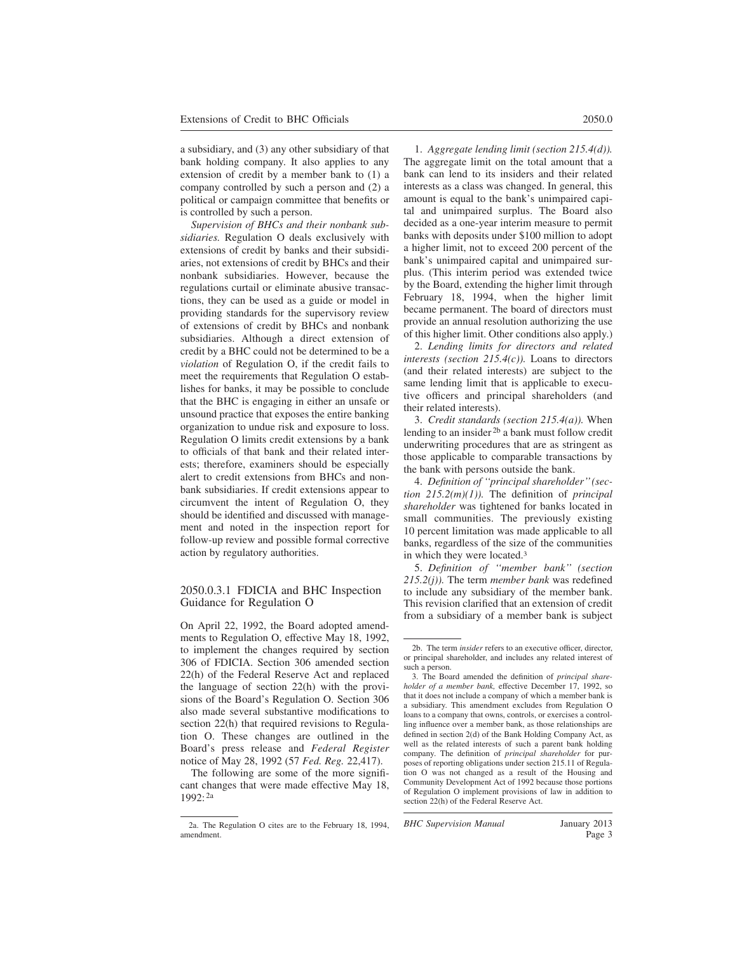a subsidiary, and (3) any other subsidiary of that bank holding company. It also applies to any extension of credit by a member bank to (1) a company controlled by such a person and (2) a political or campaign committee that benefits or is controlled by such a person.

*Supervision of BHCs and their nonbank subsidiaries.* Regulation O deals exclusively with extensions of credit by banks and their subsidiaries, not extensions of credit by BHCs and their nonbank subsidiaries. However, because the regulations curtail or eliminate abusive transactions, they can be used as a guide or model in providing standards for the supervisory review of extensions of credit by BHCs and nonbank subsidiaries. Although a direct extension of credit by a BHC could not be determined to be a *violation* of Regulation O, if the credit fails to meet the requirements that Regulation O establishes for banks, it may be possible to conclude that the BHC is engaging in either an unsafe or unsound practice that exposes the entire banking organization to undue risk and exposure to loss. Regulation O limits credit extensions by a bank to officials of that bank and their related interests; therefore, examiners should be especially alert to credit extensions from BHCs and nonbank subsidiaries. If credit extensions appear to circumvent the intent of Regulation O, they should be identified and discussed with management and noted in the inspection report for follow-up review and possible formal corrective action by regulatory authorities.

#### 2050.0.3.1 FDICIA and BHC Inspection Guidance for Regulation O

On April 22, 1992, the Board adopted amendments to Regulation O, effective May 18, 1992, to implement the changes required by section 306 of FDICIA. Section 306 amended section 22(h) of the Federal Reserve Act and replaced the language of section 22(h) with the provisions of the Board's Regulation O. Section 306 also made several substantive modifications to section 22(h) that required revisions to Regulation O. These changes are outlined in the Board's press release and *Federal Register* notice of May 28, 1992 (57 *Fed. Reg.* 22,417).

The following are some of the more significant changes that were made effective May 18, 1992: 2a

1. *Aggregate lending limit (section 215.4(d)).* The aggregate limit on the total amount that a bank can lend to its insiders and their related interests as a class was changed. In general, this amount is equal to the bank's unimpaired capital and unimpaired surplus. The Board also decided as a one-year interim measure to permit banks with deposits under \$100 million to adopt a higher limit, not to exceed 200 percent of the bank's unimpaired capital and unimpaired surplus. (This interim period was extended twice by the Board, extending the higher limit through February 18, 1994, when the higher limit became permanent. The board of directors must provide an annual resolution authorizing the use of this higher limit. Other conditions also apply.)

2. *Lending limits for directors and related interests (section 215.4(c)).* Loans to directors (and their related interests) are subject to the same lending limit that is applicable to executive officers and principal shareholders (and their related interests).

3. *Credit standards (section 215.4(a)).* When lending to an insider 2b a bank must follow credit underwriting procedures that are as stringent as those applicable to comparable transactions by the bank with persons outside the bank.

4. *Definition of ''principal shareholder''(section 215.2(m)(1)).* The definition of *principal shareholder* was tightened for banks located in small communities. The previously existing 10 percent limitation was made applicable to all banks, regardless of the size of the communities in which they were located.<sup>3</sup>

5. *Definition of ''member bank'' (section 215.2(j)).* The term *member bank* was redefined to include any subsidiary of the member bank. This revision clarified that an extension of credit from a subsidiary of a member bank is subject

<sup>2</sup>a. The Regulation O cites are to the February 18, 1994, amendment.

<sup>2</sup>b. The term *insider* refers to an executive officer, director, or principal shareholder, and includes any related interest of such a person.

<sup>3.</sup> The Board amended the definition of *principal shareholder of a member bank,* effective December 17, 1992, so that it does not include a company of which a member bank is a subsidiary. This amendment excludes from Regulation O loans to a company that owns, controls, or exercises a controlling influence over a member bank, as those relationships are defined in section 2(d) of the Bank Holding Company Act, as well as the related interests of such a parent bank holding company. The definition of *principal shareholder* for purposes of reporting obligations under section 215.11 of Regulation O was not changed as a result of the Housing and Community Development Act of 1992 because those portions of Regulation O implement provisions of law in addition to section 22(h) of the Federal Reserve Act.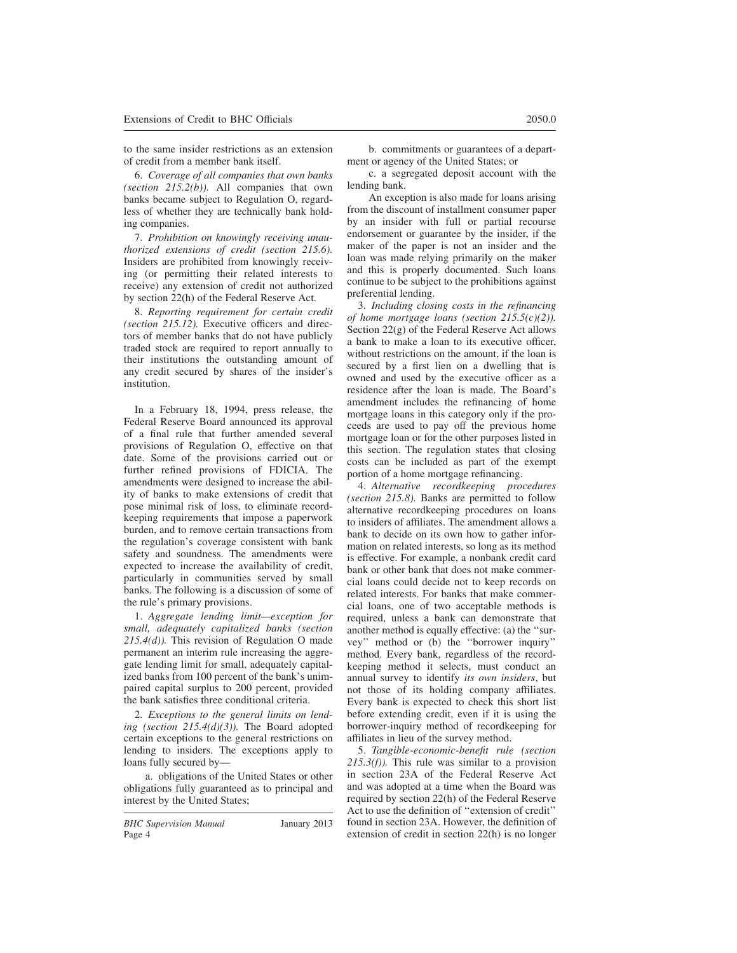to the same insider restrictions as an extension of credit from a member bank itself.

6. *Coverage of all companies that own banks (section 215.2(b)).* All companies that own banks became subject to Regulation O, regardless of whether they are technically bank holding companies.

7. *Prohibition on knowingly receiving unauthorized extensions of credit (section 215.6).* Insiders are prohibited from knowingly receiving (or permitting their related interests to receive) any extension of credit not authorized by section 22(h) of the Federal Reserve Act.

8. *Reporting requirement for certain credit (section 215.12).* Executive officers and directors of member banks that do not have publicly traded stock are required to report annually to their institutions the outstanding amount of any credit secured by shares of the insider's institution.

In a February 18, 1994, press release, the Federal Reserve Board announced its approval of a final rule that further amended several provisions of Regulation O, effective on that date. Some of the provisions carried out or further refined provisions of FDICIA. The amendments were designed to increase the ability of banks to make extensions of credit that pose minimal risk of loss, to eliminate recordkeeping requirements that impose a paperwork burden, and to remove certain transactions from the regulation's coverage consistent with bank safety and soundness. The amendments were expected to increase the availability of credit, particularly in communities served by small banks. The following is a discussion of some of the rule's primary provisions.

1. *Aggregate lending limit—exception for small, adequately capitalized banks (section 215.4(d)).* This revision of Regulation O made permanent an interim rule increasing the aggregate lending limit for small, adequately capitalized banks from 100 percent of the bank's unimpaired capital surplus to 200 percent, provided the bank satisfies three conditional criteria.

2. *Exceptions to the general limits on lending (section 215.4(d)(3)).* The Board adopted certain exceptions to the general restrictions on lending to insiders. The exceptions apply to loans fully secured by—

a. obligations of the United States or other obligations fully guaranteed as to principal and interest by the United States;

*BHC Supervision Manual* January 2013 Page 4

b. commitments or guarantees of a department or agency of the United States; or

c. a segregated deposit account with the lending bank.

An exception is also made for loans arising from the discount of installment consumer paper by an insider with full or partial recourse endorsement or guarantee by the insider, if the maker of the paper is not an insider and the loan was made relying primarily on the maker and this is properly documented. Such loans continue to be subject to the prohibitions against preferential lending.

3. *Including closing costs in the refinancing of home mortgage loans (section 215.5(c)(2)).* Section 22(g) of the Federal Reserve Act allows a bank to make a loan to its executive officer, without restrictions on the amount, if the loan is secured by a first lien on a dwelling that is owned and used by the executive officer as a residence after the loan is made. The Board's amendment includes the refinancing of home mortgage loans in this category only if the proceeds are used to pay off the previous home mortgage loan or for the other purposes listed in this section. The regulation states that closing costs can be included as part of the exempt portion of a home mortgage refinancing.

4. *Alternative recordkeeping procedures (section 215.8).* Banks are permitted to follow alternative recordkeeping procedures on loans to insiders of affiliates. The amendment allows a bank to decide on its own how to gather information on related interests, so long as its method is effective. For example, a nonbank credit card bank or other bank that does not make commercial loans could decide not to keep records on related interests. For banks that make commercial loans, one of two acceptable methods is required, unless a bank can demonstrate that another method is equally effective: (a) the ''survey'' method or (b) the ''borrower inquiry'' method. Every bank, regardless of the recordkeeping method it selects, must conduct an annual survey to identify *its own insiders*, but not those of its holding company affiliates. Every bank is expected to check this short list before extending credit, even if it is using the borrower-inquiry method of recordkeeping for affiliates in lieu of the survey method.

5. *Tangible-economic-benefit rule (section 215.3(f)).* This rule was similar to a provision in section 23A of the Federal Reserve Act and was adopted at a time when the Board was required by section 22(h) of the Federal Reserve Act to use the definition of ''extension of credit'' found in section 23A. However, the definition of extension of credit in section 22(h) is no longer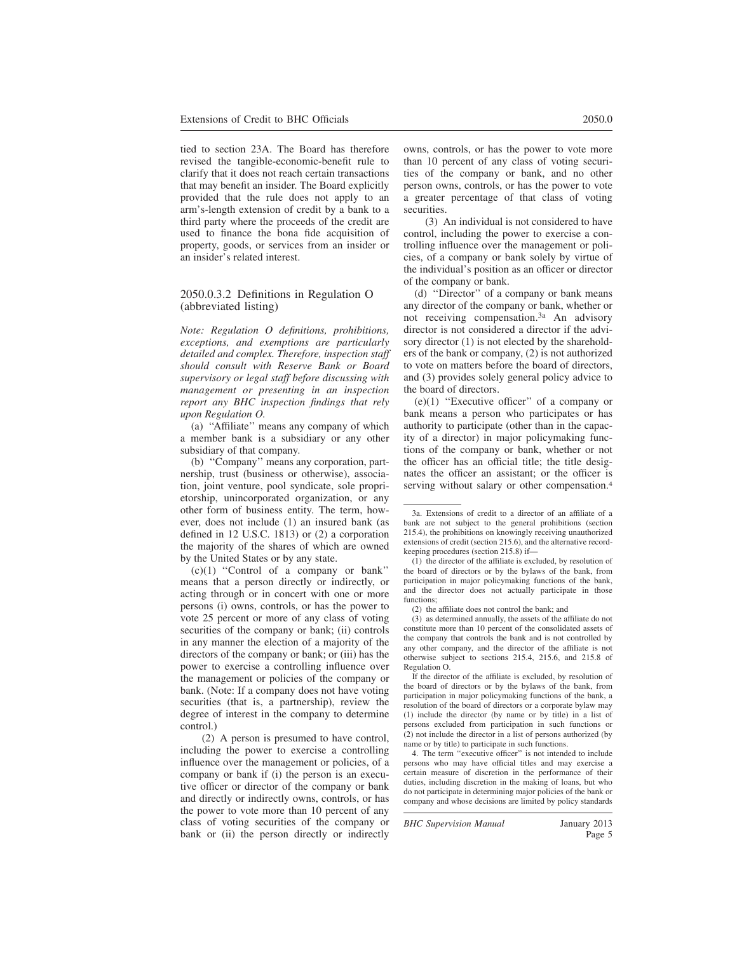tied to section 23A. The Board has therefore revised the tangible-economic-benefit rule to clarify that it does not reach certain transactions that may benefit an insider. The Board explicitly provided that the rule does not apply to an arm's-length extension of credit by a bank to a third party where the proceeds of the credit are used to finance the bona fide acquisition of property, goods, or services from an insider or an insider's related interest.

### 2050.0.3.2 Definitions in Regulation O (abbreviated listing)

*Note: Regulation O definitions, prohibitions, exceptions, and exemptions are particularly detailed and complex. Therefore, inspection staff should consult with Reserve Bank or Board supervisory or legal staff before discussing with management or presenting in an inspection report any BHC inspection findings that rely upon Regulation O.*

(a) ''Affiliate'' means any company of which a member bank is a subsidiary or any other subsidiary of that company.

(b) ''Company'' means any corporation, partnership, trust (business or otherwise), association, joint venture, pool syndicate, sole proprietorship, unincorporated organization, or any other form of business entity. The term, however, does not include (1) an insured bank (as defined in 12 U.S.C. 1813) or (2) a corporation the majority of the shares of which are owned by the United States or by any state.

 $(c)(1)$  "Control of a company or bank" means that a person directly or indirectly, or acting through or in concert with one or more persons (i) owns, controls, or has the power to vote 25 percent or more of any class of voting securities of the company or bank; (ii) controls in any manner the election of a majority of the directors of the company or bank; or (iii) has the power to exercise a controlling influence over the management or policies of the company or bank. (Note: If a company does not have voting securities (that is, a partnership), review the degree of interest in the company to determine control.)

(2) A person is presumed to have control, including the power to exercise a controlling influence over the management or policies, of a company or bank if (i) the person is an executive officer or director of the company or bank and directly or indirectly owns, controls, or has the power to vote more than 10 percent of any class of voting securities of the company or bank or (ii) the person directly or indirectly owns, controls, or has the power to vote more than 10 percent of any class of voting securities of the company or bank, and no other person owns, controls, or has the power to vote a greater percentage of that class of voting securities.

(3) An individual is not considered to have control, including the power to exercise a controlling influence over the management or policies, of a company or bank solely by virtue of the individual's position as an officer or director of the company or bank.

(d) ''Director'' of a company or bank means any director of the company or bank, whether or not receiving compensation.<sup>3a</sup> An advisory director is not considered a director if the advisory director (1) is not elected by the shareholders of the bank or company, (2) is not authorized to vote on matters before the board of directors, and (3) provides solely general policy advice to the board of directors.

(e)(1) ''Executive officer'' of a company or bank means a person who participates or has authority to participate (other than in the capacity of a director) in major policymaking functions of the company or bank, whether or not the officer has an official title; the title designates the officer an assistant; or the officer is serving without salary or other compensation.<sup>4</sup>

(2) the affiliate does not control the bank; and

(3) as determined annually, the assets of the affiliate do not constitute more than 10 percent of the consolidated assets of the company that controls the bank and is not controlled by any other company, and the director of the affiliate is not otherwise subject to sections 215.4, 215.6, and 215.8 of Regulation O.

If the director of the affiliate is excluded, by resolution of the board of directors or by the bylaws of the bank, from participation in major policymaking functions of the bank, a resolution of the board of directors or a corporate bylaw may (1) include the director (by name or by title) in a list of persons excluded from participation in such functions or (2) not include the director in a list of persons authorized (by name or by title) to participate in such functions.

4. The term ''executive officer'' is not intended to include persons who may have official titles and may exercise a certain measure of discretion in the performance of their duties, including discretion in the making of loans, but who do not participate in determining major policies of the bank or company and whose decisions are limited by policy standards

<sup>3</sup>a. Extensions of credit to a director of an affiliate of a bank are not subject to the general prohibitions (section 215.4), the prohibitions on knowingly receiving unauthorized extensions of credit (section 215.6), and the alternative recordkeeping procedures (section 215.8) if—

<sup>(1)</sup> the director of the affiliate is excluded, by resolution of the board of directors or by the bylaws of the bank, from participation in major policymaking functions of the bank, and the director does not actually participate in those functions: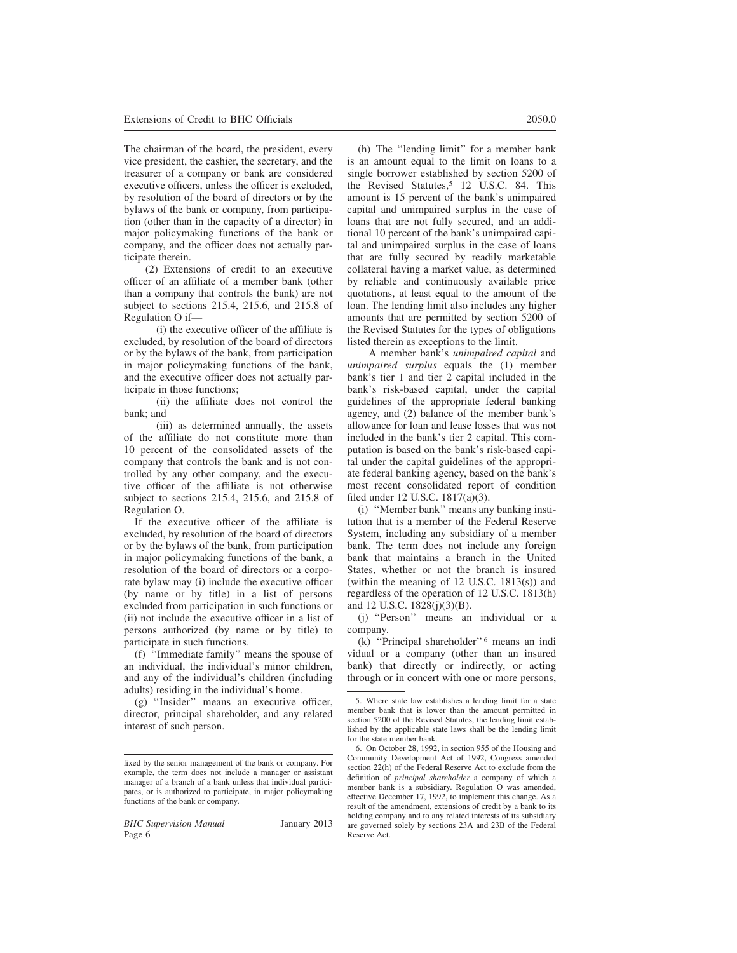The chairman of the board, the president, every vice president, the cashier, the secretary, and the treasurer of a company or bank are considered executive officers, unless the officer is excluded, by resolution of the board of directors or by the bylaws of the bank or company, from participation (other than in the capacity of a director) in major policymaking functions of the bank or company, and the officer does not actually participate therein.

(2) Extensions of credit to an executive officer of an affiliate of a member bank (other than a company that controls the bank) are not subject to sections 215.4, 215.6, and 215.8 of Regulation O if—

(i) the executive officer of the affiliate is excluded, by resolution of the board of directors or by the bylaws of the bank, from participation in major policymaking functions of the bank, and the executive officer does not actually participate in those functions;

(ii) the affiliate does not control the bank; and

(iii) as determined annually, the assets of the affiliate do not constitute more than 10 percent of the consolidated assets of the company that controls the bank and is not controlled by any other company, and the executive officer of the affiliate is not otherwise subject to sections 215.4, 215.6, and 215.8 of Regulation O.

If the executive officer of the affiliate is excluded, by resolution of the board of directors or by the bylaws of the bank, from participation in major policymaking functions of the bank, a resolution of the board of directors or a corporate bylaw may (i) include the executive officer (by name or by title) in a list of persons excluded from participation in such functions or (ii) not include the executive officer in a list of persons authorized (by name or by title) to participate in such functions.

(f) ''Immediate family'' means the spouse of an individual, the individual's minor children, and any of the individual's children (including adults) residing in the individual's home.

(g) ''Insider'' means an executive officer, director, principal shareholder, and any related interest of such person.

(h) The ''lending limit'' for a member bank is an amount equal to the limit on loans to a single borrower established by section 5200 of the Revised Statutes,<sup>5</sup> 12 U.S.C. 84. This amount is 15 percent of the bank's unimpaired capital and unimpaired surplus in the case of loans that are not fully secured, and an additional 10 percent of the bank's unimpaired capital and unimpaired surplus in the case of loans that are fully secured by readily marketable collateral having a market value, as determined by reliable and continuously available price quotations, at least equal to the amount of the loan. The lending limit also includes any higher amounts that are permitted by section 5200 of the Revised Statutes for the types of obligations listed therein as exceptions to the limit.

A member bank's *unimpaired capital* and *unimpaired surplus* equals the (1) member bank's tier 1 and tier 2 capital included in the bank's risk-based capital, under the capital guidelines of the appropriate federal banking agency, and (2) balance of the member bank's allowance for loan and lease losses that was not included in the bank's tier 2 capital. This computation is based on the bank's risk-based capital under the capital guidelines of the appropriate federal banking agency, based on the bank's most recent consolidated report of condition filed under 12 U.S.C. 1817(a)(3).

(i) ''Member bank'' means any banking institution that is a member of the Federal Reserve System, including any subsidiary of a member bank. The term does not include any foreign bank that maintains a branch in the United States, whether or not the branch is insured (within the meaning of 12 U.S.C. 1813(s)) and regardless of the operation of 12 U.S.C. 1813(h) and 12 U.S.C. 1828(j)(3)(B).

(j) ''Person'' means an individual or a company.

(k) ''Principal shareholder'' <sup>6</sup> means an indi vidual or a company (other than an insured bank) that directly or indirectly, or acting through or in concert with one or more persons,

fixed by the senior management of the bank or company. For example, the term does not include a manager or assistant manager of a branch of a bank unless that individual participates, or is authorized to participate, in major policymaking functions of the bank or company.

<sup>5.</sup> Where state law establishes a lending limit for a state member bank that is lower than the amount permitted in section 5200 of the Revised Statutes, the lending limit established by the applicable state laws shall be the lending limit for the state member bank.

<sup>6.</sup> On October 28, 1992, in section 955 of the Housing and Community Development Act of 1992, Congress amended section 22(h) of the Federal Reserve Act to exclude from the definition of *principal shareholder* a company of which a member bank is a subsidiary. Regulation O was amended, effective December 17, 1992, to implement this change. As a result of the amendment, extensions of credit by a bank to its holding company and to any related interests of its subsidiary are governed solely by sections 23A and 23B of the Federal Reserve Act.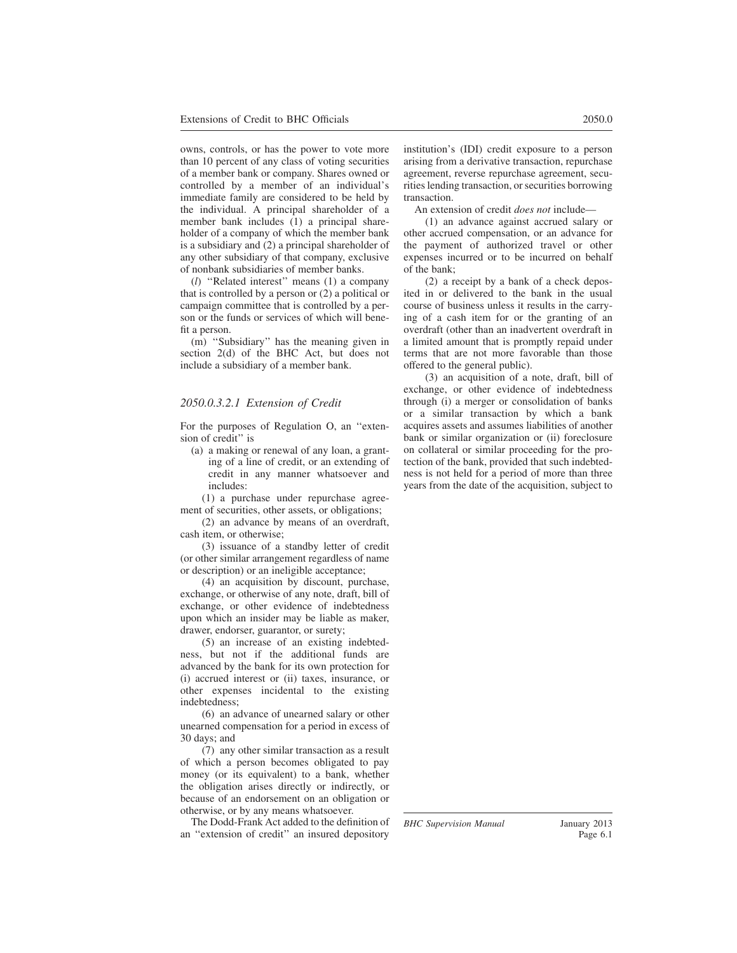owns, controls, or has the power to vote more than 10 percent of any class of voting securities of a member bank or company. Shares owned or controlled by a member of an individual's immediate family are considered to be held by the individual. A principal shareholder of a member bank includes (1) a principal shareholder of a company of which the member bank is a subsidiary and (2) a principal shareholder of any other subsidiary of that company, exclusive of nonbank subsidiaries of member banks.

(*l*) ''Related interest'' means (1) a company that is controlled by a person or (2) a political or campaign committee that is controlled by a person or the funds or services of which will benefit a person.

(m) ''Subsidiary'' has the meaning given in section 2(d) of the BHC Act, but does not include a subsidiary of a member bank.

#### *2050.0.3.2.1 Extension of Credit*

For the purposes of Regulation O, an ''extension of credit'' is

(a) a making or renewal of any loan, a granting of a line of credit, or an extending of credit in any manner whatsoever and includes:

(1) a purchase under repurchase agreement of securities, other assets, or obligations;

(2) an advance by means of an overdraft, cash item, or otherwise;

(3) issuance of a standby letter of credit (or other similar arrangement regardless of name or description) or an ineligible acceptance;

(4) an acquisition by discount, purchase, exchange, or otherwise of any note, draft, bill of exchange, or other evidence of indebtedness upon which an insider may be liable as maker, drawer, endorser, guarantor, or surety;

(5) an increase of an existing indebtedness, but not if the additional funds are advanced by the bank for its own protection for (i) accrued interest or (ii) taxes, insurance, or other expenses incidental to the existing indebtedness;

(6) an advance of unearned salary or other unearned compensation for a period in excess of 30 days; and

(7) any other similar transaction as a result of which a person becomes obligated to pay money (or its equivalent) to a bank, whether the obligation arises directly or indirectly, or because of an endorsement on an obligation or otherwise, or by any means whatsoever.

The Dodd-Frank Act added to the definition of an ''extension of credit'' an insured depository

institution's (IDI) credit exposure to a person arising from a derivative transaction, repurchase agreement, reverse repurchase agreement, securities lending transaction, or securities borrowing transaction.

An extension of credit *does not* include—

(1) an advance against accrued salary or other accrued compensation, or an advance for the payment of authorized travel or other expenses incurred or to be incurred on behalf of the bank;

(2) a receipt by a bank of a check deposited in or delivered to the bank in the usual course of business unless it results in the carrying of a cash item for or the granting of an overdraft (other than an inadvertent overdraft in a limited amount that is promptly repaid under terms that are not more favorable than those offered to the general public).

(3) an acquisition of a note, draft, bill of exchange, or other evidence of indebtedness through (i) a merger or consolidation of banks or a similar transaction by which a bank acquires assets and assumes liabilities of another bank or similar organization or (ii) foreclosure on collateral or similar proceeding for the protection of the bank, provided that such indebtedness is not held for a period of more than three years from the date of the acquisition, subject to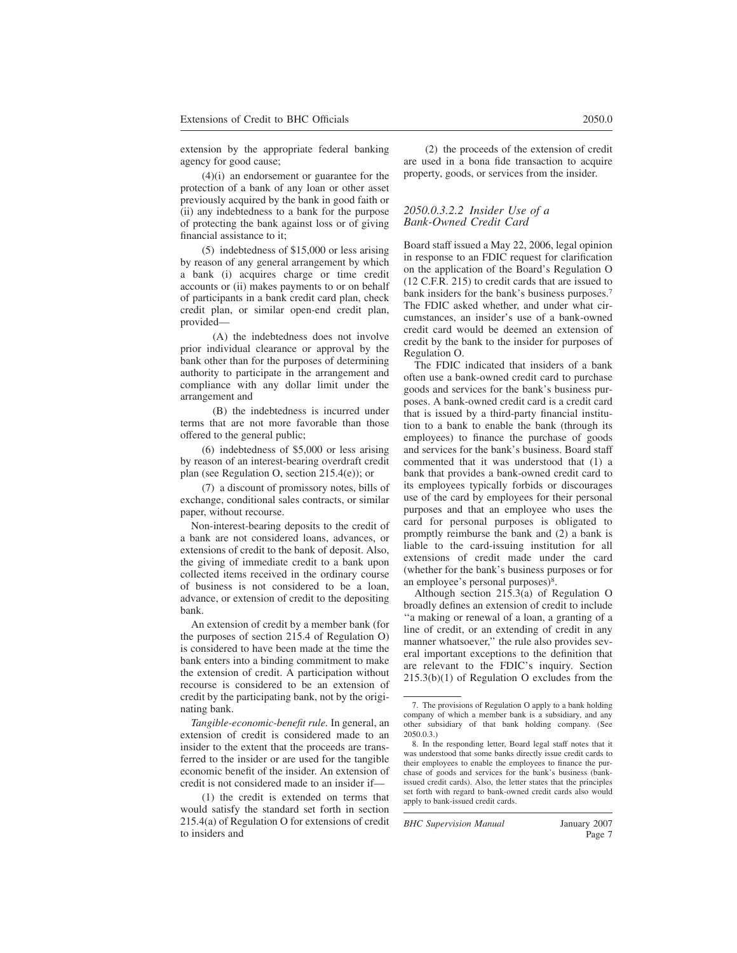extension by the appropriate federal banking agency for good cause;

(4)(i) an endorsement or guarantee for the protection of a bank of any loan or other asset previously acquired by the bank in good faith or (ii) any indebtedness to a bank for the purpose of protecting the bank against loss or of giving financial assistance to it;

(5) indebtedness of \$15,000 or less arising by reason of any general arrangement by which a bank (i) acquires charge or time credit accounts or (ii) makes payments to or on behalf of participants in a bank credit card plan, check credit plan, or similar open-end credit plan, provided—

(A) the indebtedness does not involve prior individual clearance or approval by the bank other than for the purposes of determining authority to participate in the arrangement and compliance with any dollar limit under the arrangement and

(B) the indebtedness is incurred under terms that are not more favorable than those offered to the general public;

(6) indebtedness of \$5,000 or less arising by reason of an interest-bearing overdraft credit plan (see Regulation O, section 215.4(e)); or

(7) a discount of promissory notes, bills of exchange, conditional sales contracts, or similar paper, without recourse.

Non-interest-bearing deposits to the credit of a bank are not considered loans, advances, or extensions of credit to the bank of deposit. Also, the giving of immediate credit to a bank upon collected items received in the ordinary course of business is not considered to be a loan, advance, or extension of credit to the depositing bank.

An extension of credit by a member bank (for the purposes of section 215.4 of Regulation O) is considered to have been made at the time the bank enters into a binding commitment to make the extension of credit. A participation without recourse is considered to be an extension of credit by the participating bank, not by the originating bank.

*Tangible-economic-benefit rule.* In general, an extension of credit is considered made to an insider to the extent that the proceeds are transferred to the insider or are used for the tangible economic benefit of the insider. An extension of credit is not considered made to an insider if—

(1) the credit is extended on terms that would satisfy the standard set forth in section 215.4(a) of Regulation O for extensions of credit to insiders and

(2) the proceeds of the extension of credit are used in a bona fide transaction to acquire property, goods, or services from the insider.

### *2050.0.3.2.2 Insider Use of a Bank-Owned Credit Card*

Board staff issued a May 22, 2006, legal opinion in response to an FDIC request for clarification on the application of the Board's Regulation O (12 C.F.R. 215) to credit cards that are issued to bank insiders for the bank's business purposes.<sup>7</sup> The FDIC asked whether, and under what circumstances, an insider's use of a bank-owned credit card would be deemed an extension of credit by the bank to the insider for purposes of Regulation O.

The FDIC indicated that insiders of a bank often use a bank-owned credit card to purchase goods and services for the bank's business purposes. A bank-owned credit card is a credit card that is issued by a third-party financial institution to a bank to enable the bank (through its employees) to finance the purchase of goods and services for the bank's business. Board staff commented that it was understood that (1) a bank that provides a bank-owned credit card to its employees typically forbids or discourages use of the card by employees for their personal purposes and that an employee who uses the card for personal purposes is obligated to promptly reimburse the bank and (2) a bank is liable to the card-issuing institution for all extensions of credit made under the card (whether for the bank's business purposes or for an employee's personal purposes)<sup>8</sup>.

Although section 215.3(a) of Regulation O broadly defines an extension of credit to include ''a making or renewal of a loan, a granting of a line of credit, or an extending of credit in any manner whatsoever,'' the rule also provides several important exceptions to the definition that are relevant to the FDIC's inquiry. Section 215.3(b)(1) of Regulation O excludes from the

<sup>7.</sup> The provisions of Regulation O apply to a bank holding company of which a member bank is a subsidiary, and any other subsidiary of that bank holding company. (See 2050.0.3.)

<sup>8.</sup> In the responding letter, Board legal staff notes that it was understood that some banks directly issue credit cards to their employees to enable the employees to finance the purchase of goods and services for the bank's business (bankissued credit cards). Also, the letter states that the principles set forth with regard to bank-owned credit cards also would apply to bank-issued credit cards.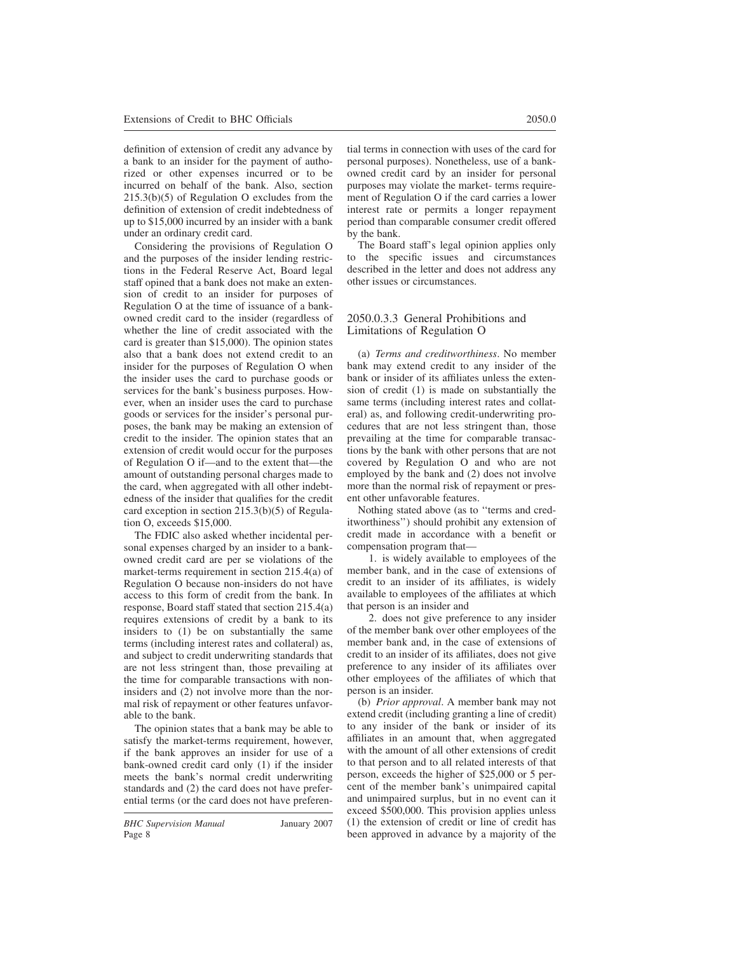definition of extension of credit any advance by a bank to an insider for the payment of authorized or other expenses incurred or to be incurred on behalf of the bank. Also, section 215.3(b)(5) of Regulation O excludes from the definition of extension of credit indebtedness of up to \$15,000 incurred by an insider with a bank under an ordinary credit card.

Considering the provisions of Regulation O and the purposes of the insider lending restrictions in the Federal Reserve Act, Board legal staff opined that a bank does not make an extension of credit to an insider for purposes of Regulation O at the time of issuance of a bankowned credit card to the insider (regardless of whether the line of credit associated with the card is greater than \$15,000). The opinion states also that a bank does not extend credit to an insider for the purposes of Regulation O when the insider uses the card to purchase goods or services for the bank's business purposes. However, when an insider uses the card to purchase goods or services for the insider's personal purposes, the bank may be making an extension of credit to the insider. The opinion states that an extension of credit would occur for the purposes of Regulation O if—and to the extent that—the amount of outstanding personal charges made to the card, when aggregated with all other indebtedness of the insider that qualifies for the credit card exception in section 215.3(b)(5) of Regulation O, exceeds \$15,000.

The FDIC also asked whether incidental personal expenses charged by an insider to a bankowned credit card are per se violations of the market-terms requirement in section 215.4(a) of Regulation O because non-insiders do not have access to this form of credit from the bank. In response, Board staff stated that section 215.4(a) requires extensions of credit by a bank to its insiders to (1) be on substantially the same terms (including interest rates and collateral) as, and subject to credit underwriting standards that are not less stringent than, those prevailing at the time for comparable transactions with noninsiders and (2) not involve more than the normal risk of repayment or other features unfavorable to the bank.

The opinion states that a bank may be able to satisfy the market-terms requirement, however, if the bank approves an insider for use of a bank-owned credit card only (1) if the insider meets the bank's normal credit underwriting standards and (2) the card does not have preferential terms (or the card does not have preferential terms in connection with uses of the card for personal purposes). Nonetheless, use of a bankowned credit card by an insider for personal purposes may violate the market- terms requirement of Regulation O if the card carries a lower interest rate or permits a longer repayment period than comparable consumer credit offered by the bank.

The Board staff's legal opinion applies only to the specific issues and circumstances described in the letter and does not address any other issues or circumstances.

# 2050.0.3.3 General Prohibitions and Limitations of Regulation O

(a) *Terms and creditworthiness*. No member bank may extend credit to any insider of the bank or insider of its affiliates unless the extension of credit (1) is made on substantially the same terms (including interest rates and collateral) as, and following credit-underwriting procedures that are not less stringent than, those prevailing at the time for comparable transactions by the bank with other persons that are not covered by Regulation O and who are not employed by the bank and (2) does not involve more than the normal risk of repayment or present other unfavorable features.

Nothing stated above (as to ''terms and creditworthiness'') should prohibit any extension of credit made in accordance with a benefit or compensation program that—

1. is widely available to employees of the member bank, and in the case of extensions of credit to an insider of its affiliates, is widely available to employees of the affiliates at which that person is an insider and

2. does not give preference to any insider of the member bank over other employees of the member bank and, in the case of extensions of credit to an insider of its affiliates, does not give preference to any insider of its affiliates over other employees of the affiliates of which that person is an insider.

(b) *Prior approval*. A member bank may not extend credit (including granting a line of credit) to any insider of the bank or insider of its affiliates in an amount that, when aggregated with the amount of all other extensions of credit to that person and to all related interests of that person, exceeds the higher of \$25,000 or 5 percent of the member bank's unimpaired capital and unimpaired surplus, but in no event can it exceed \$500,000. This provision applies unless (1) the extension of credit or line of credit has been approved in advance by a majority of the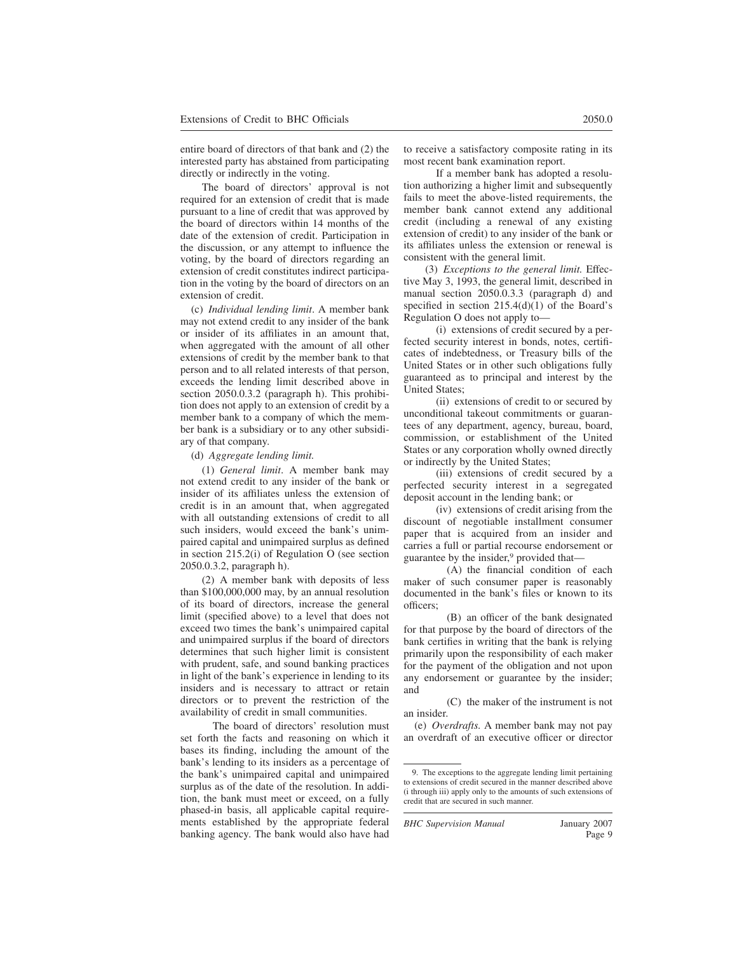entire board of directors of that bank and (2) the interested party has abstained from participating directly or indirectly in the voting.

The board of directors' approval is not required for an extension of credit that is made pursuant to a line of credit that was approved by the board of directors within 14 months of the date of the extension of credit. Participation in the discussion, or any attempt to influence the voting, by the board of directors regarding an extension of credit constitutes indirect participation in the voting by the board of directors on an extension of credit.

(c) *Individual lending limit*. A member bank may not extend credit to any insider of the bank or insider of its affiliates in an amount that, when aggregated with the amount of all other extensions of credit by the member bank to that person and to all related interests of that person, exceeds the lending limit described above in section 2050.0.3.2 (paragraph h). This prohibition does not apply to an extension of credit by a member bank to a company of which the member bank is a subsidiary or to any other subsidiary of that company.

#### (d) *Aggregate lending limit.*

(1) *General limit*. A member bank may not extend credit to any insider of the bank or insider of its affiliates unless the extension of credit is in an amount that, when aggregated with all outstanding extensions of credit to all such insiders, would exceed the bank's unimpaired capital and unimpaired surplus as defined in section 215.2(i) of Regulation O (see section 2050.0.3.2, paragraph h).

(2) A member bank with deposits of less than \$100,000,000 may, by an annual resolution of its board of directors, increase the general limit (specified above) to a level that does not exceed two times the bank's unimpaired capital and unimpaired surplus if the board of directors determines that such higher limit is consistent with prudent, safe, and sound banking practices in light of the bank's experience in lending to its insiders and is necessary to attract or retain directors or to prevent the restriction of the availability of credit in small communities.

The board of directors' resolution must set forth the facts and reasoning on which it bases its finding, including the amount of the bank's lending to its insiders as a percentage of the bank's unimpaired capital and unimpaired surplus as of the date of the resolution. In addition, the bank must meet or exceed, on a fully phased-in basis, all applicable capital requirements established by the appropriate federal banking agency. The bank would also have had to receive a satisfactory composite rating in its most recent bank examination report.

If a member bank has adopted a resolution authorizing a higher limit and subsequently fails to meet the above-listed requirements, the member bank cannot extend any additional credit (including a renewal of any existing extension of credit) to any insider of the bank or its affiliates unless the extension or renewal is consistent with the general limit.

(3) *Exceptions to the general limit.* Effective May 3, 1993, the general limit, described in manual section 2050.0.3.3 (paragraph d) and specified in section 215.4(d)(1) of the Board's Regulation O does not apply to—

(i) extensions of credit secured by a perfected security interest in bonds, notes, certificates of indebtedness, or Treasury bills of the United States or in other such obligations fully guaranteed as to principal and interest by the United States;

(ii) extensions of credit to or secured by unconditional takeout commitments or guarantees of any department, agency, bureau, board, commission, or establishment of the United States or any corporation wholly owned directly or indirectly by the United States;

(iii) extensions of credit secured by a perfected security interest in a segregated deposit account in the lending bank; or

(iv) extensions of credit arising from the discount of negotiable installment consumer paper that is acquired from an insider and carries a full or partial recourse endorsement or guarantee by the insider,<sup>9</sup> provided that—

(A) the financial condition of each maker of such consumer paper is reasonably documented in the bank's files or known to its officers;

(B) an officer of the bank designated for that purpose by the board of directors of the bank certifies in writing that the bank is relying primarily upon the responsibility of each maker for the payment of the obligation and not upon any endorsement or guarantee by the insider; and

(C) the maker of the instrument is not an insider.

(e) *Overdrafts.* A member bank may not pay an overdraft of an executive officer or director

<sup>9.</sup> The exceptions to the aggregate lending limit pertaining to extensions of credit secured in the manner described above (i through iii) apply only to the amounts of such extensions of credit that are secured in such manner.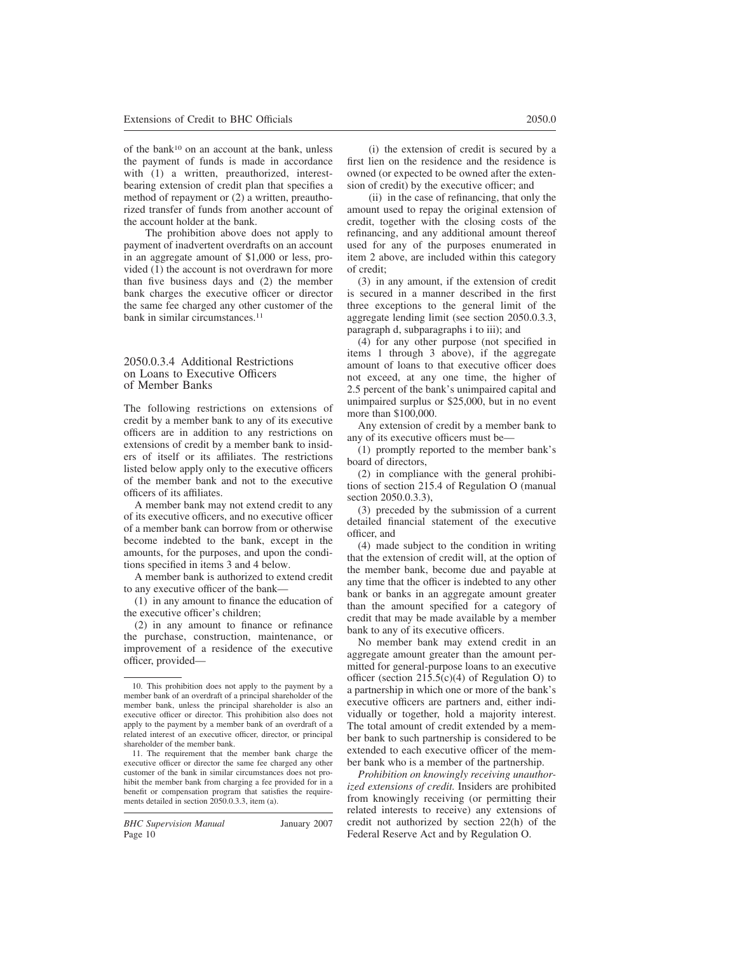of the bank<sup>10</sup> on an account at the bank, unless the payment of funds is made in accordance with (1) a written, preauthorized, interestbearing extension of credit plan that specifies a method of repayment or (2) a written, preauthorized transfer of funds from another account of the account holder at the bank.

The prohibition above does not apply to payment of inadvertent overdrafts on an account in an aggregate amount of \$1,000 or less, provided (1) the account is not overdrawn for more than five business days and (2) the member bank charges the executive officer or director the same fee charged any other customer of the bank in similar circumstances.<sup>11</sup>

### 2050.0.3.4 Additional Restrictions on Loans to Executive Officers of Member Banks

The following restrictions on extensions of credit by a member bank to any of its executive officers are in addition to any restrictions on extensions of credit by a member bank to insiders of itself or its affiliates. The restrictions listed below apply only to the executive officers of the member bank and not to the executive officers of its affiliates.

A member bank may not extend credit to any of its executive officers, and no executive officer of a member bank can borrow from or otherwise become indebted to the bank, except in the amounts, for the purposes, and upon the conditions specified in items 3 and 4 below.

A member bank is authorized to extend credit to any executive officer of the bank—

(1) in any amount to finance the education of the executive officer's children;

(2) in any amount to finance or refinance the purchase, construction, maintenance, or improvement of a residence of the executive officer, provided—

11. The requirement that the member bank charge the executive officer or director the same fee charged any other customer of the bank in similar circumstances does not prohibit the member bank from charging a fee provided for in a benefit or compensation program that satisfies the requirements detailed in section 2050.0.3.3, item (a).

*BHC Supervision Manual* January 2007 Page 10

(i) the extension of credit is secured by a first lien on the residence and the residence is owned (or expected to be owned after the extension of credit) by the executive officer; and

(ii) in the case of refinancing, that only the amount used to repay the original extension of credit, together with the closing costs of the refinancing, and any additional amount thereof used for any of the purposes enumerated in item 2 above, are included within this category of credit;

(3) in any amount, if the extension of credit is secured in a manner described in the first three exceptions to the general limit of the aggregate lending limit (see section 2050.0.3.3, paragraph d, subparagraphs i to iii); and

(4) for any other purpose (not specified in items 1 through 3 above), if the aggregate amount of loans to that executive officer does not exceed, at any one time, the higher of 2.5 percent of the bank's unimpaired capital and unimpaired surplus or \$25,000, but in no event more than \$100,000.

Any extension of credit by a member bank to any of its executive officers must be—

(1) promptly reported to the member bank's board of directors,

(2) in compliance with the general prohibitions of section 215.4 of Regulation O (manual section 2050.0.3.3),

(3) preceded by the submission of a current detailed financial statement of the executive officer, and

(4) made subject to the condition in writing that the extension of credit will, at the option of the member bank, become due and payable at any time that the officer is indebted to any other bank or banks in an aggregate amount greater than the amount specified for a category of credit that may be made available by a member bank to any of its executive officers.

No member bank may extend credit in an aggregate amount greater than the amount permitted for general-purpose loans to an executive officer (section  $215.5(c)(4)$  of Regulation O) to a partnership in which one or more of the bank's executive officers are partners and, either individually or together, hold a majority interest. The total amount of credit extended by a member bank to such partnership is considered to be extended to each executive officer of the member bank who is a member of the partnership.

*Prohibition on knowingly receiving unauthorized extensions of credit.* Insiders are prohibited from knowingly receiving (or permitting their related interests to receive) any extensions of credit not authorized by section 22(h) of the Federal Reserve Act and by Regulation O.

<sup>10.</sup> This prohibition does not apply to the payment by a member bank of an overdraft of a principal shareholder of the member bank, unless the principal shareholder is also an executive officer or director. This prohibition also does not apply to the payment by a member bank of an overdraft of a related interest of an executive officer, director, or principal shareholder of the member bank.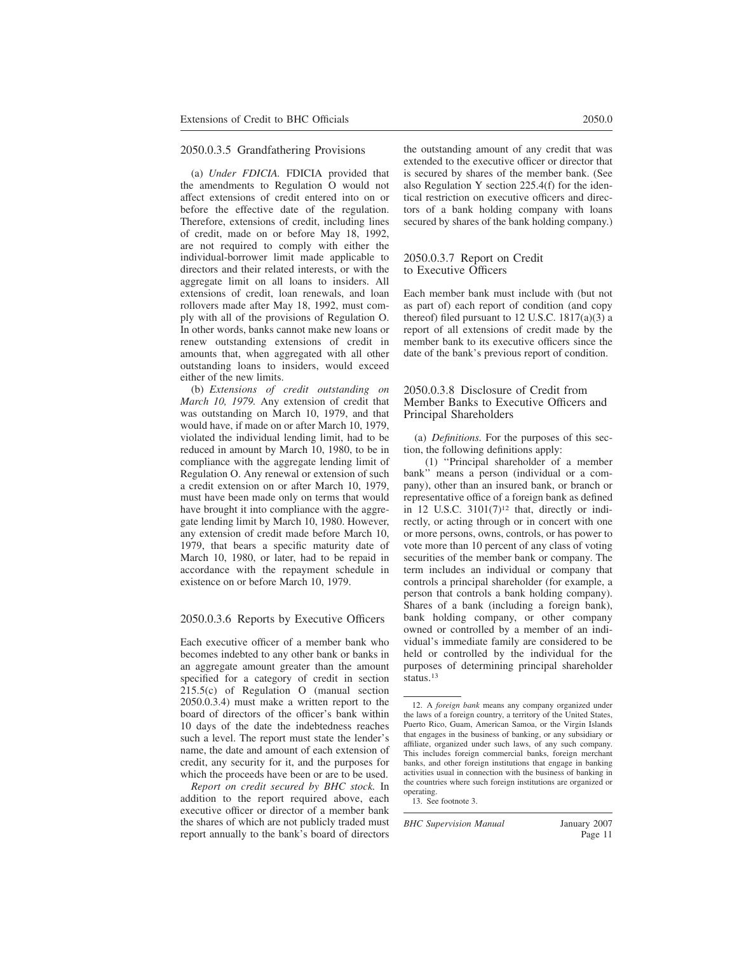#### 2050.0.3.5 Grandfathering Provisions

(a) *Under FDICIA.* FDICIA provided that the amendments to Regulation O would not affect extensions of credit entered into on or before the effective date of the regulation. Therefore, extensions of credit, including lines of credit, made on or before May 18, 1992, are not required to comply with either the individual-borrower limit made applicable to directors and their related interests, or with the aggregate limit on all loans to insiders. All extensions of credit, loan renewals, and loan rollovers made after May 18, 1992, must comply with all of the provisions of Regulation O. In other words, banks cannot make new loans or renew outstanding extensions of credit in amounts that, when aggregated with all other outstanding loans to insiders, would exceed either of the new limits.

(b) *Extensions of credit outstanding on March 10, 1979.* Any extension of credit that was outstanding on March 10, 1979, and that would have, if made on or after March 10, 1979, violated the individual lending limit, had to be reduced in amount by March 10, 1980, to be in compliance with the aggregate lending limit of Regulation O. Any renewal or extension of such a credit extension on or after March 10, 1979, must have been made only on terms that would have brought it into compliance with the aggregate lending limit by March 10, 1980. However, any extension of credit made before March 10, 1979, that bears a specific maturity date of March 10, 1980, or later, had to be repaid in accordance with the repayment schedule in existence on or before March 10, 1979.

#### 2050.0.3.6 Reports by Executive Officers

Each executive officer of a member bank who becomes indebted to any other bank or banks in an aggregate amount greater than the amount specified for a category of credit in section 215.5(c) of Regulation O (manual section 2050.0.3.4) must make a written report to the board of directors of the officer's bank within 10 days of the date the indebtedness reaches such a level. The report must state the lender's name, the date and amount of each extension of credit, any security for it, and the purposes for which the proceeds have been or are to be used.

*Report on credit secured by BHC stock.* In addition to the report required above, each executive officer or director of a member bank the shares of which are not publicly traded must report annually to the bank's board of directors the outstanding amount of any credit that was extended to the executive officer or director that is secured by shares of the member bank. (See also Regulation Y section 225.4(f) for the identical restriction on executive officers and directors of a bank holding company with loans secured by shares of the bank holding company.)

### 2050.0.3.7 Report on Credit to Executive Officers

Each member bank must include with (but not as part of) each report of condition (and copy thereof) filed pursuant to 12 U.S.C.  $1817(a)(3)$  a report of all extensions of credit made by the member bank to its executive officers since the date of the bank's previous report of condition.

### 2050.0.3.8 Disclosure of Credit from Member Banks to Executive Officers and Principal Shareholders

(a) *Definitions.* For the purposes of this section, the following definitions apply:

(1) ''Principal shareholder of a member bank'' means a person (individual or a company), other than an insured bank, or branch or representative office of a foreign bank as defined in 12 U.S.C.  $3101(7)^{12}$  that, directly or indirectly, or acting through or in concert with one or more persons, owns, controls, or has power to vote more than 10 percent of any class of voting securities of the member bank or company. The term includes an individual or company that controls a principal shareholder (for example, a person that controls a bank holding company). Shares of a bank (including a foreign bank), bank holding company, or other company owned or controlled by a member of an individual's immediate family are considered to be held or controlled by the individual for the purposes of determining principal shareholder status.<sup>13</sup>

13. See footnote 3.

<sup>12.</sup> A *foreign bank* means any company organized under the laws of a foreign country, a territory of the United States, Puerto Rico, Guam, American Samoa, or the Virgin Islands that engages in the business of banking, or any subsidiary or affiliate, organized under such laws, of any such company. This includes foreign commercial banks, foreign merchant banks, and other foreign institutions that engage in banking activities usual in connection with the business of banking in the countries where such foreign institutions are organized or operating.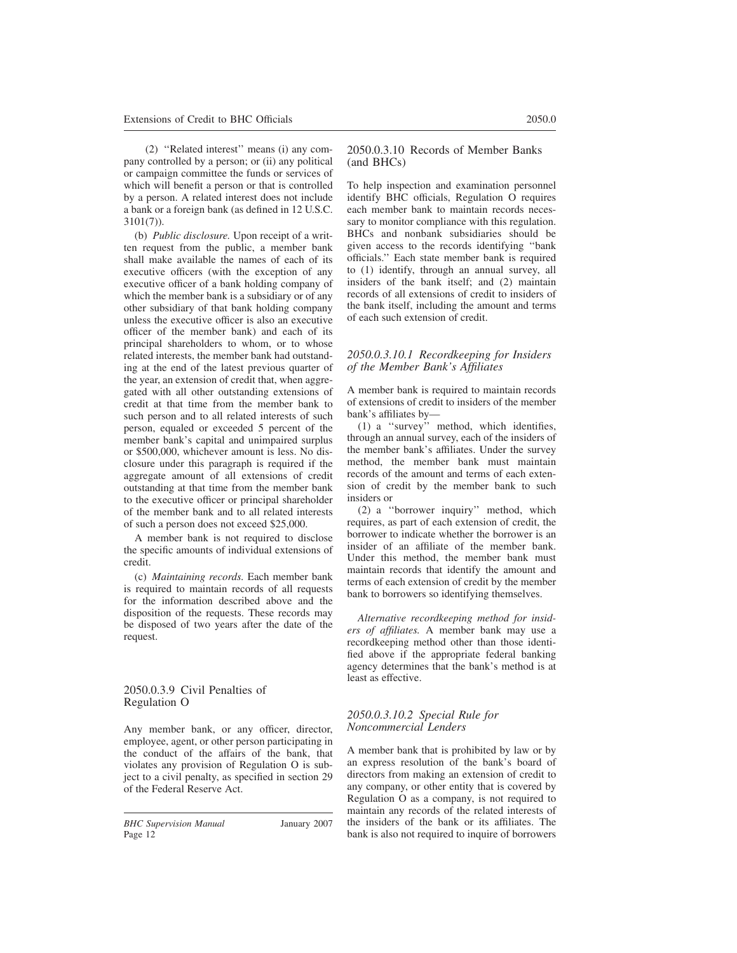(2) ''Related interest'' means (i) any company controlled by a person; or (ii) any political or campaign committee the funds or services of which will benefit a person or that is controlled by a person. A related interest does not include a bank or a foreign bank (as defined in 12 U.S.C. 3101(7)).

(b) *Public disclosure.* Upon receipt of a written request from the public, a member bank shall make available the names of each of its executive officers (with the exception of any executive officer of a bank holding company of which the member bank is a subsidiary or of any other subsidiary of that bank holding company unless the executive officer is also an executive officer of the member bank) and each of its principal shareholders to whom, or to whose related interests, the member bank had outstanding at the end of the latest previous quarter of the year, an extension of credit that, when aggregated with all other outstanding extensions of credit at that time from the member bank to such person and to all related interests of such person, equaled or exceeded 5 percent of the member bank's capital and unimpaired surplus or \$500,000, whichever amount is less. No disclosure under this paragraph is required if the aggregate amount of all extensions of credit outstanding at that time from the member bank to the executive officer or principal shareholder of the member bank and to all related interests of such a person does not exceed \$25,000.

A member bank is not required to disclose the specific amounts of individual extensions of credit.

(c) *Maintaining records.* Each member bank is required to maintain records of all requests for the information described above and the disposition of the requests. These records may be disposed of two years after the date of the request.

# 2050.0.3.9 Civil Penalties of Regulation O

Any member bank, or any officer, director, employee, agent, or other person participating in the conduct of the affairs of the bank, that violates any provision of Regulation O is subject to a civil penalty, as specified in section 29 of the Federal Reserve Act.

## 2050.0.3.10 Records of Member Banks (and BHCs)

To help inspection and examination personnel identify BHC officials, Regulation O requires each member bank to maintain records necessary to monitor compliance with this regulation. BHCs and nonbank subsidiaries should be given access to the records identifying ''bank officials.'' Each state member bank is required to (1) identify, through an annual survey, all insiders of the bank itself; and (2) maintain records of all extensions of credit to insiders of the bank itself, including the amount and terms of each such extension of credit.

## *2050.0.3.10.1 Recordkeeping for Insiders of the Member Bank's Affiliates*

A member bank is required to maintain records of extensions of credit to insiders of the member bank's affiliates by—

(1) a ''survey'' method, which identifies, through an annual survey, each of the insiders of the member bank's affiliates. Under the survey method, the member bank must maintain records of the amount and terms of each extension of credit by the member bank to such insiders or

(2) a ''borrower inquiry'' method, which requires, as part of each extension of credit, the borrower to indicate whether the borrower is an insider of an affiliate of the member bank. Under this method, the member bank must maintain records that identify the amount and terms of each extension of credit by the member bank to borrowers so identifying themselves.

*Alternative recordkeeping method for insiders of affiliates.* A member bank may use a recordkeeping method other than those identified above if the appropriate federal banking agency determines that the bank's method is at least as effective.

# *2050.0.3.10.2 Special Rule for Noncommercial Lenders*

A member bank that is prohibited by law or by an express resolution of the bank's board of directors from making an extension of credit to any company, or other entity that is covered by Regulation O as a company, is not required to maintain any records of the related interests of the insiders of the bank or its affiliates. The bank is also not required to inquire of borrowers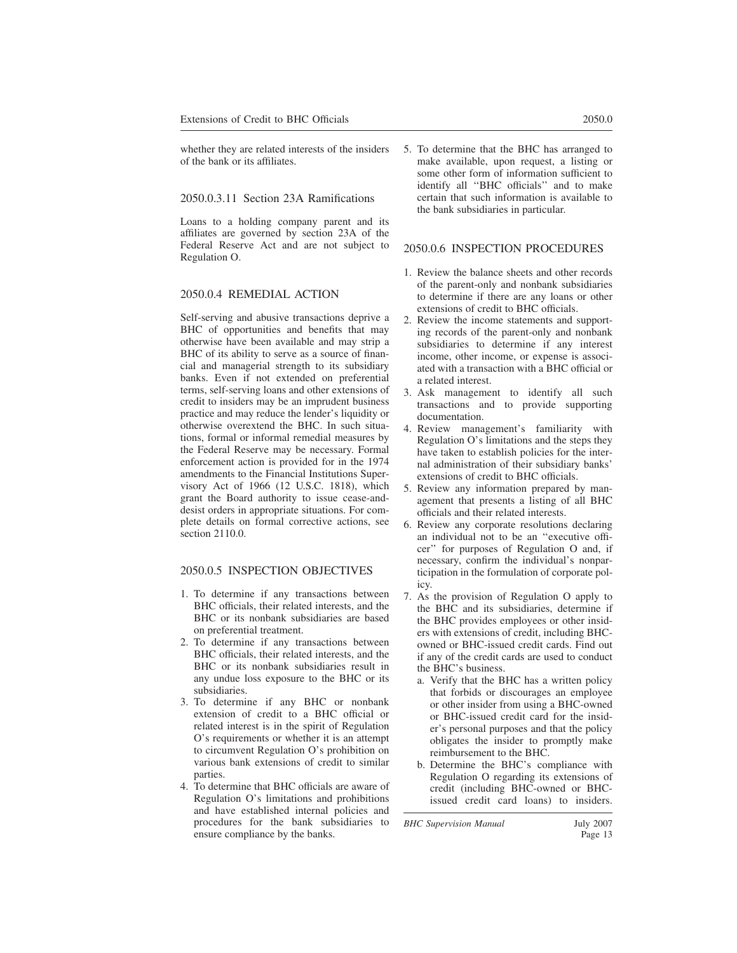whether they are related interests of the insiders of the bank or its affiliates.

### 2050.0.3.11 Section 23A Ramifications

Loans to a holding company parent and its affiliates are governed by section 23A of the Federal Reserve Act and are not subject to Regulation O.

### 2050.0.4 REMEDIAL ACTION

Self-serving and abusive transactions deprive a BHC of opportunities and benefits that may otherwise have been available and may strip a BHC of its ability to serve as a source of financial and managerial strength to its subsidiary banks. Even if not extended on preferential terms, self-serving loans and other extensions of credit to insiders may be an imprudent business practice and may reduce the lender's liquidity or otherwise overextend the BHC. In such situations, formal or informal remedial measures by the Federal Reserve may be necessary. Formal enforcement action is provided for in the 1974 amendments to the Financial Institutions Supervisory Act of 1966 (12 U.S.C. 1818), which grant the Board authority to issue cease-anddesist orders in appropriate situations. For complete details on formal corrective actions, see section 2110.0.

### 2050.0.5 INSPECTION OBJECTIVES

- 1. To determine if any transactions between BHC officials, their related interests, and the BHC or its nonbank subsidiaries are based on preferential treatment.
- 2. To determine if any transactions between BHC officials, their related interests, and the BHC or its nonbank subsidiaries result in any undue loss exposure to the BHC or its subsidiaries.
- 3. To determine if any BHC or nonbank extension of credit to a BHC official or related interest is in the spirit of Regulation O's requirements or whether it is an attempt to circumvent Regulation O's prohibition on various bank extensions of credit to similar parties.
- 4. To determine that BHC officials are aware of Regulation O's limitations and prohibitions and have established internal policies and procedures for the bank subsidiaries to ensure compliance by the banks.

5. To determine that the BHC has arranged to make available, upon request, a listing or some other form of information sufficient to identify all ''BHC officials'' and to make certain that such information is available to the bank subsidiaries in particular.

### 2050.0.6 INSPECTION PROCEDURES

- 1. Review the balance sheets and other records of the parent-only and nonbank subsidiaries to determine if there are any loans or other extensions of credit to BHC officials.
- 2. Review the income statements and supporting records of the parent-only and nonbank subsidiaries to determine if any interest income, other income, or expense is associated with a transaction with a BHC official or a related interest.
- 3. Ask management to identify all such transactions and to provide supporting documentation.
- 4. Review management's familiarity with Regulation O's limitations and the steps they have taken to establish policies for the internal administration of their subsidiary banks' extensions of credit to BHC officials.
- 5. Review any information prepared by management that presents a listing of all BHC officials and their related interests.
- 6. Review any corporate resolutions declaring an individual not to be an ''executive officer'' for purposes of Regulation O and, if necessary, confirm the individual's nonparticipation in the formulation of corporate policy.
- 7. As the provision of Regulation O apply to the BHC and its subsidiaries, determine if the BHC provides employees or other insiders with extensions of credit, including BHCowned or BHC-issued credit cards. Find out if any of the credit cards are used to conduct the BHC's business.
	- a. Verify that the BHC has a written policy that forbids or discourages an employee or other insider from using a BHC-owned or BHC-issued credit card for the insider's personal purposes and that the policy obligates the insider to promptly make reimbursement to the BHC.
	- b. Determine the BHC's compliance with Regulation O regarding its extensions of credit (including BHC-owned or BHCissued credit card loans) to insiders.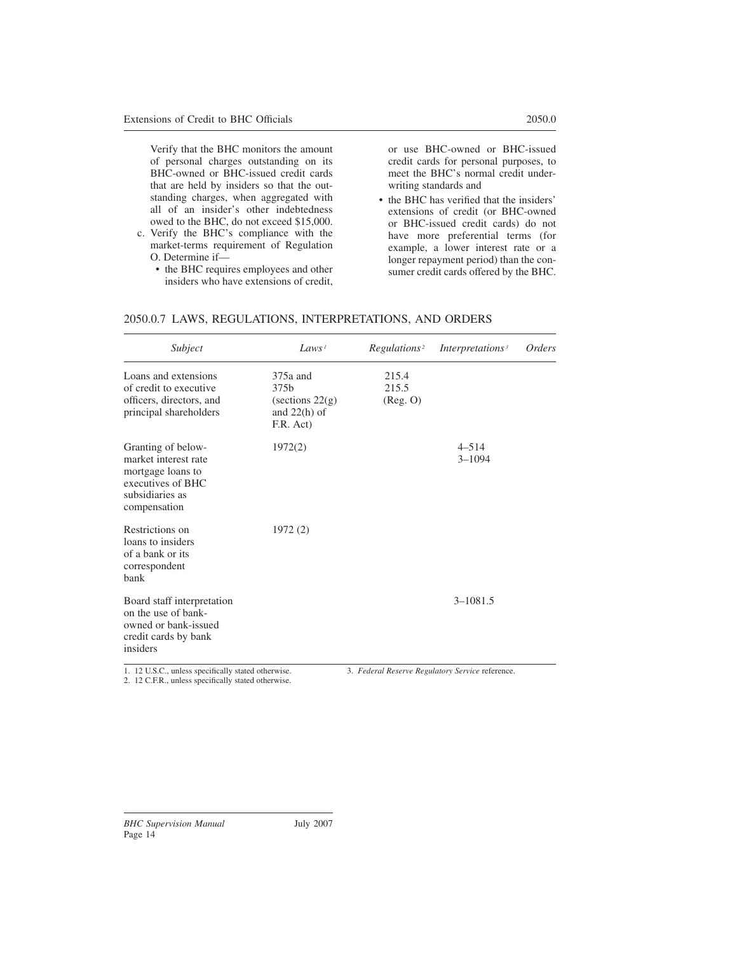Verify that the BHC monitors the amount of personal charges outstanding on its BHC-owned or BHC-issued credit cards that are held by insiders so that the outstanding charges, when aggregated with all of an insider's other indebtedness owed to the BHC, do not exceed \$15,000.

- c. Verify the BHC's compliance with the market-terms requirement of Regulation O. Determine if—
	- the BHC requires employees and other insiders who have extensions of credit,

or use BHC-owned or BHC-issued credit cards for personal purposes, to meet the BHC's normal credit underwriting standards and

• the BHC has verified that the insiders' extensions of credit (or BHC-owned or BHC-issued credit cards) do not have more preferential terms (for example, a lower interest rate or a longer repayment period) than the consumer credit cards offered by the BHC.

| Subject                                                                                                                 | Laws <sup>1</sup>                                                                  | Regulations <sup>2</sup>   | Interpretations <sup>3</sup> | Orders |
|-------------------------------------------------------------------------------------------------------------------------|------------------------------------------------------------------------------------|----------------------------|------------------------------|--------|
| Loans and extensions<br>of credit to executive<br>officers, directors, and<br>principal shareholders                    | $375a$ and<br>375 <sub>b</sub><br>(sections $22(g)$ )<br>and 22(h) of<br>F.R. Act) | 215.4<br>215.5<br>(Reg. 0) |                              |        |
| Granting of below-<br>market interest rate<br>mortgage loans to<br>executives of BHC<br>subsidiaries as<br>compensation | 1972(2)                                                                            |                            | $4 - 514$<br>$3 - 1094$      |        |
| Restrictions on<br>loans to insiders<br>of a bank or its<br>correspondent<br>bank                                       | 1972(2)                                                                            |                            |                              |        |
| Board staff interpretation<br>on the use of bank-<br>owned or bank-issued<br>credit cards by bank<br>insiders           |                                                                                    |                            | $3 - 1081.5$                 |        |
| $101100 \t 1$ $1011 \t 11$                                                                                              |                                                                                    | 2.771.18.71.8.7            |                              |        |

2050.0.7 LAWS, REGULATIONS, INTERPRETATIONS, AND ORDERS

1. 12 U.S.C., unless specifically stated otherwise.

2. 12 C.F.R., unless specifically stated otherwise.

3. *Federal Reserve Regulatory Service* reference.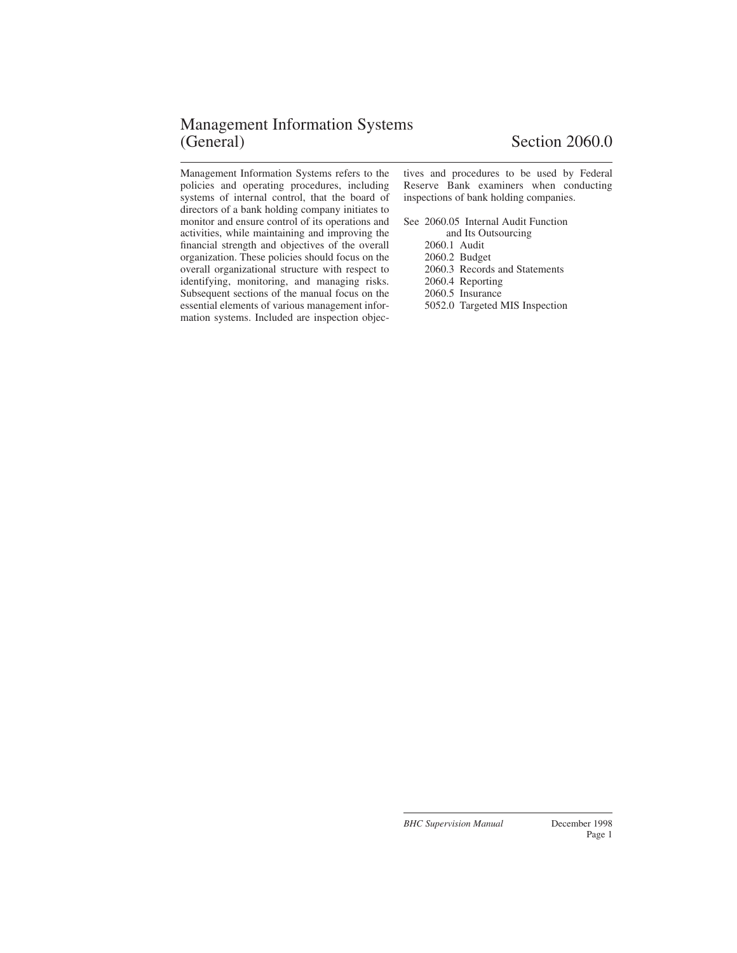Management Information Systems refers to the policies and operating procedures, including systems of internal control, that the board of directors of a bank holding company initiates to monitor and ensure control of its operations and activities, while maintaining and improving the financial strength and objectives of the overall organization. These policies should focus on the overall organizational structure with respect to identifying, monitoring, and managing risks. Subsequent sections of the manual focus on the essential elements of various management information systems. Included are inspection objectives and procedures to be used by Federal Reserve Bank examiners when conducting inspections of bank holding companies.

See 2060.05 Internal Audit Function and Its Outsourcing

- 2060.1 Audit 2060.2 Budget
- 
- 2060.3 Records and Statements 2060.4 Reporting
- 2060.5 Insurance
- 
- 5052.0 Targeted MIS Inspection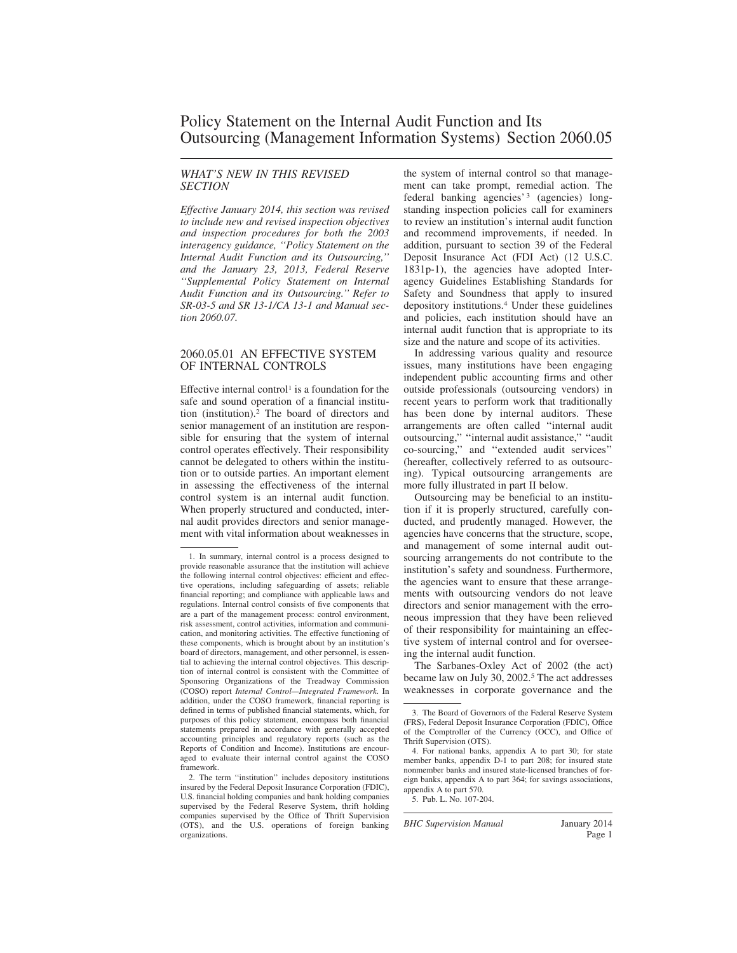### *WHAT'S NEW IN THIS REVISED SECTION*

*Effective January 2014, this section was revised to include new and revised inspection objectives and inspection procedures for both the 2003 interagency guidance, ''Policy Statement on the Internal Audit Function and its Outsourcing,'' and the January 23, 2013, Federal Reserve ''Supplemental Policy Statement on Internal Audit Function and its Outsourcing.'' Refer to SR-03-5 and SR 13-1/CA 13-1 and Manual section 2060.07.*

## 2060.05.01 AN EFFECTIVE SYSTEM OF INTERNAL CONTROLS

Effective internal control<sup>1</sup> is a foundation for the safe and sound operation of a financial institution (institution). $2$  The board of directors and senior management of an institution are responsible for ensuring that the system of internal control operates effectively. Their responsibility cannot be delegated to others within the institution or to outside parties. An important element in assessing the effectiveness of the internal control system is an internal audit function. When properly structured and conducted, internal audit provides directors and senior management with vital information about weaknesses in

the system of internal control so that management can take prompt, remedial action. The federal banking agencies'<sup>3</sup> (agencies) longstanding inspection policies call for examiners to review an institution's internal audit function and recommend improvements, if needed. In addition, pursuant to section 39 of the Federal Deposit Insurance Act (FDI Act) (12 U.S.C. 1831p-1), the agencies have adopted Interagency Guidelines Establishing Standards for Safety and Soundness that apply to insured depository institutions.<sup>4</sup> Under these guidelines and policies, each institution should have an internal audit function that is appropriate to its size and the nature and scope of its activities.

In addressing various quality and resource issues, many institutions have been engaging independent public accounting firms and other outside professionals (outsourcing vendors) in recent years to perform work that traditionally has been done by internal auditors. These arrangements are often called ''internal audit outsourcing,'' ''internal audit assistance,'' ''audit co-sourcing,'' and ''extended audit services'' (hereafter, collectively referred to as outsourcing). Typical outsourcing arrangements are more fully illustrated in part II below.

Outsourcing may be beneficial to an institution if it is properly structured, carefully conducted, and prudently managed. However, the agencies have concerns that the structure, scope, and management of some internal audit outsourcing arrangements do not contribute to the institution's safety and soundness. Furthermore, the agencies want to ensure that these arrangements with outsourcing vendors do not leave directors and senior management with the erroneous impression that they have been relieved of their responsibility for maintaining an effective system of internal control and for overseeing the internal audit function.

The Sarbanes-Oxley Act of 2002 (the act) became law on July 30, 2002.<sup>5</sup> The act addresses weaknesses in corporate governance and the

5. Pub. L. No. 107-204.

<sup>1.</sup> In summary, internal control is a process designed to provide reasonable assurance that the institution will achieve the following internal control objectives: efficient and effective operations, including safeguarding of assets; reliable financial reporting; and compliance with applicable laws and regulations. Internal control consists of five components that are a part of the management process: control environment, risk assessment, control activities, information and communication, and monitoring activities. The effective functioning of these components, which is brought about by an institution's board of directors, management, and other personnel, is essential to achieving the internal control objectives. This description of internal control is consistent with the Committee of Sponsoring Organizations of the Treadway Commission (COSO) report *Internal Control—Integrated Framework*. In addition, under the COSO framework, financial reporting is defined in terms of published financial statements, which, for purposes of this policy statement, encompass both financial statements prepared in accordance with generally accepted accounting principles and regulatory reports (such as the Reports of Condition and Income). Institutions are encouraged to evaluate their internal control against the COSO framework.

<sup>2.</sup> The term ''institution'' includes depository institutions insured by the Federal Deposit Insurance Corporation (FDIC), U.S. financial holding companies and bank holding companies supervised by the Federal Reserve System, thrift holding companies supervised by the Office of Thrift Supervision (OTS), and the U.S. operations of foreign banking organizations.

<sup>3.</sup> The Board of Governors of the Federal Reserve System (FRS), Federal Deposit Insurance Corporation (FDIC), Office of the Comptroller of the Currency (OCC), and Office of Thrift Supervision (OTS).

<sup>4.</sup> For national banks, appendix A to part 30; for state member banks, appendix D-1 to part 208; for insured state nonmember banks and insured state-licensed branches of foreign banks, appendix A to part 364; for savings associations, appendix A to part 570.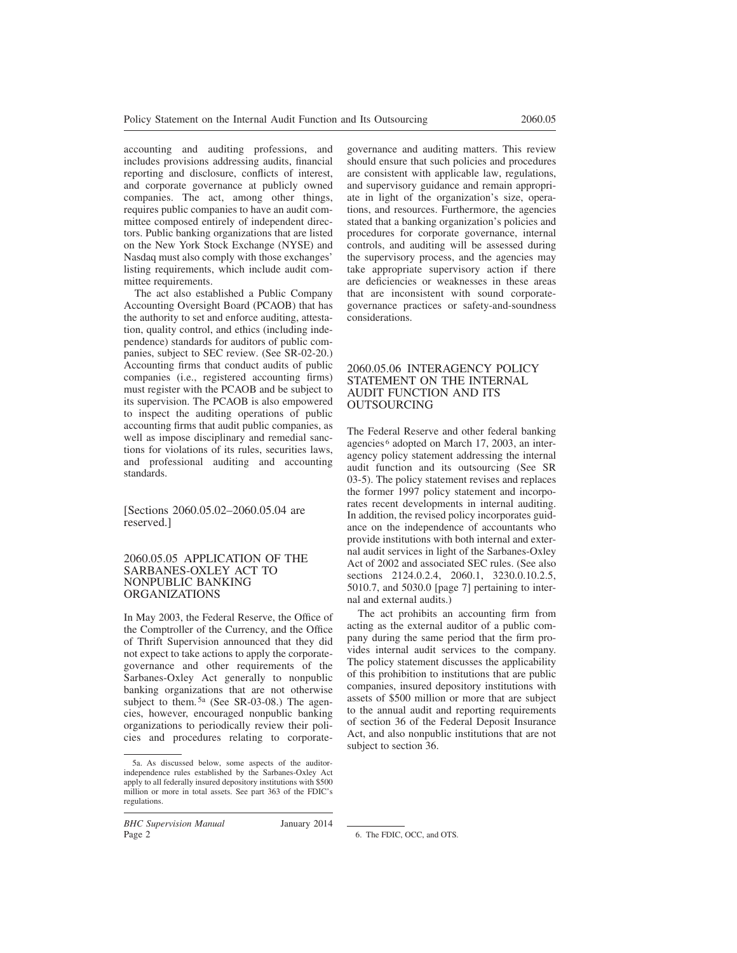accounting and auditing professions, and includes provisions addressing audits, financial reporting and disclosure, conflicts of interest, and corporate governance at publicly owned companies. The act, among other things, requires public companies to have an audit committee composed entirely of independent directors. Public banking organizations that are listed on the New York Stock Exchange (NYSE) and Nasdaq must also comply with those exchanges' listing requirements, which include audit committee requirements.

The act also established a Public Company Accounting Oversight Board (PCAOB) that has the authority to set and enforce auditing, attestation, quality control, and ethics (including independence) standards for auditors of public companies, subject to SEC review. (See SR-02-20.) Accounting firms that conduct audits of public companies (i.e., registered accounting firms) must register with the PCAOB and be subject to its supervision. The PCAOB is also empowered to inspect the auditing operations of public accounting firms that audit public companies, as well as impose disciplinary and remedial sanctions for violations of its rules, securities laws, and professional auditing and accounting standards.

[Sections 2060.05.02–2060.05.04 are reserved.]

### 2060.05.05 APPLICATION OF THE SARBANES-OXLEY ACT TO NONPUBLIC BANKING ORGANIZATIONS

In May 2003, the Federal Reserve, the Office of the Comptroller of the Currency, and the Office of Thrift Supervision announced that they did not expect to take actions to apply the corporategovernance and other requirements of the Sarbanes-Oxley Act generally to nonpublic banking organizations that are not otherwise subject to them.<sup>5a</sup> (See SR-03-08.) The agencies, however, encouraged nonpublic banking organizations to periodically review their policies and procedures relating to corporategovernance and auditing matters. This review should ensure that such policies and procedures are consistent with applicable law, regulations, and supervisory guidance and remain appropriate in light of the organization's size, operations, and resources. Furthermore, the agencies stated that a banking organization's policies and procedures for corporate governance, internal controls, and auditing will be assessed during the supervisory process, and the agencies may take appropriate supervisory action if there are deficiencies or weaknesses in these areas that are inconsistent with sound corporategovernance practices or safety-and-soundness considerations.

## 2060.05.06 INTERAGENCY POLICY STATEMENT ON THE INTERNAL AUDIT FUNCTION AND ITS **OUTSOURCING**

The Federal Reserve and other federal banking agencies <sup>6</sup> adopted on March 17, 2003, an interagency policy statement addressing the internal audit function and its outsourcing (See SR 03-5). The policy statement revises and replaces the former 1997 policy statement and incorporates recent developments in internal auditing. In addition, the revised policy incorporates guidance on the independence of accountants who provide institutions with both internal and external audit services in light of the Sarbanes-Oxley Act of 2002 and associated SEC rules. (See also sections 2124.0.2.4, 2060.1, 3230.0.10.2.5, 5010.7, and 5030.0 [page 7] pertaining to internal and external audits.)

The act prohibits an accounting firm from acting as the external auditor of a public company during the same period that the firm provides internal audit services to the company. The policy statement discusses the applicability of this prohibition to institutions that are public companies, insured depository institutions with assets of \$500 million or more that are subject to the annual audit and reporting requirements of section 36 of the Federal Deposit Insurance Act, and also nonpublic institutions that are not subject to section 36.

<sup>5</sup>a. As discussed below, some aspects of the auditorindependence rules established by the Sarbanes-Oxley Act apply to all federally insured depository institutions with \$500 million or more in total assets. See part 363 of the FDIC's regulations.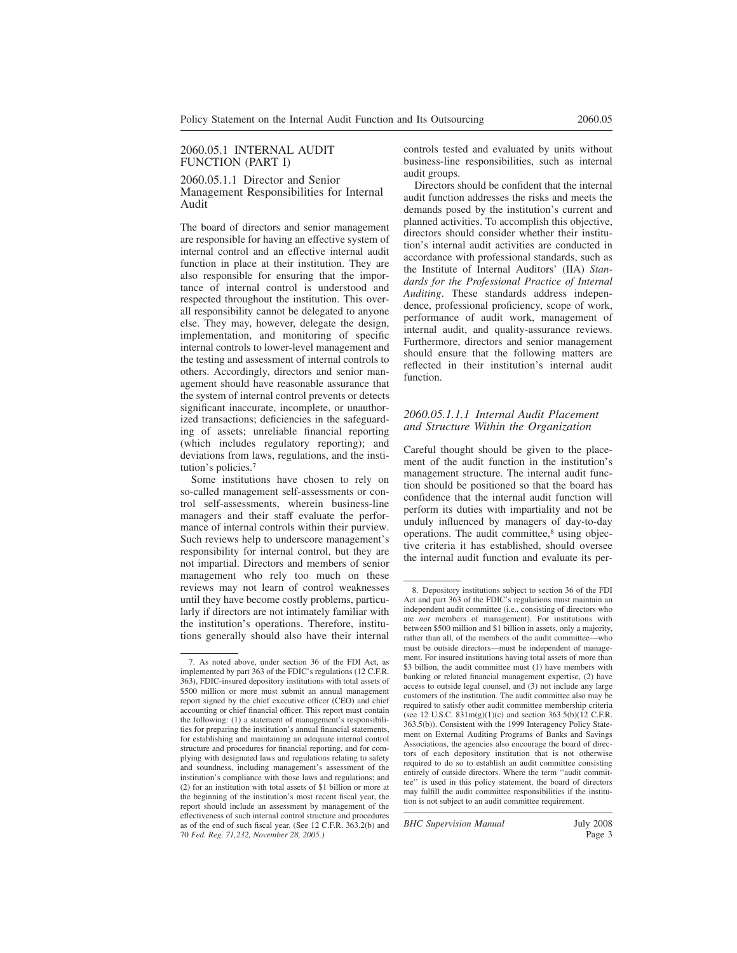### 2060.05.1 INTERNAL AUDIT FUNCTION (PART I)

### 2060.05.1.1 Director and Senior Management Responsibilities for Internal Audit

The board of directors and senior management are responsible for having an effective system of internal control and an effective internal audit function in place at their institution. They are also responsible for ensuring that the importance of internal control is understood and respected throughout the institution. This overall responsibility cannot be delegated to anyone else. They may, however, delegate the design, implementation, and monitoring of specific internal controls to lower-level management and the testing and assessment of internal controls to others. Accordingly, directors and senior management should have reasonable assurance that the system of internal control prevents or detects significant inaccurate, incomplete, or unauthorized transactions; deficiencies in the safeguarding of assets; unreliable financial reporting (which includes regulatory reporting); and deviations from laws, regulations, and the institution's policies.<sup>7</sup>

Some institutions have chosen to rely on so-called management self-assessments or control self-assessments, wherein business-line managers and their staff evaluate the performance of internal controls within their purview. Such reviews help to underscore management's responsibility for internal control, but they are not impartial. Directors and members of senior management who rely too much on these reviews may not learn of control weaknesses until they have become costly problems, particularly if directors are not intimately familiar with the institution's operations. Therefore, institutions generally should also have their internal

controls tested and evaluated by units without business-line responsibilities, such as internal audit groups.

Directors should be confident that the internal audit function addresses the risks and meets the demands posed by the institution's current and planned activities. To accomplish this objective, directors should consider whether their institution's internal audit activities are conducted in accordance with professional standards, such as the Institute of Internal Auditors' (IIA) *Standards for the Professional Practice of Internal Auditing*. These standards address independence, professional proficiency, scope of work, performance of audit work, management of internal audit, and quality-assurance reviews. Furthermore, directors and senior management should ensure that the following matters are reflected in their institution's internal audit function.

## *2060.05.1.1.1 Internal Audit Placement and Structure Within the Organization*

Careful thought should be given to the placement of the audit function in the institution's management structure. The internal audit function should be positioned so that the board has confidence that the internal audit function will perform its duties with impartiality and not be unduly influenced by managers of day-to-day operations. The audit committee,<sup>8</sup> using objective criteria it has established, should oversee the internal audit function and evaluate its per-

<sup>7.</sup> As noted above, under section 36 of the FDI Act, as implemented by part 363 of the FDIC's regulations (12 C.F.R. 363), FDIC-insured depository institutions with total assets of \$500 million or more must submit an annual management report signed by the chief executive officer (CEO) and chief accounting or chief financial officer. This report must contain the following: (1) a statement of management's responsibilities for preparing the institution's annual financial statements, for establishing and maintaining an adequate internal control structure and procedures for financial reporting, and for complying with designated laws and regulations relating to safety and soundness, including management's assessment of the institution's compliance with those laws and regulations; and (2) for an institution with total assets of \$1 billion or more at the beginning of the institution's most recent fiscal year, the report should include an assessment by management of the effectiveness of such internal control structure and procedures as of the end of such fiscal year. (See 12 C.F.R. 363.2(b) and 70 *Fed. Reg. 71,232, November 28, 2005.)*

<sup>8.</sup> Depository institutions subject to section 36 of the FDI Act and part 363 of the FDIC's regulations must maintain an independent audit committee (i.e., consisting of directors who are *not* members of management). For institutions with between \$500 million and \$1 billion in assets, only a majority, rather than all, of the members of the audit committee—who must be outside directors—must be independent of management. For insured institutions having total assets of more than \$3 billion, the audit committee must (1) have members with banking or related financial management expertise, (2) have access to outside legal counsel, and (3) not include any large customers of the institution. The audit committee also may be required to satisfy other audit committee membership criteria (see 12 U.S.C. 831m(g)(1)(c) and section 363.5(b)(12 C.F.R. 363.5(b)). Consistent with the 1999 Interagency Policy Statement on External Auditing Programs of Banks and Savings Associations, the agencies also encourage the board of directors of each depository institution that is not otherwise required to do so to establish an audit committee consisting entirely of outside directors. Where the term ''audit committee'' is used in this policy statement, the board of directors may fulfill the audit committee responsibilities if the institution is not subject to an audit committee requirement.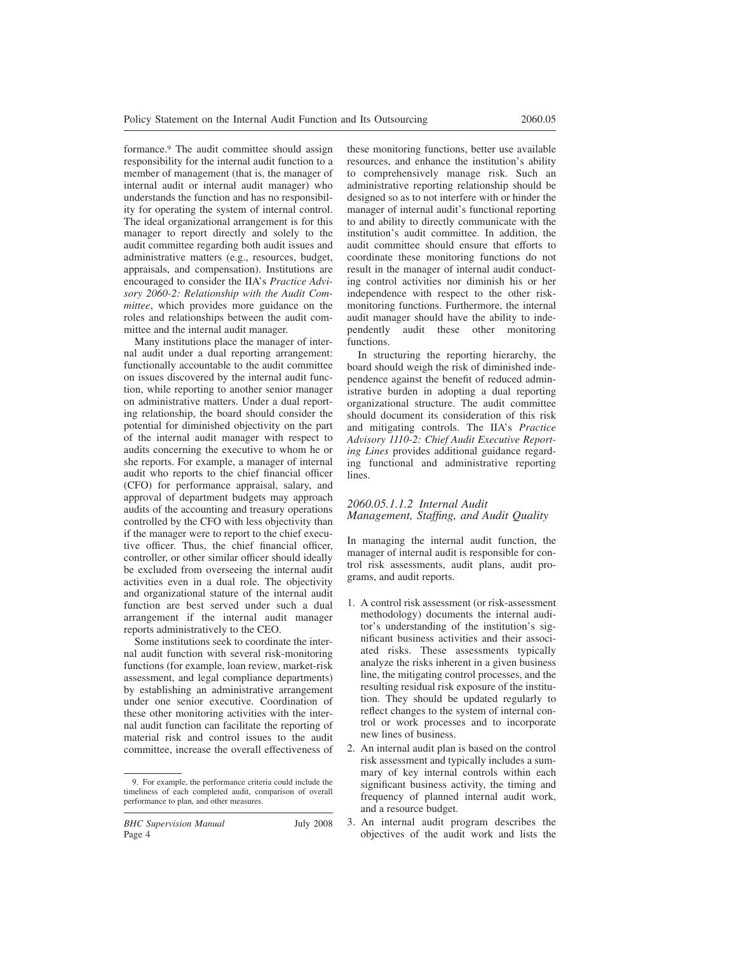formance.<sup>9</sup> The audit committee should assign responsibility for the internal audit function to a member of management (that is, the manager of internal audit or internal audit manager) who understands the function and has no responsibility for operating the system of internal control. The ideal organizational arrangement is for this manager to report directly and solely to the audit committee regarding both audit issues and administrative matters (e.g., resources, budget, appraisals, and compensation). Institutions are encouraged to consider the IIA's *Practice Advisory 2060-2: Relationship with the Audit Committee*, which provides more guidance on the roles and relationships between the audit committee and the internal audit manager.

Many institutions place the manager of internal audit under a dual reporting arrangement: functionally accountable to the audit committee on issues discovered by the internal audit function, while reporting to another senior manager on administrative matters. Under a dual reporting relationship, the board should consider the potential for diminished objectivity on the part of the internal audit manager with respect to audits concerning the executive to whom he or she reports. For example, a manager of internal audit who reports to the chief financial officer (CFO) for performance appraisal, salary, and approval of department budgets may approach audits of the accounting and treasury operations controlled by the CFO with less objectivity than if the manager were to report to the chief executive officer. Thus, the chief financial officer, controller, or other similar officer should ideally be excluded from overseeing the internal audit activities even in a dual role. The objectivity and organizational stature of the internal audit function are best served under such a dual arrangement if the internal audit manager reports administratively to the CEO.

Some institutions seek to coordinate the internal audit function with several risk-monitoring functions (for example, loan review, market-risk assessment, and legal compliance departments) by establishing an administrative arrangement under one senior executive. Coordination of these other monitoring activities with the internal audit function can facilitate the reporting of material risk and control issues to the audit committee, increase the overall effectiveness of

these monitoring functions, better use available resources, and enhance the institution's ability to comprehensively manage risk. Such an administrative reporting relationship should be designed so as to not interfere with or hinder the manager of internal audit's functional reporting to and ability to directly communicate with the institution's audit committee. In addition, the audit committee should ensure that efforts to coordinate these monitoring functions do not result in the manager of internal audit conducting control activities nor diminish his or her independence with respect to the other riskmonitoring functions. Furthermore, the internal audit manager should have the ability to independently audit these other monitoring functions.

In structuring the reporting hierarchy, the board should weigh the risk of diminished independence against the benefit of reduced administrative burden in adopting a dual reporting organizational structure. The audit committee should document its consideration of this risk and mitigating controls. The IIA's *Practice Advisory 1110-2: Chief Audit Executive Reporting Lines* provides additional guidance regarding functional and administrative reporting lines.

# *2060.05.1.1.2 Internal Audit Management, Staffing, and Audit Quality*

In managing the internal audit function, the manager of internal audit is responsible for control risk assessments, audit plans, audit programs, and audit reports.

- 1. A control risk assessment (or risk-assessment methodology) documents the internal auditor's understanding of the institution's significant business activities and their associated risks. These assessments typically analyze the risks inherent in a given business line, the mitigating control processes, and the resulting residual risk exposure of the institution. They should be updated regularly to reflect changes to the system of internal control or work processes and to incorporate new lines of business.
- 2. An internal audit plan is based on the control risk assessment and typically includes a summary of key internal controls within each significant business activity, the timing and frequency of planned internal audit work, and a resource budget.
- 3. An internal audit program describes the objectives of the audit work and lists the

<sup>9.</sup> For example, the performance criteria could include the timeliness of each completed audit, comparison of overall performance to plan, and other measures.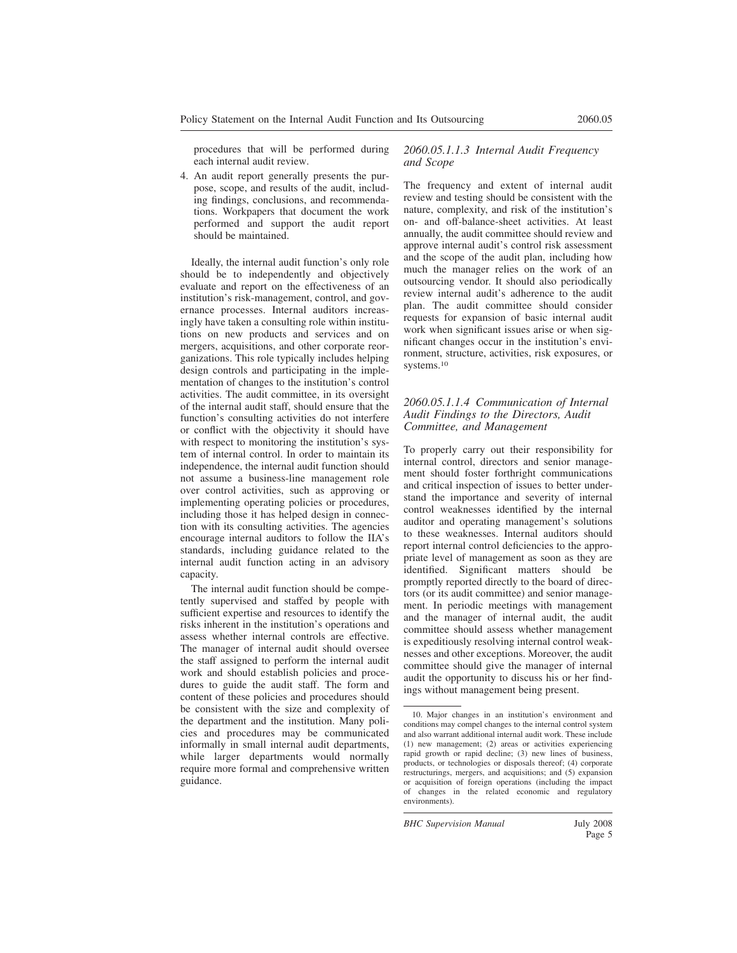procedures that will be performed during each internal audit review.

4. An audit report generally presents the purpose, scope, and results of the audit, including findings, conclusions, and recommendations. Workpapers that document the work performed and support the audit report should be maintained.

Ideally, the internal audit function's only role should be to independently and objectively evaluate and report on the effectiveness of an institution's risk-management, control, and governance processes. Internal auditors increasingly have taken a consulting role within institutions on new products and services and on mergers, acquisitions, and other corporate reorganizations. This role typically includes helping design controls and participating in the implementation of changes to the institution's control activities. The audit committee, in its oversight of the internal audit staff, should ensure that the function's consulting activities do not interfere or conflict with the objectivity it should have with respect to monitoring the institution's system of internal control. In order to maintain its independence, the internal audit function should not assume a business-line management role over control activities, such as approving or implementing operating policies or procedures, including those it has helped design in connection with its consulting activities. The agencies encourage internal auditors to follow the IIA's standards, including guidance related to the internal audit function acting in an advisory capacity.

The internal audit function should be competently supervised and staffed by people with sufficient expertise and resources to identify the risks inherent in the institution's operations and assess whether internal controls are effective. The manager of internal audit should oversee the staff assigned to perform the internal audit work and should establish policies and procedures to guide the audit staff. The form and content of these policies and procedures should be consistent with the size and complexity of the department and the institution. Many policies and procedures may be communicated informally in small internal audit departments, while larger departments would normally require more formal and comprehensive written guidance.

## *2060.05.1.1.3 Internal Audit Frequency and Scope*

The frequency and extent of internal audit review and testing should be consistent with the nature, complexity, and risk of the institution's on- and off-balance-sheet activities. At least annually, the audit committee should review and approve internal audit's control risk assessment and the scope of the audit plan, including how much the manager relies on the work of an outsourcing vendor. It should also periodically review internal audit's adherence to the audit plan. The audit committee should consider requests for expansion of basic internal audit work when significant issues arise or when significant changes occur in the institution's environment, structure, activities, risk exposures, or systems.<sup>10</sup>

### *2060.05.1.1.4 Communication of Internal Audit Findings to the Directors, Audit Committee, and Management*

To properly carry out their responsibility for internal control, directors and senior management should foster forthright communications and critical inspection of issues to better understand the importance and severity of internal control weaknesses identified by the internal auditor and operating management's solutions to these weaknesses. Internal auditors should report internal control deficiencies to the appropriate level of management as soon as they are identified. Significant matters should be promptly reported directly to the board of directors (or its audit committee) and senior management. In periodic meetings with management and the manager of internal audit, the audit committee should assess whether management is expeditiously resolving internal control weaknesses and other exceptions. Moreover, the audit committee should give the manager of internal audit the opportunity to discuss his or her findings without management being present.

<sup>10.</sup> Major changes in an institution's environment and conditions may compel changes to the internal control system and also warrant additional internal audit work. These include (1) new management; (2) areas or activities experiencing rapid growth or rapid decline; (3) new lines of business, products, or technologies or disposals thereof; (4) corporate restructurings, mergers, and acquisitions; and (5) expansion or acquisition of foreign operations (including the impact of changes in the related economic and regulatory environments).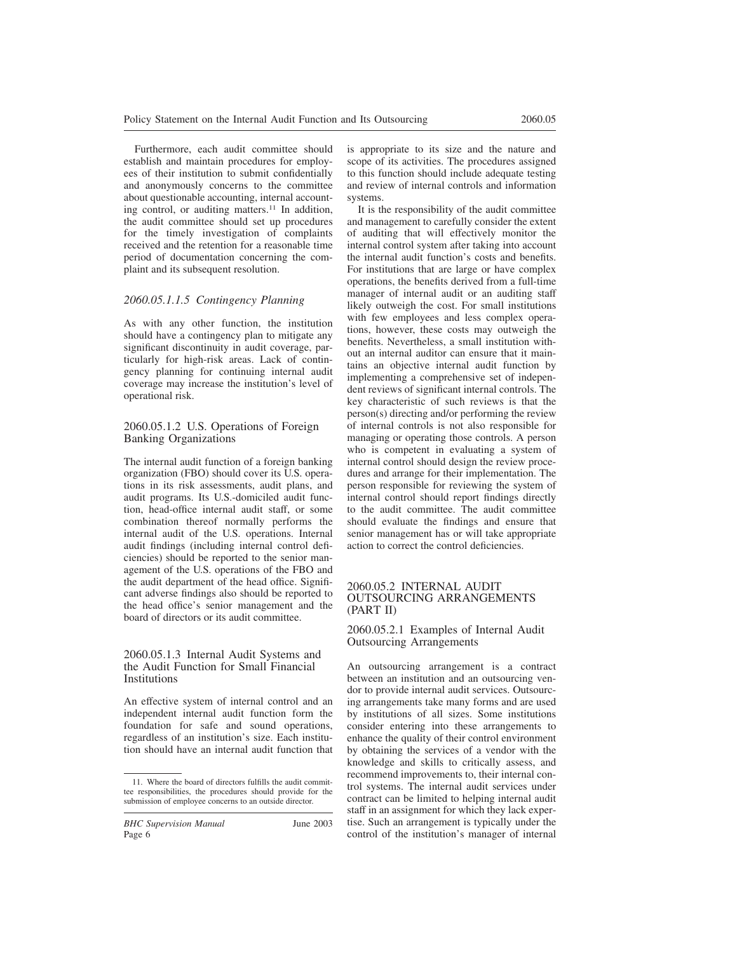Furthermore, each audit committee should establish and maintain procedures for employees of their institution to submit confidentially and anonymously concerns to the committee about questionable accounting, internal accounting control, or auditing matters.<sup>11</sup> In addition, the audit committee should set up procedures for the timely investigation of complaints received and the retention for a reasonable time period of documentation concerning the complaint and its subsequent resolution.

# *2060.05.1.1.5 Contingency Planning*

As with any other function, the institution should have a contingency plan to mitigate any significant discontinuity in audit coverage, particularly for high-risk areas. Lack of contingency planning for continuing internal audit coverage may increase the institution's level of operational risk.

# 2060.05.1.2 U.S. Operations of Foreign Banking Organizations

The internal audit function of a foreign banking organization (FBO) should cover its U.S. operations in its risk assessments, audit plans, and audit programs. Its U.S.-domiciled audit function, head-office internal audit staff, or some combination thereof normally performs the internal audit of the U.S. operations. Internal audit findings (including internal control deficiencies) should be reported to the senior management of the U.S. operations of the FBO and the audit department of the head office. Significant adverse findings also should be reported to the head office's senior management and the board of directors or its audit committee.

### 2060.05.1.3 Internal Audit Systems and the Audit Function for Small Financial Institutions

An effective system of internal control and an independent internal audit function form the foundation for safe and sound operations, regardless of an institution's size. Each institution should have an internal audit function that

is appropriate to its size and the nature and scope of its activities. The procedures assigned to this function should include adequate testing and review of internal controls and information systems.

It is the responsibility of the audit committee and management to carefully consider the extent of auditing that will effectively monitor the internal control system after taking into account the internal audit function's costs and benefits. For institutions that are large or have complex operations, the benefits derived from a full-time manager of internal audit or an auditing staff likely outweigh the cost. For small institutions with few employees and less complex operations, however, these costs may outweigh the benefits. Nevertheless, a small institution without an internal auditor can ensure that it maintains an objective internal audit function by implementing a comprehensive set of independent reviews of significant internal controls. The key characteristic of such reviews is that the person(s) directing and/or performing the review of internal controls is not also responsible for managing or operating those controls. A person who is competent in evaluating a system of internal control should design the review procedures and arrange for their implementation. The person responsible for reviewing the system of internal control should report findings directly to the audit committee. The audit committee should evaluate the findings and ensure that senior management has or will take appropriate action to correct the control deficiencies.

## 2060.05.2 INTERNAL AUDIT OUTSOURCING ARRANGEMENTS (PART II)

2060.05.2.1 Examples of Internal Audit Outsourcing Arrangements

An outsourcing arrangement is a contract between an institution and an outsourcing vendor to provide internal audit services. Outsourcing arrangements take many forms and are used by institutions of all sizes. Some institutions consider entering into these arrangements to enhance the quality of their control environment by obtaining the services of a vendor with the knowledge and skills to critically assess, and recommend improvements to, their internal control systems. The internal audit services under contract can be limited to helping internal audit staff in an assignment for which they lack expertise. Such an arrangement is typically under the control of the institution's manager of internal

<sup>11.</sup> Where the board of directors fulfills the audit committee responsibilities, the procedures should provide for the submission of employee concerns to an outside director.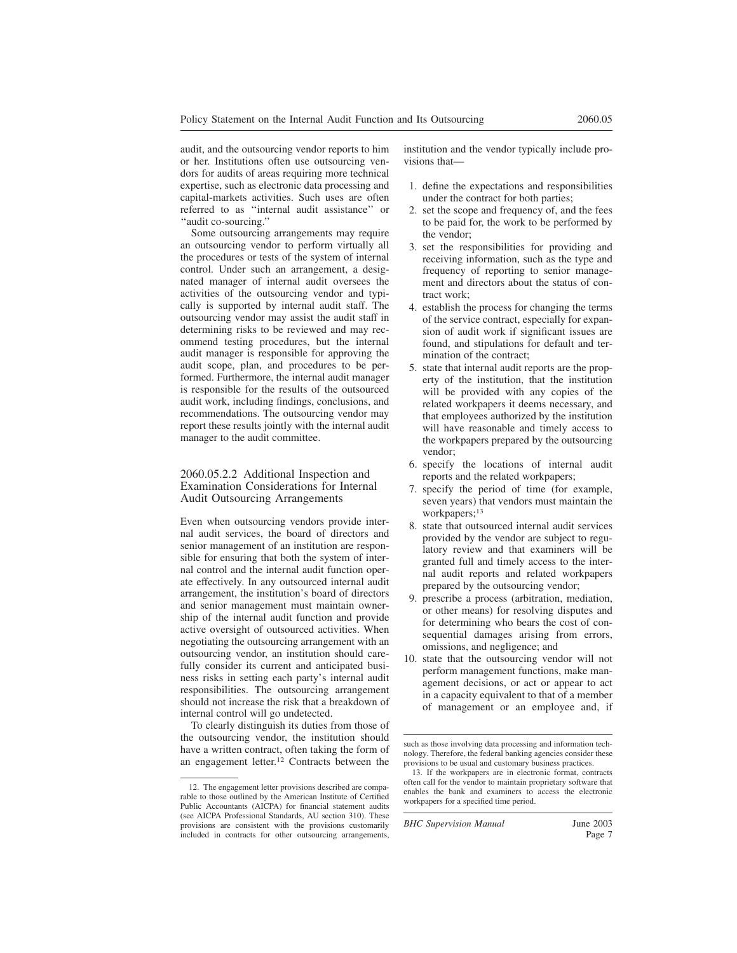audit, and the outsourcing vendor reports to him or her. Institutions often use outsourcing vendors for audits of areas requiring more technical expertise, such as electronic data processing and capital-markets activities. Such uses are often

referred to as ''internal audit assistance'' or ''audit co-sourcing.'' Some outsourcing arrangements may require an outsourcing vendor to perform virtually all the procedures or tests of the system of internal control. Under such an arrangement, a designated manager of internal audit oversees the activities of the outsourcing vendor and typically is supported by internal audit staff. The outsourcing vendor may assist the audit staff in determining risks to be reviewed and may recommend testing procedures, but the internal audit manager is responsible for approving the audit scope, plan, and procedures to be per-

formed. Furthermore, the internal audit manager is responsible for the results of the outsourced audit work, including findings, conclusions, and recommendations. The outsourcing vendor may report these results jointly with the internal audit manager to the audit committee.

### 2060.05.2.2 Additional Inspection and Examination Considerations for Internal Audit Outsourcing Arrangements

Even when outsourcing vendors provide internal audit services, the board of directors and senior management of an institution are responsible for ensuring that both the system of internal control and the internal audit function operate effectively. In any outsourced internal audit arrangement, the institution's board of directors and senior management must maintain ownership of the internal audit function and provide active oversight of outsourced activities. When negotiating the outsourcing arrangement with an outsourcing vendor, an institution should carefully consider its current and anticipated business risks in setting each party's internal audit responsibilities. The outsourcing arrangement should not increase the risk that a breakdown of internal control will go undetected.

To clearly distinguish its duties from those of the outsourcing vendor, the institution should have a written contract, often taking the form of an engagement letter.<sup>12</sup> Contracts between the

institution and the vendor typically include provisions that—

- 1. define the expectations and responsibilities under the contract for both parties;
- 2. set the scope and frequency of, and the fees to be paid for, the work to be performed by the vendor;
- 3. set the responsibilities for providing and receiving information, such as the type and frequency of reporting to senior management and directors about the status of contract work;
- 4. establish the process for changing the terms of the service contract, especially for expansion of audit work if significant issues are found, and stipulations for default and termination of the contract;
- 5. state that internal audit reports are the property of the institution, that the institution will be provided with any copies of the related workpapers it deems necessary, and that employees authorized by the institution will have reasonable and timely access to the workpapers prepared by the outsourcing vendor;
- 6. specify the locations of internal audit reports and the related workpapers;
- 7. specify the period of time (for example, seven years) that vendors must maintain the workpapers;<sup>13</sup>
- 8. state that outsourced internal audit services provided by the vendor are subject to regulatory review and that examiners will be granted full and timely access to the internal audit reports and related workpapers prepared by the outsourcing vendor;
- 9. prescribe a process (arbitration, mediation, or other means) for resolving disputes and for determining who bears the cost of consequential damages arising from errors, omissions, and negligence; and
- 10. state that the outsourcing vendor will not perform management functions, make management decisions, or act or appear to act in a capacity equivalent to that of a member of management or an employee and, if

*BHC Supervision Manual* June 2003

<sup>12.</sup> The engagement letter provisions described are comparable to those outlined by the American Institute of Certified Public Accountants (AICPA) for financial statement audits (see AICPA Professional Standards, AU section 310). These provisions are consistent with the provisions customarily included in contracts for other outsourcing arrangements,

such as those involving data processing and information technology. Therefore, the federal banking agencies consider these provisions to be usual and customary business practices.

<sup>13.</sup> If the workpapers are in electronic format, contracts often call for the vendor to maintain proprietary software that enables the bank and examiners to access the electronic workpapers for a specified time period.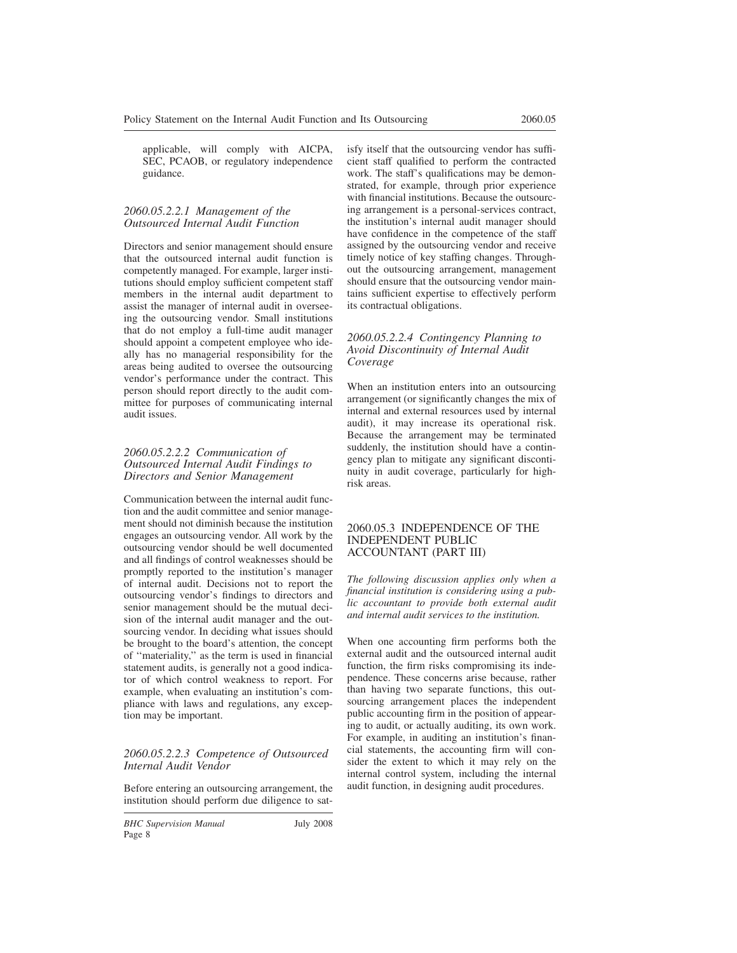applicable, will comply with AICPA, SEC, PCAOB, or regulatory independence guidance.

# *2060.05.2.2.1 Management of the Outsourced Internal Audit Function*

Directors and senior management should ensure that the outsourced internal audit function is competently managed. For example, larger institutions should employ sufficient competent staff members in the internal audit department to assist the manager of internal audit in overseeing the outsourcing vendor. Small institutions that do not employ a full-time audit manager should appoint a competent employee who ideally has no managerial responsibility for the areas being audited to oversee the outsourcing vendor's performance under the contract. This person should report directly to the audit committee for purposes of communicating internal audit issues.

## *2060.05.2.2.2 Communication of Outsourced Internal Audit Findings to Directors and Senior Management*

Communication between the internal audit function and the audit committee and senior management should not diminish because the institution engages an outsourcing vendor. All work by the outsourcing vendor should be well documented and all findings of control weaknesses should be promptly reported to the institution's manager of internal audit. Decisions not to report the outsourcing vendor's findings to directors and senior management should be the mutual decision of the internal audit manager and the outsourcing vendor. In deciding what issues should be brought to the board's attention, the concept of ''materiality,'' as the term is used in financial statement audits, is generally not a good indicator of which control weakness to report. For example, when evaluating an institution's compliance with laws and regulations, any exception may be important.

## *2060.05.2.2.3 Competence of Outsourced Internal Audit Vendor*

Before entering an outsourcing arrangement, the institution should perform due diligence to satisfy itself that the outsourcing vendor has sufficient staff qualified to perform the contracted work. The staff's qualifications may be demonstrated, for example, through prior experience with financial institutions. Because the outsourcing arrangement is a personal-services contract, the institution's internal audit manager should have confidence in the competence of the staff assigned by the outsourcing vendor and receive timely notice of key staffing changes. Throughout the outsourcing arrangement, management should ensure that the outsourcing vendor maintains sufficient expertise to effectively perform its contractual obligations.

### *2060.05.2.2.4 Contingency Planning to Avoid Discontinuity of Internal Audit Coverage*

When an institution enters into an outsourcing arrangement (or significantly changes the mix of internal and external resources used by internal audit), it may increase its operational risk. Because the arrangement may be terminated suddenly, the institution should have a contingency plan to mitigate any significant discontinuity in audit coverage, particularly for highrisk areas.

### 2060.05.3 INDEPENDENCE OF THE INDEPENDENT PUBLIC ACCOUNTANT (PART III)

*The following discussion applies only when a financial institution is considering using a public accountant to provide both external audit and internal audit services to the institution.*

When one accounting firm performs both the external audit and the outsourced internal audit function, the firm risks compromising its independence. These concerns arise because, rather than having two separate functions, this outsourcing arrangement places the independent public accounting firm in the position of appearing to audit, or actually auditing, its own work. For example, in auditing an institution's financial statements, the accounting firm will consider the extent to which it may rely on the internal control system, including the internal audit function, in designing audit procedures.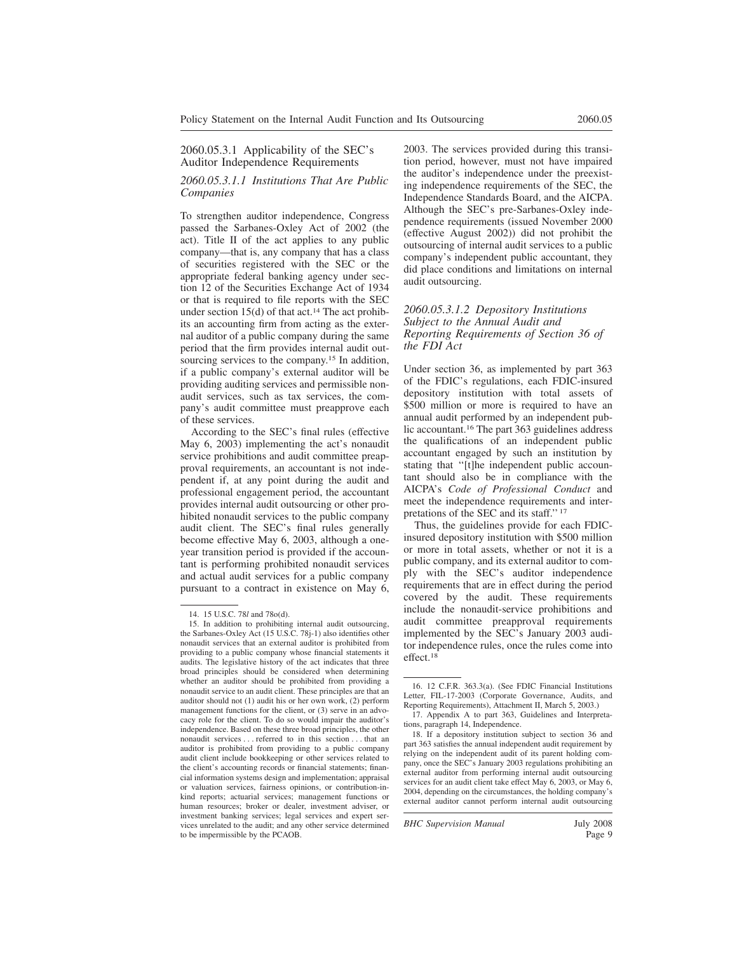#### 2060.05.3.1 Applicability of the SEC's Auditor Independence Requirements

#### *2060.05.3.1.1 Institutions That Are Public Companies*

To strengthen auditor independence, Congress passed the Sarbanes-Oxley Act of 2002 (the act). Title II of the act applies to any public company—that is, any company that has a class of securities registered with the SEC or the appropriate federal banking agency under section 12 of the Securities Exchange Act of 1934 or that is required to file reports with the SEC under section  $15(d)$  of that act.<sup>14</sup> The act prohibits an accounting firm from acting as the external auditor of a public company during the same period that the firm provides internal audit outsourcing services to the company.<sup>15</sup> In addition, if a public company's external auditor will be providing auditing services and permissible nonaudit services, such as tax services, the company's audit committee must preapprove each of these services.

According to the SEC's final rules (effective May 6, 2003) implementing the act's nonaudit service prohibitions and audit committee preapproval requirements, an accountant is not independent if, at any point during the audit and professional engagement period, the accountant provides internal audit outsourcing or other prohibited nonaudit services to the public company audit client. The SEC's final rules generally become effective May 6, 2003, although a oneyear transition period is provided if the accountant is performing prohibited nonaudit services and actual audit services for a public company pursuant to a contract in existence on May 6, 2003. The services provided during this transition period, however, must not have impaired the auditor's independence under the preexisting independence requirements of the SEC, the Independence Standards Board, and the AICPA. Although the SEC's pre-Sarbanes-Oxley independence requirements (issued November 2000 (effective August 2002)) did not prohibit the outsourcing of internal audit services to a public company's independent public accountant, they did place conditions and limitations on internal audit outsourcing.

#### *2060.05.3.1.2 Depository Institutions Subject to the Annual Audit and Reporting Requirements of Section 36 of the FDI Act*

Under section 36, as implemented by part 363 of the FDIC's regulations, each FDIC-insured depository institution with total assets of \$500 million or more is required to have an annual audit performed by an independent public accountant.<sup>16</sup> The part 363 guidelines address the qualifications of an independent public accountant engaged by such an institution by stating that ''[t]he independent public accountant should also be in compliance with the AICPA's *Code of Professional Conduct* and meet the independence requirements and interpretations of the SEC and its staff.'' <sup>17</sup>

Thus, the guidelines provide for each FDICinsured depository institution with \$500 million or more in total assets, whether or not it is a public company, and its external auditor to comply with the SEC's auditor independence requirements that are in effect during the period covered by the audit. These requirements include the nonaudit-service prohibitions and audit committee preapproval requirements implemented by the SEC's January 2003 auditor independence rules, once the rules come into effect.<sup>18</sup>

<sup>14. 15</sup> U.S.C. 78*l* and 78o(d).

<sup>15.</sup> In addition to prohibiting internal audit outsourcing, the Sarbanes-Oxley Act (15 U.S.C. 78j-1) also identifies other nonaudit services that an external auditor is prohibited from providing to a public company whose financial statements it audits. The legislative history of the act indicates that three broad principles should be considered when determining whether an auditor should be prohibited from providing a nonaudit service to an audit client. These principles are that an auditor should not (1) audit his or her own work, (2) perform management functions for the client, or (3) serve in an advocacy role for the client. To do so would impair the auditor's independence. Based on these three broad principles, the other nonaudit services . . . referred to in this section . . . that an auditor is prohibited from providing to a public company audit client include bookkeeping or other services related to the client's accounting records or financial statements; financial information systems design and implementation; appraisal or valuation services, fairness opinions, or contribution-inkind reports; actuarial services; management functions or human resources; broker or dealer, investment adviser, or investment banking services; legal services and expert services unrelated to the audit; and any other service determined to be impermissible by the PCAOB.

<sup>16. 12</sup> C.F.R. 363.3(a). (See FDIC Financial Institutions Letter, FIL-17-2003 (Corporate Governance, Audits, and Reporting Requirements), Attachment II, March 5, 2003.)

<sup>17.</sup> Appendix A to part 363, Guidelines and Interpretations, paragraph 14, Independence.

<sup>18.</sup> If a depository institution subject to section 36 and part 363 satisfies the annual independent audit requirement by relying on the independent audit of its parent holding company, once the SEC's January 2003 regulations prohibiting an external auditor from performing internal audit outsourcing services for an audit client take effect May 6, 2003, or May 6, 2004, depending on the circumstances, the holding company's external auditor cannot perform internal audit outsourcing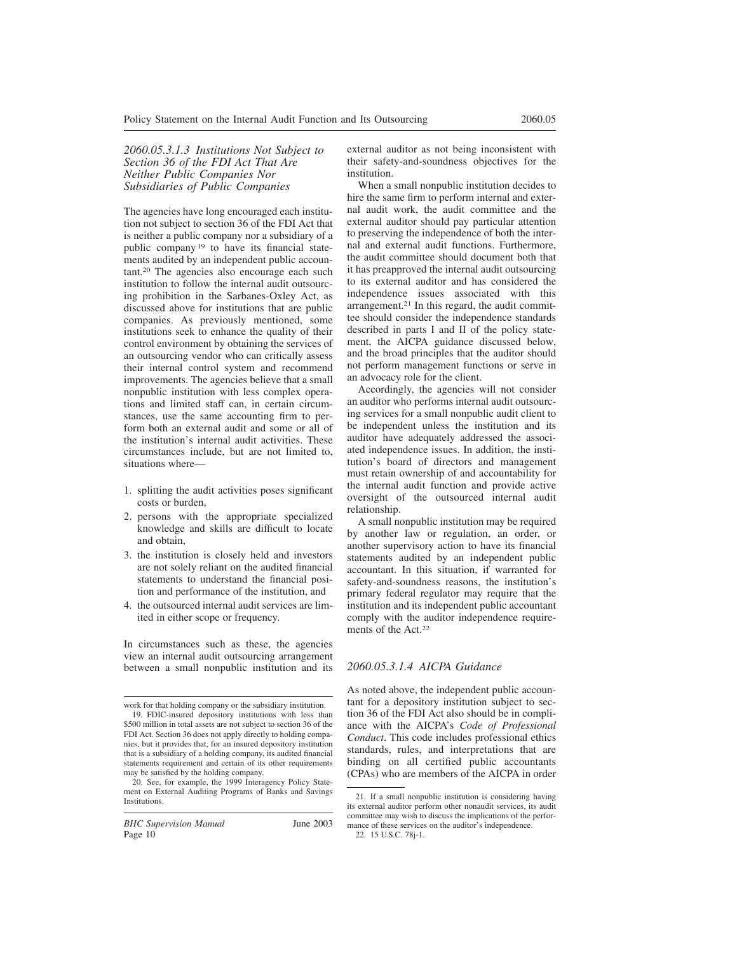*2060.05.3.1.3 Institutions Not Subject to Section 36 of the FDI Act That Are Neither Public Companies Nor Subsidiaries of Public Companies*

The agencies have long encouraged each institution not subject to section 36 of the FDI Act that is neither a public company nor a subsidiary of a public company<sup>19</sup> to have its financial statements audited by an independent public accountant.<sup>20</sup> The agencies also encourage each such institution to follow the internal audit outsourcing prohibition in the Sarbanes-Oxley Act, as discussed above for institutions that are public companies. As previously mentioned, some institutions seek to enhance the quality of their control environment by obtaining the services of an outsourcing vendor who can critically assess their internal control system and recommend improvements. The agencies believe that a small nonpublic institution with less complex operations and limited staff can, in certain circumstances, use the same accounting firm to perform both an external audit and some or all of the institution's internal audit activities. These circumstances include, but are not limited to, situations where—

- 1. splitting the audit activities poses significant costs or burden,
- 2. persons with the appropriate specialized knowledge and skills are difficult to locate and obtain,
- 3. the institution is closely held and investors are not solely reliant on the audited financial statements to understand the financial position and performance of the institution, and
- 4. the outsourced internal audit services are limited in either scope or frequency.

In circumstances such as these, the agencies view an internal audit outsourcing arrangement between a small nonpublic institution and its

20. See, for example, the 1999 Interagency Policy Statement on External Auditing Programs of Banks and Savings ment on external Auditing Programs of Banks and Savings<br>Institutions is considering having

external auditor as not being inconsistent with their safety-and-soundness objectives for the institution.

When a small nonpublic institution decides to hire the same firm to perform internal and external audit work, the audit committee and the external auditor should pay particular attention to preserving the independence of both the internal and external audit functions. Furthermore, the audit committee should document both that it has preapproved the internal audit outsourcing to its external auditor and has considered the independence issues associated with this arrangement.<sup>21</sup> In this regard, the audit committee should consider the independence standards described in parts I and II of the policy statement, the AICPA guidance discussed below, and the broad principles that the auditor should not perform management functions or serve in an advocacy role for the client.

Accordingly, the agencies will not consider an auditor who performs internal audit outsourcing services for a small nonpublic audit client to be independent unless the institution and its auditor have adequately addressed the associated independence issues. In addition, the institution's board of directors and management must retain ownership of and accountability for the internal audit function and provide active oversight of the outsourced internal audit relationship.

A small nonpublic institution may be required by another law or regulation, an order, or another supervisory action to have its financial statements audited by an independent public accountant. In this situation, if warranted for safety-and-soundness reasons, the institution's primary federal regulator may require that the institution and its independent public accountant comply with the auditor independence requirements of the Act.<sup>22</sup>

## *2060.05.3.1.4 AICPA Guidance*

As noted above, the independent public accountant for a depository institution subject to section 36 of the FDI Act also should be in compliance with the AICPA's *Code of Professional Conduct*. This code includes professional ethics standards, rules, and interpretations that are binding on all certified public accountants (CPAs) who are members of the AICPA in order

work for that holding company or the subsidiary institution.

<sup>19.</sup> FDIC-insured depository institutions with less than \$500 million in total assets are not subject to section 36 of the FDI Act. Section 36 does not apply directly to holding companies, but it provides that, for an insured depository institution that is a subsidiary of a holding company, its audited financial statements requirement and certain of its other requirements may be satisfied by the holding company.

its external auditor perform other nonaudit services, its audit committee may wish to discuss the implications of the performance of these services on the auditor's independence.

<sup>22. 15</sup> U.S.C. 78j-1.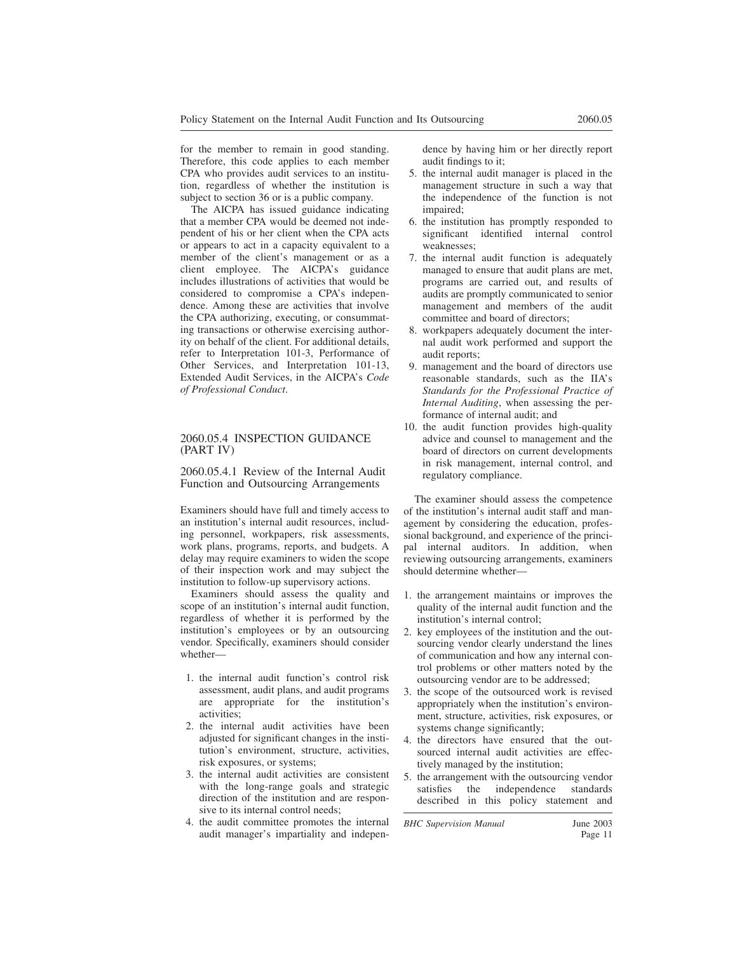for the member to remain in good standing. Therefore, this code applies to each member CPA who provides audit services to an institution, regardless of whether the institution is subject to section 36 or is a public company.

The AICPA has issued guidance indicating that a member CPA would be deemed not independent of his or her client when the CPA acts or appears to act in a capacity equivalent to a member of the client's management or as a client employee. The AICPA's guidance includes illustrations of activities that would be considered to compromise a CPA's independence. Among these are activities that involve the CPA authorizing, executing, or consummating transactions or otherwise exercising authority on behalf of the client. For additional details, refer to Interpretation 101-3, Performance of Other Services, and Interpretation 101-13, Extended Audit Services, in the AICPA's *Code of Professional Conduct*.

### 2060.05.4 INSPECTION GUIDANCE (PART IV)

2060.05.4.1 Review of the Internal Audit Function and Outsourcing Arrangements

Examiners should have full and timely access to an institution's internal audit resources, including personnel, workpapers, risk assessments, work plans, programs, reports, and budgets. A delay may require examiners to widen the scope of their inspection work and may subject the institution to follow-up supervisory actions.

Examiners should assess the quality and scope of an institution's internal audit function, regardless of whether it is performed by the institution's employees or by an outsourcing vendor. Specifically, examiners should consider whether—

- 1. the internal audit function's control risk assessment, audit plans, and audit programs are appropriate for the institution's activities;
- 2. the internal audit activities have been adjusted for significant changes in the institution's environment, structure, activities, risk exposures, or systems;
- 3. the internal audit activities are consistent with the long-range goals and strategic direction of the institution and are responsive to its internal control needs;
- 4. the audit committee promotes the internal audit manager's impartiality and indepen-

dence by having him or her directly report audit findings to it;

- 5. the internal audit manager is placed in the management structure in such a way that the independence of the function is not impaired;
- 6. the institution has promptly responded to significant identified internal control weaknesses;
- 7. the internal audit function is adequately managed to ensure that audit plans are met, programs are carried out, and results of audits are promptly communicated to senior management and members of the audit committee and board of directors;
- 8. workpapers adequately document the internal audit work performed and support the audit reports;
- 9. management and the board of directors use reasonable standards, such as the IIA's *Standards for the Professional Practice of Internal Auditing*, when assessing the performance of internal audit; and
- 10. the audit function provides high-quality advice and counsel to management and the board of directors on current developments in risk management, internal control, and regulatory compliance.

The examiner should assess the competence of the institution's internal audit staff and management by considering the education, professional background, and experience of the principal internal auditors. In addition, when reviewing outsourcing arrangements, examiners should determine whether—

- 1. the arrangement maintains or improves the quality of the internal audit function and the institution's internal control;
- 2. key employees of the institution and the outsourcing vendor clearly understand the lines of communication and how any internal control problems or other matters noted by the outsourcing vendor are to be addressed;
- 3. the scope of the outsourced work is revised appropriately when the institution's environment, structure, activities, risk exposures, or systems change significantly;
- 4. the directors have ensured that the outsourced internal audit activities are effectively managed by the institution;
- 5. the arrangement with the outsourcing vendor satisfies the independence standards described in this policy statement and

*BHC Supervision Manual* June 2003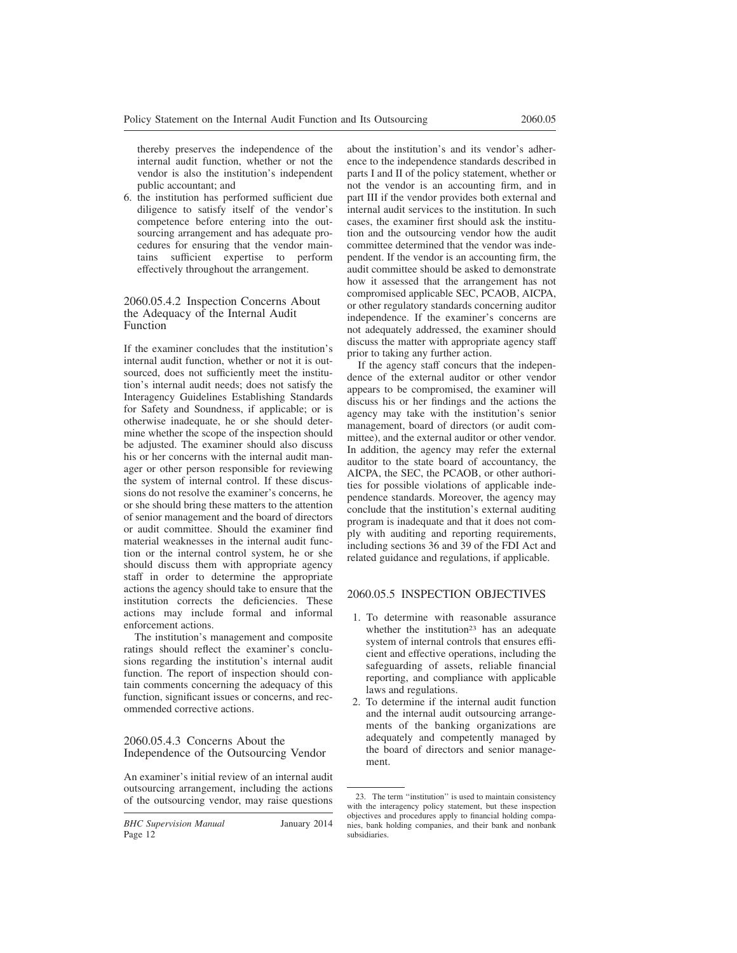thereby preserves the independence of the internal audit function, whether or not the vendor is also the institution's independent public accountant; and

6. the institution has performed sufficient due diligence to satisfy itself of the vendor's competence before entering into the outsourcing arrangement and has adequate procedures for ensuring that the vendor maintains sufficient expertise to perform effectively throughout the arrangement.

## 2060.05.4.2 Inspection Concerns About the Adequacy of the Internal Audit **Function**

If the examiner concludes that the institution's internal audit function, whether or not it is outsourced, does not sufficiently meet the institution's internal audit needs; does not satisfy the Interagency Guidelines Establishing Standards for Safety and Soundness, if applicable; or is otherwise inadequate, he or she should determine whether the scope of the inspection should be adjusted. The examiner should also discuss his or her concerns with the internal audit manager or other person responsible for reviewing the system of internal control. If these discussions do not resolve the examiner's concerns, he or she should bring these matters to the attention of senior management and the board of directors or audit committee. Should the examiner find material weaknesses in the internal audit function or the internal control system, he or she should discuss them with appropriate agency staff in order to determine the appropriate actions the agency should take to ensure that the institution corrects the deficiencies. These actions may include formal and informal enforcement actions.

The institution's management and composite ratings should reflect the examiner's conclusions regarding the institution's internal audit function. The report of inspection should contain comments concerning the adequacy of this function, significant issues or concerns, and recommended corrective actions.

2060.05.4.3 Concerns About the Independence of the Outsourcing Vendor

An examiner's initial review of an internal audit outsourcing arrangement, including the actions of the outsourcing vendor, may raise questions about the institution's and its vendor's adherence to the independence standards described in parts I and II of the policy statement, whether or not the vendor is an accounting firm, and in part III if the vendor provides both external and internal audit services to the institution. In such cases, the examiner first should ask the institution and the outsourcing vendor how the audit committee determined that the vendor was independent. If the vendor is an accounting firm, the audit committee should be asked to demonstrate how it assessed that the arrangement has not compromised applicable SEC, PCAOB, AICPA, or other regulatory standards concerning auditor independence. If the examiner's concerns are not adequately addressed, the examiner should discuss the matter with appropriate agency staff prior to taking any further action.

If the agency staff concurs that the independence of the external auditor or other vendor appears to be compromised, the examiner will discuss his or her findings and the actions the agency may take with the institution's senior management, board of directors (or audit committee), and the external auditor or other vendor. In addition, the agency may refer the external auditor to the state board of accountancy, the AICPA, the SEC, the PCAOB, or other authorities for possible violations of applicable independence standards. Moreover, the agency may conclude that the institution's external auditing program is inadequate and that it does not comply with auditing and reporting requirements, including sections 36 and 39 of the FDI Act and related guidance and regulations, if applicable.

# 2060.05.5 INSPECTION OBJECTIVES

- 1. To determine with reasonable assurance whether the institution<sup>23</sup> has an adequate system of internal controls that ensures efficient and effective operations, including the safeguarding of assets, reliable financial reporting, and compliance with applicable laws and regulations.
- 2. To determine if the internal audit function and the internal audit outsourcing arrangements of the banking organizations are adequately and competently managed by the board of directors and senior management.

<sup>23.</sup> The term ''institution'' is used to maintain consistency with the interagency policy statement, but these inspection objectives and procedures apply to financial holding companies, bank holding companies, and their bank and nonbank subsidiaries.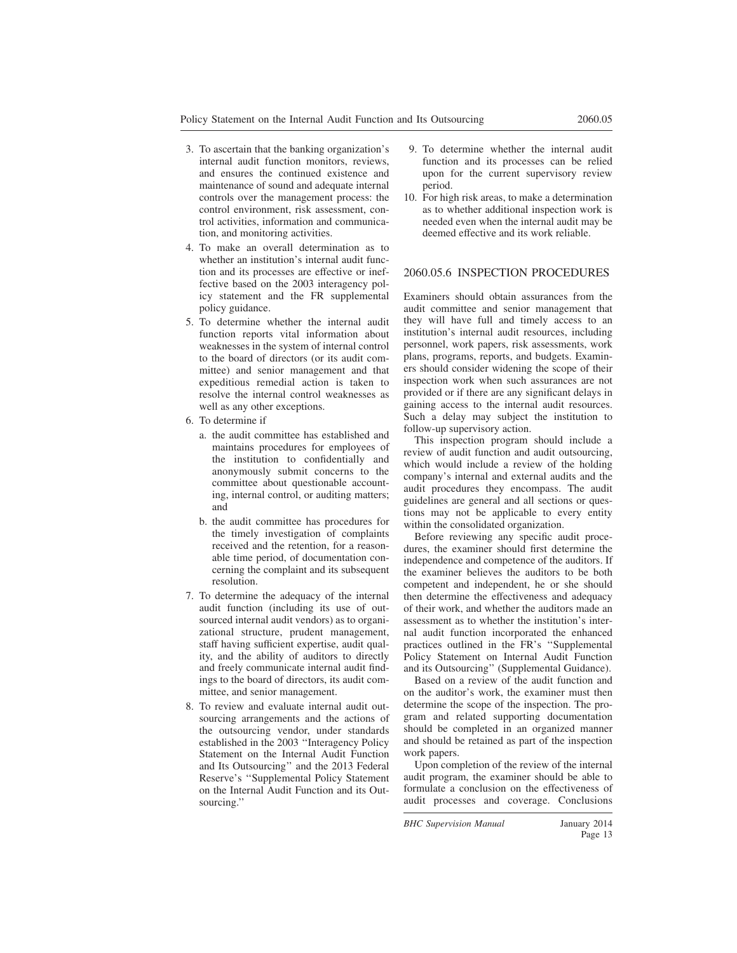- 3. To ascertain that the banking organization's internal audit function monitors, reviews, and ensures the continued existence and maintenance of sound and adequate internal controls over the management process: the control environment, risk assessment, control activities, information and communication, and monitoring activities.
- 4. To make an overall determination as to whether an institution's internal audit function and its processes are effective or ineffective based on the 2003 interagency policy statement and the FR supplemental policy guidance.
- 5. To determine whether the internal audit function reports vital information about weaknesses in the system of internal control to the board of directors (or its audit committee) and senior management and that expeditious remedial action is taken to resolve the internal control weaknesses as well as any other exceptions.
- 6. To determine if
	- a. the audit committee has established and maintains procedures for employees of the institution to confidentially and anonymously submit concerns to the committee about questionable accounting, internal control, or auditing matters; and
	- b. the audit committee has procedures for the timely investigation of complaints received and the retention, for a reasonable time period, of documentation concerning the complaint and its subsequent resolution.
- 7. To determine the adequacy of the internal audit function (including its use of outsourced internal audit vendors) as to organizational structure, prudent management, staff having sufficient expertise, audit quality, and the ability of auditors to directly and freely communicate internal audit findings to the board of directors, its audit committee, and senior management.
- 8. To review and evaluate internal audit outsourcing arrangements and the actions of the outsourcing vendor, under standards established in the 2003 ''Interagency Policy Statement on the Internal Audit Function and Its Outsourcing'' and the 2013 Federal Reserve's ''Supplemental Policy Statement on the Internal Audit Function and its Outsourcing.''
- 9. To determine whether the internal audit function and its processes can be relied upon for the current supervisory review period.
- 10. For high risk areas, to make a determination as to whether additional inspection work is needed even when the internal audit may be deemed effective and its work reliable.

## 2060.05.6 INSPECTION PROCEDURES

Examiners should obtain assurances from the audit committee and senior management that they will have full and timely access to an institution's internal audit resources, including personnel, work papers, risk assessments, work plans, programs, reports, and budgets. Examiners should consider widening the scope of their inspection work when such assurances are not provided or if there are any significant delays in gaining access to the internal audit resources. Such a delay may subject the institution to follow-up supervisory action.

This inspection program should include a review of audit function and audit outsourcing, which would include a review of the holding company's internal and external audits and the audit procedures they encompass. The audit guidelines are general and all sections or questions may not be applicable to every entity within the consolidated organization.

Before reviewing any specific audit procedures, the examiner should first determine the independence and competence of the auditors. If the examiner believes the auditors to be both competent and independent, he or she should then determine the effectiveness and adequacy of their work, and whether the auditors made an assessment as to whether the institution's internal audit function incorporated the enhanced practices outlined in the FR's ''Supplemental Policy Statement on Internal Audit Function and its Outsourcing'' (Supplemental Guidance).

Based on a review of the audit function and on the auditor's work, the examiner must then determine the scope of the inspection. The program and related supporting documentation should be completed in an organized manner and should be retained as part of the inspection work papers.

Upon completion of the review of the internal audit program, the examiner should be able to formulate a conclusion on the effectiveness of audit processes and coverage. Conclusions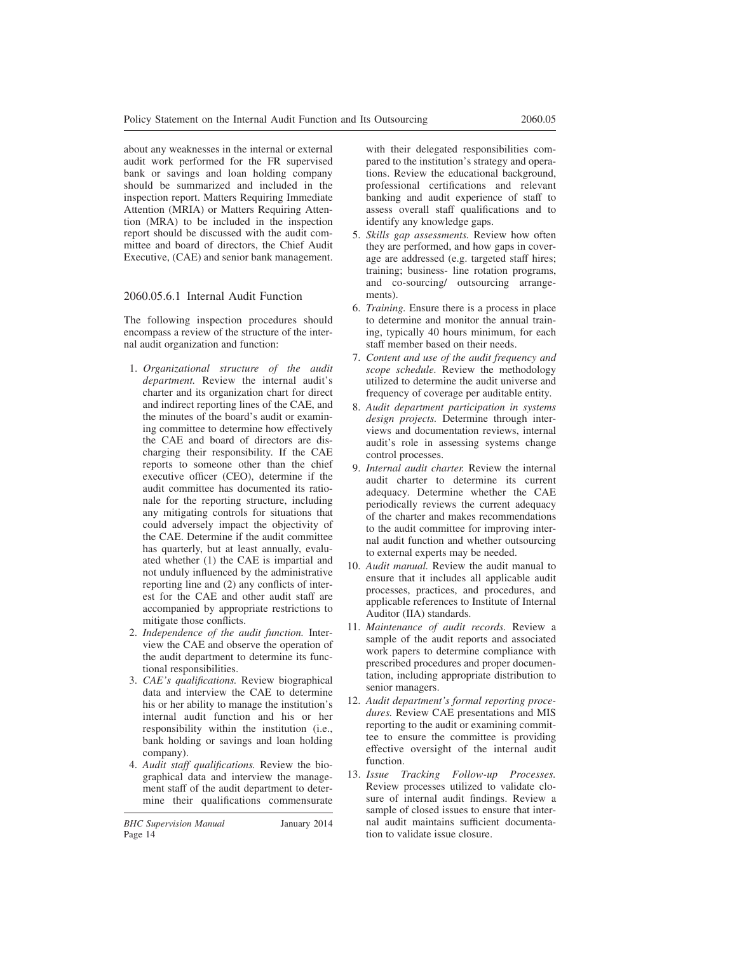about any weaknesses in the internal or external audit work performed for the FR supervised bank or savings and loan holding company should be summarized and included in the inspection report. Matters Requiring Immediate Attention (MRIA) or Matters Requiring Attention (MRA) to be included in the inspection report should be discussed with the audit committee and board of directors, the Chief Audit Executive, (CAE) and senior bank management.

# 2060.05.6.1 Internal Audit Function

The following inspection procedures should encompass a review of the structure of the internal audit organization and function:

- 1. *Organizational structure of the audit department.* Review the internal audit's charter and its organization chart for direct and indirect reporting lines of the CAE, and the minutes of the board's audit or examining committee to determine how effectively the CAE and board of directors are discharging their responsibility. If the CAE reports to someone other than the chief executive officer (CEO), determine if the audit committee has documented its rationale for the reporting structure, including any mitigating controls for situations that could adversely impact the objectivity of the CAE. Determine if the audit committee has quarterly, but at least annually, evaluated whether (1) the CAE is impartial and not unduly influenced by the administrative reporting line and (2) any conflicts of interest for the CAE and other audit staff are accompanied by appropriate restrictions to mitigate those conflicts.
- 2. *Independence of the audit function.* Interview the CAE and observe the operation of the audit department to determine its functional responsibilities.
- 3. *CAE's qualifications.* Review biographical data and interview the CAE to determine his or her ability to manage the institution's internal audit function and his or her responsibility within the institution (i.e., bank holding or savings and loan holding company).
- 4. *Audit staff qualifications.* Review the biographical data and interview the management staff of the audit department to determine their qualifications commensurate

with their delegated responsibilities compared to the institution's strategy and operations. Review the educational background, professional certifications and relevant banking and audit experience of staff to assess overall staff qualifications and to identify any knowledge gaps.

- 5. *Skills gap assessments.* Review how often they are performed, and how gaps in coverage are addressed (e.g. targeted staff hires; training; business- line rotation programs, and co-sourcing/ outsourcing arrangements).
- 6. *Training.* Ensure there is a process in place to determine and monitor the annual training, typically 40 hours minimum, for each staff member based on their needs.
- 7. *Content and use of the audit frequency and scope schedule.* Review the methodology utilized to determine the audit universe and frequency of coverage per auditable entity.
- 8. *Audit department participation in systems design projects.* Determine through interviews and documentation reviews, internal audit's role in assessing systems change control processes.
- 9. *Internal audit charter.* Review the internal audit charter to determine its current adequacy. Determine whether the CAE periodically reviews the current adequacy of the charter and makes recommendations to the audit committee for improving internal audit function and whether outsourcing to external experts may be needed.
- 10. *Audit manual.* Review the audit manual to ensure that it includes all applicable audit processes, practices, and procedures, and applicable references to Institute of Internal Auditor (IIA) standards.
- 11. *Maintenance of audit records.* Review a sample of the audit reports and associated work papers to determine compliance with prescribed procedures and proper documentation, including appropriate distribution to senior managers.
- 12. *Audit department's formal reporting procedures.* Review CAE presentations and MIS reporting to the audit or examining committee to ensure the committee is providing effective oversight of the internal audit function.
- 13. *Issue Tracking Follow-up Processes.* Review processes utilized to validate closure of internal audit findings. Review a sample of closed issues to ensure that internal audit maintains sufficient documentation to validate issue closure.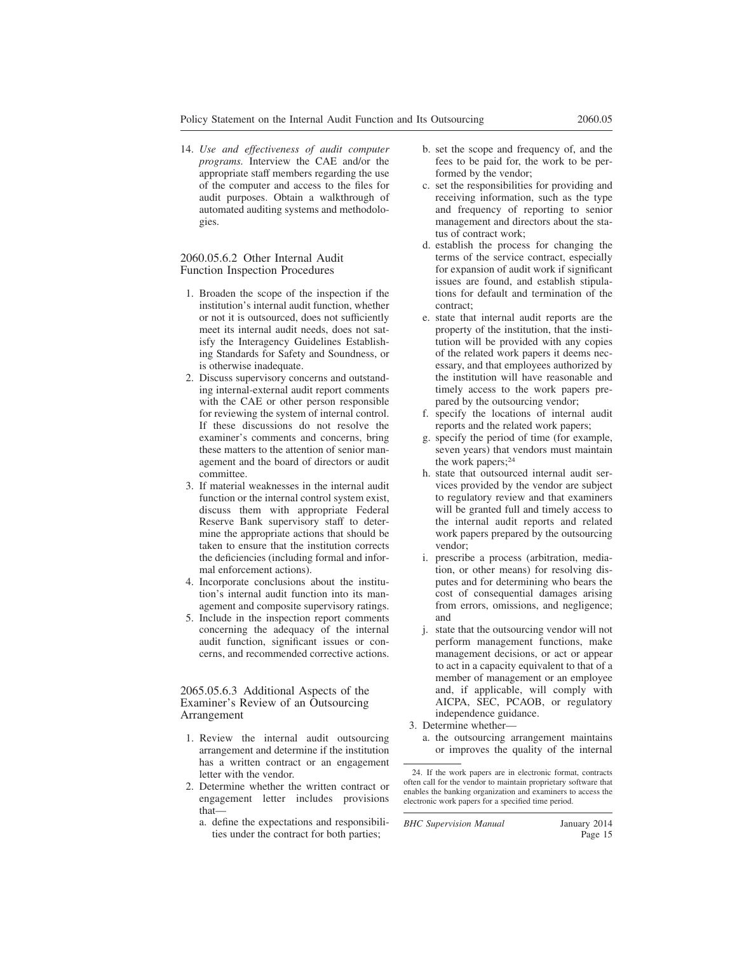14. *Use and effectiveness of audit computer programs.* Interview the CAE and/or the appropriate staff members regarding the use of the computer and access to the files for audit purposes. Obtain a walkthrough of automated auditing systems and methodologies.

## 2060.05.6.2 Other Internal Audit Function Inspection Procedures

- 1. Broaden the scope of the inspection if the institution's internal audit function, whether or not it is outsourced, does not sufficiently meet its internal audit needs, does not satisfy the Interagency Guidelines Establishing Standards for Safety and Soundness, or is otherwise inadequate.
- 2. Discuss supervisory concerns and outstanding internal-external audit report comments with the CAE or other person responsible for reviewing the system of internal control. If these discussions do not resolve the examiner's comments and concerns, bring these matters to the attention of senior management and the board of directors or audit committee.
- 3. If material weaknesses in the internal audit function or the internal control system exist, discuss them with appropriate Federal Reserve Bank supervisory staff to determine the appropriate actions that should be taken to ensure that the institution corrects the deficiencies (including formal and informal enforcement actions).
- 4. Incorporate conclusions about the institution's internal audit function into its management and composite supervisory ratings.
- 5. Include in the inspection report comments concerning the adequacy of the internal audit function, significant issues or concerns, and recommended corrective actions.

### 2065.05.6.3 Additional Aspects of the Examiner's Review of an Outsourcing Arrangement

- 1. Review the internal audit outsourcing arrangement and determine if the institution has a written contract or an engagement letter with the vendor.
- 2. Determine whether the written contract or engagement letter includes provisions that
	- a. define the expectations and responsibilities under the contract for both parties;
- b. set the scope and frequency of, and the fees to be paid for, the work to be performed by the vendor;
- c. set the responsibilities for providing and receiving information, such as the type and frequency of reporting to senior management and directors about the status of contract work;
- d. establish the process for changing the terms of the service contract, especially for expansion of audit work if significant issues are found, and establish stipulations for default and termination of the contract;
- e. state that internal audit reports are the property of the institution, that the institution will be provided with any copies of the related work papers it deems necessary, and that employees authorized by the institution will have reasonable and timely access to the work papers prepared by the outsourcing vendor;
- f. specify the locations of internal audit reports and the related work papers;
- g. specify the period of time (for example, seven years) that vendors must maintain the work papers;<sup>24</sup>
- h. state that outsourced internal audit services provided by the vendor are subject to regulatory review and that examiners will be granted full and timely access to the internal audit reports and related work papers prepared by the outsourcing vendor;
- i. prescribe a process (arbitration, mediation, or other means) for resolving disputes and for determining who bears the cost of consequential damages arising from errors, omissions, and negligence; and
- j. state that the outsourcing vendor will not perform management functions, make management decisions, or act or appear to act in a capacity equivalent to that of a member of management or an employee and, if applicable, will comply with AICPA, SEC, PCAOB, or regulatory independence guidance.
- 3. Determine whether
	- a. the outsourcing arrangement maintains or improves the quality of the internal

<sup>24.</sup> If the work papers are in electronic format, contracts often call for the vendor to maintain proprietary software that enables the banking organization and examiners to access the electronic work papers for a specified time period.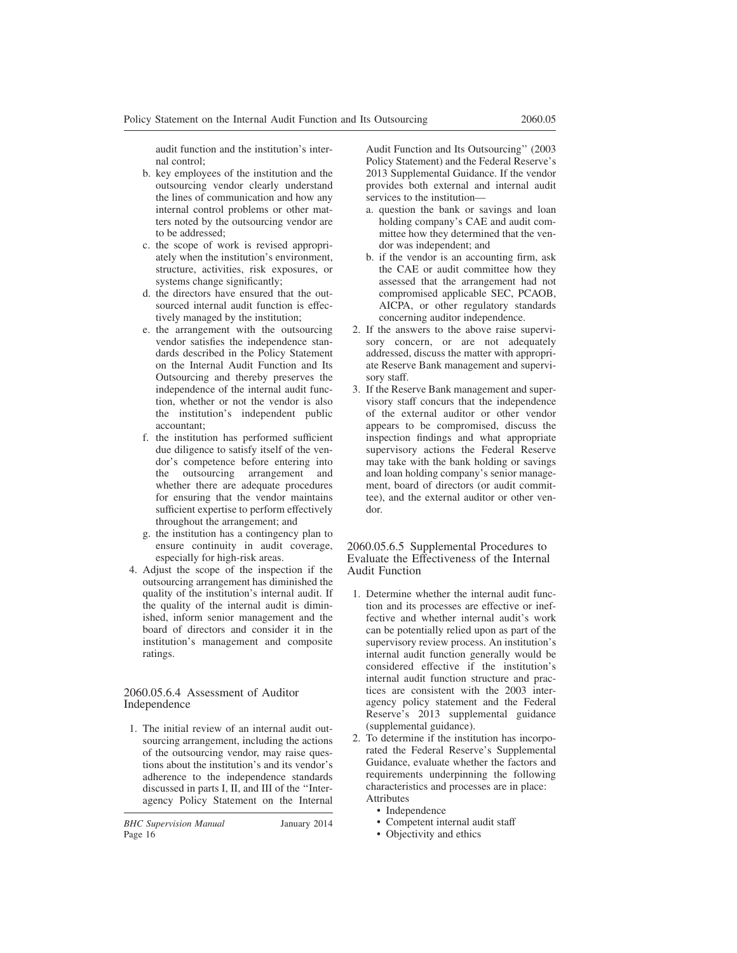audit function and the institution's internal control;

- b. key employees of the institution and the outsourcing vendor clearly understand the lines of communication and how any internal control problems or other matters noted by the outsourcing vendor are to be addressed;
- c. the scope of work is revised appropriately when the institution's environment, structure, activities, risk exposures, or systems change significantly;
- d. the directors have ensured that the outsourced internal audit function is effectively managed by the institution;
- e. the arrangement with the outsourcing vendor satisfies the independence standards described in the Policy Statement on the Internal Audit Function and Its Outsourcing and thereby preserves the independence of the internal audit function, whether or not the vendor is also the institution's independent public accountant;
- f. the institution has performed sufficient due diligence to satisfy itself of the vendor's competence before entering into the outsourcing arrangement and whether there are adequate procedures for ensuring that the vendor maintains sufficient expertise to perform effectively throughout the arrangement; and
- g. the institution has a contingency plan to ensure continuity in audit coverage, especially for high-risk areas.
- 4. Adjust the scope of the inspection if the outsourcing arrangement has diminished the quality of the institution's internal audit. If the quality of the internal audit is diminished, inform senior management and the board of directors and consider it in the institution's management and composite ratings.

# 2060.05.6.4 Assessment of Auditor Independence

1. The initial review of an internal audit outsourcing arrangement, including the actions of the outsourcing vendor, may raise questions about the institution's and its vendor's adherence to the independence standards discussed in parts I, II, and III of the ''Interagency Policy Statement on the Internal Audit Function and Its Outsourcing'' (2003 Policy Statement) and the Federal Reserve's 2013 Supplemental Guidance. If the vendor provides both external and internal audit services to the institution—

- a. question the bank or savings and loan holding company's CAE and audit committee how they determined that the vendor was independent; and
- b. if the vendor is an accounting firm, ask the CAE or audit committee how they assessed that the arrangement had not compromised applicable SEC, PCAOB, AICPA, or other regulatory standards concerning auditor independence.
- 2. If the answers to the above raise supervisory concern, or are not adequately addressed, discuss the matter with appropriate Reserve Bank management and supervisory staff.
- 3. If the Reserve Bank management and supervisory staff concurs that the independence of the external auditor or other vendor appears to be compromised, discuss the inspection findings and what appropriate supervisory actions the Federal Reserve may take with the bank holding or savings and loan holding company's senior management, board of directors (or audit committee), and the external auditor or other vendor.

2060.05.6.5 Supplemental Procedures to Evaluate the Effectiveness of the Internal Audit Function

- 1. Determine whether the internal audit function and its processes are effective or ineffective and whether internal audit's work can be potentially relied upon as part of the supervisory review process. An institution's internal audit function generally would be considered effective if the institution's internal audit function structure and practices are consistent with the 2003 interagency policy statement and the Federal Reserve's 2013 supplemental guidance (supplemental guidance).
- 2. To determine if the institution has incorporated the Federal Reserve's Supplemental Guidance, evaluate whether the factors and requirements underpinning the following characteristics and processes are in place: Attributes
	- Independence
	- Competent internal audit staff
	- Objectivity and ethics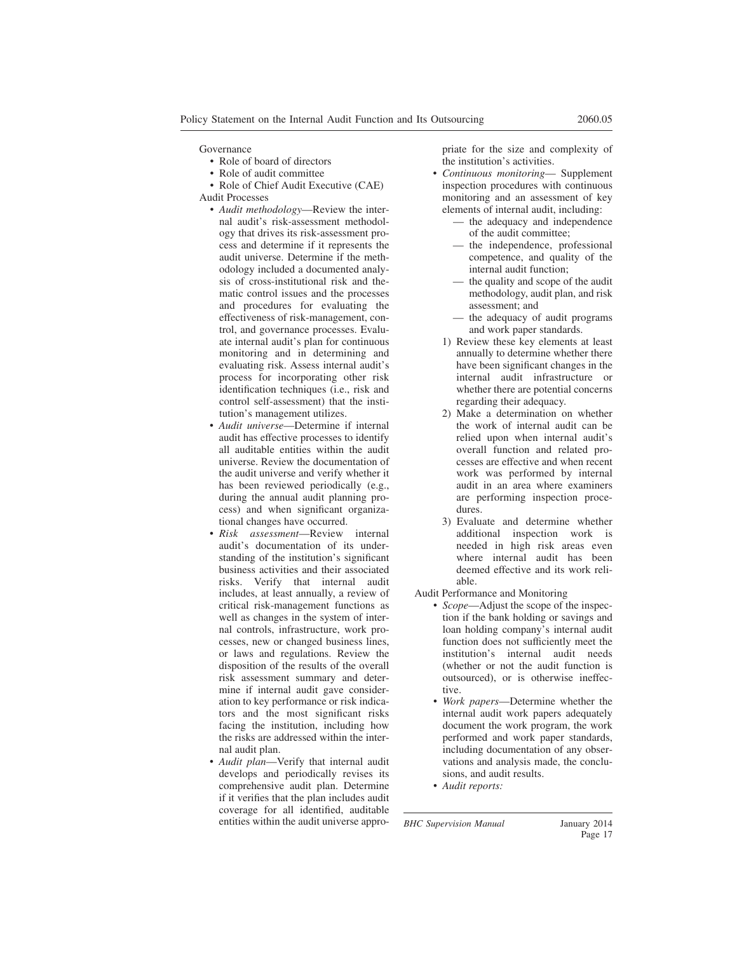Governance

- Role of board of directors
- Role of audit committee

• Role of Chief Audit Executive (CAE) Audit Processes

- *Audit methodology*—Review the internal audit's risk-assessment methodology that drives its risk-assessment process and determine if it represents the audit universe. Determine if the methodology included a documented analysis of cross-institutional risk and thematic control issues and the processes and procedures for evaluating the effectiveness of risk-management, control, and governance processes. Evaluate internal audit's plan for continuous monitoring and in determining and evaluating risk. Assess internal audit's process for incorporating other risk identification techniques (i.e., risk and control self-assessment) that the institution's management utilizes.
- *Audit universe*—Determine if internal audit has effective processes to identify all auditable entities within the audit universe. Review the documentation of the audit universe and verify whether it has been reviewed periodically (e.g., during the annual audit planning process) and when significant organizational changes have occurred.
- *Risk assessment*—Review internal audit's documentation of its understanding of the institution's significant business activities and their associated risks. Verify that internal audit includes, at least annually, a review of critical risk-management functions as well as changes in the system of internal controls, infrastructure, work processes, new or changed business lines, or laws and regulations. Review the disposition of the results of the overall risk assessment summary and determine if internal audit gave consideration to key performance or risk indicators and the most significant risks facing the institution, including how the risks are addressed within the internal audit plan.
- *Audit plan*—Verify that internal audit develops and periodically revises its comprehensive audit plan. Determine if it verifies that the plan includes audit coverage for all identified, auditable entities within the audit universe appro-

priate for the size and complexity of the institution's activities.

- *Continuous monitoring* Supplement inspection procedures with continuous monitoring and an assessment of key elements of internal audit, including:
	- the adequacy and independence of the audit committee;
	- the independence, professional competence, and quality of the internal audit function;
	- the quality and scope of the audit methodology, audit plan, and risk assessment; and
	- the adequacy of audit programs and work paper standards.
	- 1) Review these key elements at least annually to determine whether there have been significant changes in the internal audit infrastructure or whether there are potential concerns regarding their adequacy.
	- 2) Make a determination on whether the work of internal audit can be relied upon when internal audit's overall function and related processes are effective and when recent work was performed by internal audit in an area where examiners are performing inspection procedures.
	- 3) Evaluate and determine whether additional inspection work is needed in high risk areas even where internal audit has been deemed effective and its work reliable.
- Audit Performance and Monitoring
	- *Scope*—Adjust the scope of the inspection if the bank holding or savings and loan holding company's internal audit function does not sufficiently meet the institution's internal audit needs (whether or not the audit function is outsourced), or is otherwise ineffective.
	- *Work papers*—Determine whether the internal audit work papers adequately document the work program, the work performed and work paper standards, including documentation of any observations and analysis made, the conclusions, and audit results.
	- *Audit reports:*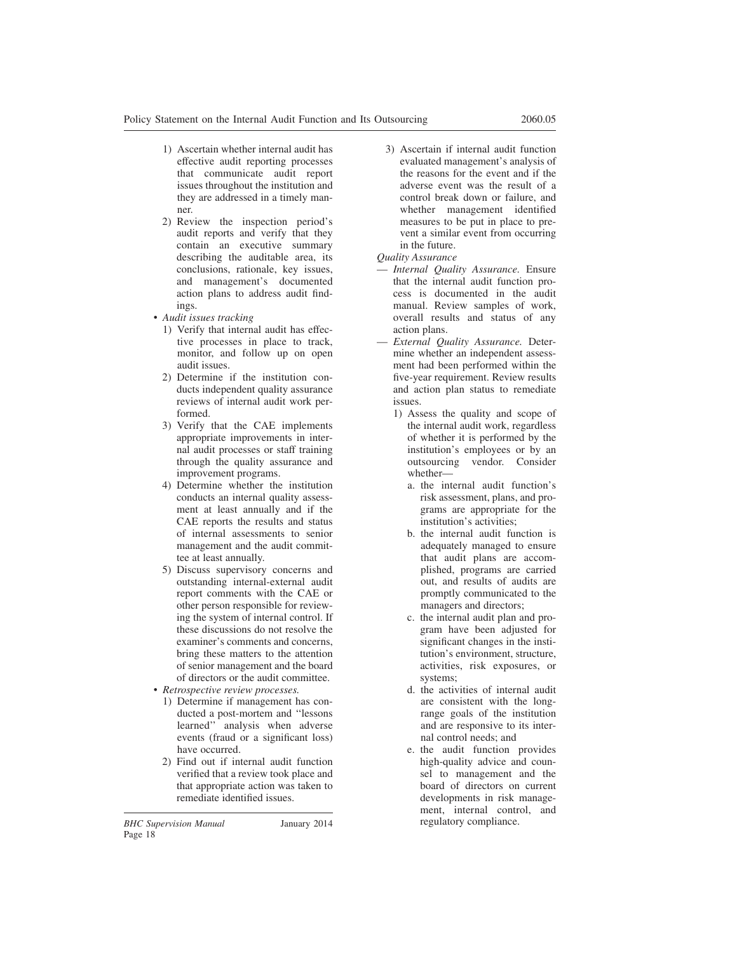- 1) Ascertain whether internal audit has effective audit reporting processes that communicate audit report issues throughout the institution and they are addressed in a timely manner.
- 2) Review the inspection period's audit reports and verify that they contain an executive summary describing the auditable area, its conclusions, rationale, key issues, and management's documented action plans to address audit findings.
- *Audit issues tracking*
	- 1) Verify that internal audit has effective processes in place to track, monitor, and follow up on open audit issues.
	- 2) Determine if the institution conducts independent quality assurance reviews of internal audit work performed.
	- 3) Verify that the CAE implements appropriate improvements in internal audit processes or staff training through the quality assurance and improvement programs.
	- 4) Determine whether the institution conducts an internal quality assessment at least annually and if the CAE reports the results and status of internal assessments to senior management and the audit committee at least annually.
	- 5) Discuss supervisory concerns and outstanding internal-external audit report comments with the CAE or other person responsible for reviewing the system of internal control. If these discussions do not resolve the examiner's comments and concerns, bring these matters to the attention of senior management and the board of directors or the audit committee.
- *Retrospective review processes.*
	- 1) Determine if management has conducted a post-mortem and ''lessons learned'' analysis when adverse events (fraud or a significant loss) have occurred.
	- 2) Find out if internal audit function verified that a review took place and that appropriate action was taken to remediate identified issues.
- 3) Ascertain if internal audit function evaluated management's analysis of the reasons for the event and if the adverse event was the result of a control break down or failure, and whether management identified measures to be put in place to prevent a similar event from occurring in the future.
- *Quality Assurance*
- *Internal Quality Assurance.* Ensure that the internal audit function process is documented in the audit manual. Review samples of work, overall results and status of any action plans.
- *External Quality Assurance.* Determine whether an independent assessment had been performed within the five-year requirement. Review results and action plan status to remediate issues.
	- 1) Assess the quality and scope of the internal audit work, regardless of whether it is performed by the institution's employees or by an outsourcing vendor. Consider whether
		- a. the internal audit function's risk assessment, plans, and programs are appropriate for the institution's activities;
		- b. the internal audit function is adequately managed to ensure that audit plans are accomplished, programs are carried out, and results of audits are promptly communicated to the managers and directors;
		- c. the internal audit plan and program have been adjusted for significant changes in the institution's environment, structure, activities, risk exposures, or systems;
		- d. the activities of internal audit are consistent with the longrange goals of the institution and are responsive to its internal control needs; and
		- e. the audit function provides high-quality advice and counsel to management and the board of directors on current developments in risk management, internal control, and regulatory compliance.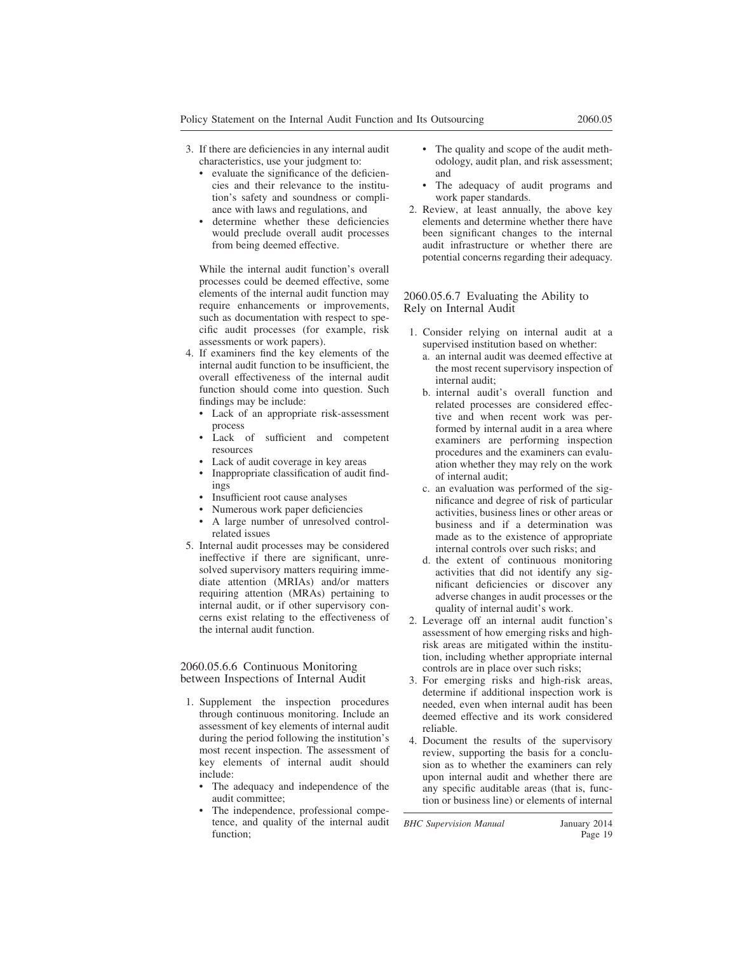- 3. If there are deficiencies in any internal audit characteristics, use your judgment to:
	- evaluate the significance of the deficiencies and their relevance to the institution's safety and soundness or compliance with laws and regulations, and
	- determine whether these deficiencies would preclude overall audit processes from being deemed effective.

While the internal audit function's overall processes could be deemed effective, some elements of the internal audit function may require enhancements or improvements, such as documentation with respect to specific audit processes (for example, risk assessments or work papers).

- 4. If examiners find the key elements of the internal audit function to be insufficient, the overall effectiveness of the internal audit function should come into question. Such findings may be include:
	- Lack of an appropriate risk-assessment process
	- Lack of sufficient and competent resources
	- Lack of audit coverage in key areas
	- Inappropriate classification of audit findings
	- Insufficient root cause analyses
	- Numerous work paper deficiencies
	- A large number of unresolved controlrelated issues
- 5. Internal audit processes may be considered ineffective if there are significant, unresolved supervisory matters requiring immediate attention (MRIAs) and/or matters requiring attention (MRAs) pertaining to internal audit, or if other supervisory concerns exist relating to the effectiveness of the internal audit function.

## 2060.05.6.6 Continuous Monitoring between Inspections of Internal Audit

- 1. Supplement the inspection procedures through continuous monitoring. Include an assessment of key elements of internal audit during the period following the institution's most recent inspection. The assessment of key elements of internal audit should include:
	- The adequacy and independence of the audit committee;
	- The independence, professional competence, and quality of the internal audit function;
- The quality and scope of the audit methodology, audit plan, and risk assessment; and
- The adequacy of audit programs and work paper standards.
- 2. Review, at least annually, the above key elements and determine whether there have been significant changes to the internal audit infrastructure or whether there are potential concerns regarding their adequacy.

2060.05.6.7 Evaluating the Ability to Rely on Internal Audit

- 1. Consider relying on internal audit at a supervised institution based on whether:
	- a. an internal audit was deemed effective at the most recent supervisory inspection of internal audit;
	- b. internal audit's overall function and related processes are considered effective and when recent work was performed by internal audit in a area where examiners are performing inspection procedures and the examiners can evaluation whether they may rely on the work of internal audit;
	- c. an evaluation was performed of the significance and degree of risk of particular activities, business lines or other areas or business and if a determination was made as to the existence of appropriate internal controls over such risks; and
	- d. the extent of continuous monitoring activities that did not identify any significant deficiencies or discover any adverse changes in audit processes or the quality of internal audit's work.
- 2. Leverage off an internal audit function's assessment of how emerging risks and highrisk areas are mitigated within the institution, including whether appropriate internal controls are in place over such risks;
- 3. For emerging risks and high-risk areas, determine if additional inspection work is needed, even when internal audit has been deemed effective and its work considered reliable.
- 4. Document the results of the supervisory review, supporting the basis for a conclusion as to whether the examiners can rely upon internal audit and whether there are any specific auditable areas (that is, function or business line) or elements of internal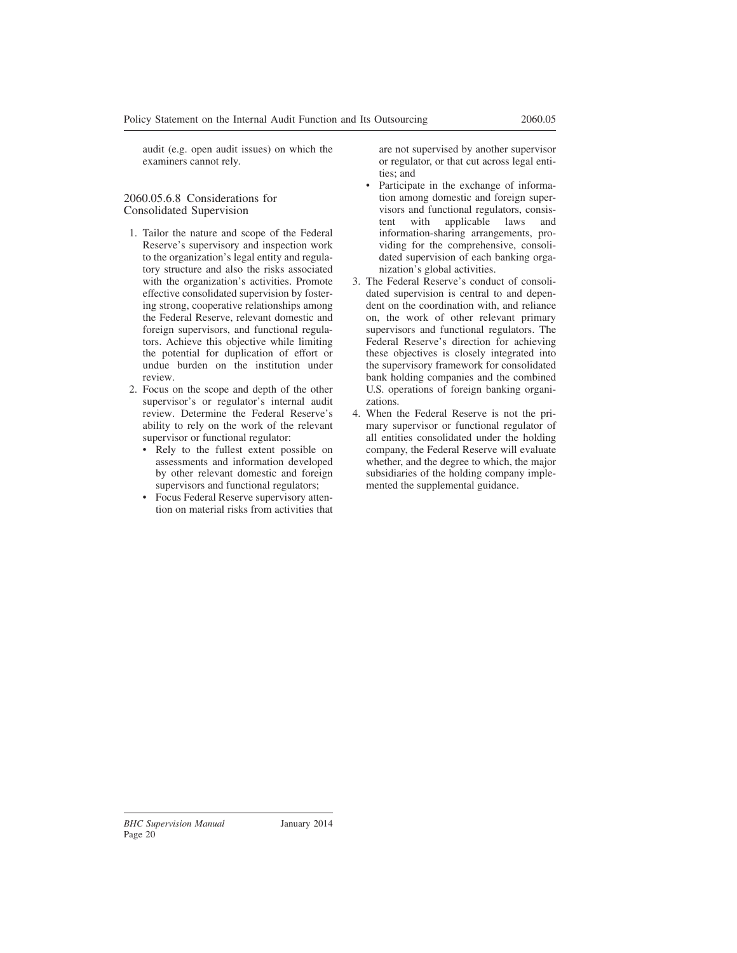audit (e.g. open audit issues) on which the examiners cannot rely.

2060.05.6.8 Considerations for Consolidated Supervision

- 1. Tailor the nature and scope of the Federal Reserve's supervisory and inspection work to the organization's legal entity and regulatory structure and also the risks associated with the organization's activities. Promote effective consolidated supervision by fostering strong, cooperative relationships among the Federal Reserve, relevant domestic and foreign supervisors, and functional regulators. Achieve this objective while limiting the potential for duplication of effort or undue burden on the institution under review.
- 2. Focus on the scope and depth of the other supervisor's or regulator's internal audit review. Determine the Federal Reserve's ability to rely on the work of the relevant supervisor or functional regulator:
	- Rely to the fullest extent possible on assessments and information developed by other relevant domestic and foreign supervisors and functional regulators;
	- Focus Federal Reserve supervisory attention on material risks from activities that

are not supervised by another supervisor or regulator, or that cut across legal entities; and

- Participate in the exchange of information among domestic and foreign supervisors and functional regulators, consistent with applicable laws and information-sharing arrangements, providing for the comprehensive, consolidated supervision of each banking organization's global activities.
- 3. The Federal Reserve's conduct of consolidated supervision is central to and dependent on the coordination with, and reliance on, the work of other relevant primary supervisors and functional regulators. The Federal Reserve's direction for achieving these objectives is closely integrated into the supervisory framework for consolidated bank holding companies and the combined U.S. operations of foreign banking organizations.
- 4. When the Federal Reserve is not the primary supervisor or functional regulator of all entities consolidated under the holding company, the Federal Reserve will evaluate whether, and the degree to which, the major subsidiaries of the holding company implemented the supplemental guidance.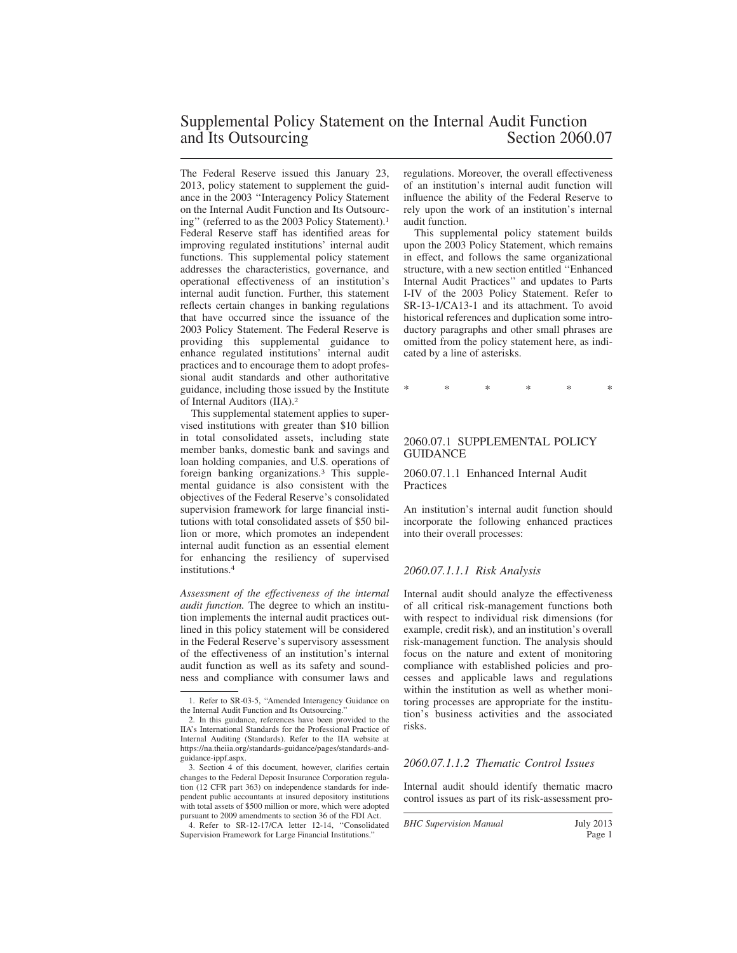The Federal Reserve issued this January 23, 2013, policy statement to supplement the guidance in the 2003 ''Interagency Policy Statement on the Internal Audit Function and Its Outsourcing" (referred to as the 2003 Policy Statement).<sup>1</sup> Federal Reserve staff has identified areas for improving regulated institutions' internal audit functions. This supplemental policy statement addresses the characteristics, governance, and operational effectiveness of an institution's internal audit function. Further, this statement reflects certain changes in banking regulations that have occurred since the issuance of the 2003 Policy Statement. The Federal Reserve is providing this supplemental guidance to enhance regulated institutions' internal audit practices and to encourage them to adopt professional audit standards and other authoritative guidance, including those issued by the Institute of Internal Auditors (IIA).<sup>2</sup>

This supplemental statement applies to supervised institutions with greater than \$10 billion in total consolidated assets, including state member banks, domestic bank and savings and loan holding companies, and U.S. operations of foreign banking organizations.<sup>3</sup> This supplemental guidance is also consistent with the objectives of the Federal Reserve's consolidated supervision framework for large financial institutions with total consolidated assets of \$50 billion or more, which promotes an independent internal audit function as an essential element for enhancing the resiliency of supervised institutions.<sup>4</sup>

*Assessment of the effectiveness of the internal audit function.* The degree to which an institution implements the internal audit practices outlined in this policy statement will be considered in the Federal Reserve's supervisory assessment of the effectiveness of an institution's internal audit function as well as its safety and soundness and compliance with consumer laws and regulations. Moreover, the overall effectiveness of an institution's internal audit function will influence the ability of the Federal Reserve to rely upon the work of an institution's internal audit function.

This supplemental policy statement builds upon the 2003 Policy Statement, which remains in effect, and follows the same organizational structure, with a new section entitled ''Enhanced Internal Audit Practices'' and updates to Parts I-IV of the 2003 Policy Statement. Refer to SR-13-1/CA13-1 and its attachment. To avoid historical references and duplication some introductory paragraphs and other small phrases are omitted from the policy statement here, as indicated by a line of asterisks.

\* \* \* \* \* \*

## 2060.07.1 SUPPLEMENTAL POLICY **GUIDANCE**

2060.07.1.1 Enhanced Internal Audit Practices

An institution's internal audit function should incorporate the following enhanced practices into their overall processes:

## *2060.07.1.1.1 Risk Analysis*

Internal audit should analyze the effectiveness of all critical risk-management functions both with respect to individual risk dimensions (for example, credit risk), and an institution's overall risk-management function. The analysis should focus on the nature and extent of monitoring compliance with established policies and processes and applicable laws and regulations within the institution as well as whether monitoring processes are appropriate for the institution's business activities and the associated risks.

## *2060.07.1.1.2 Thematic Control Issues*

Internal audit should identify thematic macro control issues as part of its risk-assessment pro-

<sup>1.</sup> Refer to SR-03-5, ''Amended Interagency Guidance on the Internal Audit Function and Its Outsourcing.''

<sup>2.</sup> In this guidance, references have been provided to the IIA's International Standards for the Professional Practice of Internal Auditing (Standards). Refer to the IIA website at https://na.theiia.org/standards-guidance/pages/standards-andguidance-ippf.aspx.

<sup>3.</sup> Section 4 of this document, however, clarifies certain changes to the Federal Deposit Insurance Corporation regulation (12 CFR part 363) on independence standards for independent public accountants at insured depository institutions with total assets of \$500 million or more, which were adopted pursuant to 2009 amendments to section 36 of the FDI Act.

<sup>4.</sup> Refer to SR-12-17/CA letter 12-14, ''Consolidated Supervision Framework for Large Financial Institutions.''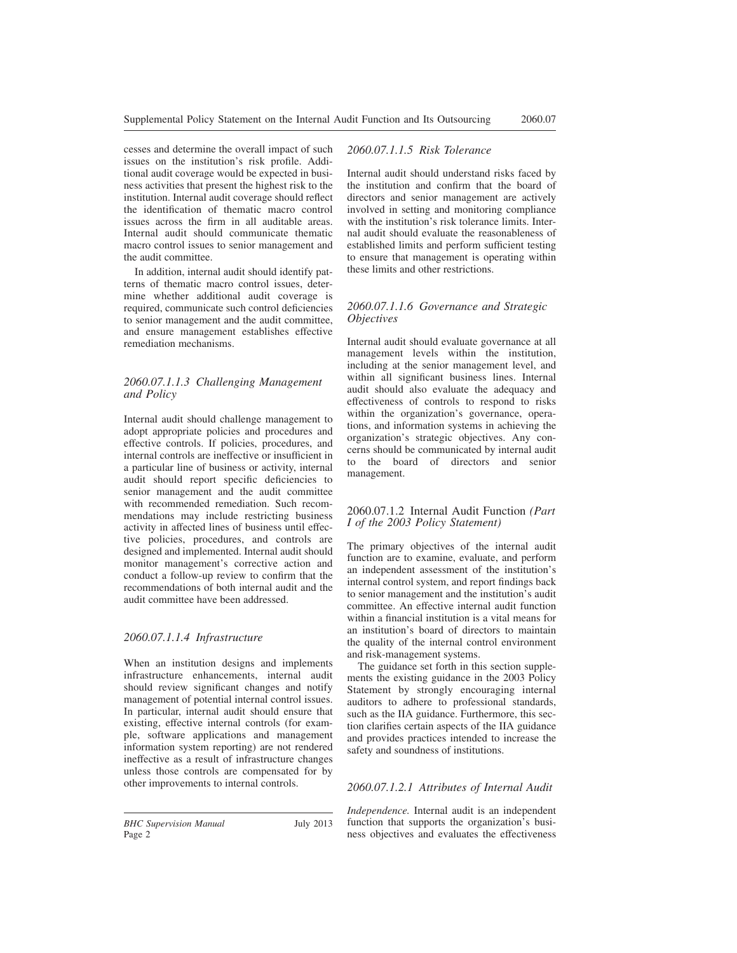cesses and determine the overall impact of such issues on the institution's risk profile. Additional audit coverage would be expected in business activities that present the highest risk to the institution. Internal audit coverage should reflect the identification of thematic macro control issues across the firm in all auditable areas. Internal audit should communicate thematic macro control issues to senior management and the audit committee.

In addition, internal audit should identify patterns of thematic macro control issues, determine whether additional audit coverage is required, communicate such control deficiencies to senior management and the audit committee, and ensure management establishes effective remediation mechanisms.

# *2060.07.1.1.3 Challenging Management and Policy*

Internal audit should challenge management to adopt appropriate policies and procedures and effective controls. If policies, procedures, and internal controls are ineffective or insufficient in a particular line of business or activity, internal audit should report specific deficiencies to senior management and the audit committee with recommended remediation. Such recommendations may include restricting business activity in affected lines of business until effective policies, procedures, and controls are designed and implemented. Internal audit should monitor management's corrective action and conduct a follow-up review to confirm that the recommendations of both internal audit and the audit committee have been addressed.

# *2060.07.1.1.4 Infrastructure*

When an institution designs and implements infrastructure enhancements, internal audit should review significant changes and notify management of potential internal control issues. In particular, internal audit should ensure that existing, effective internal controls (for example, software applications and management information system reporting) are not rendered ineffective as a result of infrastructure changes unless those controls are compensated for by other improvements to internal controls.

# *2060.07.1.1.5 Risk Tolerance*

Internal audit should understand risks faced by the institution and confirm that the board of directors and senior management are actively involved in setting and monitoring compliance with the institution's risk tolerance limits. Internal audit should evaluate the reasonableness of established limits and perform sufficient testing to ensure that management is operating within these limits and other restrictions.

# *2060.07.1.1.6 Governance and Strategic Objectives*

Internal audit should evaluate governance at all management levels within the institution, including at the senior management level, and within all significant business lines. Internal audit should also evaluate the adequacy and effectiveness of controls to respond to risks within the organization's governance, operations, and information systems in achieving the organization's strategic objectives. Any concerns should be communicated by internal audit to the board of directors and senior management.

# 2060.07.1.2 Internal Audit Function *(Part I of the 2003 Policy Statement)*

The primary objectives of the internal audit function are to examine, evaluate, and perform an independent assessment of the institution's internal control system, and report findings back to senior management and the institution's audit committee. An effective internal audit function within a financial institution is a vital means for an institution's board of directors to maintain the quality of the internal control environment and risk-management systems.

The guidance set forth in this section supplements the existing guidance in the 2003 Policy Statement by strongly encouraging internal auditors to adhere to professional standards, such as the IIA guidance. Furthermore, this section clarifies certain aspects of the IIA guidance and provides practices intended to increase the safety and soundness of institutions.

# *2060.07.1.2.1 Attributes of Internal Audit*

*Independence.* Internal audit is an independent function that supports the organization's business objectives and evaluates the effectiveness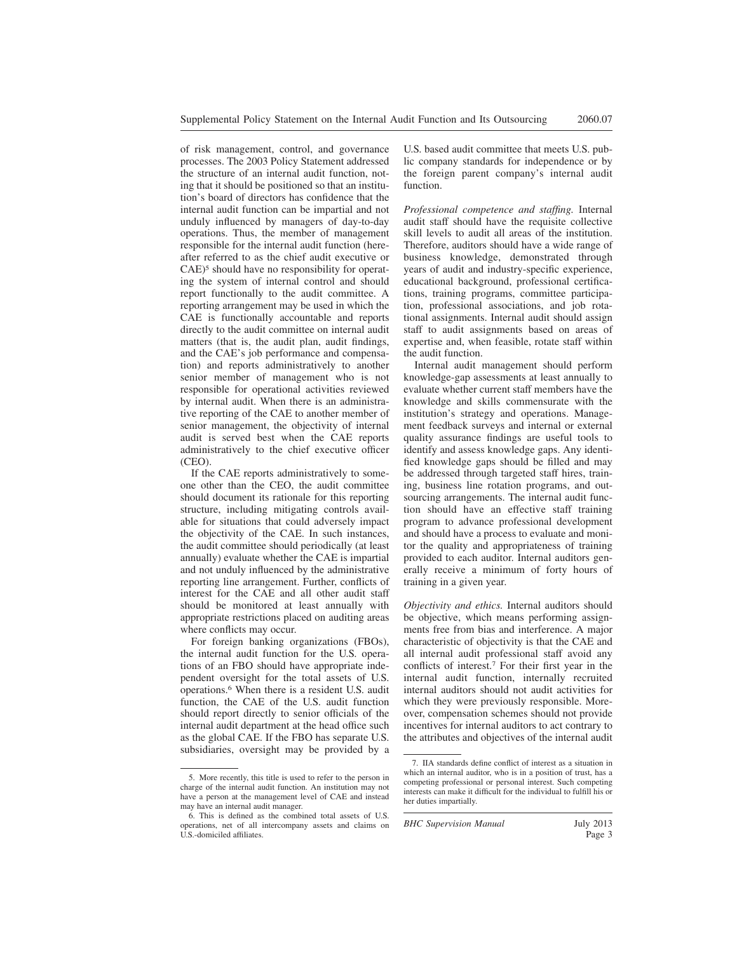of risk management, control, and governance processes. The 2003 Policy Statement addressed the structure of an internal audit function, noting that it should be positioned so that an institution's board of directors has confidence that the internal audit function can be impartial and not unduly influenced by managers of day-to-day operations. Thus, the member of management responsible for the internal audit function (hereafter referred to as the chief audit executive or  $CAE$ <sup>5</sup> should have no responsibility for operating the system of internal control and should report functionally to the audit committee. A reporting arrangement may be used in which the CAE is functionally accountable and reports directly to the audit committee on internal audit matters (that is, the audit plan, audit findings,

and the CAE's job performance and compensation) and reports administratively to another senior member of management who is not responsible for operational activities reviewed by internal audit. When there is an administrative reporting of the CAE to another member of senior management, the objectivity of internal audit is served best when the CAE reports administratively to the chief executive officer (CEO).

If the CAE reports administratively to someone other than the CEO, the audit committee should document its rationale for this reporting structure, including mitigating controls available for situations that could adversely impact the objectivity of the CAE. In such instances, the audit committee should periodically (at least annually) evaluate whether the CAE is impartial and not unduly influenced by the administrative reporting line arrangement. Further, conflicts of interest for the CAE and all other audit staff should be monitored at least annually with appropriate restrictions placed on auditing areas where conflicts may occur.

For foreign banking organizations (FBOs), the internal audit function for the U.S. operations of an FBO should have appropriate independent oversight for the total assets of U.S. operations.<sup>6</sup> When there is a resident U.S. audit function, the CAE of the U.S. audit function should report directly to senior officials of the internal audit department at the head office such as the global CAE. If the FBO has separate U.S. subsidiaries, oversight may be provided by a U.S. based audit committee that meets U.S. public company standards for independence or by the foreign parent company's internal audit function.

*Professional competence and staffing.* Internal audit staff should have the requisite collective skill levels to audit all areas of the institution. Therefore, auditors should have a wide range of business knowledge, demonstrated through years of audit and industry-specific experience, educational background, professional certifications, training programs, committee participation, professional associations, and job rotational assignments. Internal audit should assign staff to audit assignments based on areas of expertise and, when feasible, rotate staff within the audit function.

Internal audit management should perform knowledge-gap assessments at least annually to evaluate whether current staff members have the knowledge and skills commensurate with the institution's strategy and operations. Management feedback surveys and internal or external quality assurance findings are useful tools to identify and assess knowledge gaps. Any identified knowledge gaps should be filled and may be addressed through targeted staff hires, training, business line rotation programs, and outsourcing arrangements. The internal audit function should have an effective staff training program to advance professional development and should have a process to evaluate and monitor the quality and appropriateness of training provided to each auditor. Internal auditors generally receive a minimum of forty hours of training in a given year.

*Objectivity and ethics.* Internal auditors should be objective, which means performing assignments free from bias and interference. A major characteristic of objectivity is that the CAE and all internal audit professional staff avoid any conflicts of interest.<sup>7</sup> For their first year in the internal audit function, internally recruited internal auditors should not audit activities for which they were previously responsible. Moreover, compensation schemes should not provide incentives for internal auditors to act contrary to the attributes and objectives of the internal audit

*BHC Supervision Manual* July 2013

<sup>5.</sup> More recently, this title is used to refer to the person in charge of the internal audit function. An institution may not have a person at the management level of CAE and instead may have an internal audit manager.

<sup>6.</sup> This is defined as the combined total assets of U.S. operations, net of all intercompany assets and claims on U.S.-domiciled affiliates.

<sup>7.</sup> IIA standards define conflict of interest as a situation in which an internal auditor, who is in a position of trust, has a competing professional or personal interest. Such competing interests can make it difficult for the individual to fulfill his or her duties impartially.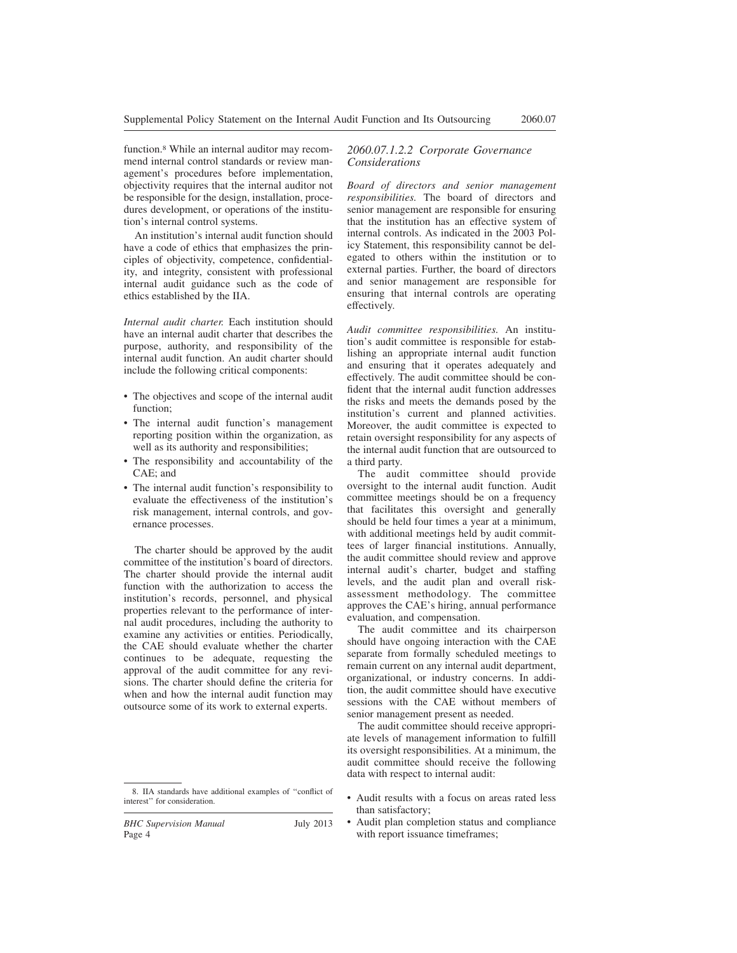function.<sup>8</sup> While an internal auditor may recommend internal control standards or review management's procedures before implementation, objectivity requires that the internal auditor not be responsible for the design, installation, procedures development, or operations of the institution's internal control systems.

An institution's internal audit function should have a code of ethics that emphasizes the principles of objectivity, competence, confidentiality, and integrity, consistent with professional internal audit guidance such as the code of ethics established by the IIA.

*Internal audit charter.* Each institution should have an internal audit charter that describes the purpose, authority, and responsibility of the internal audit function. An audit charter should include the following critical components:

- The objectives and scope of the internal audit function;
- The internal audit function's management reporting position within the organization, as well as its authority and responsibilities;
- The responsibility and accountability of the CAE; and
- The internal audit function's responsibility to evaluate the effectiveness of the institution's risk management, internal controls, and governance processes.

The charter should be approved by the audit committee of the institution's board of directors. The charter should provide the internal audit function with the authorization to access the institution's records, personnel, and physical properties relevant to the performance of internal audit procedures, including the authority to examine any activities or entities. Periodically, the CAE should evaluate whether the charter continues to be adequate, requesting the approval of the audit committee for any revisions. The charter should define the criteria for when and how the internal audit function may outsource some of its work to external experts.

*2060.07.1.2.2 Corporate Governance Considerations*

*Board of directors and senior management responsibilities.* The board of directors and senior management are responsible for ensuring that the institution has an effective system of internal controls. As indicated in the 2003 Policy Statement, this responsibility cannot be delegated to others within the institution or to external parties. Further, the board of directors and senior management are responsible for ensuring that internal controls are operating effectively.

*Audit committee responsibilities.* An institution's audit committee is responsible for establishing an appropriate internal audit function and ensuring that it operates adequately and effectively. The audit committee should be confident that the internal audit function addresses the risks and meets the demands posed by the institution's current and planned activities. Moreover, the audit committee is expected to retain oversight responsibility for any aspects of the internal audit function that are outsourced to a third party.

The audit committee should provide oversight to the internal audit function. Audit committee meetings should be on a frequency that facilitates this oversight and generally should be held four times a year at a minimum, with additional meetings held by audit committees of larger financial institutions. Annually, the audit committee should review and approve internal audit's charter, budget and staffing levels, and the audit plan and overall riskassessment methodology. The committee approves the CAE's hiring, annual performance evaluation, and compensation.

The audit committee and its chairperson should have ongoing interaction with the CAE separate from formally scheduled meetings to remain current on any internal audit department, organizational, or industry concerns. In addition, the audit committee should have executive sessions with the CAE without members of senior management present as needed.

The audit committee should receive appropriate levels of management information to fulfill its oversight responsibilities. At a minimum, the audit committee should receive the following data with respect to internal audit:

- Audit results with a focus on areas rated less than satisfactory;
- Audit plan completion status and compliance with report issuance timeframes;

<sup>8.</sup> IIA standards have additional examples of ''conflict of interest'' for consideration.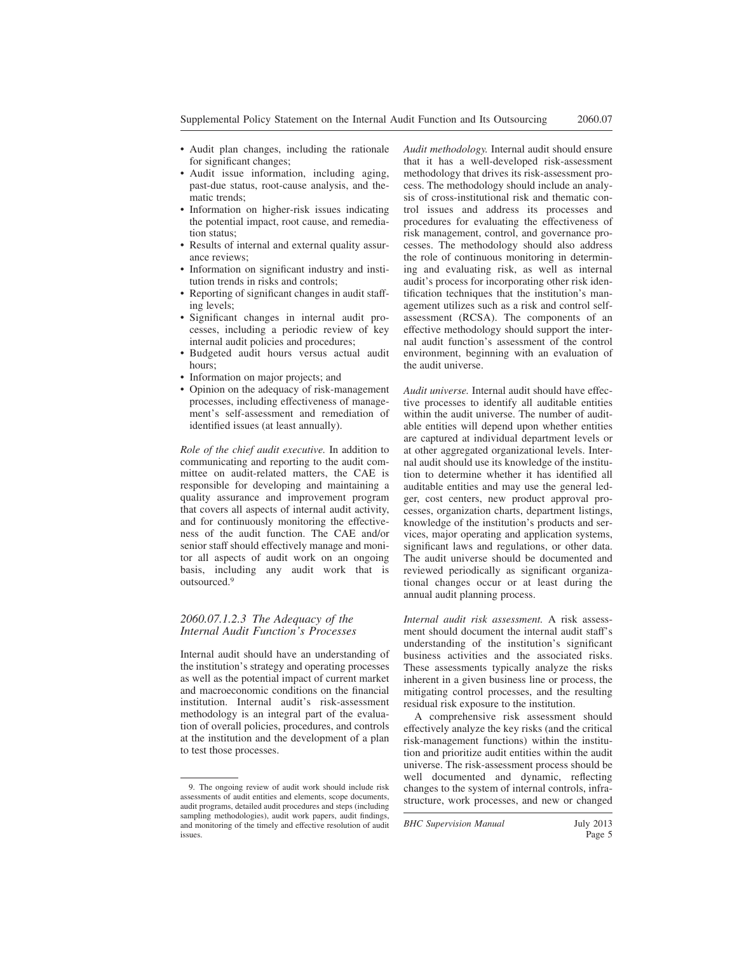- Audit plan changes, including the rationale for significant changes;
- Audit issue information, including aging, past-due status, root-cause analysis, and thematic trends;
- Information on higher-risk issues indicating the potential impact, root cause, and remediation status;
- Results of internal and external quality assurance reviews;
- Information on significant industry and institution trends in risks and controls;
- Reporting of significant changes in audit staffing levels;
- Significant changes in internal audit processes, including a periodic review of key internal audit policies and procedures;
- Budgeted audit hours versus actual audit hours;
- Information on major projects; and
- Opinion on the adequacy of risk-management processes, including effectiveness of management's self-assessment and remediation of identified issues (at least annually).

*Role of the chief audit executive.* In addition to communicating and reporting to the audit committee on audit-related matters, the CAE is responsible for developing and maintaining a quality assurance and improvement program that covers all aspects of internal audit activity, and for continuously monitoring the effectiveness of the audit function. The CAE and/or senior staff should effectively manage and monitor all aspects of audit work on an ongoing basis, including any audit work that is outsourced.<sup>9</sup>

## *2060.07.1.2.3 The Adequacy of the Internal Audit Function's Processes*

Internal audit should have an understanding of the institution's strategy and operating processes as well as the potential impact of current market and macroeconomic conditions on the financial institution. Internal audit's risk-assessment methodology is an integral part of the evaluation of overall policies, procedures, and controls at the institution and the development of a plan to test those processes.

*Audit methodology.* Internal audit should ensure that it has a well-developed risk-assessment methodology that drives its risk-assessment process. The methodology should include an analysis of cross-institutional risk and thematic control issues and address its processes and procedures for evaluating the effectiveness of risk management, control, and governance processes. The methodology should also address the role of continuous monitoring in determining and evaluating risk, as well as internal audit's process for incorporating other risk identification techniques that the institution's management utilizes such as a risk and control selfassessment (RCSA). The components of an effective methodology should support the internal audit function's assessment of the control environment, beginning with an evaluation of the audit universe.

*Audit universe.* Internal audit should have effective processes to identify all auditable entities within the audit universe. The number of auditable entities will depend upon whether entities are captured at individual department levels or at other aggregated organizational levels. Internal audit should use its knowledge of the institution to determine whether it has identified all auditable entities and may use the general ledger, cost centers, new product approval processes, organization charts, department listings, knowledge of the institution's products and services, major operating and application systems, significant laws and regulations, or other data. The audit universe should be documented and reviewed periodically as significant organizational changes occur or at least during the annual audit planning process.

*Internal audit risk assessment.* A risk assessment should document the internal audit staff's understanding of the institution's significant business activities and the associated risks. These assessments typically analyze the risks inherent in a given business line or process, the mitigating control processes, and the resulting residual risk exposure to the institution.

A comprehensive risk assessment should effectively analyze the key risks (and the critical risk-management functions) within the institution and prioritize audit entities within the audit universe. The risk-assessment process should be well documented and dynamic, reflecting changes to the system of internal controls, infrastructure, work processes, and new or changed

*BHC Supervision Manual* July 2013

<sup>9.</sup> The ongoing review of audit work should include risk assessments of audit entities and elements, scope documents, audit programs, detailed audit procedures and steps (including sampling methodologies), audit work papers, audit findings, and monitoring of the timely and effective resolution of audit issues.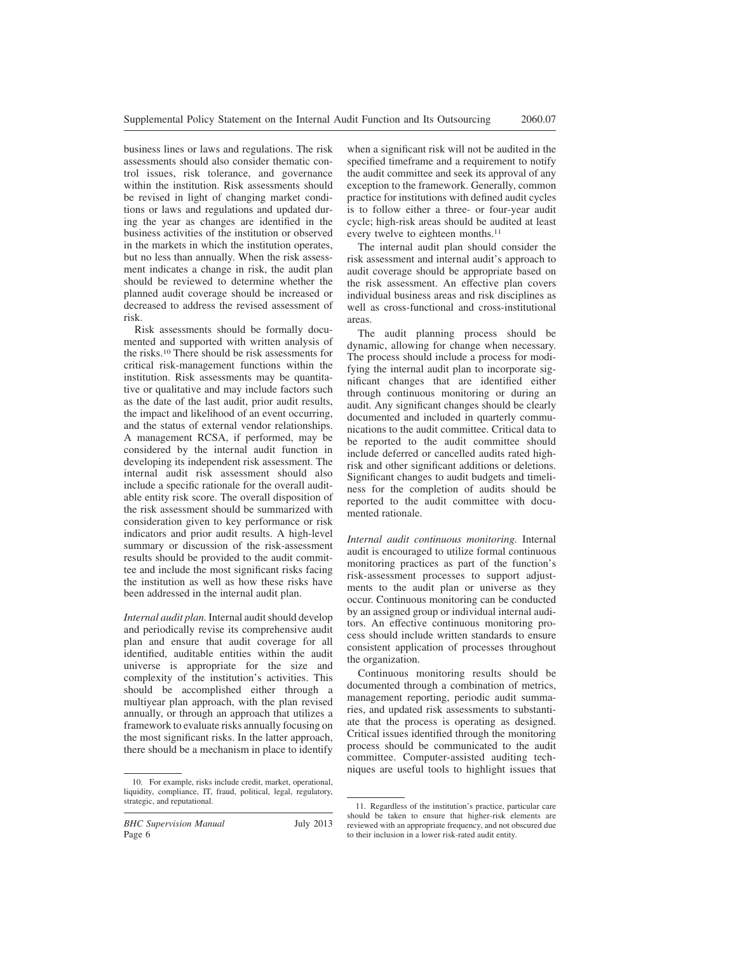business lines or laws and regulations. The risk assessments should also consider thematic control issues, risk tolerance, and governance within the institution. Risk assessments should be revised in light of changing market conditions or laws and regulations and updated during the year as changes are identified in the business activities of the institution or observed in the markets in which the institution operates, but no less than annually. When the risk assessment indicates a change in risk, the audit plan should be reviewed to determine whether the planned audit coverage should be increased or decreased to address the revised assessment of risk.

Risk assessments should be formally documented and supported with written analysis of the risks.<sup>10</sup> There should be risk assessments for critical risk-management functions within the institution. Risk assessments may be quantitative or qualitative and may include factors such as the date of the last audit, prior audit results, the impact and likelihood of an event occurring, and the status of external vendor relationships. A management RCSA, if performed, may be considered by the internal audit function in developing its independent risk assessment. The internal audit risk assessment should also include a specific rationale for the overall auditable entity risk score. The overall disposition of the risk assessment should be summarized with consideration given to key performance or risk indicators and prior audit results. A high-level summary or discussion of the risk-assessment results should be provided to the audit committee and include the most significant risks facing the institution as well as how these risks have been addressed in the internal audit plan.

*Internal audit plan.* Internal audit should develop and periodically revise its comprehensive audit plan and ensure that audit coverage for all identified, auditable entities within the audit universe is appropriate for the size and complexity of the institution's activities. This should be accomplished either through a multiyear plan approach, with the plan revised annually, or through an approach that utilizes a framework to evaluate risks annually focusing on the most significant risks. In the latter approach, there should be a mechanism in place to identify when a significant risk will not be audited in the specified timeframe and a requirement to notify the audit committee and seek its approval of any exception to the framework. Generally, common practice for institutions with defined audit cycles is to follow either a three- or four-year audit cycle; high-risk areas should be audited at least every twelve to eighteen months.<sup>11</sup>

The internal audit plan should consider the risk assessment and internal audit's approach to audit coverage should be appropriate based on the risk assessment. An effective plan covers individual business areas and risk disciplines as well as cross-functional and cross-institutional areas.

The audit planning process should be dynamic, allowing for change when necessary. The process should include a process for modifying the internal audit plan to incorporate significant changes that are identified either through continuous monitoring or during an audit. Any significant changes should be clearly documented and included in quarterly communications to the audit committee. Critical data to be reported to the audit committee should include deferred or cancelled audits rated highrisk and other significant additions or deletions. Significant changes to audit budgets and timeliness for the completion of audits should be reported to the audit committee with documented rationale.

*Internal audit continuous monitoring.* Internal audit is encouraged to utilize formal continuous monitoring practices as part of the function's risk-assessment processes to support adjustments to the audit plan or universe as they occur. Continuous monitoring can be conducted by an assigned group or individual internal auditors. An effective continuous monitoring process should include written standards to ensure consistent application of processes throughout the organization.

Continuous monitoring results should be documented through a combination of metrics, management reporting, periodic audit summaries, and updated risk assessments to substantiate that the process is operating as designed. Critical issues identified through the monitoring process should be communicated to the audit committee. Computer-assisted auditing techniques are useful tools to highlight issues that

<sup>10.</sup> For example, risks include credit, market, operational, liquidity, compliance, IT, fraud, political, legal, regulatory,

<sup>11.</sup> Regardless of the institution's practice, particular care should be taken to ensure that higher-risk elements are reviewed with an appropriate frequency, and not obscured due to their inclusion in a lower risk-rated audit entity.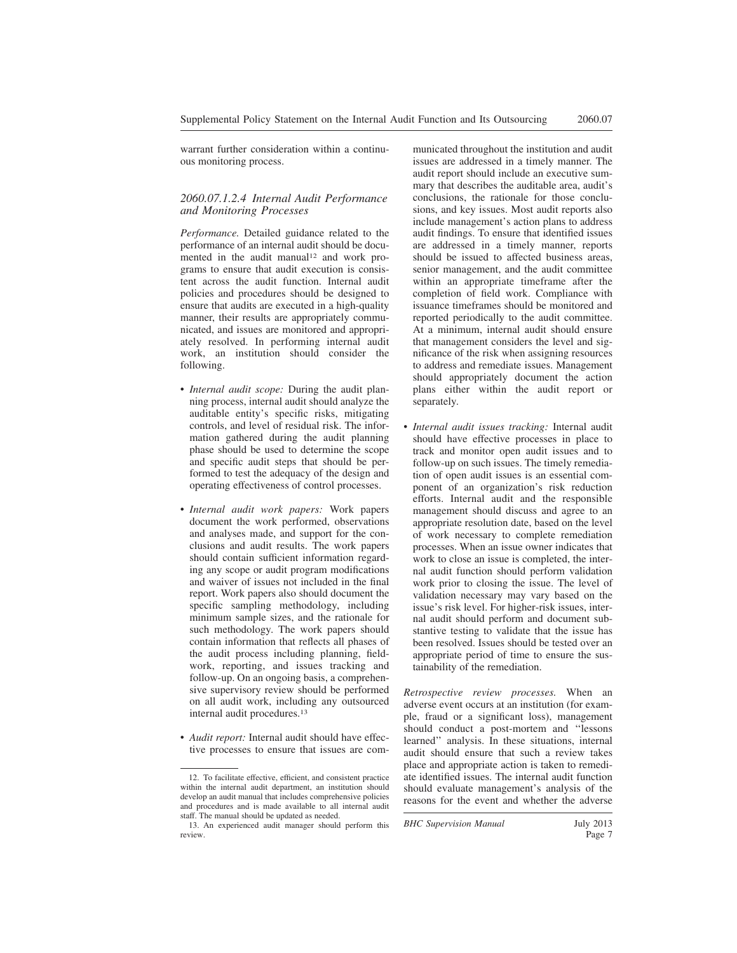warrant further consideration within a continuous monitoring process.

#### *2060.07.1.2.4 Internal Audit Performance and Monitoring Processes*

*Performance.* Detailed guidance related to the performance of an internal audit should be documented in the audit manual<sup>12</sup> and work programs to ensure that audit execution is consistent across the audit function. Internal audit policies and procedures should be designed to ensure that audits are executed in a high-quality manner, their results are appropriately communicated, and issues are monitored and appropriately resolved. In performing internal audit work, an institution should consider the following.

- *Internal audit scope:* During the audit planning process, internal audit should analyze the auditable entity's specific risks, mitigating controls, and level of residual risk. The information gathered during the audit planning phase should be used to determine the scope and specific audit steps that should be performed to test the adequacy of the design and operating effectiveness of control processes.
- *Internal audit work papers:* Work papers document the work performed, observations and analyses made, and support for the conclusions and audit results. The work papers should contain sufficient information regarding any scope or audit program modifications and waiver of issues not included in the final report. Work papers also should document the specific sampling methodology, including minimum sample sizes, and the rationale for such methodology. The work papers should contain information that reflects all phases of the audit process including planning, fieldwork, reporting, and issues tracking and follow-up. On an ongoing basis, a comprehensive supervisory review should be performed on all audit work, including any outsourced internal audit procedures.<sup>13</sup>
- *Audit report:* Internal audit should have effective processes to ensure that issues are com-

municated throughout the institution and audit issues are addressed in a timely manner. The audit report should include an executive summary that describes the auditable area, audit's conclusions, the rationale for those conclusions, and key issues. Most audit reports also include management's action plans to address audit findings. To ensure that identified issues are addressed in a timely manner, reports should be issued to affected business areas, senior management, and the audit committee within an appropriate timeframe after the completion of field work. Compliance with issuance timeframes should be monitored and reported periodically to the audit committee. At a minimum, internal audit should ensure that management considers the level and significance of the risk when assigning resources to address and remediate issues. Management should appropriately document the action plans either within the audit report or separately.

• *Internal audit issues tracking:* Internal audit should have effective processes in place to track and monitor open audit issues and to follow-up on such issues. The timely remediation of open audit issues is an essential component of an organization's risk reduction efforts. Internal audit and the responsible management should discuss and agree to an appropriate resolution date, based on the level of work necessary to complete remediation processes. When an issue owner indicates that work to close an issue is completed, the internal audit function should perform validation work prior to closing the issue. The level of validation necessary may vary based on the issue's risk level. For higher-risk issues, internal audit should perform and document substantive testing to validate that the issue has been resolved. Issues should be tested over an appropriate period of time to ensure the sustainability of the remediation.

*Retrospective review processes.* When an adverse event occurs at an institution (for example, fraud or a significant loss), management should conduct a post-mortem and ''lessons learned'' analysis. In these situations, internal audit should ensure that such a review takes place and appropriate action is taken to remediate identified issues. The internal audit function should evaluate management's analysis of the reasons for the event and whether the adverse

*BHC Supervision Manual* July 2013

<sup>12.</sup> To facilitate effective, efficient, and consistent practice within the internal audit department, an institution should develop an audit manual that includes comprehensive policies and procedures and is made available to all internal audit staff. The manual should be updated as needed.

<sup>13.</sup> An experienced audit manager should perform this review.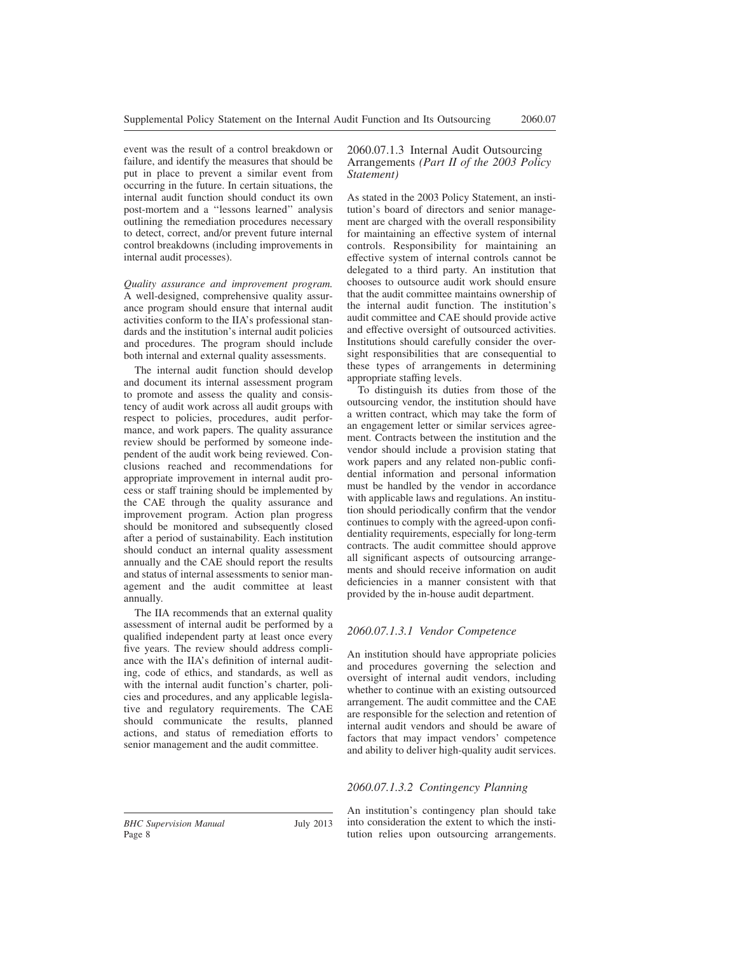event was the result of a control breakdown or failure, and identify the measures that should be put in place to prevent a similar event from occurring in the future. In certain situations, the internal audit function should conduct its own post-mortem and a ''lessons learned'' analysis outlining the remediation procedures necessary to detect, correct, and/or prevent future internal control breakdowns (including improvements in internal audit processes).

*Quality assurance and improvement program.* A well-designed, comprehensive quality assurance program should ensure that internal audit activities conform to the IIA's professional standards and the institution's internal audit policies and procedures. The program should include both internal and external quality assessments.

The internal audit function should develop and document its internal assessment program to promote and assess the quality and consistency of audit work across all audit groups with respect to policies, procedures, audit performance, and work papers. The quality assurance review should be performed by someone independent of the audit work being reviewed. Conclusions reached and recommendations for appropriate improvement in internal audit process or staff training should be implemented by the CAE through the quality assurance and improvement program. Action plan progress should be monitored and subsequently closed after a period of sustainability. Each institution should conduct an internal quality assessment annually and the CAE should report the results and status of internal assessments to senior management and the audit committee at least annually.

The IIA recommends that an external quality assessment of internal audit be performed by a qualified independent party at least once every five years. The review should address compliance with the IIA's definition of internal auditing, code of ethics, and standards, as well as with the internal audit function's charter, policies and procedures, and any applicable legislative and regulatory requirements. The CAE should communicate the results, planned actions, and status of remediation efforts to senior management and the audit committee.

#### 2060.07.1.3 Internal Audit Outsourcing Arrangements *(Part II of the 2003 Policy Statement)*

As stated in the 2003 Policy Statement, an institution's board of directors and senior management are charged with the overall responsibility for maintaining an effective system of internal controls. Responsibility for maintaining an effective system of internal controls cannot be delegated to a third party. An institution that chooses to outsource audit work should ensure that the audit committee maintains ownership of the internal audit function. The institution's audit committee and CAE should provide active and effective oversight of outsourced activities. Institutions should carefully consider the oversight responsibilities that are consequential to these types of arrangements in determining appropriate staffing levels.

To distinguish its duties from those of the outsourcing vendor, the institution should have a written contract, which may take the form of an engagement letter or similar services agreement. Contracts between the institution and the vendor should include a provision stating that work papers and any related non-public confidential information and personal information must be handled by the vendor in accordance with applicable laws and regulations. An institution should periodically confirm that the vendor continues to comply with the agreed-upon confidentiality requirements, especially for long-term contracts. The audit committee should approve all significant aspects of outsourcing arrangements and should receive information on audit deficiencies in a manner consistent with that provided by the in-house audit department.

# *2060.07.1.3.1 Vendor Competence*

An institution should have appropriate policies and procedures governing the selection and oversight of internal audit vendors, including whether to continue with an existing outsourced arrangement. The audit committee and the CAE are responsible for the selection and retention of internal audit vendors and should be aware of factors that may impact vendors' competence and ability to deliver high-quality audit services.

# *2060.07.1.3.2 Contingency Planning*

An institution's contingency plan should take into consideration the extent to which the institution relies upon outsourcing arrangements.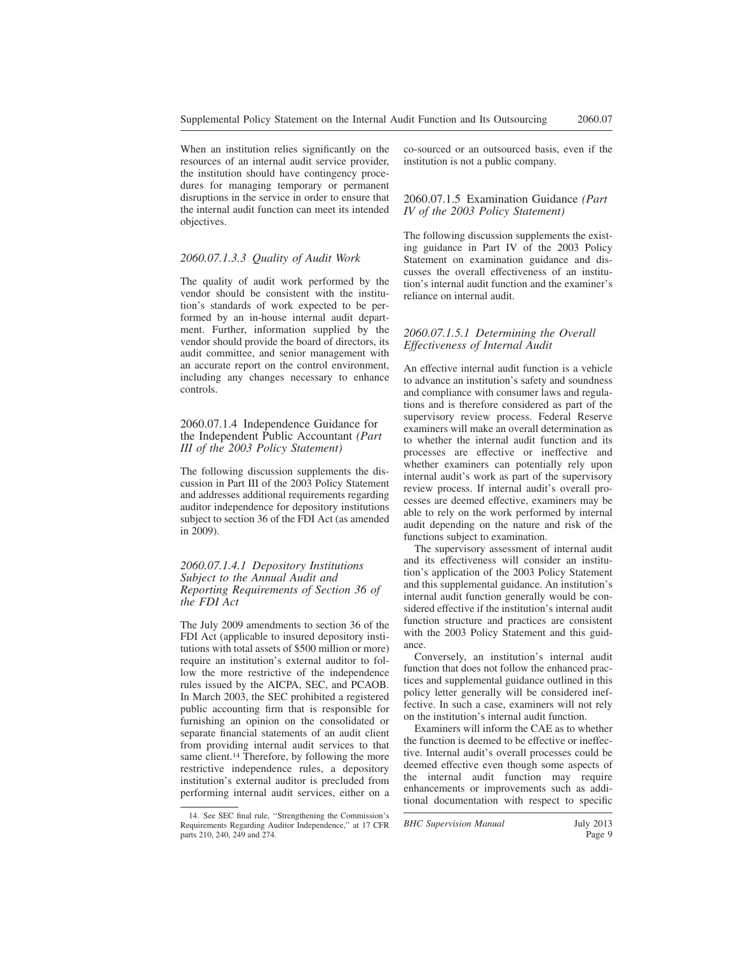When an institution relies significantly on the resources of an internal audit service provider, the institution should have contingency procedures for managing temporary or permanent disruptions in the service in order to ensure that the internal audit function can meet its intended objectives.

#### *2060.07.1.3.3 Quality of Audit Work*

The quality of audit work performed by the vendor should be consistent with the institution's standards of work expected to be performed by an in-house internal audit department. Further, information supplied by the vendor should provide the board of directors, its audit committee, and senior management with an accurate report on the control environment, including any changes necessary to enhance controls.

2060.07.1.4 Independence Guidance for the Independent Public Accountant *(Part III of the 2003 Policy Statement)*

The following discussion supplements the discussion in Part III of the 2003 Policy Statement and addresses additional requirements regarding auditor independence for depository institutions subject to section 36 of the FDI Act (as amended in 2009).

#### *2060.07.1.4.1 Depository Institutions Subject to the Annual Audit and Reporting Requirements of Section 36 of the FDI Act*

The July 2009 amendments to section 36 of the FDI Act (applicable to insured depository institutions with total assets of \$500 million or more) require an institution's external auditor to follow the more restrictive of the independence rules issued by the AICPA, SEC, and PCAOB. In March 2003, the SEC prohibited a registered public accounting firm that is responsible for furnishing an opinion on the consolidated or separate financial statements of an audit client from providing internal audit services to that same client.<sup>14</sup> Therefore, by following the more restrictive independence rules, a depository institution's external auditor is precluded from performing internal audit services, either on a

co-sourced or an outsourced basis, even if the institution is not a public company.

### 2060.07.1.5 Examination Guidance *(Part IV of the 2003 Policy Statement)*

The following discussion supplements the existing guidance in Part IV of the 2003 Policy Statement on examination guidance and discusses the overall effectiveness of an institution's internal audit function and the examiner's reliance on internal audit.

#### *2060.07.1.5.1 Determining the Overall Effectiveness of Internal Audit*

An effective internal audit function is a vehicle to advance an institution's safety and soundness and compliance with consumer laws and regulations and is therefore considered as part of the supervisory review process. Federal Reserve examiners will make an overall determination as to whether the internal audit function and its processes are effective or ineffective and whether examiners can potentially rely upon internal audit's work as part of the supervisory review process. If internal audit's overall processes are deemed effective, examiners may be able to rely on the work performed by internal audit depending on the nature and risk of the functions subject to examination.

The supervisory assessment of internal audit and its effectiveness will consider an institution's application of the 2003 Policy Statement and this supplemental guidance. An institution's internal audit function generally would be considered effective if the institution's internal audit function structure and practices are consistent with the 2003 Policy Statement and this guidance.

Conversely, an institution's internal audit function that does not follow the enhanced practices and supplemental guidance outlined in this policy letter generally will be considered ineffective. In such a case, examiners will not rely on the institution's internal audit function.

Examiners will inform the CAE as to whether the function is deemed to be effective or ineffective. Internal audit's overall processes could be deemed effective even though some aspects of the internal audit function may require enhancements or improvements such as additional documentation with respect to specific

*BHC Supervision Manual* July 2013

<sup>14.</sup> See SEC final rule, ''Strengthening the Commission's Requirements Regarding Auditor Independence,'' at 17 CFR parts 210, 240, 249 and 274.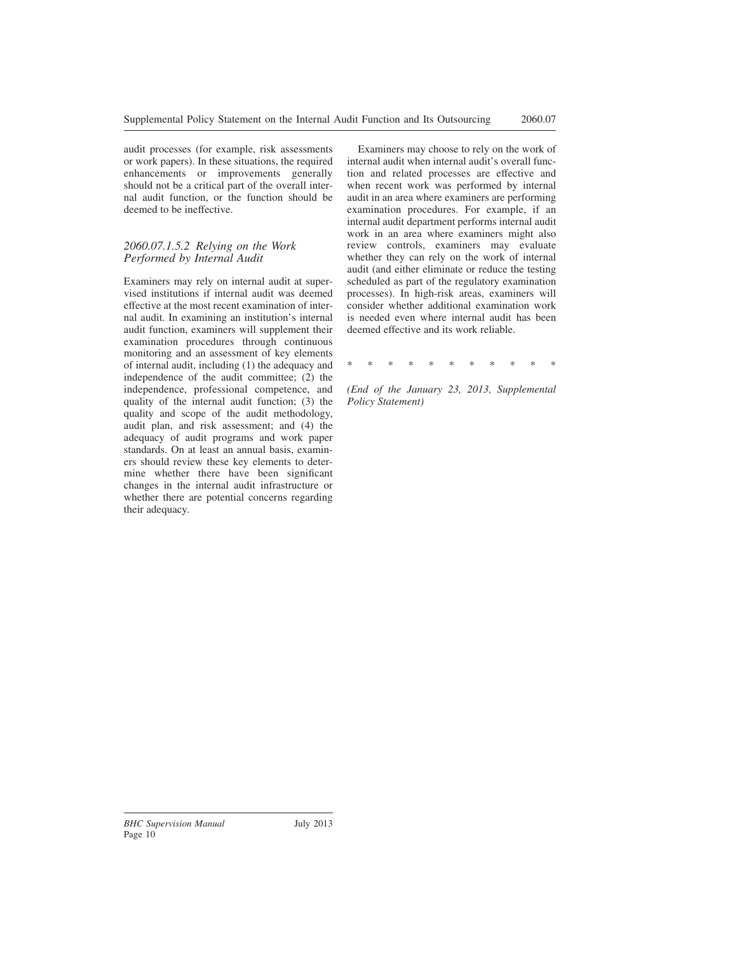audit processes (for example, risk assessments or work papers). In these situations, the required enhancements or improvements generally should not be a critical part of the overall internal audit function, or the function should be deemed to be ineffective.

# *2060.07.1.5.2 Relying on the Work Performed by Internal Audit*

Examiners may rely on internal audit at supervised institutions if internal audit was deemed effective at the most recent examination of internal audit. In examining an institution's internal audit function, examiners will supplement their examination procedures through continuous monitoring and an assessment of key elements of internal audit, including (1) the adequacy and independence of the audit committee; (2) the independence, professional competence, and quality of the internal audit function; (3) the quality and scope of the audit methodology, audit plan, and risk assessment; and (4) the adequacy of audit programs and work paper standards. On at least an annual basis, examiners should review these key elements to determine whether there have been significant changes in the internal audit infrastructure or whether there are potential concerns regarding their adequacy.

Examiners may choose to rely on the work of internal audit when internal audit's overall function and related processes are effective and when recent work was performed by internal audit in an area where examiners are performing examination procedures. For example, if an internal audit department performs internal audit work in an area where examiners might also review controls, examiners may evaluate whether they can rely on the work of internal audit (and either eliminate or reduce the testing scheduled as part of the regulatory examination processes). In high-risk areas, examiners will consider whether additional examination work is needed even where internal audit has been deemed effective and its work reliable.

\* \* \* \* \* \* \* \* \* \* \*

*(End of the January 23, 2013, Supplemental Policy Statement)*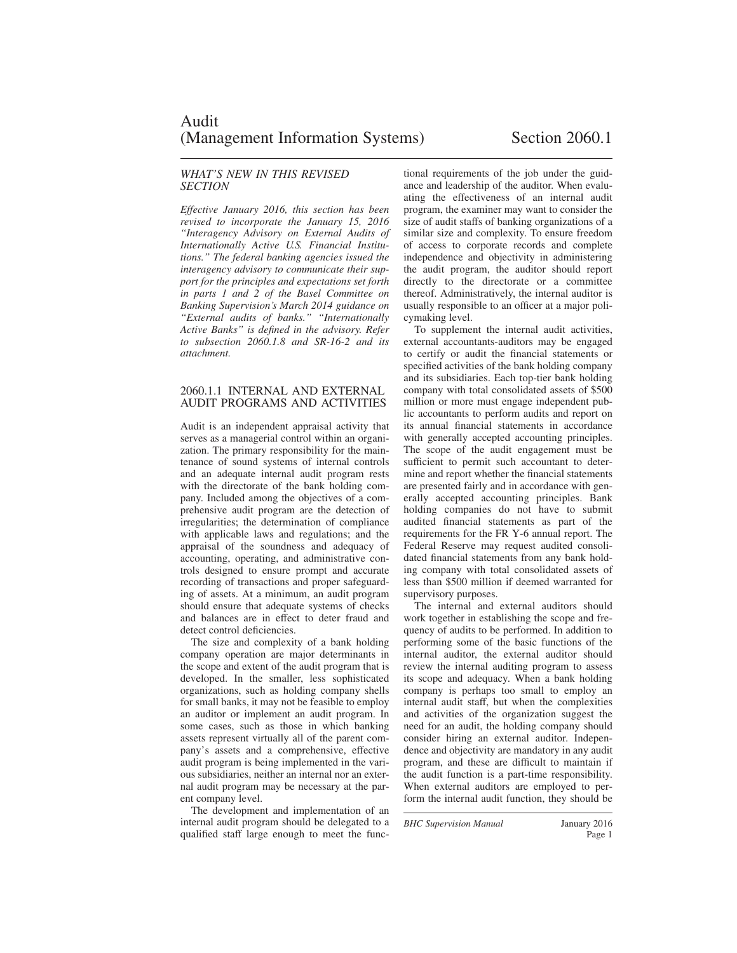#### *WHAT'S NEW IN THIS REVISED SECTION*

*Effective January 2016, this section has been revised to incorporate the January 15, 2016 "Interagency Advisory on External Audits of Internationally Active U.S. Financial Institutions." The federal banking agencies issued the interagency advisory to communicate their support for the principles and expectations set forth in parts 1 and 2 of the Basel Committee on Banking Supervision's March 2014 guidance on "External audits of banks." "Internationally Active Banks" is defined in the advisory. Refer to subsection 2060.1.8 and SR-16-2 and its attachment.*

#### 2060.1.1 INTERNAL AND EXTERNAL AUDIT PROGRAMS AND ACTIVITIES

Audit is an independent appraisal activity that serves as a managerial control within an organization. The primary responsibility for the maintenance of sound systems of internal controls and an adequate internal audit program rests with the directorate of the bank holding company. Included among the objectives of a comprehensive audit program are the detection of irregularities; the determination of compliance with applicable laws and regulations; and the appraisal of the soundness and adequacy of accounting, operating, and administrative controls designed to ensure prompt and accurate recording of transactions and proper safeguarding of assets. At a minimum, an audit program should ensure that adequate systems of checks and balances are in effect to deter fraud and detect control deficiencies.

The size and complexity of a bank holding company operation are major determinants in the scope and extent of the audit program that is developed. In the smaller, less sophisticated organizations, such as holding company shells for small banks, it may not be feasible to employ an auditor or implement an audit program. In some cases, such as those in which banking assets represent virtually all of the parent company's assets and a comprehensive, effective audit program is being implemented in the various subsidiaries, neither an internal nor an external audit program may be necessary at the parent company level.

The development and implementation of an internal audit program should be delegated to a qualified staff large enough to meet the functional requirements of the job under the guidance and leadership of the auditor. When evaluating the effectiveness of an internal audit program, the examiner may want to consider the size of audit staffs of banking organizations of a similar size and complexity. To ensure freedom of access to corporate records and complete independence and objectivity in administering the audit program, the auditor should report directly to the directorate or a committee thereof. Administratively, the internal auditor is usually responsible to an officer at a major policymaking level.

To supplement the internal audit activities, external accountants-auditors may be engaged to certify or audit the financial statements or specified activities of the bank holding company and its subsidiaries. Each top-tier bank holding company with total consolidated assets of \$500 million or more must engage independent public accountants to perform audits and report on its annual financial statements in accordance with generally accepted accounting principles. The scope of the audit engagement must be sufficient to permit such accountant to determine and report whether the financial statements are presented fairly and in accordance with generally accepted accounting principles. Bank holding companies do not have to submit audited financial statements as part of the requirements for the FR Y-6 annual report. The Federal Reserve may request audited consolidated financial statements from any bank holding company with total consolidated assets of less than \$500 million if deemed warranted for supervisory purposes.

The internal and external auditors should work together in establishing the scope and frequency of audits to be performed. In addition to performing some of the basic functions of the internal auditor, the external auditor should review the internal auditing program to assess its scope and adequacy. When a bank holding company is perhaps too small to employ an internal audit staff, but when the complexities and activities of the organization suggest the need for an audit, the holding company should consider hiring an external auditor. Independence and objectivity are mandatory in any audit program, and these are difficult to maintain if the audit function is a part-time responsibility. When external auditors are employed to perform the internal audit function, they should be

*BHC Supervision Manual* January 2016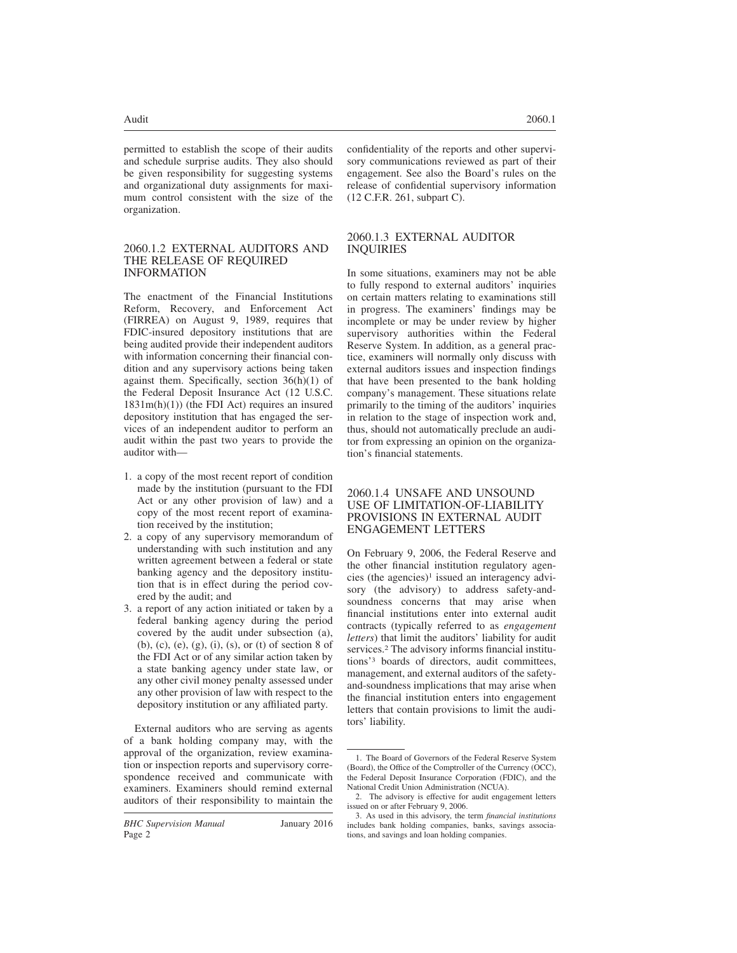permitted to establish the scope of their audits and schedule surprise audits. They also should be given responsibility for suggesting systems and organizational duty assignments for maximum control consistent with the size of the organization.

#### 2060.1.2 EXTERNAL AUDITORS AND THE RELEASE OF REQUIRED INFORMATION

The enactment of the Financial Institutions Reform, Recovery, and Enforcement Act (FIRREA) on August 9, 1989, requires that FDIC-insured depository institutions that are being audited provide their independent auditors with information concerning their financial condition and any supervisory actions being taken against them. Specifically, section 36(h)(1) of the Federal Deposit Insurance Act (12 U.S.C.  $1831m(h)(1)$ ) (the FDI Act) requires an insured depository institution that has engaged the services of an independent auditor to perform an audit within the past two years to provide the auditor with—

- 1. a copy of the most recent report of condition made by the institution (pursuant to the FDI Act or any other provision of law) and a copy of the most recent report of examination received by the institution;
- 2. a copy of any supervisory memorandum of understanding with such institution and any written agreement between a federal or state banking agency and the depository institution that is in effect during the period covered by the audit; and
- 3. a report of any action initiated or taken by a federal banking agency during the period covered by the audit under subsection (a), (b), (c), (e), (g), (i), (s), or (t) of section 8 of the FDI Act or of any similar action taken by a state banking agency under state law, or any other civil money penalty assessed under any other provision of law with respect to the depository institution or any affiliated party.

External auditors who are serving as agents of a bank holding company may, with the approval of the organization, review examination or inspection reports and supervisory correspondence received and communicate with examiners. Examiners should remind external auditors of their responsibility to maintain the

*BHC Supervision Manual* January 2016 Page 2

confidentiality of the reports and other supervisory communications reviewed as part of their engagement. See also the Board's rules on the release of confidential supervisory information (12 C.F.R. 261, subpart C).

# 2060.1.3 EXTERNAL AUDITOR INQUIRIES

In some situations, examiners may not be able to fully respond to external auditors' inquiries on certain matters relating to examinations still in progress. The examiners' findings may be incomplete or may be under review by higher supervisory authorities within the Federal Reserve System. In addition, as a general practice, examiners will normally only discuss with external auditors issues and inspection findings that have been presented to the bank holding company's management. These situations relate primarily to the timing of the auditors' inquiries in relation to the stage of inspection work and, thus, should not automatically preclude an auditor from expressing an opinion on the organization's financial statements.

#### 2060.1.4 UNSAFE AND UNSOUND USE OF LIMITATION-OF-LIABILITY PROVISIONS IN EXTERNAL AUDIT ENGAGEMENT LETTERS

On February 9, 2006, the Federal Reserve and the other financial institution regulatory agencies (the agencies)<sup>1</sup> issued an interagency advisory (the advisory) to address safety-andsoundness concerns that may arise when financial institutions enter into external audit contracts (typically referred to as *engagement letters*) that limit the auditors' liability for audit services.<sup>2</sup> The advisory informs financial institutions'<sup>3</sup> boards of directors, audit committees, management, and external auditors of the safetyand-soundness implications that may arise when the financial institution enters into engagement letters that contain provisions to limit the auditors' liability.

<sup>1.</sup> The Board of Governors of the Federal Reserve System (Board), the Office of the Comptroller of the Currency (OCC), the Federal Deposit Insurance Corporation (FDIC), and the National Credit Union Administration (NCUA).

<sup>2.</sup> The advisory is effective for audit engagement letters issued on or after February 9, 2006.

<sup>3.</sup> As used in this advisory, the term *financial institutions* includes bank holding companies, banks, savings associations, and savings and loan holding companies.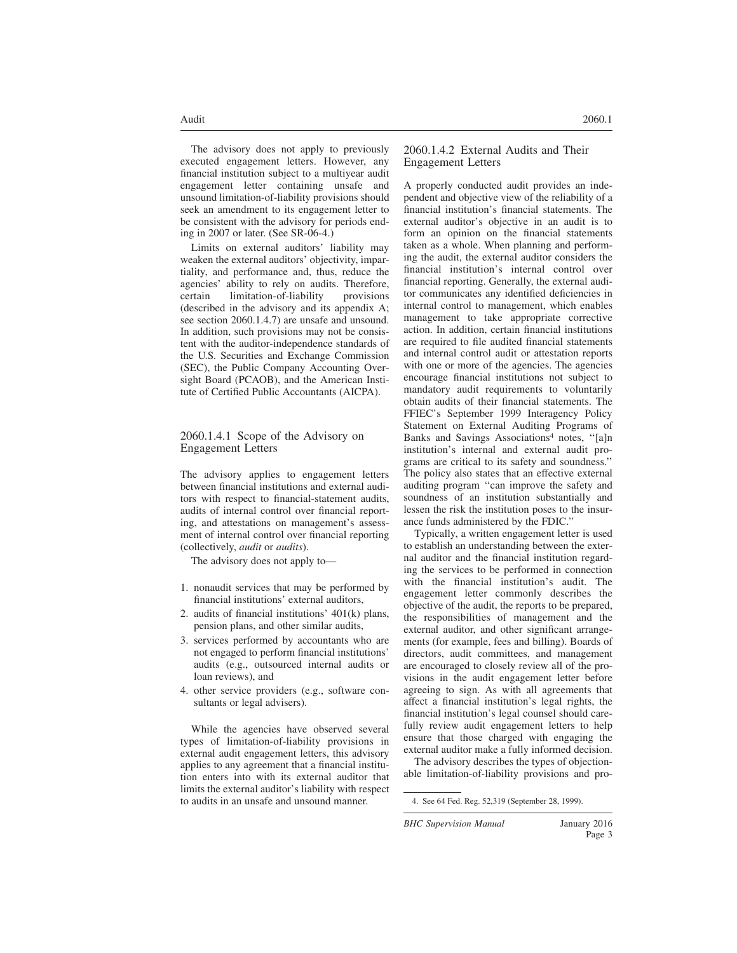The advisory does not apply to previously executed engagement letters. However, any financial institution subject to a multiyear audit engagement letter containing unsafe and unsound limitation-of-liability provisions should seek an amendment to its engagement letter to be consistent with the advisory for periods ending in 2007 or later. (See SR-06-4.)

Limits on external auditors' liability may weaken the external auditors' objectivity, impartiality, and performance and, thus, reduce the agencies' ability to rely on audits. Therefore,<br>certain limitation-of-liability provisions certain limitation-of-liability (described in the advisory and its appendix A; see section 2060.1.4.7) are unsafe and unsound. In addition, such provisions may not be consistent with the auditor-independence standards of the U.S. Securities and Exchange Commission (SEC), the Public Company Accounting Oversight Board (PCAOB), and the American Institute of Certified Public Accountants (AICPA).

## 2060.1.4.1 Scope of the Advisory on Engagement Letters

The advisory applies to engagement letters between financial institutions and external auditors with respect to financial-statement audits, audits of internal control over financial reporting, and attestations on management's assessment of internal control over financial reporting (collectively, *audit* or *audits*).

The advisory does not apply to—

- 1. nonaudit services that may be performed by financial institutions' external auditors,
- 2. audits of financial institutions' 401(k) plans, pension plans, and other similar audits,
- 3. services performed by accountants who are not engaged to perform financial institutions' audits (e.g., outsourced internal audits or loan reviews), and
- 4. other service providers (e.g., software consultants or legal advisers).

While the agencies have observed several types of limitation-of-liability provisions in external audit engagement letters, this advisory applies to any agreement that a financial institution enters into with its external auditor that limits the external auditor's liability with respect to audits in an unsafe and unsound manner.

## 2060.1.4.2 External Audits and Their Engagement Letters

A properly conducted audit provides an independent and objective view of the reliability of a financial institution's financial statements. The external auditor's objective in an audit is to form an opinion on the financial statements taken as a whole. When planning and performing the audit, the external auditor considers the financial institution's internal control over financial reporting. Generally, the external auditor communicates any identified deficiencies in internal control to management, which enables management to take appropriate corrective action. In addition, certain financial institutions are required to file audited financial statements and internal control audit or attestation reports with one or more of the agencies. The agencies encourage financial institutions not subject to mandatory audit requirements to voluntarily obtain audits of their financial statements. The FFIEC's September 1999 Interagency Policy Statement on External Auditing Programs of Banks and Savings Associations<sup>4</sup> notes, ''[a]n institution's internal and external audit programs are critical to its safety and soundness.'' The policy also states that an effective external auditing program ''can improve the safety and soundness of an institution substantially and lessen the risk the institution poses to the insurance funds administered by the FDIC.''

Typically, a written engagement letter is used to establish an understanding between the external auditor and the financial institution regarding the services to be performed in connection with the financial institution's audit. The engagement letter commonly describes the objective of the audit, the reports to be prepared, the responsibilities of management and the external auditor, and other significant arrangements (for example, fees and billing). Boards of directors, audit committees, and management are encouraged to closely review all of the provisions in the audit engagement letter before agreeing to sign. As with all agreements that affect a financial institution's legal rights, the financial institution's legal counsel should carefully review audit engagement letters to help ensure that those charged with engaging the external auditor make a fully informed decision.

The advisory describes the types of objectionable limitation-of-liability provisions and pro-

<sup>4.</sup> See 64 Fed. Reg. 52,319 (September 28, 1999).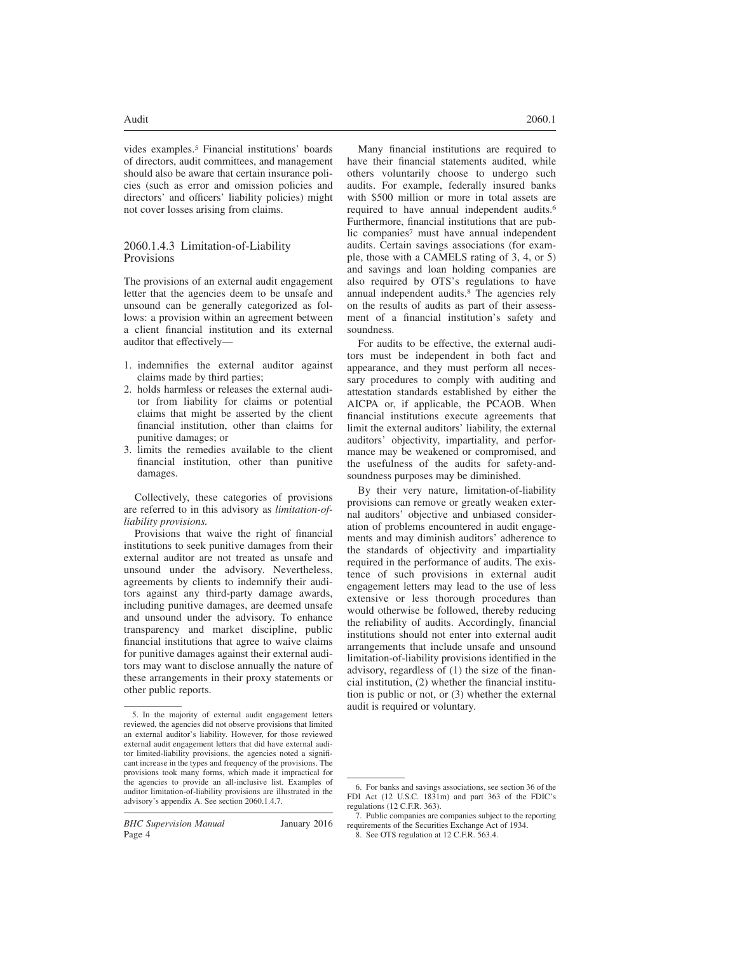vides examples.<sup>5</sup> Financial institutions' boards of directors, audit committees, and management should also be aware that certain insurance policies (such as error and omission policies and directors' and officers' liability policies) might not cover losses arising from claims.

### 2060.1.4.3 Limitation-of-Liability Provisions

The provisions of an external audit engagement letter that the agencies deem to be unsafe and unsound can be generally categorized as follows: a provision within an agreement between a client financial institution and its external auditor that effectively—

- 1. indemnifies the external auditor against claims made by third parties;
- 2. holds harmless or releases the external auditor from liability for claims or potential claims that might be asserted by the client financial institution, other than claims for punitive damages; or
- 3. limits the remedies available to the client financial institution, other than punitive damages.

Collectively, these categories of provisions are referred to in this advisory as *limitation-ofliability provisions.*

Provisions that waive the right of financial institutions to seek punitive damages from their external auditor are not treated as unsafe and unsound under the advisory. Nevertheless, agreements by clients to indemnify their auditors against any third-party damage awards, including punitive damages, are deemed unsafe and unsound under the advisory. To enhance transparency and market discipline, public financial institutions that agree to waive claims for punitive damages against their external auditors may want to disclose annually the nature of these arrangements in their proxy statements or other public reports.

Many financial institutions are required to have their financial statements audited, while others voluntarily choose to undergo such audits. For example, federally insured banks with \$500 million or more in total assets are required to have annual independent audits.<sup>6</sup> Furthermore, financial institutions that are public companies<sup>7</sup> must have annual independent audits. Certain savings associations (for example, those with a CAMELS rating of 3, 4, or 5) and savings and loan holding companies are also required by OTS's regulations to have annual independent audits.<sup>8</sup> The agencies rely on the results of audits as part of their assessment of a financial institution's safety and soundness.

For audits to be effective, the external auditors must be independent in both fact and appearance, and they must perform all necessary procedures to comply with auditing and attestation standards established by either the AICPA or, if applicable, the PCAOB. When financial institutions execute agreements that limit the external auditors' liability, the external auditors' objectivity, impartiality, and performance may be weakened or compromised, and the usefulness of the audits for safety-andsoundness purposes may be diminished.

By their very nature, limitation-of-liability provisions can remove or greatly weaken external auditors' objective and unbiased consideration of problems encountered in audit engagements and may diminish auditors' adherence to the standards of objectivity and impartiality required in the performance of audits. The existence of such provisions in external audit engagement letters may lead to the use of less extensive or less thorough procedures than would otherwise be followed, thereby reducing the reliability of audits. Accordingly, financial institutions should not enter into external audit arrangements that include unsafe and unsound limitation-of-liability provisions identified in the advisory, regardless of (1) the size of the financial institution, (2) whether the financial institution is public or not, or (3) whether the external audit is required or voluntary.

<sup>5.</sup> In the majority of external audit engagement letters reviewed, the agencies did not observe provisions that limited an external auditor's liability. However, for those reviewed external audit engagement letters that did have external auditor limited-liability provisions, the agencies noted a significant increase in the types and frequency of the provisions. The provisions took many forms, which made it impractical for the agencies to provide an all-inclusive list. Examples of auditor limitation-of-liability provisions are illustrated in the advisory's appendix A. See section 2060.1.4.7.

<sup>6.</sup> For banks and savings associations, see section 36 of the FDI Act (12 U.S.C. 1831m) and part 363 of the FDIC's regulations (12 C.F.R. 363).

<sup>7.</sup> Public companies are companies subject to the reporting requirements of the Securities Exchange Act of 1934.

<sup>8.</sup> See OTS regulation at 12 C.F.R. 563.4.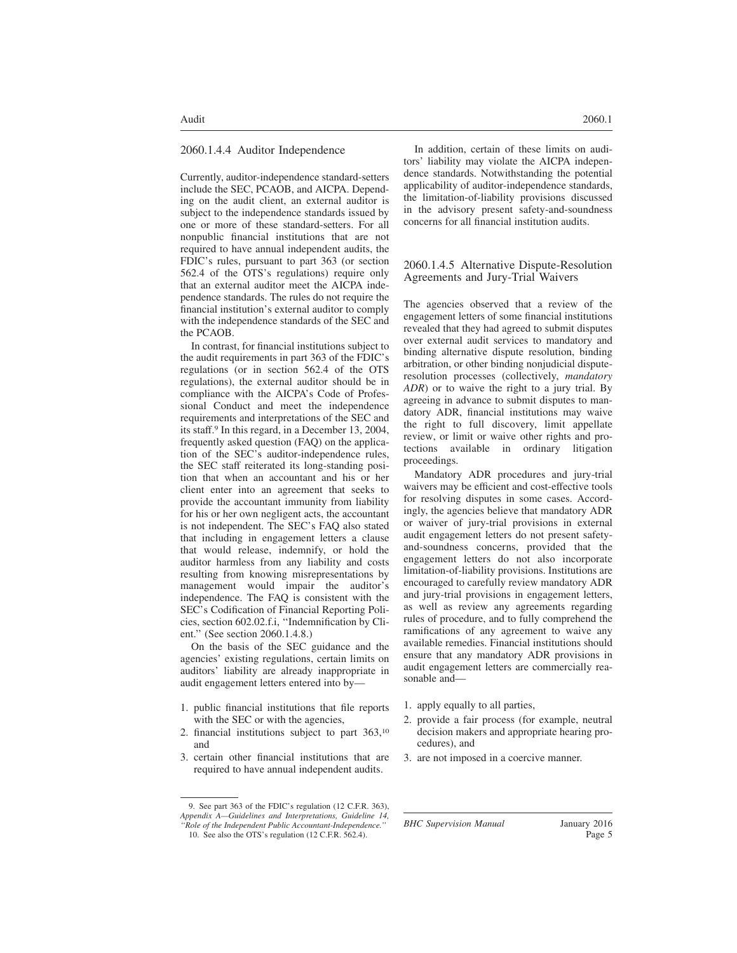## 2060.1.4.4 Auditor Independence

Currently, auditor-independence standard-setters include the SEC, PCAOB, and AICPA. Depending on the audit client, an external auditor is subject to the independence standards issued by one or more of these standard-setters. For all nonpublic financial institutions that are not required to have annual independent audits, the FDIC's rules, pursuant to part 363 (or section 562.4 of the OTS's regulations) require only that an external auditor meet the AICPA independence standards. The rules do not require the financial institution's external auditor to comply with the independence standards of the SEC and the PCAOB.

In contrast, for financial institutions subject to the audit requirements in part 363 of the FDIC's regulations (or in section 562.4 of the OTS regulations), the external auditor should be in compliance with the AICPA's Code of Professional Conduct and meet the independence requirements and interpretations of the SEC and its staff.<sup>9</sup> In this regard, in a December 13, 2004, frequently asked question (FAQ) on the application of the SEC's auditor-independence rules, the SEC staff reiterated its long-standing position that when an accountant and his or her client enter into an agreement that seeks to provide the accountant immunity from liability for his or her own negligent acts, the accountant is not independent. The SEC's FAQ also stated that including in engagement letters a clause that would release, indemnify, or hold the auditor harmless from any liability and costs resulting from knowing misrepresentations by management would impair the auditor's independence. The FAQ is consistent with the SEC's Codification of Financial Reporting Policies, section 602.02.f.i, ''Indemnification by Client.'' (See section 2060.1.4.8.)

On the basis of the SEC guidance and the agencies' existing regulations, certain limits on auditors' liability are already inappropriate in audit engagement letters entered into by—

- 1. public financial institutions that file reports with the SEC or with the agencies,
- 2. financial institutions subject to part 363,<sup>10</sup> and
- 3. certain other financial institutions that are required to have annual independent audits.

9. See part 363 of the FDIC's regulation (12 C.F.R. 363), *Appendix A—Guidelines and Interpretations, Guideline 14,*

In addition, certain of these limits on auditors' liability may violate the AICPA independence standards. Notwithstanding the potential applicability of auditor-independence standards, the limitation-of-liability provisions discussed in the advisory present safety-and-soundness concerns for all financial institution audits.

#### 2060.1.4.5 Alternative Dispute-Resolution Agreements and Jury-Trial Waivers

The agencies observed that a review of the engagement letters of some financial institutions revealed that they had agreed to submit disputes over external audit services to mandatory and binding alternative dispute resolution, binding arbitration, or other binding nonjudicial disputeresolution processes (collectively, *mandatory ADR*) or to waive the right to a jury trial. By agreeing in advance to submit disputes to mandatory ADR, financial institutions may waive the right to full discovery, limit appellate review, or limit or waive other rights and protections available in ordinary litigation proceedings.

Mandatory ADR procedures and jury-trial waivers may be efficient and cost-effective tools for resolving disputes in some cases. Accordingly, the agencies believe that mandatory ADR or waiver of jury-trial provisions in external audit engagement letters do not present safetyand-soundness concerns, provided that the engagement letters do not also incorporate limitation-of-liability provisions. Institutions are encouraged to carefully review mandatory ADR and jury-trial provisions in engagement letters, as well as review any agreements regarding rules of procedure, and to fully comprehend the ramifications of any agreement to waive any available remedies. Financial institutions should ensure that any mandatory ADR provisions in audit engagement letters are commercially reasonable and—

- 1. apply equally to all parties,
- 2. provide a fair process (for example, neutral decision makers and appropriate hearing procedures), and
- 3. are not imposed in a coercive manner.

*<sup>&#</sup>x27;'Role of the Independent Public Accountant-Independence.''*

<sup>10.</sup> See also the OTS's regulation (12 C.F.R. 562.4).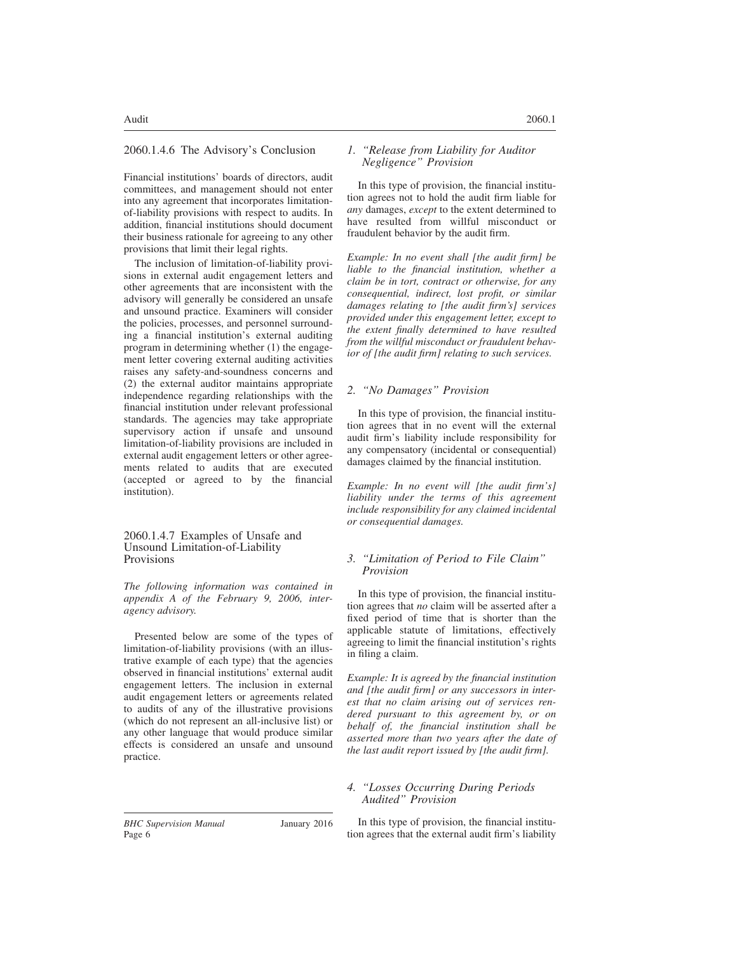# 2060.1.4.6 The Advisory's Conclusion

Financial institutions' boards of directors, audit committees, and management should not enter into any agreement that incorporates limitationof-liability provisions with respect to audits. In addition, financial institutions should document their business rationale for agreeing to any other provisions that limit their legal rights.

The inclusion of limitation-of-liability provisions in external audit engagement letters and other agreements that are inconsistent with the advisory will generally be considered an unsafe and unsound practice. Examiners will consider the policies, processes, and personnel surrounding a financial institution's external auditing program in determining whether (1) the engagement letter covering external auditing activities raises any safety-and-soundness concerns and (2) the external auditor maintains appropriate independence regarding relationships with the financial institution under relevant professional standards. The agencies may take appropriate supervisory action if unsafe and unsound limitation-of-liability provisions are included in external audit engagement letters or other agreements related to audits that are executed (accepted or agreed to by the financial institution).

#### 2060.1.4.7 Examples of Unsafe and Unsound Limitation-of-Liability Provisions

*The following information was contained in appendix A of the February 9, 2006, interagency advisory.*

Presented below are some of the types of limitation-of-liability provisions (with an illustrative example of each type) that the agencies observed in financial institutions' external audit engagement letters. The inclusion in external audit engagement letters or agreements related to audits of any of the illustrative provisions (which do not represent an all-inclusive list) or any other language that would produce similar effects is considered an unsafe and unsound practice.

# *1. "Release from Liability for Auditor Negligence" Provision*

In this type of provision, the financial institution agrees not to hold the audit firm liable for *any* damages, *except* to the extent determined to have resulted from willful misconduct or fraudulent behavior by the audit firm.

*Example: In no event shall [the audit firm] be liable to the financial institution, whether a claim be in tort, contract or otherwise, for any consequential, indirect, lost profit, or similar damages relating to [the audit firm's] services provided under this engagement letter, except to the extent finally determined to have resulted from the willful misconduct or fraudulent behavior of [the audit firm] relating to such services.*

# *2. "No Damages" Provision*

In this type of provision, the financial institution agrees that in no event will the external audit firm's liability include responsibility for any compensatory (incidental or consequential) damages claimed by the financial institution.

*Example: In no event will [the audit firm's] liability under the terms of this agreement include responsibility for any claimed incidental or consequential damages.*

# *3. "Limitation of Period to File Claim" Provision*

In this type of provision, the financial institution agrees that *no* claim will be asserted after a fixed period of time that is shorter than the applicable statute of limitations, effectively agreeing to limit the financial institution's rights in filing a claim.

*Example: It is agreed by the financial institution and [the audit firm] or any successors in interest that no claim arising out of services rendered pursuant to this agreement by, or on behalf of, the financial institution shall be asserted more than two years after the date of the last audit report issued by [the audit firm].*

## *4. "Losses Occurring During Periods Audited" Provision*

In this type of provision, the financial institution agrees that the external audit firm's liability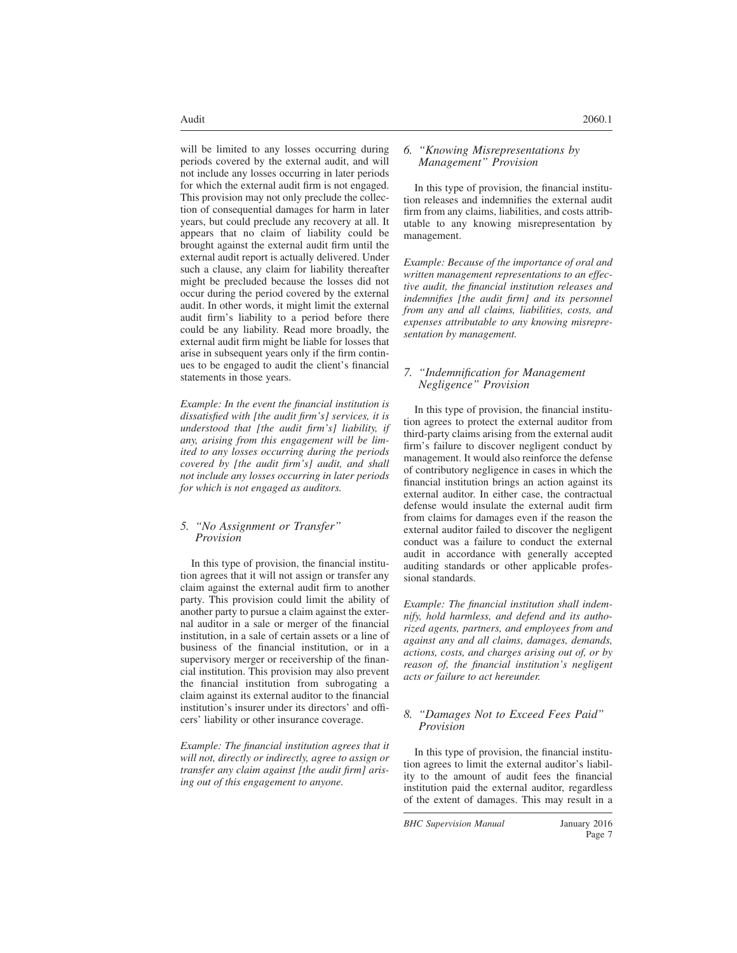will be limited to any losses occurring during periods covered by the external audit, and will not include any losses occurring in later periods for which the external audit firm is not engaged. This provision may not only preclude the collection of consequential damages for harm in later years, but could preclude any recovery at all. It appears that no claim of liability could be brought against the external audit firm until the external audit report is actually delivered. Under such a clause, any claim for liability thereafter might be precluded because the losses did not occur during the period covered by the external audit. In other words, it might limit the external audit firm's liability to a period before there could be any liability. Read more broadly, the external audit firm might be liable for losses that arise in subsequent years only if the firm continues to be engaged to audit the client's financial statements in those years.

*Example: In the event the financial institution is dissatisfied with [the audit firm's] services, it is understood that [the audit firm's] liability, if any, arising from this engagement will be limited to any losses occurring during the periods covered by [the audit firm's] audit, and shall not include any losses occurring in later periods for which is not engaged as auditors.*

## *5. "No Assignment or Transfer" Provision*

In this type of provision, the financial institution agrees that it will not assign or transfer any claim against the external audit firm to another party. This provision could limit the ability of another party to pursue a claim against the external auditor in a sale or merger of the financial institution, in a sale of certain assets or a line of business of the financial institution, or in a supervisory merger or receivership of the financial institution. This provision may also prevent the financial institution from subrogating a claim against its external auditor to the financial institution's insurer under its directors' and officers' liability or other insurance coverage.

*Example: The financial institution agrees that it will not, directly or indirectly, agree to assign or transfer any claim against [the audit firm] arising out of this engagement to anyone.*

## *6. "Knowing Misrepresentations by Management" Provision*

In this type of provision, the financial institution releases and indemnifies the external audit firm from any claims, liabilities, and costs attributable to any knowing misrepresentation by management.

*Example: Because of the importance of oral and written management representations to an effective audit, the financial institution releases and indemnifies [the audit firm] and its personnel from any and all claims, liabilities, costs, and expenses attributable to any knowing misrepresentation by management.*

# *7. "Indemnification for Management Negligence" Provision*

In this type of provision, the financial institution agrees to protect the external auditor from third-party claims arising from the external audit firm's failure to discover negligent conduct by management. It would also reinforce the defense of contributory negligence in cases in which the financial institution brings an action against its external auditor. In either case, the contractual defense would insulate the external audit firm from claims for damages even if the reason the external auditor failed to discover the negligent conduct was a failure to conduct the external audit in accordance with generally accepted auditing standards or other applicable professional standards.

*Example: The financial institution shall indemnify, hold harmless, and defend and its authorized agents, partners, and employees from and against any and all claims, damages, demands, actions, costs, and charges arising out of, or by reason of, the financial institution's negligent acts or failure to act hereunder.*

## *8. "Damages Not to Exceed Fees Paid" Provision*

In this type of provision, the financial institution agrees to limit the external auditor's liability to the amount of audit fees the financial institution paid the external auditor, regardless of the extent of damages. This may result in a

*BHC Supervision Manual* January 2016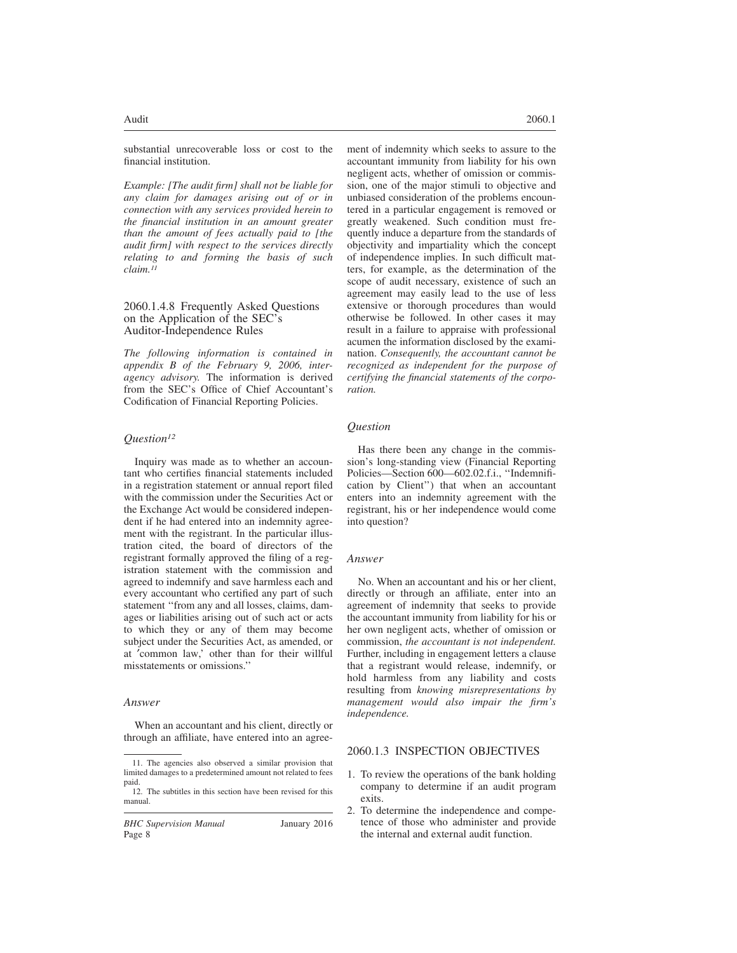substantial unrecoverable loss or cost to the financial institution.

*Example: [The audit firm] shall not be liable for any claim for damages arising out of or in connection with any services provided herein to the financial institution in an amount greater than the amount of fees actually paid to [the audit firm] with respect to the services directly relating to and forming the basis of such claim.<sup>11</sup>*

#### 2060.1.4.8 Frequently Asked Questions on the Application of the SEC's Auditor-Independence Rules

*The following information is contained in appendix B of the February 9, 2006, interagency advisory.* The information is derived from the SEC's Office of Chief Accountant's Codification of Financial Reporting Policies.

# *Question<sup>12</sup>*

Inquiry was made as to whether an accountant who certifies financial statements included in a registration statement or annual report filed with the commission under the Securities Act or the Exchange Act would be considered independent if he had entered into an indemnity agreement with the registrant. In the particular illustration cited, the board of directors of the registrant formally approved the filing of a registration statement with the commission and agreed to indemnify and save harmless each and every accountant who certified any part of such statement ''from any and all losses, claims, damages or liabilities arising out of such act or acts to which they or any of them may become subject under the Securities Act, as amended, or at ′common law,' other than for their willful misstatements or omissions.''

#### *Answer*

When an accountant and his client, directly or through an affiliate, have entered into an agreement of indemnity which seeks to assure to the accountant immunity from liability for his own negligent acts, whether of omission or commission, one of the major stimuli to objective and unbiased consideration of the problems encountered in a particular engagement is removed or greatly weakened. Such condition must frequently induce a departure from the standards of objectivity and impartiality which the concept of independence implies. In such difficult matters, for example, as the determination of the scope of audit necessary, existence of such an agreement may easily lead to the use of less extensive or thorough procedures than would otherwise be followed. In other cases it may result in a failure to appraise with professional acumen the information disclosed by the examination. *Consequently, the accountant cannot be recognized as independent for the purpose of certifying the financial statements of the corporation.*

# *Question*

Has there been any change in the commission's long-standing view (Financial Reporting Policies—Section 600—602.02.f.i., ''Indemnification by Client'') that when an accountant enters into an indemnity agreement with the registrant, his or her independence would come into question?

#### *Answer*

No. When an accountant and his or her client, directly or through an affiliate, enter into an agreement of indemnity that seeks to provide the accountant immunity from liability for his or her own negligent acts, whether of omission or commission, *the accountant is not independent.* Further, including in engagement letters a clause that a registrant would release, indemnify, or hold harmless from any liability and costs resulting from *knowing misrepresentations by management would also impair the firm's independence.*

# 2060.1.3 INSPECTION OBJECTIVES

- 1. To review the operations of the bank holding company to determine if an audit program exits.
- 2. To determine the independence and competence of those who administer and provide the internal and external audit function.

<sup>11.</sup> The agencies also observed a similar provision that limited damages to a predetermined amount not related to fees paid.

<sup>12.</sup> The subtitles in this section have been revised for this manual.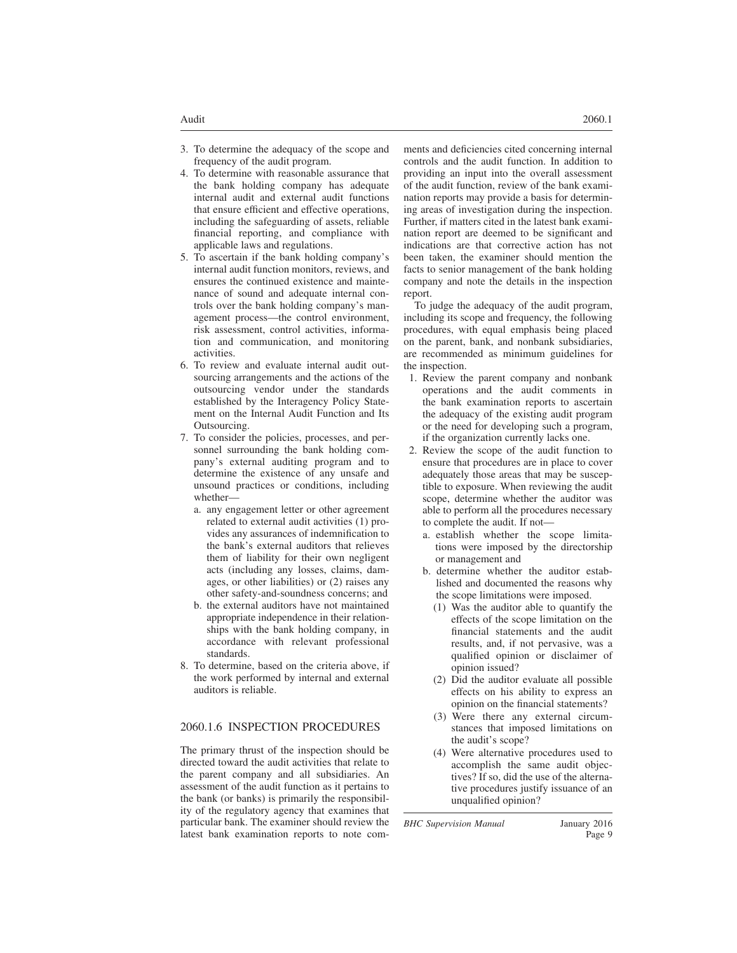- 3. To determine the adequacy of the scope and frequency of the audit program.
- 4. To determine with reasonable assurance that the bank holding company has adequate internal audit and external audit functions that ensure efficient and effective operations, including the safeguarding of assets, reliable financial reporting, and compliance with applicable laws and regulations.
- 5. To ascertain if the bank holding company's internal audit function monitors, reviews, and ensures the continued existence and maintenance of sound and adequate internal controls over the bank holding company's management process—the control environment, risk assessment, control activities, information and communication, and monitoring activities.
- 6. To review and evaluate internal audit outsourcing arrangements and the actions of the outsourcing vendor under the standards established by the Interagency Policy Statement on the Internal Audit Function and Its Outsourcing.
- 7. To consider the policies, processes, and personnel surrounding the bank holding company's external auditing program and to determine the existence of any unsafe and unsound practices or conditions, including whether
	- a. any engagement letter or other agreement related to external audit activities (1) provides any assurances of indemnification to the bank's external auditors that relieves them of liability for their own negligent acts (including any losses, claims, damages, or other liabilities) or (2) raises any other safety-and-soundness concerns; and
	- b. the external auditors have not maintained appropriate independence in their relationships with the bank holding company, in accordance with relevant professional standards.
- 8. To determine, based on the criteria above, if the work performed by internal and external auditors is reliable.

# 2060.1.6 INSPECTION PROCEDURES

The primary thrust of the inspection should be directed toward the audit activities that relate to the parent company and all subsidiaries. An assessment of the audit function as it pertains to the bank (or banks) is primarily the responsibility of the regulatory agency that examines that particular bank. The examiner should review the latest bank examination reports to note comments and deficiencies cited concerning internal controls and the audit function. In addition to providing an input into the overall assessment of the audit function, review of the bank examination reports may provide a basis for determining areas of investigation during the inspection. Further, if matters cited in the latest bank examination report are deemed to be significant and indications are that corrective action has not been taken, the examiner should mention the facts to senior management of the bank holding company and note the details in the inspection report.

To judge the adequacy of the audit program, including its scope and frequency, the following procedures, with equal emphasis being placed on the parent, bank, and nonbank subsidiaries, are recommended as minimum guidelines for the inspection.

- 1. Review the parent company and nonbank operations and the audit comments in the bank examination reports to ascertain the adequacy of the existing audit program or the need for developing such a program, if the organization currently lacks one.
- 2. Review the scope of the audit function to ensure that procedures are in place to cover adequately those areas that may be susceptible to exposure. When reviewing the audit scope, determine whether the auditor was able to perform all the procedures necessary to complete the audit. If not
	- a. establish whether the scope limitations were imposed by the directorship or management and
	- b. determine whether the auditor established and documented the reasons why the scope limitations were imposed.
		- (1) Was the auditor able to quantify the effects of the scope limitation on the financial statements and the audit results, and, if not pervasive, was a qualified opinion or disclaimer of opinion issued?
		- (2) Did the auditor evaluate all possible effects on his ability to express an opinion on the financial statements?
		- (3) Were there any external circumstances that imposed limitations on the audit's scope?
		- (4) Were alternative procedures used to accomplish the same audit objectives? If so, did the use of the alternative procedures justify issuance of an unqualified opinion?

*BHC Supervision Manual* January 2016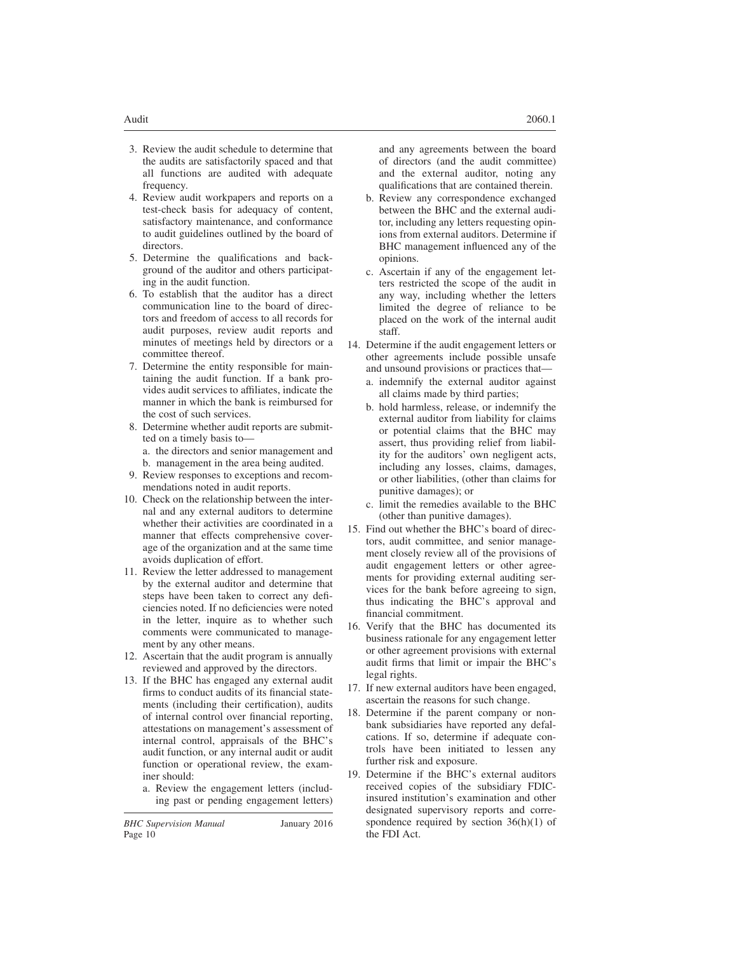- 3. Review the audit schedule to determine that the audits are satisfactorily spaced and that all functions are audited with adequate frequency.
- 4. Review audit workpapers and reports on a test-check basis for adequacy of content, satisfactory maintenance, and conformance to audit guidelines outlined by the board of directors.
- 5. Determine the qualifications and background of the auditor and others participating in the audit function.
- 6. To establish that the auditor has a direct communication line to the board of directors and freedom of access to all records for audit purposes, review audit reports and minutes of meetings held by directors or a committee thereof.
- 7. Determine the entity responsible for maintaining the audit function. If a bank provides audit services to affiliates, indicate the manner in which the bank is reimbursed for the cost of such services.
- 8. Determine whether audit reports are submitted on a timely basis to
	- a. the directors and senior management and b. management in the area being audited.
- 9. Review responses to exceptions and recommendations noted in audit reports.
- 10. Check on the relationship between the internal and any external auditors to determine whether their activities are coordinated in a manner that effects comprehensive coverage of the organization and at the same time avoids duplication of effort.
- 11. Review the letter addressed to management by the external auditor and determine that steps have been taken to correct any deficiencies noted. If no deficiencies were noted in the letter, inquire as to whether such comments were communicated to management by any other means.
- 12. Ascertain that the audit program is annually reviewed and approved by the directors.
- 13. If the BHC has engaged any external audit firms to conduct audits of its financial statements (including their certification), audits of internal control over financial reporting, attestations on management's assessment of internal control, appraisals of the BHC's audit function, or any internal audit or audit function or operational review, the examiner should:
	- a. Review the engagement letters (including past or pending engagement letters)

and any agreements between the board of directors (and the audit committee) and the external auditor, noting any qualifications that are contained therein.

- b. Review any correspondence exchanged between the BHC and the external auditor, including any letters requesting opinions from external auditors. Determine if BHC management influenced any of the opinions.
- c. Ascertain if any of the engagement letters restricted the scope of the audit in any way, including whether the letters limited the degree of reliance to be placed on the work of the internal audit staff.
- 14. Determine if the audit engagement letters or other agreements include possible unsafe and unsound provisions or practices that
	- a. indemnify the external auditor against all claims made by third parties;
	- b. hold harmless, release, or indemnify the external auditor from liability for claims or potential claims that the BHC may assert, thus providing relief from liability for the auditors' own negligent acts, including any losses, claims, damages, or other liabilities, (other than claims for punitive damages); or
	- c. limit the remedies available to the BHC (other than punitive damages).
- 15. Find out whether the BHC's board of directors, audit committee, and senior management closely review all of the provisions of audit engagement letters or other agreements for providing external auditing services for the bank before agreeing to sign, thus indicating the BHC's approval and financial commitment.
- 16. Verify that the BHC has documented its business rationale for any engagement letter or other agreement provisions with external audit firms that limit or impair the BHC's legal rights.
- 17. If new external auditors have been engaged, ascertain the reasons for such change.
- 18. Determine if the parent company or nonbank subsidiaries have reported any defalcations. If so, determine if adequate controls have been initiated to lessen any further risk and exposure.
- 19. Determine if the BHC's external auditors received copies of the subsidiary FDICinsured institution's examination and other designated supervisory reports and correspondence required by section 36(h)(1) of the FDI Act.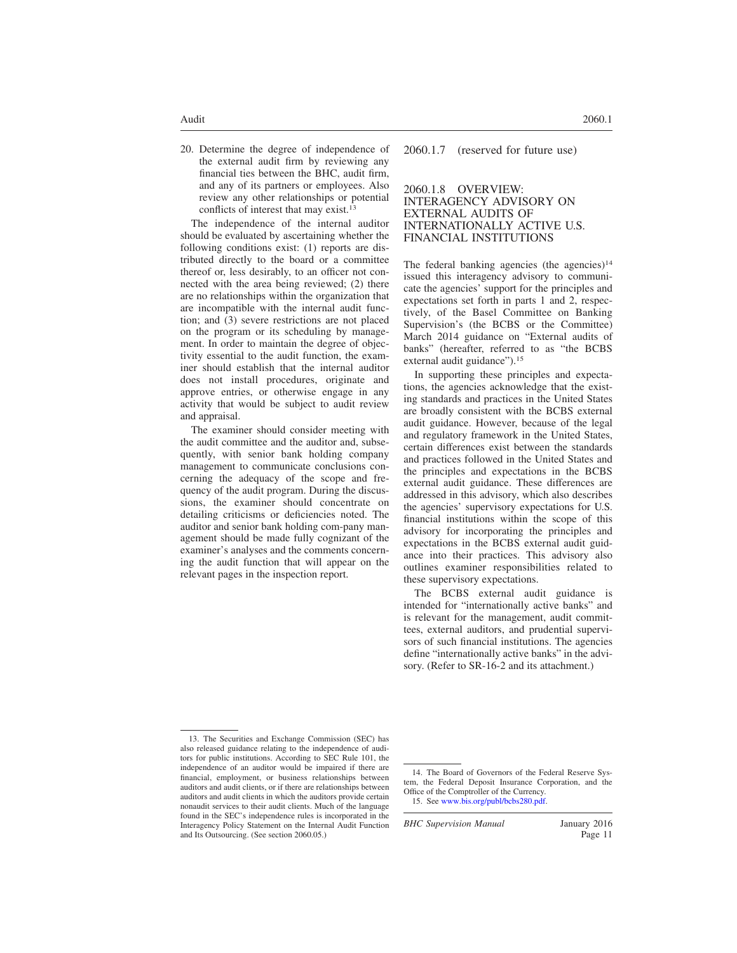20. Determine the degree of independence of the external audit firm by reviewing any financial ties between the BHC, audit firm, and any of its partners or employees. Also review any other relationships or potential conflicts of interest that may exist.<sup>13</sup>

The independence of the internal auditor should be evaluated by ascertaining whether the following conditions exist: (1) reports are distributed directly to the board or a committee thereof or, less desirably, to an officer not connected with the area being reviewed; (2) there are no relationships within the organization that are incompatible with the internal audit function; and (3) severe restrictions are not placed on the program or its scheduling by management. In order to maintain the degree of objectivity essential to the audit function, the examiner should establish that the internal auditor does not install procedures, originate and approve entries, or otherwise engage in any activity that would be subject to audit review and appraisal.

The examiner should consider meeting with the audit committee and the auditor and, subsequently, with senior bank holding company management to communicate conclusions concerning the adequacy of the scope and frequency of the audit program. During the discussions, the examiner should concentrate on detailing criticisms or deficiencies noted. The auditor and senior bank holding com-pany management should be made fully cognizant of the examiner's analyses and the comments concerning the audit function that will appear on the relevant pages in the inspection report.

Audit 2060.1

2060.1.7 (reserved for future use)

2060.1.8 OVERVIEW: INTERAGENCY ADVISORY ON EXTERNAL AUDITS OF INTERNATIONALLY ACTIVE U.S. FINANCIAL INSTITUTIONS

The federal banking agencies (the agencies) $14$ issued this interagency advisory to communicate the agencies' support for the principles and expectations set forth in parts 1 and 2, respectively, of the Basel Committee on Banking Supervision's (the BCBS or the Committee) March 2014 guidance on "External audits of banks" (hereafter, referred to as "the BCBS external audit guidance").<sup>15</sup>

In supporting these principles and expectations, the agencies acknowledge that the existing standards and practices in the United States are broadly consistent with the BCBS external audit guidance. However, because of the legal and regulatory framework in the United States, certain differences exist between the standards and practices followed in the United States and the principles and expectations in the BCBS external audit guidance. These differences are addressed in this advisory, which also describes the agencies' supervisory expectations for U.S. financial institutions within the scope of this advisory for incorporating the principles and expectations in the BCBS external audit guidance into their practices. This advisory also outlines examiner responsibilities related to these supervisory expectations.

The BCBS external audit guidance is intended for "internationally active banks" and is relevant for the management, audit committees, external auditors, and prudential supervisors of such financial institutions. The agencies define "internationally active banks" in the advisory. (Refer to SR-16-2 and its attachment.)

*BHC Supervision Manual* January 2016

<sup>13.</sup> The Securities and Exchange Commission (SEC) has also released guidance relating to the independence of auditors for public institutions. According to SEC Rule 101, the independence of an auditor would be impaired if there are financial, employment, or business relationships between auditors and audit clients, or if there are relationships between auditors and audit clients in which the auditors provide certain nonaudit services to their audit clients. Much of the language found in the SEC's independence rules is incorporated in the Interagency Policy Statement on the Internal Audit Function and Its Outsourcing. (See section 2060.05.)

<sup>14.</sup> The Board of Governors of the Federal Reserve System, the Federal Deposit Insurance Corporation, and the Office of the Comptroller of the Currency. 15. See [www.bis.org/publ/bcbs280.pdf.](http://www.bis.org/publ/bcbs280.pdf)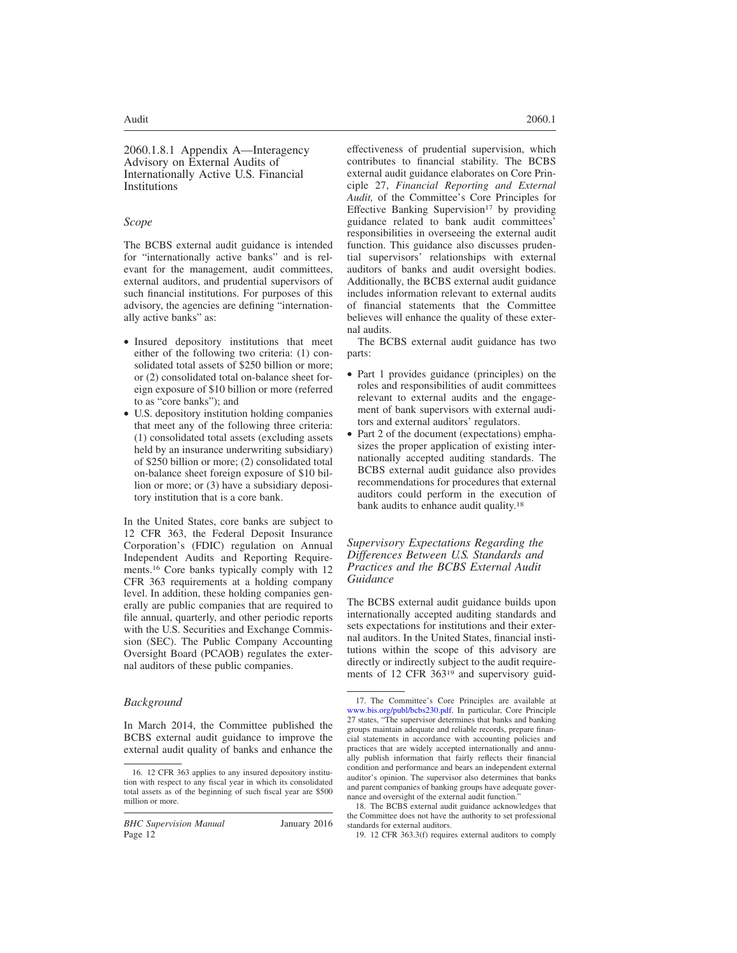2060.1.8.1 Appendix A—Interagency Advisory on External Audits of Internationally Active U.S. Financial Institutions

#### *Scope*

The BCBS external audit guidance is intended for "internationally active banks" and is relevant for the management, audit committees, external auditors, and prudential supervisors of such financial institutions. For purposes of this advisory, the agencies are defining "internationally active banks" as:

- Insured depository institutions that meet either of the following two criteria: (1) consolidated total assets of \$250 billion or more; or (2) consolidated total on-balance sheet foreign exposure of \$10 billion or more (referred to as "core banks"); and
- U.S. depository institution holding companies that meet any of the following three criteria: (1) consolidated total assets (excluding assets held by an insurance underwriting subsidiary) of \$250 billion or more; (2) consolidated total on-balance sheet foreign exposure of \$10 billion or more; or (3) have a subsidiary depository institution that is a core bank.

In the United States, core banks are subject to 12 CFR 363, the Federal Deposit Insurance Corporation's (FDIC) regulation on Annual Independent Audits and Reporting Requirements.<sup>16</sup> Core banks typically comply with 12 CFR 363 requirements at a holding company level. In addition, these holding companies generally are public companies that are required to file annual, quarterly, and other periodic reports with the U.S. Securities and Exchange Commission (SEC). The Public Company Accounting Oversight Board (PCAOB) regulates the external auditors of these public companies.

# *Background*

In March 2014, the Committee published the BCBS external audit guidance to improve the external audit quality of banks and enhance the

*BHC Supervision Manual* January 2016 Page 12

effectiveness of prudential supervision, which contributes to financial stability. The BCBS external audit guidance elaborates on Core Principle 27, *Financial Reporting and External Audit,* of the Committee's Core Principles for Effective Banking Supervision<sup>17</sup> by providing guidance related to bank audit committees' responsibilities in overseeing the external audit function. This guidance also discusses prudential supervisors' relationships with external auditors of banks and audit oversight bodies. Additionally, the BCBS external audit guidance includes information relevant to external audits of financial statements that the Committee believes will enhance the quality of these external audits.

The BCBS external audit guidance has two parts:

- Part 1 provides guidance (principles) on the roles and responsibilities of audit committees relevant to external audits and the engagement of bank supervisors with external auditors and external auditors' regulators.
- Part 2 of the document (expectations) emphasizes the proper application of existing internationally accepted auditing standards. The BCBS external audit guidance also provides recommendations for procedures that external auditors could perform in the execution of bank audits to enhance audit quality.<sup>18</sup>

#### *Supervisory Expectations Regarding the Differences Between U.S. Standards and Practices and the BCBS External Audit Guidance*

The BCBS external audit guidance builds upon internationally accepted auditing standards and sets expectations for institutions and their external auditors. In the United States, financial institutions within the scope of this advisory are directly or indirectly subject to the audit requirements of 12 CFR 363<sup>19</sup> and supervisory guid-

19. 12 CFR 363.3(f) requires external auditors to comply

<sup>16. 12</sup> CFR 363 applies to any insured depository institution with respect to any fiscal year in which its consolidated total assets as of the beginning of such fiscal year are \$500 million or more.

<sup>17.</sup> The Committee's Core Principles are available at [www.bis.org/publ/bcbs230.pdf.](http://www.bis.org/publ/bcbs230.pdf) In particular, Core Principle 27 states, "The supervisor determines that banks and banking groups maintain adequate and reliable records, prepare financial statements in accordance with accounting policies and practices that are widely accepted internationally and annually publish information that fairly reflects their financial condition and performance and bears an independent external auditor's opinion. The supervisor also determines that banks and parent companies of banking groups have adequate governance and oversight of the external audit function.

<sup>18.</sup> The BCBS external audit guidance acknowledges that the Committee does not have the authority to set professional standards for external auditors.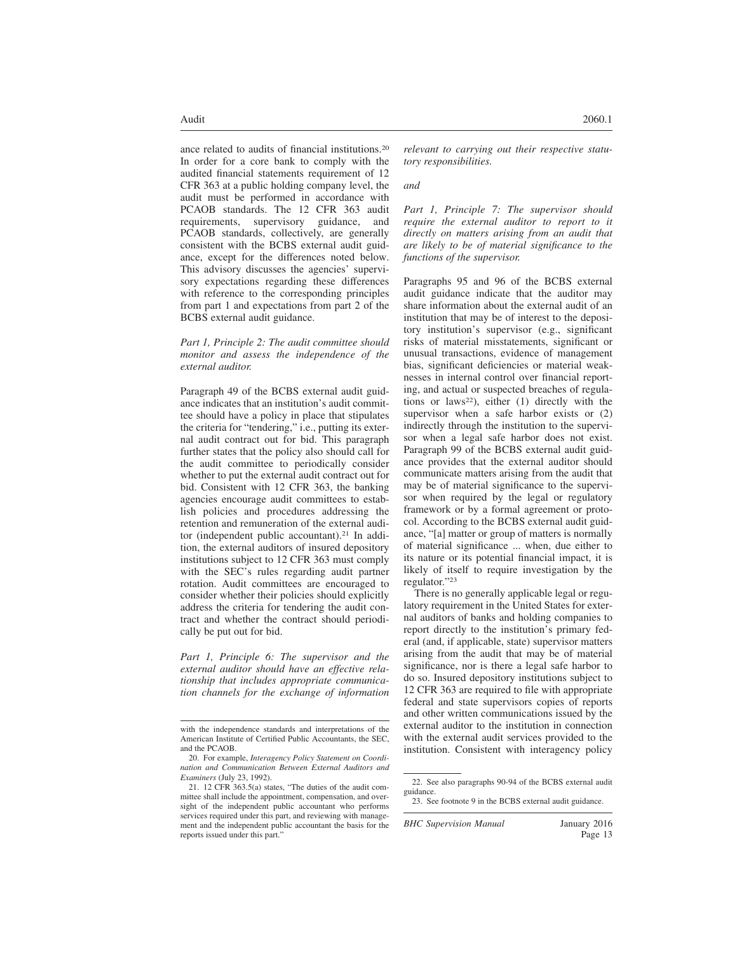ance related to audits of financial institutions.<sup>20</sup> In order for a core bank to comply with the audited financial statements requirement of 12 CFR 363 at a public holding company level, the audit must be performed in accordance with PCAOB standards. The 12 CFR 363 audit requirements, supervisory guidance, and PCAOB standards, collectively, are generally consistent with the BCBS external audit guidance, except for the differences noted below. This advisory discusses the agencies' supervisory expectations regarding these differences with reference to the corresponding principles from part 1 and expectations from part 2 of the BCBS external audit guidance.

*Part 1, Principle 2: The audit committee should monitor and assess the independence of the external auditor.*

Paragraph 49 of the BCBS external audit guidance indicates that an institution's audit committee should have a policy in place that stipulates the criteria for "tendering," i.e., putting its external audit contract out for bid. This paragraph further states that the policy also should call for the audit committee to periodically consider whether to put the external audit contract out for bid. Consistent with 12 CFR 363, the banking agencies encourage audit committees to establish policies and procedures addressing the retention and remuneration of the external auditor (independent public accountant).<sup>21</sup> In addition, the external auditors of insured depository institutions subject to 12 CFR 363 must comply with the SEC's rules regarding audit partner rotation. Audit committees are encouraged to consider whether their policies should explicitly address the criteria for tendering the audit contract and whether the contract should periodically be put out for bid.

*Part 1, Principle 6: The supervisor and the external auditor should have an effective relationship that includes appropriate communication channels for the exchange of information* *relevant to carrying out their respective statutory responsibilities.*

*and*

*Part 1, Principle 7: The supervisor should require the external auditor to report to it directly on matters arising from an audit that are likely to be of material significance to the functions of the supervisor.*

Paragraphs 95 and 96 of the BCBS external audit guidance indicate that the auditor may share information about the external audit of an institution that may be of interest to the depository institution's supervisor (e.g., significant risks of material misstatements, significant or unusual transactions, evidence of management bias, significant deficiencies or material weaknesses in internal control over financial reporting, and actual or suspected breaches of regulations or laws<sup>22</sup>), either  $(1)$  directly with the supervisor when a safe harbor exists or  $(2)$ indirectly through the institution to the supervisor when a legal safe harbor does not exist. Paragraph 99 of the BCBS external audit guidance provides that the external auditor should communicate matters arising from the audit that may be of material significance to the supervisor when required by the legal or regulatory framework or by a formal agreement or protocol. According to the BCBS external audit guidance, "[a] matter or group of matters is normally of material significance ... when, due either to its nature or its potential financial impact, it is likely of itself to require investigation by the regulator."<sup>23</sup>

There is no generally applicable legal or regulatory requirement in the United States for external auditors of banks and holding companies to report directly to the institution's primary federal (and, if applicable, state) supervisor matters arising from the audit that may be of material significance, nor is there a legal safe harbor to do so. Insured depository institutions subject to 12 CFR 363 are required to file with appropriate federal and state supervisors copies of reports and other written communications issued by the external auditor to the institution in connection with the external audit services provided to the institution. Consistent with interagency policy

with the independence standards and interpretations of the American Institute of Certified Public Accountants, the SEC, and the PCAOB.

<sup>20.</sup> For example, *Interagency Policy Statement on Coordination and Communication Between External Auditors and Examiners* (July 23, 1992).

<sup>21. 12</sup> CFR 363.5(a) states, "The duties of the audit committee shall include the appointment, compensation, and oversight of the independent public accountant who performs services required under this part, and reviewing with management and the independent public accountant the basis for the reports issued under this part."

<sup>22.</sup> See also paragraphs 90-94 of the BCBS external audit guidance.

<sup>23.</sup> See footnote 9 in the BCBS external audit guidance.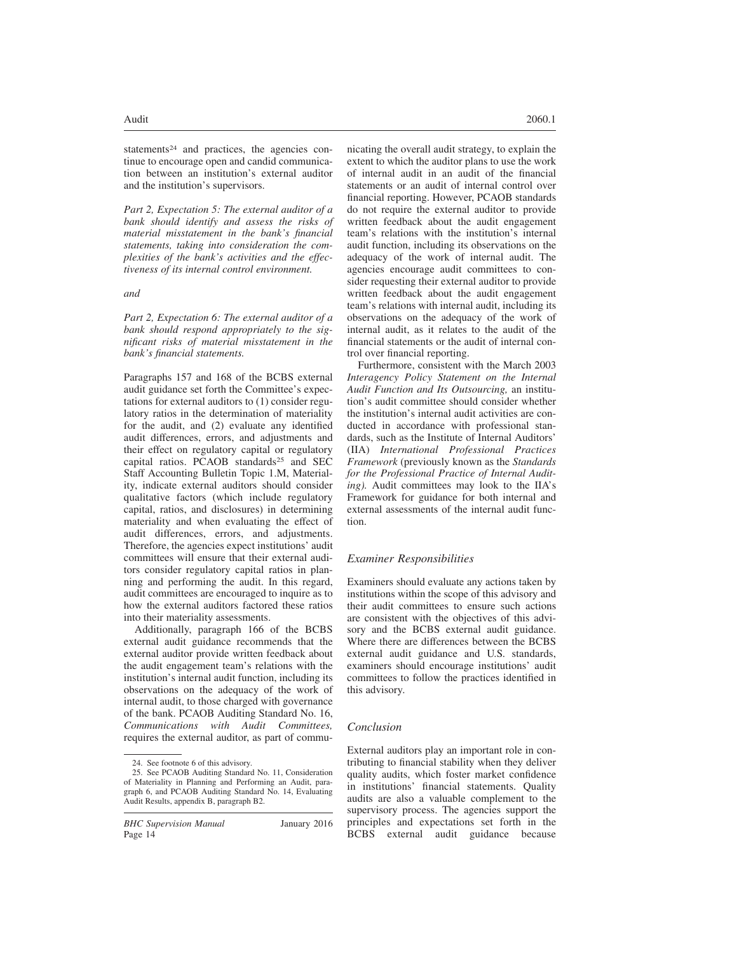statements<sup>24</sup> and practices, the agencies continue to encourage open and candid communication between an institution's external auditor and the institution's supervisors.

*Part 2, Expectation 5: The external auditor of a bank should identify and assess the risks of material misstatement in the bank's financial statements, taking into consideration the complexities of the bank's activities and the effectiveness of its internal control environment.*

*and*

*Part 2, Expectation 6: The external auditor of a bank should respond appropriately to the significant risks of material misstatement in the bank's financial statements.*

Paragraphs 157 and 168 of the BCBS external audit guidance set forth the Committee's expectations for external auditors to (1) consider regulatory ratios in the determination of materiality for the audit, and (2) evaluate any identified audit differences, errors, and adjustments and their effect on regulatory capital or regulatory capital ratios. PCAOB standards<sup>25</sup> and SEC Staff Accounting Bulletin Topic 1.M, Materiality, indicate external auditors should consider qualitative factors (which include regulatory capital, ratios, and disclosures) in determining materiality and when evaluating the effect of audit differences, errors, and adjustments. Therefore, the agencies expect institutions' audit committees will ensure that their external auditors consider regulatory capital ratios in planning and performing the audit. In this regard, audit committees are encouraged to inquire as to how the external auditors factored these ratios into their materiality assessments.

Additionally, paragraph 166 of the BCBS external audit guidance recommends that the external auditor provide written feedback about the audit engagement team's relations with the institution's internal audit function, including its observations on the adequacy of the work of internal audit, to those charged with governance of the bank. PCAOB Auditing Standard No. 16, *Communications with Audit Committees,* requires the external auditor, as part of communicating the overall audit strategy, to explain the extent to which the auditor plans to use the work of internal audit in an audit of the financial statements or an audit of internal control over financial reporting. However, PCAOB standards do not require the external auditor to provide written feedback about the audit engagement team's relations with the institution's internal audit function, including its observations on the adequacy of the work of internal audit. The agencies encourage audit committees to consider requesting their external auditor to provide written feedback about the audit engagement team's relations with internal audit, including its observations on the adequacy of the work of internal audit, as it relates to the audit of the financial statements or the audit of internal control over financial reporting.

Furthermore, consistent with the March 2003 *Interagency Policy Statement on the Internal Audit Function and Its Outsourcing,* an institution's audit committee should consider whether the institution's internal audit activities are conducted in accordance with professional standards, such as the Institute of Internal Auditors' (IIA) *International Professional Practices Framework* (previously known as the *Standards for the Professional Practice of Internal Auditing).* Audit committees may look to the IIA's Framework for guidance for both internal and external assessments of the internal audit function.

# *Examiner Responsibilities*

Examiners should evaluate any actions taken by institutions within the scope of this advisory and their audit committees to ensure such actions are consistent with the objectives of this advisory and the BCBS external audit guidance. Where there are differences between the BCBS external audit guidance and U.S. standards, examiners should encourage institutions' audit committees to follow the practices identified in this advisory.

# *Conclusion*

External auditors play an important role in contributing to financial stability when they deliver quality audits, which foster market confidence in institutions' financial statements. Quality audits are also a valuable complement to the supervisory process. The agencies support the principles and expectations set forth in the BCBS external audit guidance because

<sup>24.</sup> See footnote 6 of this advisory.

<sup>25.</sup> See PCAOB Auditing Standard No. 11, Consideration of Materiality in Planning and Performing an Audit, paragraph 6, and PCAOB Auditing Standard No. 14, Evaluating Audit Results, appendix B, paragraph B2.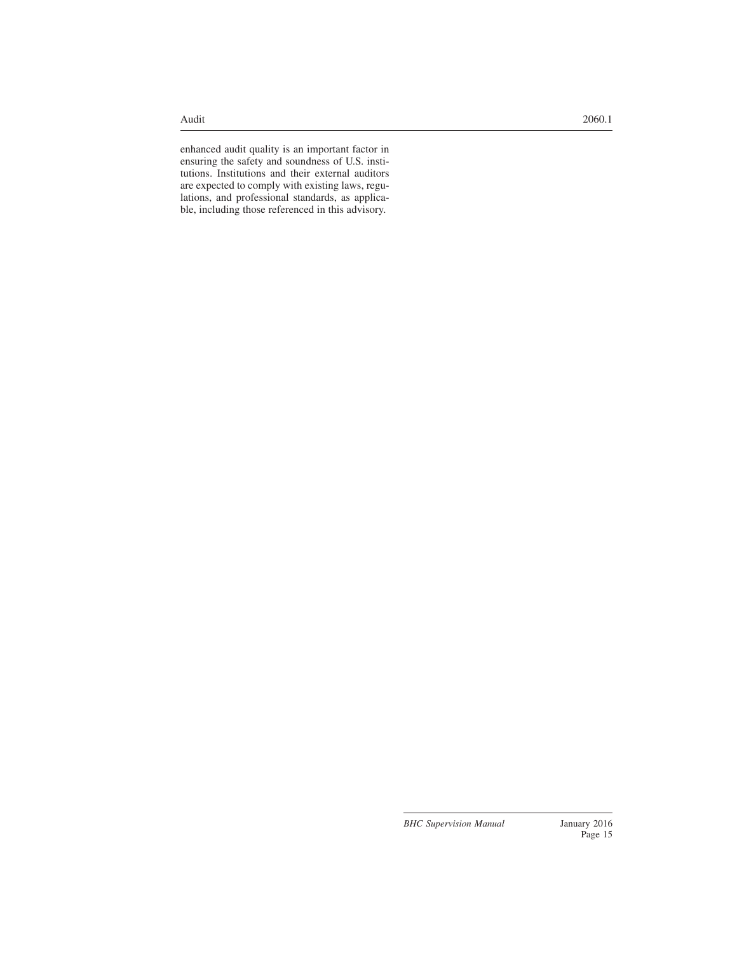enhanced audit quality is an important factor in ensuring the safety and soundness of U.S. institutions. Institutions and their external auditors are expected to comply with existing laws, regulations, and professional standards, as applicable, including those referenced in this advisory.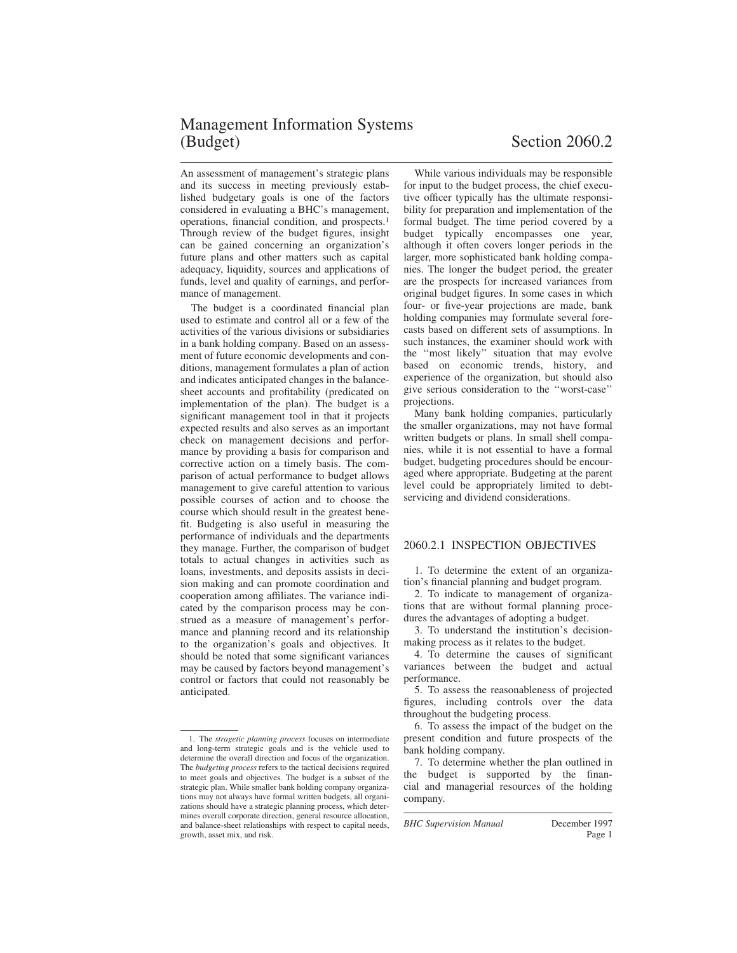An assessment of management's strategic plans and its success in meeting previously established budgetary goals is one of the factors considered in evaluating a BHC's management, operations, financial condition, and prospects.<sup>1</sup> Through review of the budget figures, insight can be gained concerning an organization's future plans and other matters such as capital adequacy, liquidity, sources and applications of funds, level and quality of earnings, and performance of management.

The budget is a coordinated financial plan used to estimate and control all or a few of the activities of the various divisions or subsidiaries in a bank holding company. Based on an assessment of future economic developments and conditions, management formulates a plan of action and indicates anticipated changes in the balancesheet accounts and profitability (predicated on implementation of the plan). The budget is a significant management tool in that it projects expected results and also serves as an important check on management decisions and performance by providing a basis for comparison and corrective action on a timely basis. The comparison of actual performance to budget allows management to give careful attention to various possible courses of action and to choose the course which should result in the greatest benefit. Budgeting is also useful in measuring the performance of individuals and the departments they manage. Further, the comparison of budget totals to actual changes in activities such as loans, investments, and deposits assists in decision making and can promote coordination and cooperation among affiliates. The variance indicated by the comparison process may be construed as a measure of management's performance and planning record and its relationship to the organization's goals and objectives. It should be noted that some significant variances may be caused by factors beyond management's control or factors that could not reasonably be anticipated.

While various individuals may be responsible for input to the budget process, the chief executive officer typically has the ultimate responsibility for preparation and implementation of the formal budget. The time period covered by a budget typically encompasses one year, although it often covers longer periods in the larger, more sophisticated bank holding companies. The longer the budget period, the greater are the prospects for increased variances from original budget figures. In some cases in which four- or five-year projections are made, bank holding companies may formulate several forecasts based on different sets of assumptions. In such instances, the examiner should work with the ''most likely'' situation that may evolve based on economic trends, history, and experience of the organization, but should also give serious consideration to the ''worst-case'' projections.

Many bank holding companies, particularly the smaller organizations, may not have formal written budgets or plans. In small shell companies, while it is not essential to have a formal budget, budgeting procedures should be encouraged where appropriate. Budgeting at the parent level could be appropriately limited to debtservicing and dividend considerations.

## 2060.2.1 INSPECTION OBJECTIVES

1. To determine the extent of an organization's financial planning and budget program.

2. To indicate to management of organizations that are without formal planning procedures the advantages of adopting a budget.

3. To understand the institution's decisionmaking process as it relates to the budget.

4. To determine the causes of significant variances between the budget and actual performance.

5. To assess the reasonableness of projected figures, including controls over the data throughout the budgeting process.

6. To assess the impact of the budget on the present condition and future prospects of the bank holding company.

7. To determine whether the plan outlined in the budget is supported by the financial and managerial resources of the holding company.

*BHC Supervision Manual* December 1997

<sup>1.</sup> The *stragetic planning process* focuses on intermediate and long-term strategic goals and is the vehicle used to determine the overall direction and focus of the organization. The *budgeting process* refers to the tactical decisions required to meet goals and objectives. The budget is a subset of the strategic plan. While smaller bank holding company organizations may not always have formal written budgets, all organizations should have a strategic planning process, which determines overall corporate direction, general resource allocation, and balance-sheet relationships with respect to capital needs, growth, asset mix, and risk.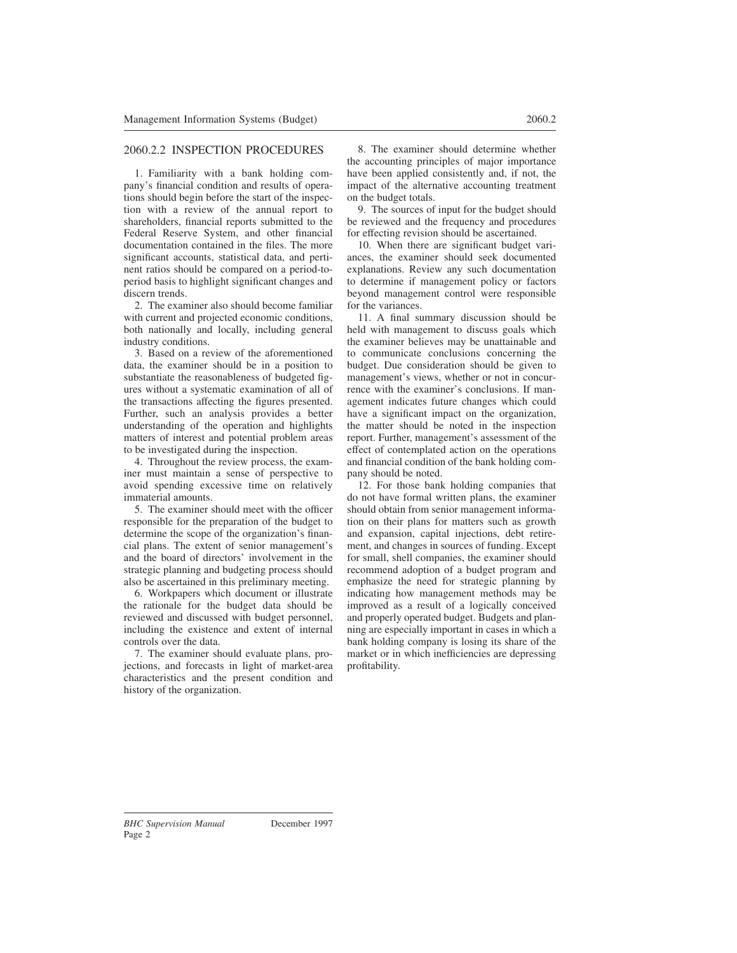1. Familiarity with a bank holding company's financial condition and results of operations should begin before the start of the inspection with a review of the annual report to shareholders, financial reports submitted to the Federal Reserve System, and other financial documentation contained in the files. The more significant accounts, statistical data, and pertinent ratios should be compared on a period-toperiod basis to highlight significant changes and discern trends.

2. The examiner also should become familiar with current and projected economic conditions, both nationally and locally, including general industry conditions.

3. Based on a review of the aforementioned data, the examiner should be in a position to substantiate the reasonableness of budgeted figures without a systematic examination of all of the transactions affecting the figures presented. Further, such an analysis provides a better understanding of the operation and highlights matters of interest and potential problem areas to be investigated during the inspection.

4. Throughout the review process, the examiner must maintain a sense of perspective to avoid spending excessive time on relatively immaterial amounts.

5. The examiner should meet with the officer responsible for the preparation of the budget to determine the scope of the organization's financial plans. The extent of senior management's and the board of directors' involvement in the strategic planning and budgeting process should also be ascertained in this preliminary meeting.

6. Workpapers which document or illustrate the rationale for the budget data should be reviewed and discussed with budget personnel, including the existence and extent of internal controls over the data.

7. The examiner should evaluate plans, projections, and forecasts in light of market-area characteristics and the present condition and history of the organization.

8. The examiner should determine whether the accounting principles of major importance have been applied consistently and, if not, the impact of the alternative accounting treatment on the budget totals.

9. The sources of input for the budget should be reviewed and the frequency and procedures for effecting revision should be ascertained.

10. When there are significant budget variances, the examiner should seek documented explanations. Review any such documentation to determine if management policy or factors beyond management control were responsible for the variances.

11. A final summary discussion should be held with management to discuss goals which the examiner believes may be unattainable and to communicate conclusions concerning the budget. Due consideration should be given to management's views, whether or not in concurrence with the examiner's conclusions. If management indicates future changes which could have a significant impact on the organization, the matter should be noted in the inspection report. Further, management's assessment of the effect of contemplated action on the operations and financial condition of the bank holding company should be noted.

12. For those bank holding companies that do not have formal written plans, the examiner should obtain from senior management information on their plans for matters such as growth and expansion, capital injections, debt retirement, and changes in sources of funding. Except for small, shell companies, the examiner should recommend adoption of a budget program and emphasize the need for strategic planning by indicating how management methods may be improved as a result of a logically conceived and properly operated budget. Budgets and planning are especially important in cases in which a bank holding company is losing its share of the market or in which inefficiencies are depressing profitability.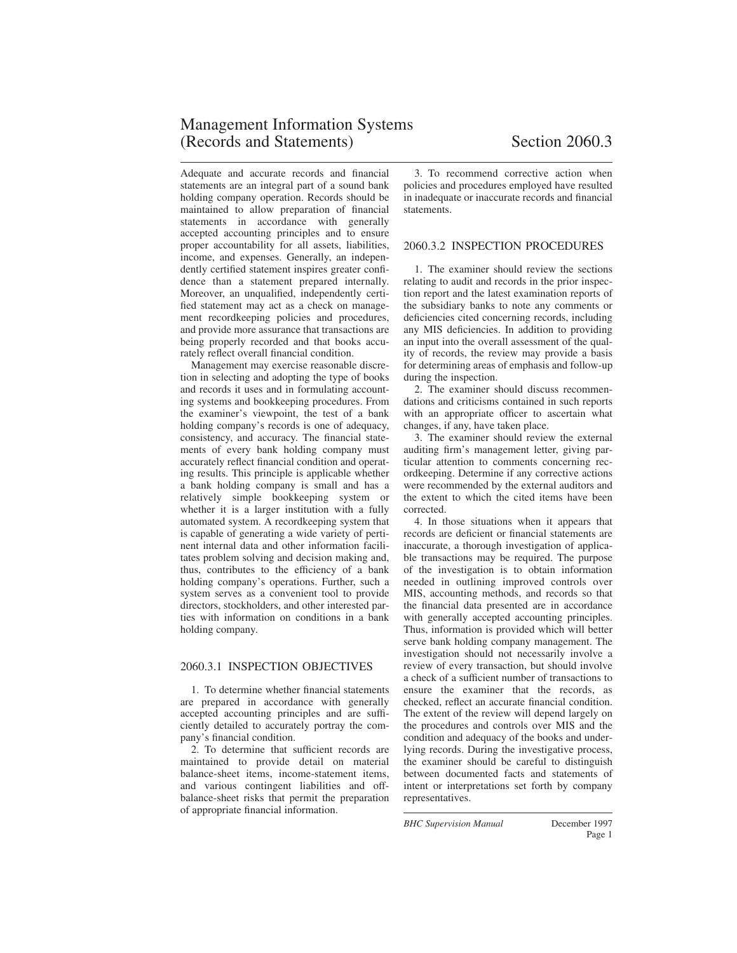# Management Information Systems (Records and Statements) Section 2060.3

Adequate and accurate records and financial statements are an integral part of a sound bank holding company operation. Records should be maintained to allow preparation of financial statements in accordance with generally accepted accounting principles and to ensure proper accountability for all assets, liabilities, income, and expenses. Generally, an independently certified statement inspires greater confidence than a statement prepared internally. Moreover, an unqualified, independently certified statement may act as a check on management recordkeeping policies and procedures, and provide more assurance that transactions are being properly recorded and that books accurately reflect overall financial condition.

Management may exercise reasonable discretion in selecting and adopting the type of books and records it uses and in formulating accounting systems and bookkeeping procedures. From the examiner's viewpoint, the test of a bank holding company's records is one of adequacy, consistency, and accuracy. The financial statements of every bank holding company must accurately reflect financial condition and operating results. This principle is applicable whether a bank holding company is small and has a relatively simple bookkeeping system or whether it is a larger institution with a fully automated system. A recordkeeping system that is capable of generating a wide variety of pertinent internal data and other information facilitates problem solving and decision making and, thus, contributes to the efficiency of a bank holding company's operations. Further, such a system serves as a convenient tool to provide directors, stockholders, and other interested parties with information on conditions in a bank holding company.

# 2060.3.1 INSPECTION OBJECTIVES

1. To determine whether financial statements are prepared in accordance with generally accepted accounting principles and are sufficiently detailed to accurately portray the company's financial condition.

2. To determine that sufficient records are maintained to provide detail on material balance-sheet items, income-statement items, and various contingent liabilities and offbalance-sheet risks that permit the preparation of appropriate financial information.

3. To recommend corrective action when policies and procedures employed have resulted in inadequate or inaccurate records and financial statements.

# 2060.3.2 INSPECTION PROCEDURES

1. The examiner should review the sections relating to audit and records in the prior inspection report and the latest examination reports of the subsidiary banks to note any comments or deficiencies cited concerning records, including any MIS deficiencies. In addition to providing an input into the overall assessment of the quality of records, the review may provide a basis for determining areas of emphasis and follow-up during the inspection.

2. The examiner should discuss recommendations and criticisms contained in such reports with an appropriate officer to ascertain what changes, if any, have taken place.

3. The examiner should review the external auditing firm's management letter, giving particular attention to comments concerning recordkeeping. Determine if any corrective actions were recommended by the external auditors and the extent to which the cited items have been corrected.

4. In those situations when it appears that records are deficient or financial statements are inaccurate, a thorough investigation of applicable transactions may be required. The purpose of the investigation is to obtain information needed in outlining improved controls over MIS, accounting methods, and records so that the financial data presented are in accordance with generally accepted accounting principles. Thus, information is provided which will better serve bank holding company management. The investigation should not necessarily involve a review of every transaction, but should involve a check of a sufficient number of transactions to ensure the examiner that the records, as checked, reflect an accurate financial condition. The extent of the review will depend largely on the procedures and controls over MIS and the condition and adequacy of the books and underlying records. During the investigative process, the examiner should be careful to distinguish between documented facts and statements of intent or interpretations set forth by company representatives.

*BHC Supervision Manual* December 1997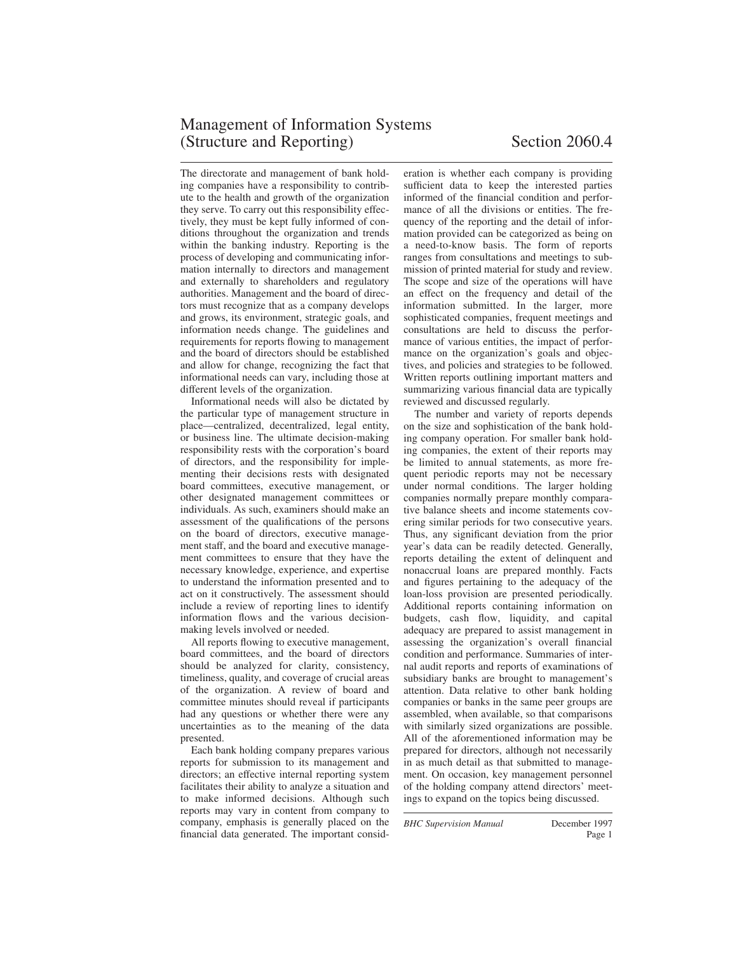The directorate and management of bank holding companies have a responsibility to contribute to the health and growth of the organization they serve. To carry out this responsibility effectively, they must be kept fully informed of conditions throughout the organization and trends within the banking industry. Reporting is the process of developing and communicating information internally to directors and management and externally to shareholders and regulatory authorities. Management and the board of directors must recognize that as a company develops and grows, its environment, strategic goals, and information needs change. The guidelines and requirements for reports flowing to management and the board of directors should be established and allow for change, recognizing the fact that informational needs can vary, including those at different levels of the organization.

Informational needs will also be dictated by the particular type of management structure in place—centralized, decentralized, legal entity, or business line. The ultimate decision-making responsibility rests with the corporation's board of directors, and the responsibility for implementing their decisions rests with designated board committees, executive management, or other designated management committees or individuals. As such, examiners should make an assessment of the qualifications of the persons on the board of directors, executive management staff, and the board and executive management committees to ensure that they have the necessary knowledge, experience, and expertise to understand the information presented and to act on it constructively. The assessment should include a review of reporting lines to identify information flows and the various decisionmaking levels involved or needed.

All reports flowing to executive management, board committees, and the board of directors should be analyzed for clarity, consistency, timeliness, quality, and coverage of crucial areas of the organization. A review of board and committee minutes should reveal if participants had any questions or whether there were any uncertainties as to the meaning of the data presented.

Each bank holding company prepares various reports for submission to its management and directors; an effective internal reporting system facilitates their ability to analyze a situation and to make informed decisions. Although such reports may vary in content from company to company, emphasis is generally placed on the financial data generated. The important consideration is whether each company is providing sufficient data to keep the interested parties informed of the financial condition and performance of all the divisions or entities. The frequency of the reporting and the detail of information provided can be categorized as being on a need-to-know basis. The form of reports ranges from consultations and meetings to submission of printed material for study and review. The scope and size of the operations will have an effect on the frequency and detail of the information submitted. In the larger, more sophisticated companies, frequent meetings and consultations are held to discuss the performance of various entities, the impact of performance on the organization's goals and objectives, and policies and strategies to be followed. Written reports outlining important matters and summarizing various financial data are typically reviewed and discussed regularly.

The number and variety of reports depends on the size and sophistication of the bank holding company operation. For smaller bank holding companies, the extent of their reports may be limited to annual statements, as more frequent periodic reports may not be necessary under normal conditions. The larger holding companies normally prepare monthly comparative balance sheets and income statements covering similar periods for two consecutive years. Thus, any significant deviation from the prior year's data can be readily detected. Generally, reports detailing the extent of delinquent and nonaccrual loans are prepared monthly. Facts and figures pertaining to the adequacy of the loan-loss provision are presented periodically. Additional reports containing information on budgets, cash flow, liquidity, and capital adequacy are prepared to assist management in assessing the organization's overall financial condition and performance. Summaries of internal audit reports and reports of examinations of subsidiary banks are brought to management's attention. Data relative to other bank holding companies or banks in the same peer groups are assembled, when available, so that comparisons with similarly sized organizations are possible. All of the aforementioned information may be prepared for directors, although not necessarily in as much detail as that submitted to management. On occasion, key management personnel of the holding company attend directors' meetings to expand on the topics being discussed.

*BHC Supervision Manual* December 1997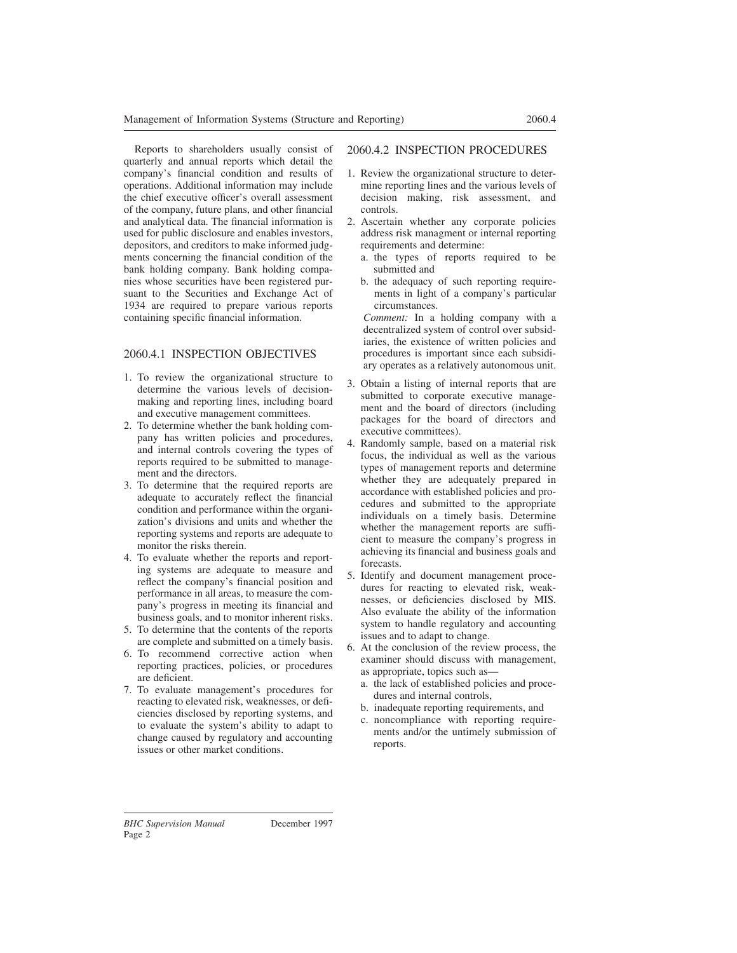Reports to shareholders usually consist of quarterly and annual reports which detail the company's financial condition and results of operations. Additional information may include the chief executive officer's overall assessment of the company, future plans, and other financial and analytical data. The financial information is used for public disclosure and enables investors, depositors, and creditors to make informed judgments concerning the financial condition of the bank holding company. Bank holding companies whose securities have been registered pursuant to the Securities and Exchange Act of 1934 are required to prepare various reports containing specific financial information.

# 2060.4.1 INSPECTION OBJECTIVES

- 1. To review the organizational structure to determine the various levels of decisionmaking and reporting lines, including board and executive management committees.
- 2. To determine whether the bank holding company has written policies and procedures, and internal controls covering the types of reports required to be submitted to management and the directors.
- 3. To determine that the required reports are adequate to accurately reflect the financial condition and performance within the organization's divisions and units and whether the reporting systems and reports are adequate to monitor the risks therein.
- 4. To evaluate whether the reports and reporting systems are adequate to measure and reflect the company's financial position and performance in all areas, to measure the company's progress in meeting its financial and business goals, and to monitor inherent risks.
- 5. To determine that the contents of the reports are complete and submitted on a timely basis.
- 6. To recommend corrective action when reporting practices, policies, or procedures are deficient.
- 7. To evaluate management's procedures for reacting to elevated risk, weaknesses, or deficiencies disclosed by reporting systems, and to evaluate the system's ability to adapt to change caused by regulatory and accounting issues or other market conditions.

# 2060.4.2 INSPECTION PROCEDURES

- 1. Review the organizational structure to determine reporting lines and the various levels of decision making, risk assessment, and controls.
- 2. Ascertain whether any corporate policies address risk managment or internal reporting requirements and determine:
	- a. the types of reports required to be submitted and
	- b. the adequacy of such reporting requirements in light of a company's particular circumstances.

*Comment:* In a holding company with a decentralized system of control over subsidiaries, the existence of written policies and procedures is important since each subsidiary operates as a relatively autonomous unit.

- 3. Obtain a listing of internal reports that are submitted to corporate executive management and the board of directors (including packages for the board of directors and executive committees).
- 4. Randomly sample, based on a material risk focus, the individual as well as the various types of management reports and determine whether they are adequately prepared in accordance with established policies and procedures and submitted to the appropriate individuals on a timely basis. Determine whether the management reports are sufficient to measure the company's progress in achieving its financial and business goals and forecasts.
- 5. Identify and document management procedures for reacting to elevated risk, weaknesses, or deficiencies disclosed by MIS. Also evaluate the ability of the information system to handle regulatory and accounting issues and to adapt to change.
- 6. At the conclusion of the review process, the examiner should discuss with management, as appropriate, topics such as
	- a. the lack of established policies and procedures and internal controls,
	- b. inadequate reporting requirements, and
	- c. noncompliance with reporting requirements and/or the untimely submission of reports.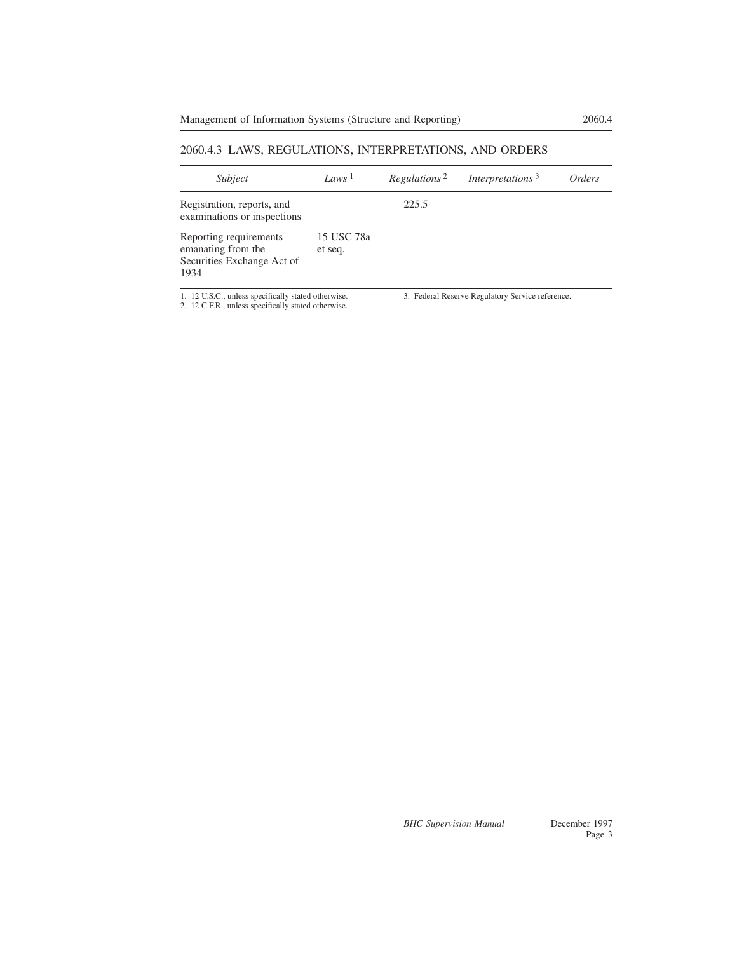# 2060.4.3 LAWS, REGULATIONS, INTERPRETATIONS, AND ORDERS

| Subject                                                                            | Laws <sup>1</sup>     | Regulations <sup>2</sup> | Interpretations <sup>3</sup> | Orders |
|------------------------------------------------------------------------------------|-----------------------|--------------------------|------------------------------|--------|
| Registration, reports, and<br>examinations or inspections                          |                       | 225.5                    |                              |        |
| Reporting requirements<br>emanating from the<br>Securities Exchange Act of<br>1934 | 15 USC 78a<br>et seq. |                          |                              |        |

1. 12 U.S.C., unless specifically stated otherwise. 2. 12 C.F.R., unless specifically stated otherwise.

3. Federal Reserve Regulatory Service reference.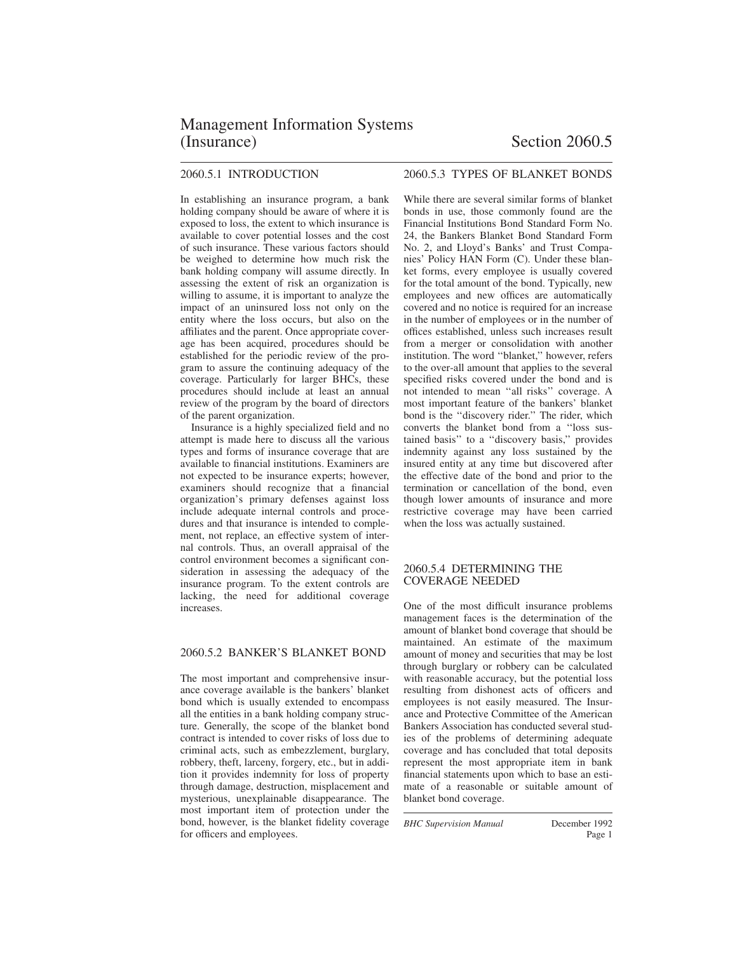### 2060.5.1 INTRODUCTION

In establishing an insurance program, a bank holding company should be aware of where it is exposed to loss, the extent to which insurance is available to cover potential losses and the cost of such insurance. These various factors should be weighed to determine how much risk the bank holding company will assume directly. In assessing the extent of risk an organization is willing to assume, it is important to analyze the impact of an uninsured loss not only on the entity where the loss occurs, but also on the affiliates and the parent. Once appropriate coverage has been acquired, procedures should be established for the periodic review of the program to assure the continuing adequacy of the coverage. Particularly for larger BHCs, these procedures should include at least an annual review of the program by the board of directors of the parent organization.

Insurance is a highly specialized field and no attempt is made here to discuss all the various types and forms of insurance coverage that are available to financial institutions. Examiners are not expected to be insurance experts; however, examiners should recognize that a financial organization's primary defenses against loss include adequate internal controls and procedures and that insurance is intended to complement, not replace, an effective system of internal controls. Thus, an overall appraisal of the control environment becomes a significant consideration in assessing the adequacy of the insurance program. To the extent controls are lacking, the need for additional coverage increases.

# 2060.5.2 BANKER'S BLANKET BOND

The most important and comprehensive insurance coverage available is the bankers' blanket bond which is usually extended to encompass all the entities in a bank holding company structure. Generally, the scope of the blanket bond contract is intended to cover risks of loss due to criminal acts, such as embezzlement, burglary, robbery, theft, larceny, forgery, etc., but in addition it provides indemnity for loss of property through damage, destruction, misplacement and mysterious, unexplainable disappearance. The most important item of protection under the bond, however, is the blanket fidelity coverage for officers and employees.

# 2060.5.3 TYPES OF BLANKET BONDS

While there are several similar forms of blanket bonds in use, those commonly found are the Financial Institutions Bond Standard Form No. 24, the Bankers Blanket Bond Standard Form No. 2, and Lloyd's Banks' and Trust Companies' Policy HAN Form (C). Under these blanket forms, every employee is usually covered for the total amount of the bond. Typically, new employees and new offices are automatically covered and no notice is required for an increase in the number of employees or in the number of offices established, unless such increases result from a merger or consolidation with another institution. The word ''blanket,'' however, refers to the over-all amount that applies to the several specified risks covered under the bond and is not intended to mean ''all risks'' coverage. A most important feature of the bankers' blanket bond is the ''discovery rider.'' The rider, which converts the blanket bond from a ''loss sustained basis'' to a ''discovery basis,'' provides indemnity against any loss sustained by the insured entity at any time but discovered after the effective date of the bond and prior to the termination or cancellation of the bond, even though lower amounts of insurance and more restrictive coverage may have been carried when the loss was actually sustained.

#### 2060.5.4 DETERMINING THE COVERAGE NEEDED

One of the most difficult insurance problems management faces is the determination of the amount of blanket bond coverage that should be maintained. An estimate of the maximum amount of money and securities that may be lost through burglary or robbery can be calculated with reasonable accuracy, but the potential loss resulting from dishonest acts of officers and employees is not easily measured. The Insurance and Protective Committee of the American Bankers Association has conducted several studies of the problems of determining adequate coverage and has concluded that total deposits represent the most appropriate item in bank financial statements upon which to base an estimate of a reasonable or suitable amount of blanket bond coverage.

*BHC Supervision Manual* December 1992